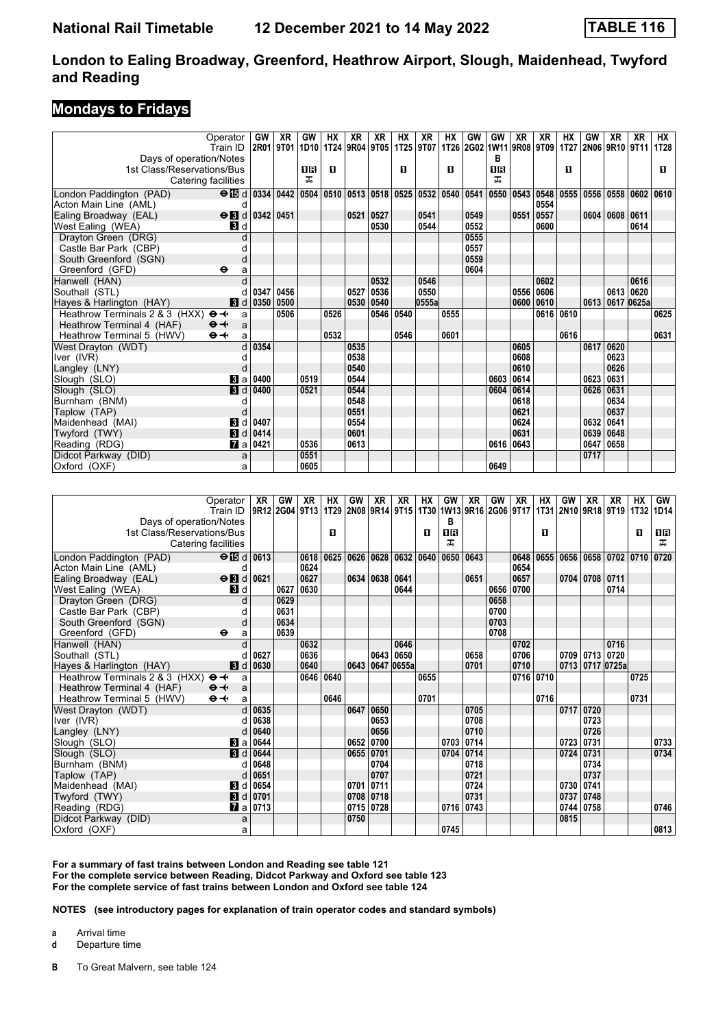### **Mondays to Fridays**

| Train ID<br>Days of operation/Notes<br>1st Class/Reservations/Bus<br>Catering facilities |                |           |      | 2R01 9T01 1D10 1T24 9R04 9T05 |      |           |      | 1T25 9T07 |       |                                         |      |           |                                  |           |      |      |            |                |      |
|------------------------------------------------------------------------------------------|----------------|-----------|------|-------------------------------|------|-----------|------|-----------|-------|-----------------------------------------|------|-----------|----------------------------------|-----------|------|------|------------|----------------|------|
|                                                                                          |                |           |      |                               |      |           |      |           |       |                                         |      |           | 1T26   2G02   1W11   9R08   9T09 |           | 1T27 |      |            | 2N06 9R10 9T11 | 1T28 |
|                                                                                          |                |           |      |                               |      |           |      |           |       |                                         |      | в         |                                  |           |      |      |            |                |      |
|                                                                                          |                |           |      | 0R                            | п    |           |      | п         |       | п                                       |      | <b>OR</b> |                                  |           | п    |      |            |                | п    |
|                                                                                          |                |           |      | ᠼ                             |      |           |      |           |       |                                         |      | ᅚ         |                                  |           |      |      |            |                |      |
| London Paddington (PAD)                                                                  |                |           |      | $\Theta$ is d 0334 0442 0504  | 0510 |           |      |           |       | 0513   0518   0525   0532   0540   0541 |      |           | 0550   0543   0548               |           | 0555 | 0556 | 0558 0602  |                | 0610 |
| Acton Main Line (AML)                                                                    | d              |           |      |                               |      |           |      |           |       |                                         |      |           |                                  | 0554      |      |      |            |                |      |
| $\Theta$ <b>B</b> d<br>Ealing Broadway (EAL)                                             |                | 0342 0451 |      |                               |      | 0521 0527 |      |           | 0541  |                                         | 0549 |           | 0551                             | 0557      |      | 0604 | 0608       | 0611           |      |
| West Ealing (WEA)<br>BI d                                                                |                |           |      |                               |      |           | 0530 |           | 0544  |                                         | 0552 |           |                                  | 0600      |      |      |            | 0614           |      |
| Drayton Green (DRG)                                                                      |                |           |      |                               |      |           |      |           |       |                                         | 0555 |           |                                  |           |      |      |            |                |      |
| Castle Bar Park (CBP)                                                                    |                |           |      |                               |      |           |      |           |       |                                         | 0557 |           |                                  |           |      |      |            |                |      |
| South Greenford (SGN)                                                                    | d              |           |      |                               |      |           |      |           |       |                                         | 0559 |           |                                  |           |      |      |            |                |      |
| Greenford (GFD)<br>⊖                                                                     | a              |           |      |                               |      |           |      |           |       |                                         | 0604 |           |                                  |           |      |      |            |                |      |
| Hanwell (HAN)                                                                            |                |           |      |                               |      |           | 0532 |           | 0546  |                                         |      |           |                                  | 0602      |      |      |            | 0616           |      |
| Southall (STL)                                                                           |                | 0347      | 0456 |                               |      | 0527      | 0536 |           | 0550  |                                         |      |           | 0556                             | 0606      |      |      | 0613 0620  |                |      |
| Hayes & Harlington (HAY)<br><b>3</b> d                                                   |                | 0350      | 0500 |                               |      | 0530      | 0540 |           | 0555a |                                         |      |           | 0600 0610                        |           |      | 0613 | 0617 0625a |                |      |
| Heathrow Terminals 2 & 3 (HXX)<br>$\Theta +$                                             | a              |           | 0506 |                               | 0526 |           | 0546 | 0540      |       | 0555                                    |      |           |                                  | 0616 0610 |      |      |            |                | 0625 |
| Heathrow Terminal 4 (HAF)<br>$\Theta +$                                                  | a              |           |      |                               |      |           |      |           |       |                                         |      |           |                                  |           |      |      |            |                |      |
| $\Theta \rightarrow$<br>Heathrow Terminal 5 (HWV)                                        | a              |           |      |                               | 0532 |           |      | 0546      |       | 0601                                    |      |           |                                  |           | 0616 |      |            |                | 0631 |
| West Drayton (WDT)                                                                       | d              | 0354      |      |                               |      | 0535      |      |           |       |                                         |      |           | 0605                             |           |      | 0617 | 0620       |                |      |
| Iver (IVR)                                                                               |                |           |      |                               |      | 0538      |      |           |       |                                         |      |           | 0608                             |           |      |      | 0623       |                |      |
| Langley (LNY)                                                                            | $\Gamma$       |           |      |                               |      | 0540      |      |           |       |                                         |      |           | 0610                             |           |      |      | 0626       |                |      |
| Slough (SLO)                                                                             | $\mathbf{B}$ a | 0400      |      | 0519                          |      | 0544      |      |           |       |                                         |      | 0603      | 0614                             |           |      | 0623 | 0631       |                |      |
| $\blacksquare$<br>Slough (SLO)                                                           |                | 0400      |      | 0521                          |      | 0544      |      |           |       |                                         |      | 0604      | 0614                             |           |      | 0626 | 0631       |                |      |
| Burnham (BNM)                                                                            |                |           |      |                               |      | 0548      |      |           |       |                                         |      |           | 0618                             |           |      |      | 0634       |                |      |
| Taplow (TAP)                                                                             |                |           |      |                               |      | 0551      |      |           |       |                                         |      |           | 0621                             |           |      |      | 0637       |                |      |
| Maidenhead (MAI)<br>$\mathbf{B}$                                                         | d              | 0407      |      |                               |      | 0554      |      |           |       |                                         |      |           | 0624                             |           |      | 0632 | 0641       |                |      |
| <b>B</b> d<br>Twyford (TWY)                                                              |                | 0414      |      |                               |      | 0601      |      |           |       |                                         |      |           | 0631                             |           |      | 0639 | 0648       |                |      |
| Reading (RDG)                                                                            | <b>и</b> а     | 0421      |      | 0536                          |      | 0613      |      |           |       |                                         |      | 0616 0643 |                                  |           |      | 0647 | 0658       |                |      |
| Didcot Parkway (DID)                                                                     | a              |           |      | 0551                          |      |           |      |           |       |                                         |      |           |                                  |           |      | 0717 |            |                |      |
| Oxford (OXF)                                                                             | a              |           |      | 0605                          |      |           |      |           |       |                                         |      | 0649      |                                  |           |      |      |            |                |      |

|                                | Operator                    | XR                    | GW             | XR   | <b>HX</b> | GW        | XR        | XR                                      | НX   | GW        | XR        | <b>GW</b> | <b>XR</b> | НX   | GW        | XR             | XR              | <b>HX</b> | GW                                      |
|--------------------------------|-----------------------------|-----------------------|----------------|------|-----------|-----------|-----------|-----------------------------------------|------|-----------|-----------|-----------|-----------|------|-----------|----------------|-----------------|-----------|-----------------------------------------|
|                                | Train ID                    |                       | 9R12 2G04 9T13 |      | 1T29      |           |           | 2N08 9R14 9T15 1T30 1W13 9R16 2G06 9T17 |      |           |           |           |           |      |           |                |                 |           | 1T31   2N10   9R18   9T19   1T32   1D14 |
| Days of operation/Notes        |                             |                       |                |      |           |           |           |                                         |      | в         |           |           |           |      |           |                |                 |           |                                         |
| 1st Class/Reservations/Bus     |                             |                       |                |      | п         |           |           |                                         | п    | <b>08</b> |           |           |           | п    |           |                |                 | п         | 0 B                                     |
| Catering facilities            |                             |                       |                |      |           |           |           |                                         |      | ᠼ         |           |           |           |      |           |                |                 |           | ᠼ                                       |
| London Paddington (PAD)        | $\Theta$ $\boxtimes$ d 0613 |                       |                | 0618 | 0625      | 0626      |           | 0628 0632 0640                          |      | 0650      | 0643      |           | 0648      | 0655 | 0656      |                | 0658 0702 0710  |           | 0720                                    |
| Acton Main Line (AML)          | d                           |                       |                | 0624 |           |           |           |                                         |      |           |           |           | 0654      |      |           |                |                 |           |                                         |
| Ealing Broadway (EAL)          | $\Theta$ <b>B</b> d         | 0621                  |                | 0627 |           | 0634      |           | 0638 0641                               |      |           | 0651      |           | 0657      |      |           | 0704 0708      | 0711            |           |                                         |
| West Ealing (WEA)              | <b>3</b> d                  |                       | 0627           | 0630 |           |           |           | 0644                                    |      |           |           | 0656      | 0700      |      |           |                | 0714            |           |                                         |
| Drayton Green (DRG)            | d                           |                       | 0629           |      |           |           |           |                                         |      |           |           | 0658      |           |      |           |                |                 |           |                                         |
| Castle Bar Park (CBP)          |                             |                       | 0631           |      |           |           |           |                                         |      |           |           | 0700      |           |      |           |                |                 |           |                                         |
| South Greenford (SGN)          | d                           |                       | 0634           |      |           |           |           |                                         |      |           |           | 0703      |           |      |           |                |                 |           |                                         |
| Greenford (GFD)                | $\bullet$<br>a              |                       | 0639           |      |           |           |           |                                         |      |           |           | 0708      |           |      |           |                |                 |           |                                         |
| Hanwell (HAN)                  |                             |                       |                | 0632 |           |           |           | 0646                                    |      |           |           |           | 0702      |      |           |                | 0716            |           |                                         |
| Southall (STL)                 |                             | 0627                  |                | 0636 |           |           |           | 0643 0650                               |      |           | 0658      |           | 0706      |      |           | 0709 0713 0720 |                 |           |                                         |
| Hayes & Harlington (HAY)       | 3d                          | 0630                  |                | 0640 |           | 0643      |           | 0647 0655a                              |      |           | 0701      |           | 0710      |      |           |                | 0713 0717 0725a |           |                                         |
| Heathrow Terminals 2 & 3 (HXX) | $\Theta \rightarrow$<br>a   |                       |                | 0646 | 0640      |           |           |                                         | 0655 |           |           |           | 0716 0710 |      |           |                |                 | 0725      |                                         |
| Heathrow Terminal 4 (HAF)      | $\Theta +$<br>a             |                       |                |      |           |           |           |                                         |      |           |           |           |           |      |           |                |                 |           |                                         |
| Heathrow Terminal 5 (HWV)      | $\Theta +$<br>a             |                       |                |      | 0646      |           |           |                                         | 0701 |           |           |           |           | 0716 |           |                |                 | 0731      |                                         |
| West Drayton (WDT)             | $\mathsf{d}$                | 0635                  |                |      |           | 0647      | 0650      |                                         |      |           | 0705      |           |           |      |           | 0717 0720      |                 |           |                                         |
| Iver (IVR)                     |                             | 0638                  |                |      |           |           | 0653      |                                         |      |           | 0708      |           |           |      |           | 0723           |                 |           |                                         |
| Langley (LNY)                  |                             | 0640                  |                |      |           |           | 0656      |                                         |      |           | 0710      |           |           |      |           | 0726           |                 |           |                                         |
| Slough (SLO)                   | <b>B</b> la                 | 0644                  |                |      |           | 0652      | 0700      |                                         |      |           | 0703 0714 |           |           |      | 0723      | 0731           |                 |           | 0733                                    |
| Slough (SLO)                   | 3d                          | 0644                  |                |      |           | 0655      | 0701      |                                         |      |           | 0704 0714 |           |           |      | 0724 0731 |                |                 |           | 0734                                    |
| Burnham (BNM)                  |                             | 0648                  |                |      |           |           | 0704      |                                         |      |           | 0718      |           |           |      |           | 0734           |                 |           |                                         |
| Taplow (TAP)                   | d                           | 0651                  |                |      |           |           | 0707      |                                         |      |           | 0721      |           |           |      |           | 0737           |                 |           |                                         |
| Maidenhead (MAI)               | 8 d                         | 0654                  |                |      |           | 0701 0711 |           |                                         |      |           | 0724      |           |           |      | 0730      | 0741           |                 |           |                                         |
| Twyford (TWY)                  | <b>3</b> d                  | 0701                  |                |      |           | 0708      | 0718      |                                         |      |           | 0731      |           |           |      | 0737      | 0748           |                 |           |                                         |
| Reading (RDG)                  |                             | $\blacksquare$ a 0713 |                |      |           |           | 0715 0728 |                                         |      |           | 0716 0743 |           |           |      | 0744 0758 |                |                 |           | 0746                                    |
| Didcot Parkway (DID)           | a                           |                       |                |      |           | 0750      |           |                                         |      |           |           |           |           |      | 0815      |                |                 |           |                                         |
| Oxford (OXF)                   | a                           |                       |                |      |           |           |           |                                         |      | 0745      |           |           |           |      |           |                |                 |           | 0813                                    |

**For a summary of fast trains between London and Reading see table 121 For the complete service between Reading, Didcot 3arkway and Oxford see table 123 For the complete service of fast trains between London and Oxford see table 124**

**NOTES (see introductory pages for explanation of train operator codes and standard symbols)**

**a** Arrival time

**d** Departure time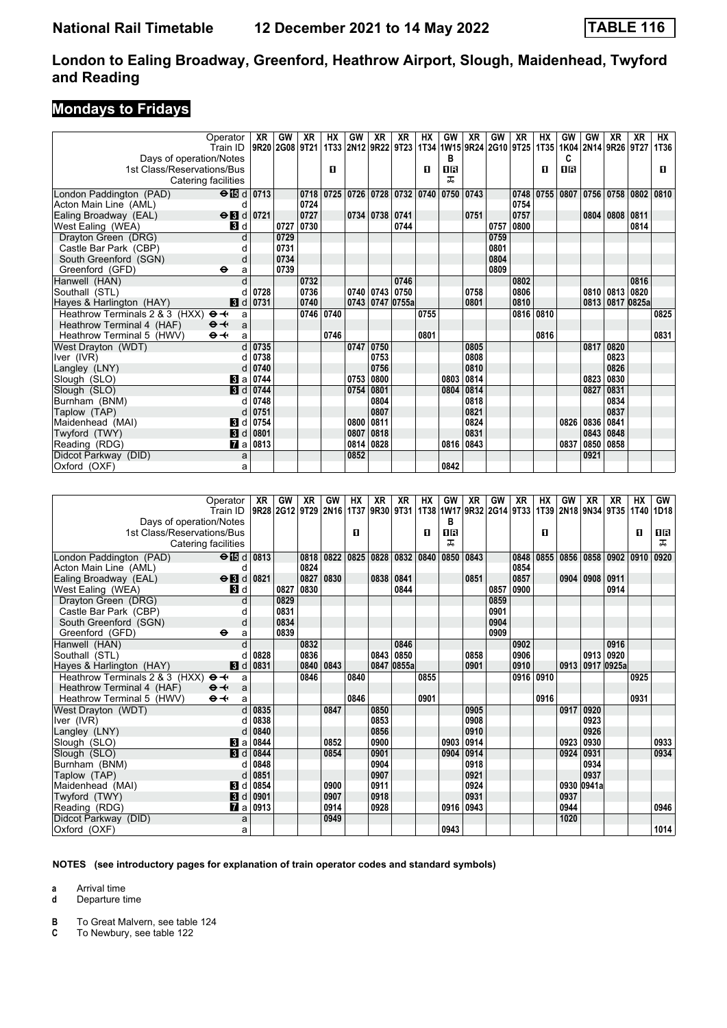## **Mondays to Fridays**

|                                  | Operator                        | XR   | GW             | XR   | НX   | GW   | XR                  | XR   | НX   | GW                            | <b>XR</b> | GW   | XR        | НX                            | GW        | GW   | XR        | XR                  | НX   |
|----------------------------------|---------------------------------|------|----------------|------|------|------|---------------------|------|------|-------------------------------|-----------|------|-----------|-------------------------------|-----------|------|-----------|---------------------|------|
|                                  | Train ID                        |      | 9R20 2G08 9T21 |      |      |      | 1T33 2N12 9R22 9T23 |      |      |                               |           |      |           | 1T34 1W15 9R24 2G10 9T25 1T35 |           |      |           | 1K04 2N14 9R26 9T27 | 1T36 |
| Days of operation/Notes          |                                 |      |                |      |      |      |                     |      |      | в                             |           |      |           |                               | c         |      |           |                     |      |
| 1st Class/Reservations/Bus       |                                 |      |                |      | п    |      |                     |      | п    | <b>OR</b>                     |           |      |           | п                             | <b>08</b> |      |           |                     | п    |
|                                  | Catering facilities             |      |                |      |      |      |                     |      |      | ᠼ                             |           |      |           |                               |           |      |           |                     |      |
| London Paddington (PAD)          | $\Theta$ $\overline{15}$ d 0713 |      |                | 0718 | 0725 |      |                     |      |      | 0726 0728 0732 0740 0750 0743 |           |      |           | 0748 0755                     | 0807      | 0756 |           | 0758 0802           | 0810 |
| Acton Main Line (AML)            | d                               |      |                | 0724 |      |      |                     |      |      |                               |           |      | 0754      |                               |           |      |           |                     |      |
| Ealing Broadway (EAL)            | $\Theta$ id 0721                |      |                | 0727 |      |      | 0734 0738 0741      |      |      |                               | 0751      |      | 0757      |                               |           | 0804 | 0808      | 0811                |      |
| West Ealing (WEA)                | <b>3</b> d                      |      | 0727           | 0730 |      |      |                     | 0744 |      |                               |           | 0757 | 0800      |                               |           |      |           | 0814                |      |
| Drayton Green (DRG)              | d                               |      | 0729           |      |      |      |                     |      |      |                               |           | 0759 |           |                               |           |      |           |                     |      |
| Castle Bar Park (CBP)            | $\mathfrak{c}$                  |      | 0731           |      |      |      |                     |      |      |                               |           | 0801 |           |                               |           |      |           |                     |      |
| South Greenford (SGN)            | d                               |      | 0734           |      |      |      |                     |      |      |                               |           | 0804 |           |                               |           |      |           |                     |      |
| Greenford (GFD)                  | ⊖<br>a                          |      | 0739           |      |      |      |                     |      |      |                               |           | 0809 |           |                               |           |      |           |                     |      |
| Hanwell (HAN)                    |                                 |      |                | 0732 |      |      |                     | 0746 |      |                               |           |      | 0802      |                               |           |      |           | 0816                |      |
| Southall (STL)                   |                                 | 0728 |                | 0736 |      |      | $0740$ 0743 0750    |      |      |                               | 0758      |      | 0806      |                               |           | 0810 | 0813 0820 |                     |      |
| Hayes & Harlington (HAY)         | 3d                              | 0731 |                | 0740 |      |      | 0743 0747 0755a     |      |      |                               | 0801      |      | 0810      |                               |           | 0813 |           | 0817 0825a          |      |
| Heathrow Terminals 2 & 3 (HXX) + | a                               |      |                | 0746 | 0740 |      |                     |      | 0755 |                               |           |      | 0816 0810 |                               |           |      |           |                     | 0825 |
| Heathrow Terminal 4 (HAF)        | $\Theta +$<br>a                 |      |                |      |      |      |                     |      |      |                               |           |      |           |                               |           |      |           |                     |      |
| Heathrow Terminal 5 (HWV)        | $\Theta \rightarrow$<br>a       |      |                |      | 0746 |      |                     |      | 0801 |                               |           |      |           | 0816                          |           |      |           |                     | 0831 |
| West Drayton (WDT)               | d                               | 0735 |                |      |      |      | 0747 0750           |      |      |                               | 0805      |      |           |                               |           | 0817 | 0820      |                     |      |
| Iver (IVR)                       |                                 | 0738 |                |      |      |      | 0753                |      |      |                               | 0808      |      |           |                               |           |      | 0823      |                     |      |
| Langley (LNY)                    | d                               | 0740 |                |      |      |      | 0756                |      |      |                               | 0810      |      |           |                               |           |      | 0826      |                     |      |
| Slough (SLO)                     | $\bf{8}$ a                      | 0744 |                |      |      | 0753 | 0800                |      |      | 0803                          | 0814      |      |           |                               |           | 0823 | 0830      |                     |      |
| Slough (SLO)                     | $\blacksquare$                  | 0744 |                |      |      | 0754 | 0801                |      |      | 0804                          | 0814      |      |           |                               |           | 0827 | 0831      |                     |      |
| Burnham (BNM)                    | d                               | 0748 |                |      |      |      | 0804                |      |      |                               | 0818      |      |           |                               |           |      | 0834      |                     |      |
| Taplow (TAP)                     | d                               | 0751 |                |      |      |      | 0807                |      |      |                               | 0821      |      |           |                               |           |      | 0837      |                     |      |
| Maidenhead (MAI)                 | В<br>d                          | 0754 |                |      |      | 0800 | 0811                |      |      |                               | 0824      |      |           |                               | 0826      | 0836 | 0841      |                     |      |
| Twyford (TWY)                    | $\blacksquare$                  | 0801 |                |      |      | 0807 | 0818                |      |      |                               | 0831      |      |           |                               |           | 0843 | 0848      |                     |      |
| Reading (RDG)                    | $\mathbf{z}$ all                | 0813 |                |      |      |      | 0814 0828           |      |      | 0816                          | 0843      |      |           |                               | 0837      | 0850 | 0858      |                     |      |
| Didcot Parkway (DID)             | a                               |      |                |      |      | 0852 |                     |      |      |                               |           |      |           |                               |           | 0921 |           |                     |      |
| Oxford (OXF)                     | a                               |      |                |      |      |      |                     |      |      | 0842                          |           |      |           |                               |           |      |           |                     |      |
|                                  |                                 |      |                |      |      |      |                     |      |      |                               |           |      |           |                               |           |      |           |                     |      |

|                                | Operator<br>Train ID        | XR   | GW   | XR   | <b>GW</b> | НX   | XR   | XR<br>9R28 2G12 9T29 2N16 1T37 9R30 9T31 | НX   | GW        | XR   | <b>GW</b> | XR   | HХ   | GW   | XR         | XR         | <b>HX</b> | GW<br>1T38 1W17 9R32 2G14 9T33 1T39 2N18 9N34 9T35 1T40 1D18 |
|--------------------------------|-----------------------------|------|------|------|-----------|------|------|------------------------------------------|------|-----------|------|-----------|------|------|------|------------|------------|-----------|--------------------------------------------------------------|
| Days of operation/Notes        |                             |      |      |      |           |      |      |                                          |      | в         |      |           |      |      |      |            |            |           |                                                              |
| 1st Class/Reservations/Bus     |                             |      |      |      |           | п    |      |                                          | п    | <b>08</b> |      |           |      | п    |      |            |            | п         | 1 R                                                          |
|                                | Catering facilities         |      |      |      |           |      |      |                                          |      | ᅚ         |      |           |      |      |      |            |            |           | ᠼ                                                            |
|                                |                             |      |      |      |           |      |      |                                          |      |           |      |           |      |      |      |            |            |           |                                                              |
| London Paddington (PAD)        | $\Theta$ $\boxtimes$ d 0813 |      |      | 0818 | 0822      | 0825 |      | 0828 0832                                | 0840 | 0850      | 0843 |           | 0848 | 0855 | 0856 | 0858       | 0902       | 0910      | 0920                                                         |
| Acton Main Line (AML)          | d                           |      |      | 0824 |           |      |      |                                          |      |           |      |           | 0854 |      |      |            |            |           |                                                              |
| Ealing Broadway (EAL)          | $\Theta$ <b>B</b> d         | 0821 |      | 0827 | 0830      |      | 0838 | 0841                                     |      |           | 0851 |           | 0857 |      |      | 0904 0908  | 0911       |           |                                                              |
| West Ealing (WEA)              | <b>B</b> Id                 |      | 0827 | 0830 |           |      |      | 0844                                     |      |           |      | 0857      | 0900 |      |      |            | 0914       |           |                                                              |
| Drayton Green (DRG)            | d                           |      | 0829 |      |           |      |      |                                          |      |           |      | 0859      |      |      |      |            |            |           |                                                              |
| Castle Bar Park (CBP)          |                             |      | 0831 |      |           |      |      |                                          |      |           |      | 0901      |      |      |      |            |            |           |                                                              |
| South Greenford (SGN)          | d                           |      | 0834 |      |           |      |      |                                          |      |           |      | 0904      |      |      |      |            |            |           |                                                              |
| Greenford (GFD)                | $\bullet$<br>a              |      | 0839 |      |           |      |      |                                          |      |           |      | 0909      |      |      |      |            |            |           |                                                              |
| Hanwell (HAN)                  |                             |      |      | 0832 |           |      |      | 0846                                     |      |           |      |           | 0902 |      |      |            | 0916       |           |                                                              |
| Southall (STL)                 |                             | 0828 |      | 0836 |           |      |      | 0843 0850                                |      |           | 0858 |           | 0906 |      |      | 0913       | 0920       |           |                                                              |
| Hayes & Harlington (HAY)       | 3d                          | 0831 |      | 0840 | 0843      |      |      | 0847 0855a                               |      |           | 0901 |           | 0910 |      | 0913 |            | 0917 0925a |           |                                                              |
| Heathrow Terminals 2 & 3 (HXX) | $\Theta \rightarrow$<br>a   |      |      | 0846 |           | 0840 |      |                                          | 0855 |           |      |           | 0916 | 0910 |      |            |            | 0925      |                                                              |
| Heathrow Terminal 4 (HAF)      | $\Theta +$<br>a             |      |      |      |           |      |      |                                          |      |           |      |           |      |      |      |            |            |           |                                                              |
| Heathrow Terminal 5 (HWV)      | $\Theta +$<br>a             |      |      |      |           | 0846 |      |                                          | 0901 |           |      |           |      | 0916 |      |            |            | 0931      |                                                              |
| West Drayton (WDT)             | d.                          | 0835 |      |      | 0847      |      | 0850 |                                          |      |           | 0905 |           |      |      | 0917 | 0920       |            |           |                                                              |
| Iver (IVR)                     | d                           | 0838 |      |      |           |      | 0853 |                                          |      |           | 0908 |           |      |      |      | 0923       |            |           |                                                              |
| Langley (LNY)                  | d                           | 0840 |      |      |           |      | 0856 |                                          |      |           | 0910 |           |      |      |      | 0926       |            |           |                                                              |
| Slough (SLO)                   | Bl a                        | 0844 |      |      | 0852      |      | 0900 |                                          |      | 0903      | 0914 |           |      |      | 0923 | 0930       |            |           | 0933                                                         |
| Slough (SLO)                   | $\blacksquare$              | 0844 |      |      | 0854      |      | 0901 |                                          |      | 0904      | 0914 |           |      |      | 0924 | 0931       |            |           | 0934                                                         |
| Burnham (BNM)                  |                             | 0848 |      |      |           |      | 0904 |                                          |      |           | 0918 |           |      |      |      | 0934       |            |           |                                                              |
| Taplow (TAP)                   | d                           | 0851 |      |      |           |      | 0907 |                                          |      |           | 0921 |           |      |      |      | 0937       |            |           |                                                              |
| Maidenhead (MAI)               | Bid                         | 0854 |      |      | 0900      |      | 0911 |                                          |      |           | 0924 |           |      |      |      | 0930 0941a |            |           |                                                              |
| Twyford (TWY)                  | <b>3</b> d                  | 0901 |      |      | 0907      |      | 0918 |                                          |      |           | 0931 |           |      |      | 0937 |            |            |           |                                                              |
| Reading (RDG)                  | <b>7</b> а                  | 0913 |      |      | 0914      |      | 0928 |                                          |      | 0916      | 0943 |           |      |      | 0944 |            |            |           | 0946                                                         |
| Didcot Parkway (DID)           | a                           |      |      |      | 0949      |      |      |                                          |      |           |      |           |      |      | 1020 |            |            |           |                                                              |
| Oxford (OXF)                   | a                           |      |      |      |           |      |      |                                          |      | 0943      |      |           |      |      |      |            |            |           | 1014                                                         |

#### **NOTES (see introductory pages for explanation of train operator codes and standard symbols)**

**a** Arrival time

**d** Departure time

**B** To Great Malvern, see table 124<br>**C** To Newbury, see table 122

**C** To Newbury, see table 122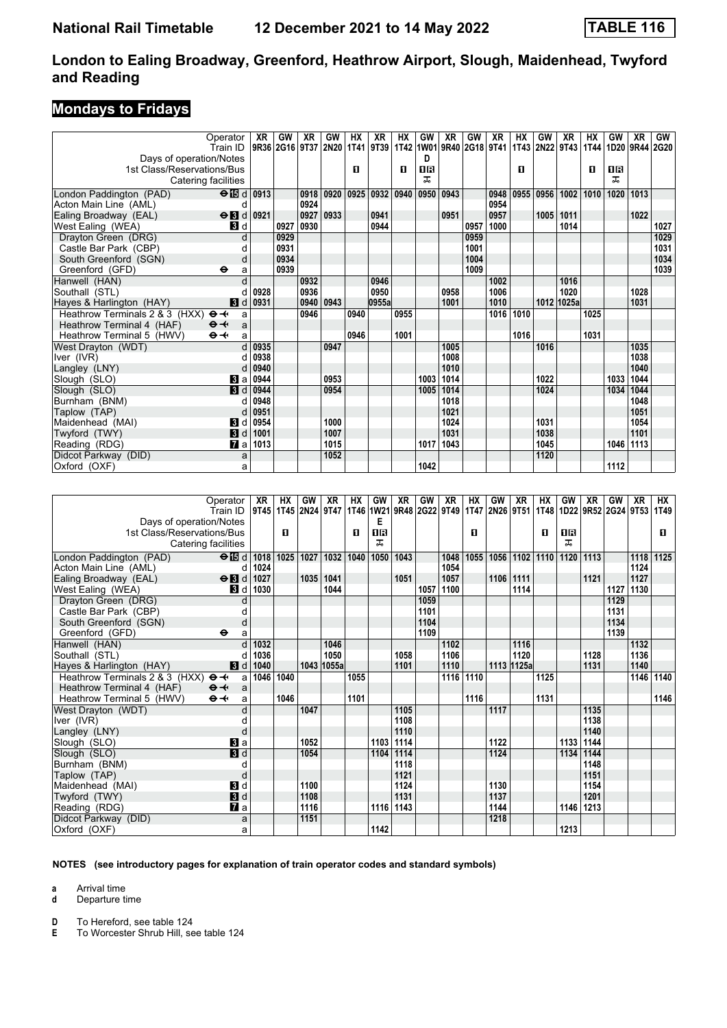## **Mondays to Fridays**

|                                | Operator<br>Train ID       | XR        | GW        | XR   | GW        | <b>HX</b> | XR<br>9R36 2G16 9T37 2N20 1T41 9T39 1T42 1W01 9R40 2G18 9T41 | НX          | GW        | <b>XR</b> | GW   | XR        | HХ        | GW<br>1T43 2N22 9T43 | XR         | HХ<br> 1T44 | GW<br>1D20 9R44 2G20 | <b>XR</b> | GW   |
|--------------------------------|----------------------------|-----------|-----------|------|-----------|-----------|--------------------------------------------------------------|-------------|-----------|-----------|------|-----------|-----------|----------------------|------------|-------------|----------------------|-----------|------|
| Days of operation/Notes        |                            |           |           |      |           |           |                                                              |             | D         |           |      |           |           |                      |            |             |                      |           |      |
| 1st Class/Reservations/Bus     |                            |           |           |      |           | п         |                                                              | O           | <b>08</b> |           |      |           | 0         |                      |            | п           | 1B                   |           |      |
|                                | Catering facilities        |           |           |      |           |           |                                                              |             | ᅚ         |           |      |           |           |                      |            |             | ᅚ                    |           |      |
| London Paddington (PAD)        | $\Theta$ is d 0913         |           |           | 0918 | 0920      | 0925      |                                                              | 0932   0940 | 0950      | 0943      |      | 0948      | 0955      | 0956                 | 1002       | 1010        | 1020                 | 1013      |      |
| Acton Main Line (AML)          | d                          |           |           | 0924 |           |           |                                                              |             |           |           |      | 0954      |           |                      |            |             |                      |           |      |
| Ealing Broadway (EAL)          | $\Theta$ <b>B</b> d        | 0921      |           | 0927 | 0933      |           | 0941                                                         |             |           | 0951      |      | 0957      |           | 1005                 | 1011       |             |                      | 1022      |      |
| West Ealing (WEA)              | <b>3</b> d                 |           | 0927      | 0930 |           |           | 0944                                                         |             |           |           | 0957 | 1000      |           |                      | 1014       |             |                      |           | 1027 |
| Drayton Green (DRG)            | d                          |           | 0929      |      |           |           |                                                              |             |           |           | 0959 |           |           |                      |            |             |                      |           | 1029 |
| Castle Bar Park (CBP)          | d                          |           | 0931      |      |           |           |                                                              |             |           |           | 1001 |           |           |                      |            |             |                      |           | 1031 |
| South Greenford (SGN)          | d                          |           | 0934      |      |           |           |                                                              |             |           |           | 1004 |           |           |                      |            |             |                      |           | 1034 |
| Greenford (GFD)                | $\bullet$<br>a             |           | 0939      |      |           |           |                                                              |             |           |           | 1009 |           |           |                      |            |             |                      |           | 1039 |
| Hanwell (HAN)                  | d                          |           |           | 0932 |           |           | 0946                                                         |             |           |           |      | 1002      |           |                      | 1016       |             |                      |           |      |
| Southall (STL)                 |                            | 0928      |           | 0936 |           |           | 0950                                                         |             |           | 0958      |      | 1006      |           |                      | 1020       |             |                      | 1028      |      |
| Hayes & Harlington (HAY)       | $\blacksquare$             | 0931      |           | 0940 | 0943      |           | 0955a                                                        |             |           | 1001      |      | 1010      |           |                      | 1012 1025a |             |                      | 1031      |      |
| Heathrow Terminals 2 & 3 (HXX) | $\Theta \rightarrow$<br>a  |           |           | 0946 |           | 0940      |                                                              | 0955        |           |           |      |           | 1016 1010 |                      |            | 1025        |                      |           |      |
| Heathrow Terminal 4 (HAF)      | $\Theta +$<br>$\mathsf{a}$ |           |           |      |           |           |                                                              |             |           |           |      |           |           |                      |            |             |                      |           |      |
| Heathrow Terminal 5 (HWV)      | $\Theta +$<br>a            |           |           |      |           | 0946      |                                                              | 1001        |           |           |      |           | 1016      |                      |            | 1031        |                      |           |      |
| West Drayton (WDT)             | d                          | 0935      |           |      | 0947      |           |                                                              |             |           | 1005      |      |           |           | 1016                 |            |             |                      | 1035      |      |
| Iver (IVR)                     | d                          | 0938      |           |      |           |           |                                                              |             |           | 1008      |      |           |           |                      |            |             |                      | 1038      |      |
| Langley (LNY)                  | d                          | 0940      |           |      |           |           |                                                              |             |           | 1010      |      |           |           |                      |            |             |                      | 1040      |      |
| Slough (SLO)                   | Bl al                      | 0944      |           |      | 0953      |           |                                                              |             | 1003      | 1014      |      |           |           | 1022                 |            |             | 1033                 | 1044      |      |
| Slough (SLO)                   | 3d                         | 0944      |           |      | 0954      |           |                                                              |             | 1005      | 1014      |      |           |           | 1024                 |            |             | 1034                 | 1044      |      |
| Burnham (BNM)                  | d                          | 0948      |           |      |           |           |                                                              |             |           | 1018      |      |           |           |                      |            |             |                      | 1048      |      |
| Taplow (TAP)                   | d                          | 0951      |           |      |           |           |                                                              |             |           | 1021      |      |           |           |                      |            |             |                      | 1051      |      |
| Maidenhead (MAI)               | $\bf{B}$<br>d              | 0954      |           |      | 1000      |           |                                                              |             |           | 1024      |      |           |           | 1031                 |            |             |                      | 1054      |      |
| Twyford (TWY)                  | $\blacksquare$             | 1001      |           |      | 1007      |           |                                                              |             |           | 1031      |      |           |           | 1038                 |            |             |                      | 1101      |      |
| Reading (RDG)                  | <b>7</b> a                 | 1013      |           |      | 1015      |           |                                                              |             | 1017      | 1043      |      |           |           | 1045                 |            |             | 1046                 | 1113      |      |
| Didcot Parkway (DID)           | a                          |           |           |      | 1052      |           |                                                              |             |           |           |      |           |           | 1120                 |            |             |                      |           |      |
| Oxford (OXF)                   | a                          |           |           |      |           |           |                                                              |             | 1042      |           |      |           |           |                      |            |             | 1112                 |           |      |
|                                |                            |           |           |      |           |           |                                                              |             |           |           |      |           |           |                      |            |             |                      |           |      |
|                                |                            |           |           |      |           |           |                                                              |             |           |           |      |           |           |                      |            |             |                      |           |      |
|                                | Operator                   | <b>XR</b> | <b>HX</b> | GW   | <b>XR</b> | <b>HX</b> | GW                                                           | <b>XR</b>   | GW        | <b>XR</b> | НX   | <b>GW</b> | XR        | <b>HX</b>            | GW         | <b>XR</b>   | GW                   | XR        | НX   |

|                                                     | Operator<br>Train ID | XR<br>  9T45   1T45   2N24   9T47 | НX   | GW   | XR         | HX   | GW   | XR<br>  1T46  1W21   9R48   2G22   9T49 | GW   | XR   | HX   | GW<br>1T47 2N26 9T51 | XR             | НX   | GW   | XR   | GW<br>  1T48   1D22   9R52   2G24   9T53 | XR   | НX<br>1T49 |
|-----------------------------------------------------|----------------------|-----------------------------------|------|------|------------|------|------|-----------------------------------------|------|------|------|----------------------|----------------|------|------|------|------------------------------------------|------|------------|
| Days of operation/Notes                             |                      |                                   |      |      |            |      | Е    |                                         |      |      |      |                      |                |      |      |      |                                          |      |            |
| 1st Class/Reservations/Bus                          |                      |                                   | D.   |      |            | 0    | 16   |                                         |      |      | п    |                      |                | O    | 0 B  |      |                                          |      | п          |
| Catering facilities                                 |                      |                                   |      |      |            |      | ㅈ    |                                         |      |      |      |                      |                |      | ᅚ    |      |                                          |      |            |
| London Paddington (PAD)                             | $\Theta$ id          | 1018                              | 1025 | 1027 | 1032       | 1040 | 1050 | 1043                                    |      | 1048 | 1055 |                      | 1056 1102 1110 |      | 1120 | 1113 |                                          | 1118 | 1125       |
| Acton Main Line (AML)                               | d                    | 1024                              |      |      |            |      |      |                                         |      | 1054 |      |                      |                |      |      |      |                                          | 1124 |            |
| Ealing Broadway (EAL)                               | $\Theta$ <b>B</b> d  | 1027                              |      | 1035 | 1041       |      |      | 1051                                    |      | 1057 |      | 1106                 | 1111           |      |      | 1121 |                                          | 1127 |            |
| West Ealing (WEA)                                   | <b>B</b> Id          | 1030                              |      |      | 1044       |      |      |                                         | 1057 | 1100 |      |                      | 1114           |      |      |      | 1127                                     | 1130 |            |
| Drayton Green (DRG)                                 |                      |                                   |      |      |            |      |      |                                         | 1059 |      |      |                      |                |      |      |      | 1129                                     |      |            |
| Castle Bar Park (CBP)                               |                      |                                   |      |      |            |      |      |                                         | 1101 |      |      |                      |                |      |      |      | 1131                                     |      |            |
| South Greenford (SGN)                               | d                    |                                   |      |      |            |      |      |                                         | 1104 |      |      |                      |                |      |      |      | 1134                                     |      |            |
| Greenford (GFD)                                     | ⊖<br>a               |                                   |      |      |            |      |      |                                         | 1109 |      |      |                      |                |      |      |      | 1139                                     |      |            |
| Hanwell (HAN)                                       |                      | 1032                              |      |      | 1046       |      |      |                                         |      | 1102 |      |                      | 1116           |      |      |      |                                          | 1132 |            |
| Southall (STL)                                      | d                    | 1036                              |      |      | 1050       |      |      | 1058                                    |      | 1106 |      |                      | 1120           |      |      | 1128 |                                          | 1136 |            |
| Hayes & Harlington (HAY)                            | 3d                   | 1040                              |      |      | 1043 1055a |      |      | 1101                                    |      | 1110 |      |                      | 1113 1125a     |      |      | 1131 |                                          | 1140 |            |
| Heathrow Terminals 2 & 3 (HXX) $\Theta \rightarrow$ | a                    | 1046                              | 1040 |      |            | 1055 |      |                                         |      | 1116 | 1110 |                      |                | 1125 |      |      |                                          | 1146 | 1140       |
| Heathrow Terminal 4 (HAF)                           | $\Theta +$<br>a      |                                   |      |      |            |      |      |                                         |      |      |      |                      |                |      |      |      |                                          |      |            |
| Heathrow Terminal 5 (HWV)                           | $\Theta +$<br>a      |                                   | 1046 |      |            | 1101 |      |                                         |      |      | 1116 |                      |                | 1131 |      |      |                                          |      | 1146       |
| West Drayton (WDT)                                  |                      |                                   |      | 1047 |            |      |      | 1105                                    |      |      |      | 1117                 |                |      |      | 1135 |                                          |      |            |
| Iver (IVR)                                          |                      |                                   |      |      |            |      |      | 1108                                    |      |      |      |                      |                |      |      | 1138 |                                          |      |            |
| Langley (LNY)                                       | d                    |                                   |      |      |            |      |      | 1110                                    |      |      |      |                      |                |      |      | 1140 |                                          |      |            |
| Slough (SLO)                                        | Вl a                 |                                   |      | 1052 |            |      |      | 1103 1114                               |      |      |      | 1122                 |                |      | 1133 | 1144 |                                          |      |            |
| Slough (SLO)                                        | 3d                   |                                   |      | 1054 |            |      | 1104 | 1114                                    |      |      |      | 1124                 |                |      | 1134 | 1144 |                                          |      |            |
| Burnham (BNM)                                       |                      |                                   |      |      |            |      |      | 1118                                    |      |      |      |                      |                |      |      | 1148 |                                          |      |            |
| Taplow (TAP)                                        | d                    |                                   |      |      |            |      |      | 1121                                    |      |      |      |                      |                |      |      | 1151 |                                          |      |            |
| Maidenhead (MAI)                                    | 3d                   |                                   |      | 1100 |            |      |      | 1124                                    |      |      |      | 1130                 |                |      |      | 1154 |                                          |      |            |
| Twyford (TWY)                                       | 3d                   |                                   |      | 1108 |            |      |      | 1131                                    |      |      |      | 1137                 |                |      |      | 1201 |                                          |      |            |
| Reading (RDG)                                       | $\mathbf{z}$ a       |                                   |      | 1116 |            |      |      | 1116 1143                               |      |      |      | 1144                 |                |      | 1146 | 1213 |                                          |      |            |
| Didcot Parkway (DID)                                | a                    |                                   |      | 1151 |            |      |      |                                         |      |      |      | 1218                 |                |      |      |      |                                          |      |            |
| Oxford (OXF)                                        | a                    |                                   |      |      |            |      | 1142 |                                         |      |      |      |                      |                |      | 1213 |      |                                          |      |            |

#### **NOTES (see introductory pages for explanation of train operator codes and standard symbols)**

**a** Arrival time

**d** Departure time

**D** To Hereford, see table 124<br>**E** To Worcester Shrub Hill. se

**E** To Worcester Shrub Hill, see table 124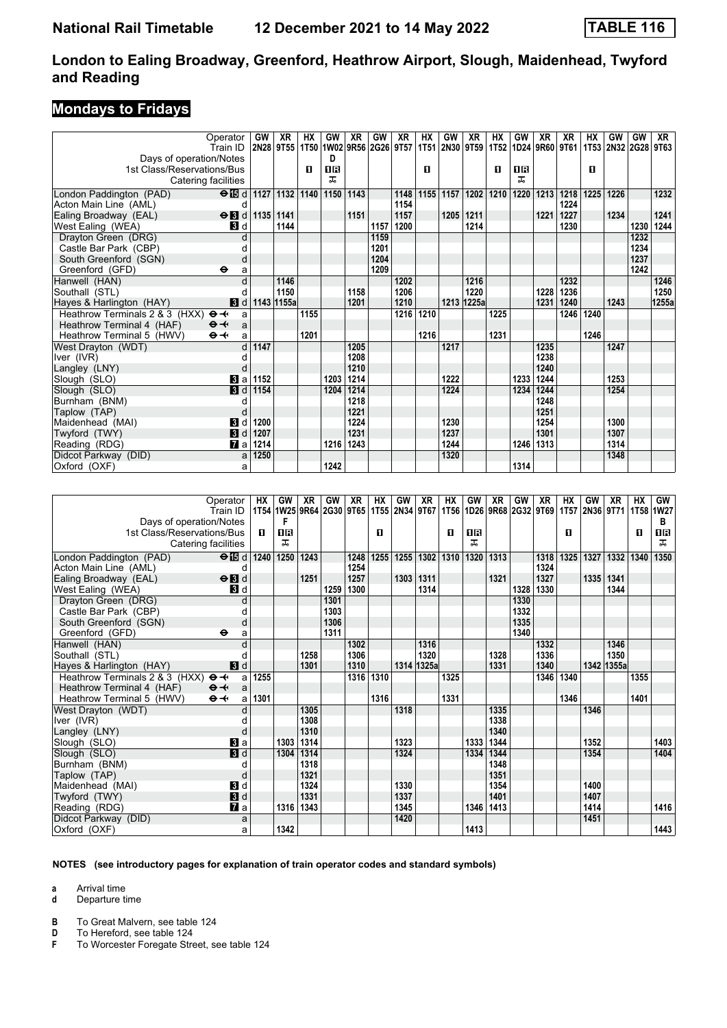## **Mondays to Fridays**

|                                                     | Operator                     | GW   | XR.        | НX   | GW   | XR   | GW                       | XR   | HХ   | GW        | XR             | НX   | GW   | XR                        | XR   | HХ   | GW                  | GW   | XR    |
|-----------------------------------------------------|------------------------------|------|------------|------|------|------|--------------------------|------|------|-----------|----------------|------|------|---------------------------|------|------|---------------------|------|-------|
|                                                     | Train ID                     |      | 2N28 9T55  |      |      |      | 1T50 1W02 9R56 2G26 9T57 |      |      |           | 1T51 2N30 9T59 |      |      | 1T52   1D24   9R60   9T61 |      |      | 1T53 2N32 2G28 9T63 |      |       |
| Days of operation/Notes                             |                              |      |            |      | D    |      |                          |      |      |           |                |      |      |                           |      |      |                     |      |       |
| 1st Class/Reservations/Bus                          |                              |      |            | п    | 08   |      |                          |      | п    |           |                | п    | 0R   |                           |      | п    |                     |      |       |
| Catering facilities                                 |                              |      |            |      | ㅈ    |      |                          |      |      |           |                |      | ᅚ    |                           |      |      |                     |      |       |
| London Paddington (PAD)                             | $\Theta$ is d 1127 1132 1140 |      |            |      | 1150 | 1143 |                          | 1148 |      | 1155 1157 | 1202           | 1210 |      | 1220 1213                 | 1218 | 1225 | 1226                |      | 1232  |
| Acton Main Line (AML)                               | d                            |      |            |      |      |      |                          | 1154 |      |           |                |      |      |                           | 1224 |      |                     |      |       |
| Ealing Broadway (EAL)                               | $\Theta$ <b>B</b> d          |      | 1135 1141  |      |      | 1151 |                          | 1157 |      | 1205      | 1211           |      |      | 1221                      | 1227 |      | 1234                |      | 1241  |
| West Ealing (WEA)                                   | <b>3</b> d                   |      | 1144       |      |      |      | 1157                     | 1200 |      |           | 1214           |      |      |                           | 1230 |      |                     | 1230 | 1244  |
| Dravton Green (DRG)                                 |                              |      |            |      |      |      | 1159                     |      |      |           |                |      |      |                           |      |      |                     | 1232 |       |
| Castle Bar Park (CBP)                               |                              |      |            |      |      |      | 1201                     |      |      |           |                |      |      |                           |      |      |                     | 1234 |       |
| South Greenford (SGN)                               | d                            |      |            |      |      |      | 1204                     |      |      |           |                |      |      |                           |      |      |                     | 1237 |       |
| Greenford (GFD)                                     | $\bullet$<br>a               |      |            |      |      |      | 1209                     |      |      |           |                |      |      |                           |      |      |                     | 1242 |       |
| Hanwell (HAN)                                       |                              |      | 1146       |      |      |      |                          | 1202 |      |           | 1216           |      |      |                           | 1232 |      |                     |      | 1246  |
| Southall (STL)                                      | d                            |      | 1150       |      |      | 1158 |                          | 1206 |      |           | 1220           |      |      | 1228                      | 1236 |      |                     |      | 1250  |
| Hayes & Harlington (HAY)                            | 3d                           |      | 1143 1155a |      |      | 1201 |                          | 1210 |      |           | 1213 1225a     |      |      | 1231                      | 1240 |      | 1243                |      | 1255a |
| Heathrow Terminals 2 & 3 (HXX) $\Theta \rightarrow$ | a                            |      |            | 1155 |      |      |                          | 1216 | 1210 |           |                | 1225 |      |                           | 1246 | 1240 |                     |      |       |
| Heathrow Terminal 4 (HAF)                           | $\Theta +$<br>a              |      |            |      |      |      |                          |      |      |           |                |      |      |                           |      |      |                     |      |       |
| Heathrow Terminal 5 (HWV)                           | $\Theta +$<br>a              |      |            | 1201 |      |      |                          |      | 1216 |           |                | 1231 |      |                           |      | 1246 |                     |      |       |
| West Drayton (WDT)                                  |                              | 1147 |            |      |      | 1205 |                          |      |      | 1217      |                |      |      | 1235                      |      |      | 1247                |      |       |
| Iver (IVR)                                          |                              |      |            |      |      | 1208 |                          |      |      |           |                |      |      | 1238                      |      |      |                     |      |       |
| Langley (LNY)                                       | d                            |      |            |      |      | 1210 |                          |      |      |           |                |      |      | 1240                      |      |      |                     |      |       |
| Slough (SLO)                                        | Bl al                        | 1152 |            |      | 1203 | 1214 |                          |      |      | 1222      |                |      | 1233 | 1244                      |      |      | 1253                |      |       |
| Slough (SLO)                                        | 3d                           | 1154 |            |      | 1204 | 1214 |                          |      |      | 1224      |                |      | 1234 | 1244                      |      |      | 1254                |      |       |
| Burnham (BNM)                                       |                              |      |            |      |      | 1218 |                          |      |      |           |                |      |      | 1248                      |      |      |                     |      |       |
| Taplow (TAP)                                        | d                            |      |            |      |      | 1221 |                          |      |      |           |                |      |      | 1251                      |      |      |                     |      |       |
| Maidenhead (MAI)                                    | В<br>d                       | 1200 |            |      |      | 1224 |                          |      |      | 1230      |                |      |      | 1254                      |      |      | 1300                |      |       |
| Twyford (TWY)                                       | 3d                           | 1207 |            |      |      | 1231 |                          |      |      | 1237      |                |      |      | 1301                      |      |      | 1307                |      |       |
| Reading (RDG)                                       | <b>и</b> а                   | 1214 |            |      | 1216 | 1243 |                          |      |      | 1244      |                |      |      | 1246 1313                 |      |      | 1314                |      |       |
| Didcot Parkway (DID)                                | a                            | 1250 |            |      |      |      |                          |      |      | 1320      |                |      |      |                           |      |      | 1348                |      |       |
| Oxford (OXF)                                        | a                            |      |            |      | 1242 |      |                          |      |      |           |                |      | 1314 |                           |      |      |                     |      |       |

| Operator                                            |                     | НX                 | GW                                      | XR   | GW   | XR   | HХ   | GW   | XR         | НX   | GW        | XR   | GW                               | XR   | <b>HX</b> | GW        | XR         | <b>HX</b> | GW        |
|-----------------------------------------------------|---------------------|--------------------|-----------------------------------------|------|------|------|------|------|------------|------|-----------|------|----------------------------------|------|-----------|-----------|------------|-----------|-----------|
| Train ID                                            |                     |                    | 1T54 1W25 9R64 2G30 9T65 1T55 2N34 9T67 |      |      |      |      |      |            |      |           |      | 1T56   1D26   9R68   2G32   9T69 |      | 1T57      | 2N36 9T71 |            |           | 1T58 1W27 |
| Days of operation/Notes                             |                     |                    | F                                       |      |      |      |      |      |            |      |           |      |                                  |      |           |           |            |           | в         |
| 1st Class/Reservations/Bus                          |                     | п                  | 08                                      |      |      |      | п    |      |            | п    | <b>0B</b> |      |                                  |      | п         |           |            | п         | ΩB        |
| Catering facilities                                 |                     |                    | 굾                                       |      |      |      |      |      |            |      | ㅈ         |      |                                  |      |           |           |            |           | ㅈ         |
| London Paddington (PAD)                             |                     | $\Theta$ is d 1240 | 1250                                    | 1243 |      | 1248 | 1255 | 1255 | 1302       | 1310 | 1320      | 1313 |                                  | 1318 | 1325      | 1327      | 1332       | 1340      | 1350      |
| Acton Main Line (AML)                               | d                   |                    |                                         |      |      | 1254 |      |      |            |      |           |      |                                  | 1324 |           |           |            |           |           |
| Ealing Broadway (EAL)                               | $\Theta$ <b>B</b> d |                    |                                         | 1251 |      | 1257 |      | 1303 | 1311       |      |           | 1321 |                                  | 1327 |           | 1335      | 1341       |           |           |
| West Ealing (WEA)                                   | <b>3</b> d          |                    |                                         |      | 1259 | 1300 |      |      | 1314       |      |           |      | 1328                             | 1330 |           |           | 1344       |           |           |
| Drayton Green (DRG)                                 | d                   |                    |                                         |      | 1301 |      |      |      |            |      |           |      | 1330                             |      |           |           |            |           |           |
| Castle Bar Park (CBP)                               |                     |                    |                                         |      | 1303 |      |      |      |            |      |           |      | 1332                             |      |           |           |            |           |           |
| South Greenford (SGN)                               | d                   |                    |                                         |      | 1306 |      |      |      |            |      |           |      | 1335                             |      |           |           |            |           |           |
| Greenford (GFD)<br>$\bullet$                        | a                   |                    |                                         |      | 1311 |      |      |      |            |      |           |      | 1340                             |      |           |           |            |           |           |
| Hanwell (HAN)                                       |                     |                    |                                         |      |      | 1302 |      |      | 1316       |      |           |      |                                  | 1332 |           |           | 1346       |           |           |
| Southall (STL)                                      |                     |                    |                                         | 1258 |      | 1306 |      |      | 1320       |      |           | 1328 |                                  | 1336 |           |           | 1350       |           |           |
| Hayes & Harlington (HAY)                            | $\mathbf{3}$ d      |                    |                                         | 1301 |      | 1310 |      |      | 1314 1325a |      |           | 1331 |                                  | 1340 |           |           | 1342 1355a |           |           |
| Heathrow Terminals 2 & 3 (HXX) $\Theta \rightarrow$ | a                   | 1255               |                                         |      |      | 1316 | 1310 |      |            | 1325 |           |      |                                  | 1346 | 1340      |           |            | 1355      |           |
| $\Theta +$<br>Heathrow Terminal 4 (HAF)             | a                   |                    |                                         |      |      |      |      |      |            |      |           |      |                                  |      |           |           |            |           |           |
| $\Theta +$<br>Heathrow Terminal 5 (HWV)             | a                   | 1301               |                                         |      |      |      | 1316 |      |            | 1331 |           |      |                                  |      | 1346      |           |            | 1401      |           |
| West Drayton (WDT)                                  | d                   |                    |                                         | 1305 |      |      |      | 1318 |            |      |           | 1335 |                                  |      |           | 1346      |            |           |           |
| Iver (IVR)                                          |                     |                    |                                         | 1308 |      |      |      |      |            |      |           | 1338 |                                  |      |           |           |            |           |           |
| Langley (LNY)                                       | d                   |                    |                                         | 1310 |      |      |      |      |            |      |           | 1340 |                                  |      |           |           |            |           |           |
| Slough (SLO)                                        | $\mathbf{B}$ a      |                    | 1303                                    | 1314 |      |      |      | 1323 |            |      | 1333      | 1344 |                                  |      |           | 1352      |            |           | 1403      |
| Slough (SLO)                                        | 3d                  |                    | 1304                                    | 1314 |      |      |      | 1324 |            |      | 1334      | 1344 |                                  |      |           | 1354      |            |           | 1404      |
| Burnham (BNM)                                       | $\mathfrak{c}$      |                    |                                         | 1318 |      |      |      |      |            |      |           | 1348 |                                  |      |           |           |            |           |           |
| Taplow (TAP)                                        | d                   |                    |                                         | 1321 |      |      |      |      |            |      |           | 1351 |                                  |      |           |           |            |           |           |
| Maidenhead (MAI)                                    | $\mathbf{3}$ d      |                    |                                         | 1324 |      |      |      | 1330 |            |      |           | 1354 |                                  |      |           | 1400      |            |           |           |
| Twyford (TWY)                                       | 3d                  |                    |                                         | 1331 |      |      |      | 1337 |            |      |           | 1401 |                                  |      |           | 1407      |            |           |           |
| Reading (RDG)                                       | <b>7</b> а          |                    | 1316                                    | 1343 |      |      |      | 1345 |            |      | 1346      | 1413 |                                  |      |           | 1414      |            |           | 1416      |
| Didcot Parkway (DID)                                | a                   |                    |                                         |      |      |      |      | 1420 |            |      |           |      |                                  |      |           | 1451      |            |           |           |
| Oxford (OXF)                                        | a                   |                    | 1342                                    |      |      |      |      |      |            |      | 1413      |      |                                  |      |           |           |            |           | 1443      |

#### **NOTES (see introductory pages for explanation of train operator codes and standard symbols)**

**a** Arrival time

**d** Departure time

**B** To Great Malvern, see table 124<br>**D** To Hereford, see table 124

**D** To Hereford, see table 124<br>**F** To Worcester Foregate Stre

**F** To Worcester Foregate Street, see table 124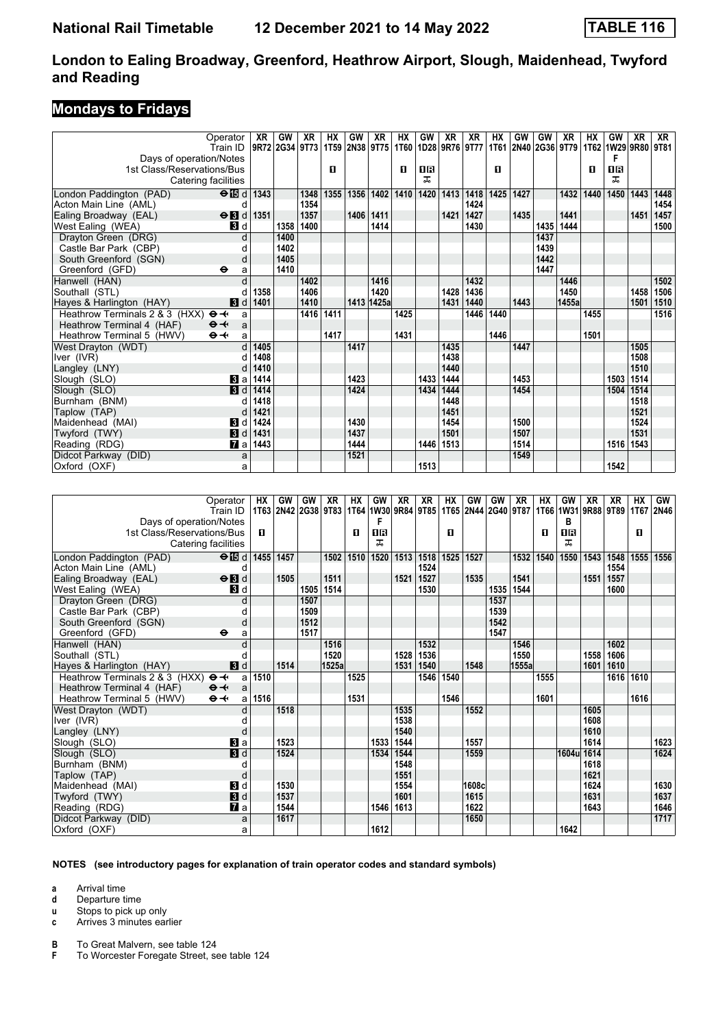## **Mondays to Fridays**

|                                | Operator                | XR             | GW   | XR   | HХ   | <b>GW</b> | XR             | НX        | GW   | XR             | XR   | HХ   | GW        | GW                  | XR    | HХ   | GW                  | XR   | XR   |
|--------------------------------|-------------------------|----------------|------|------|------|-----------|----------------|-----------|------|----------------|------|------|-----------|---------------------|-------|------|---------------------|------|------|
|                                | Train ID                | 9R72 2G34 9T73 |      |      |      |           | 1T59 2N38 9T75 | 1T60      |      | 1D28 9R76 9T77 |      |      |           | 1T61 2N40 2G36 9T79 |       |      | 1T62 1W29 9R80 9T81 |      |      |
| Days of operation/Notes        |                         |                |      |      |      |           |                |           |      |                |      |      |           |                     |       |      | F                   |      |      |
| 1st Class/Reservations/Bus     |                         |                |      |      | п    |           |                | п         | ПR   |                |      | п    |           |                     |       | п    | 08                  |      |      |
| Catering facilities            |                         |                |      |      |      |           |                |           | ㅈ    |                |      |      |           |                     |       |      | ㅈ                   |      |      |
| London Paddington (PAD)        | $\Theta$ $\blacksquare$ | 1343           |      | 1348 | 1355 | 1356      |                | 1402 1410 | 1420 | 1413           | 1418 |      | 1425 1427 |                     | 1432  | 1440 | 1450                | 1443 | 1448 |
| Acton Main Line (AML)          | d                       |                |      | 1354 |      |           |                |           |      |                | 1424 |      |           |                     |       |      |                     |      | 1454 |
| Ealing Broadway (EAL)          | $\Theta$ <b>B</b> d     | 1351           |      | 1357 |      | 1406      | 1411           |           |      | 1421           | 1427 |      | 1435      |                     | 1441  |      |                     | 1451 | 1457 |
| West Ealing (WEA)              | <b>B</b> Id             |                | 1358 | 1400 |      |           | 1414           |           |      |                | 1430 |      |           | 1435                | 1444  |      |                     |      | 1500 |
| Drayton Green (DRG)            | d                       |                | 1400 |      |      |           |                |           |      |                |      |      |           | 1437                |       |      |                     |      |      |
| Castle Bar Park (CBP)          | $\mathfrak{c}$          |                | 1402 |      |      |           |                |           |      |                |      |      |           | 1439                |       |      |                     |      |      |
| South Greenford (SGN)          | d                       |                | 1405 |      |      |           |                |           |      |                |      |      |           | 1442                |       |      |                     |      |      |
| Greenford (GFD)                | ⊖<br>a                  |                | 1410 |      |      |           |                |           |      |                |      |      |           | 1447                |       |      |                     |      |      |
| Hanwell (HAN)                  | d                       |                |      | 1402 |      |           | 1416           |           |      |                | 1432 |      |           |                     | 1446  |      |                     |      | 1502 |
| Southall (STL)                 |                         | 1358           |      | 1406 |      |           | 1420           |           |      | 1428           | 1436 |      |           |                     | 1450  |      |                     | 1458 | 1506 |
| Hayes & Harlington (HAY)       | 3d                      | 1401           |      | 1410 |      |           | 1413 1425a     |           |      | 1431           | 1440 |      | 1443      |                     | 1455a |      |                     | 1501 | 1510 |
| Heathrow Terminals 2 & 3 (HXX) | $\Theta +$<br>a         |                |      | 1416 | 1411 |           |                | 1425      |      |                | 1446 | 1440 |           |                     |       | 1455 |                     |      | 1516 |
| Heathrow Terminal 4 (HAF)      | $\Theta +$<br>a         |                |      |      |      |           |                |           |      |                |      |      |           |                     |       |      |                     |      |      |
| Heathrow Terminal 5 (HWV)      | $\Theta +$<br>a         |                |      |      | 1417 |           |                | 1431      |      |                |      | 1446 |           |                     |       | 1501 |                     |      |      |
| West Drayton (WDT)             | d                       | 1405           |      |      |      | 1417      |                |           |      | 1435           |      |      | 1447      |                     |       |      |                     | 1505 |      |
| Iver (IVR)                     | d                       | 1408           |      |      |      |           |                |           |      | 1438           |      |      |           |                     |       |      |                     | 1508 |      |
| Langley (LNY)                  | d                       | 1410           |      |      |      |           |                |           |      | 1440           |      |      |           |                     |       |      |                     | 1510 |      |
| Slough (SLO)                   | <b>B</b> la             | 1414           |      |      |      | 1423      |                |           | 1433 | 1444           |      |      | 1453      |                     |       |      | 1503                | 1514 |      |
| Slough (SLO)                   | 3d                      | 1414           |      |      |      | 1424      |                |           | 1434 | 1444           |      |      | 1454      |                     |       |      | 1504                | 1514 |      |
| Burnham (BNM)                  | d                       | 1418           |      |      |      |           |                |           |      | 1448           |      |      |           |                     |       |      |                     | 1518 |      |
| Taplow (TAP)                   | d                       | 1421           |      |      |      |           |                |           |      | 1451           |      |      |           |                     |       |      |                     | 1521 |      |
| Maidenhead (MAI)               | $\blacksquare$          | 1424           |      |      |      | 1430      |                |           |      | 1454           |      |      | 1500      |                     |       |      |                     | 1524 |      |
| Twyford (TWY)                  | 3d                      | 1431           |      |      |      | 1437      |                |           |      | 1501           |      |      | 1507      |                     |       |      |                     | 1531 |      |
| Reading (RDG)                  | $\mathbf{z}$ a          | 1443           |      |      |      | 1444      |                |           | 1446 | 1513           |      |      | 1514      |                     |       |      | 1516                | 1543 |      |
| Didcot Parkway (DID)           | a                       |                |      |      |      | 1521      |                |           |      |                |      |      | 1549      |                     |       |      |                     |      |      |
| Oxford (OXF)                   | a                       |                |      |      |      |           |                |           | 1513 |                |      |      |           |                     |       |      | 1542                |      |      |

| Operator                                            |                     | НX   | GW                  | GW   | XR    | <b>HX</b> | GW                                                               | XR   | XR   | <b>HX</b> | GW    | <b>GW</b> | XR    | HХ   | GW             | <b>XR</b> | XR   | <b>HX</b> | GW   |
|-----------------------------------------------------|---------------------|------|---------------------|------|-------|-----------|------------------------------------------------------------------|------|------|-----------|-------|-----------|-------|------|----------------|-----------|------|-----------|------|
|                                                     | Train ID            |      | 1T63 2N42 2G38 9T83 |      |       |           | 1764 1W30 9R84 9T85 1T65 2N44 2G40 9T87 1T66 1W31 9R88 9T89 1T67 |      |      |           |       |           |       |      |                |           |      |           | 2N46 |
| Days of operation/Notes                             |                     |      |                     |      |       |           |                                                                  |      |      |           |       |           |       |      | в              |           |      |           |      |
| 1st Class/Reservations/Bus                          |                     | п    |                     |      |       | п         | <b>0B</b><br>ᠼ                                                   |      |      | п         |       |           |       | п    | <b>0B</b><br>ᠼ |           |      | п         |      |
| Catering facilities                                 |                     |      |                     |      |       |           |                                                                  |      |      |           |       |           |       |      |                |           |      |           |      |
| London Paddington (PAD)                             | $\Theta$ id         | 1455 | 1457                |      | 1502  | 1510      | 1520                                                             | 1513 | 1518 | 1525      | 1527  |           | 1532  | 1540 | 1550           | 1543      | 1548 | 1555      | 1556 |
| Acton Main Line (AML)                               | d                   |      |                     |      |       |           |                                                                  |      | 1524 |           |       |           |       |      |                |           | 1554 |           |      |
| Ealing Broadway (EAL)                               | $\Theta$ <b>B</b> d |      | 1505                |      | 1511  |           |                                                                  | 1521 | 1527 |           | 1535  |           | 1541  |      |                | 1551      | 1557 |           |      |
| West Ealing (WEA)                                   | <b>B</b> d          |      |                     | 1505 | 1514  |           |                                                                  |      | 1530 |           |       | 1535      | 1544  |      |                |           | 1600 |           |      |
| Drayton Green (DRG)                                 | d                   |      |                     | 1507 |       |           |                                                                  |      |      |           |       | 1537      |       |      |                |           |      |           |      |
| Castle Bar Park (CBP)                               |                     |      |                     | 1509 |       |           |                                                                  |      |      |           |       | 1539      |       |      |                |           |      |           |      |
| South Greenford (SGN)                               | d                   |      |                     | 1512 |       |           |                                                                  |      |      |           |       | 1542      |       |      |                |           |      |           |      |
| Greenford (GFD)<br>$\bullet$                        | a                   |      |                     | 1517 |       |           |                                                                  |      |      |           |       | 1547      |       |      |                |           |      |           |      |
| Hanwell (HAN)                                       |                     |      |                     |      | 1516  |           |                                                                  |      | 1532 |           |       |           | 1546  |      |                |           | 1602 |           |      |
| Southall (STL)                                      |                     |      |                     |      | 1520  |           |                                                                  | 1528 | 1536 |           |       |           | 1550  |      |                | 1558      | 1606 |           |      |
| Hayes & Harlington (HAY)                            | <b>3</b> d          |      | 1514                |      | 1525a |           |                                                                  | 1531 | 1540 |           | 1548  |           | 1555a |      |                | 1601      | 1610 |           |      |
| Heathrow Terminals 2 & 3 (HXX) $\Theta \rightarrow$ | a                   | 1510 |                     |      |       | 1525      |                                                                  |      | 1546 | 1540      |       |           |       | 1555 |                |           | 1616 | 1610      |      |
| Heathrow Terminal 4 (HAF)<br>$\Theta +$             | a                   |      |                     |      |       |           |                                                                  |      |      |           |       |           |       |      |                |           |      |           |      |
| $\Theta +$<br>Heathrow Terminal 5 (HWV)             | a                   | 1516 |                     |      |       | 1531      |                                                                  |      |      | 1546      |       |           |       | 1601 |                |           |      | 1616      |      |
| West Drayton (WDT)                                  |                     |      | 1518                |      |       |           |                                                                  | 1535 |      |           | 1552  |           |       |      |                | 1605      |      |           |      |
| Iver (IVR)                                          |                     |      |                     |      |       |           |                                                                  | 1538 |      |           |       |           |       |      |                | 1608      |      |           |      |
| Langley (LNY)                                       |                     |      |                     |      |       |           |                                                                  | 1540 |      |           |       |           |       |      |                | 1610      |      |           |      |
| Slough (SLO)                                        | $\mathbf{B}$ a      |      | 1523                |      |       |           | 1533                                                             | 1544 |      |           | 1557  |           |       |      |                | 1614      |      |           | 1623 |
| Slough (SLO)                                        | <b>3</b> d          |      | 1524                |      |       |           | 1534                                                             | 1544 |      |           | 1559  |           |       |      | 1604u          | 1614      |      |           | 1624 |
| Burnham (BNM)                                       |                     |      |                     |      |       |           |                                                                  | 1548 |      |           |       |           |       |      |                | 1618      |      |           |      |
| Taplow (TAP)                                        | d                   |      |                     |      |       |           |                                                                  | 1551 |      |           |       |           |       |      |                | 1621      |      |           |      |
| Maidenhead (MAI)                                    | <b>3</b> d          |      | 1530                |      |       |           |                                                                  | 1554 |      |           | 1608c |           |       |      |                | 1624      |      |           | 1630 |
| Twyford (TWY)                                       | 3d                  |      | 1537                |      |       |           |                                                                  | 1601 |      |           | 1615  |           |       |      |                | 1631      |      |           | 1637 |
| Reading (RDG)                                       | <b>7</b> а          |      | 1544                |      |       |           | 1546                                                             | 1613 |      |           | 1622  |           |       |      |                | 1643      |      |           | 1646 |
| Didcot Parkway (DID)                                | a                   |      | 1617                |      |       |           |                                                                  |      |      |           | 1650  |           |       |      |                |           |      |           | 1717 |
| Oxford (OXF)                                        | a                   |      |                     |      |       |           | 1612                                                             |      |      |           |       |           |       |      | 1642           |           |      |           |      |

#### **NOTES (see introductory pages for explanation of train operator codes and standard symbols)**

**a** Arrival time

**d** Departure time<br>**u** Stops to pick up

Stops to pick up only

**c** Arrives 3 minutes earlier

**B** To Great Malvern, see table 124<br>**F** To Worcester Foregate Street, se **F** To Worcester Foregate Street, see table 124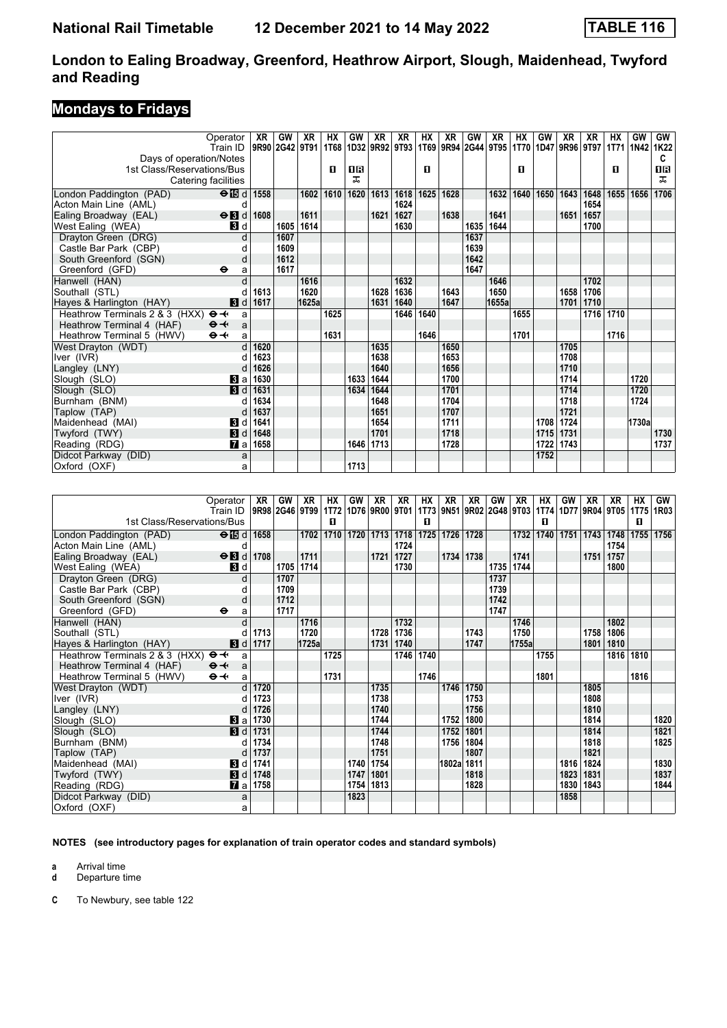## **Mondays to Fridays**

|                                                        | Operator                | XR             | GW   | XR    | НX   | GW   | XR             | XR   | ΗХ   | XR                                      | GW   | XR    | HХ   | GW   | XR   | XR   | НX   | GW        | <b>GW</b> |
|--------------------------------------------------------|-------------------------|----------------|------|-------|------|------|----------------|------|------|-----------------------------------------|------|-------|------|------|------|------|------|-----------|-----------|
|                                                        | Train ID                | 9R90 2G42 9T91 |      |       | 1T68 |      | 1D32 9R92 9T93 |      |      | 1T69 9R94 2G44 9T95 1T70 1D47 9R96 9T97 |      |       |      |      |      |      |      | 1T71 1N42 | 1K22      |
| Days of operation/Notes                                |                         |                |      |       |      |      |                |      |      |                                         |      |       |      |      |      |      |      |           | C         |
| 1st Class/Reservations/Bus                             |                         |                |      |       | п    | 1 R  |                |      | п    |                                         |      |       | п    |      |      |      | п    |           | <b>08</b> |
| Catering facilities                                    |                         |                |      |       |      | ᠼ    |                |      |      |                                         |      |       |      |      |      |      |      |           | ᠼ         |
| London Paddington (PAD)                                | $\Theta$ is d   1558    |                |      | 1602  | 1610 | 1620 | 1613           | 1618 | 1625 | 1628                                    |      | 1632  | 1640 | 1650 | 1643 | 1648 | 1655 | 1656      | 1706      |
| Acton Main Line (AML)                                  | $\mathbf C$             |                |      |       |      |      |                | 1624 |      |                                         |      |       |      |      |      | 1654 |      |           |           |
| Ealing Broadway (EAL)                                  | $\Theta$ $\blacksquare$ | 1608           |      | 1611  |      |      | 1621           | 1627 |      | 1638                                    |      | 1641  |      |      | 1651 | 1657 |      |           |           |
| West Ealing (WEA)                                      | 3d                      |                | 1605 | 1614  |      |      |                | 1630 |      |                                         | 1635 | 1644  |      |      |      | 1700 |      |           |           |
| Drayton Green (DRG)                                    | d                       |                | 1607 |       |      |      |                |      |      |                                         | 1637 |       |      |      |      |      |      |           |           |
| Castle Bar Park (CBP)                                  |                         |                | 1609 |       |      |      |                |      |      |                                         | 1639 |       |      |      |      |      |      |           |           |
| South Greenford (SGN)                                  | d                       |                | 1612 |       |      |      |                |      |      |                                         | 1642 |       |      |      |      |      |      |           |           |
| Greenford (GFD)                                        | $\bullet$<br>a          |                | 1617 |       |      |      |                |      |      |                                         | 1647 |       |      |      |      |      |      |           |           |
| Hanwell (HAN)                                          |                         |                |      | 1616  |      |      |                | 1632 |      |                                         |      | 1646  |      |      |      | 1702 |      |           |           |
| Southall (STL)                                         |                         | 1613           |      | 1620  |      |      | 1628           | 1636 |      | 1643                                    |      | 1650  |      |      | 1658 | 1706 |      |           |           |
| Hayes & Harlington (HAY)                               | 3d                      | 1617           |      | 1625a |      |      | 1631           | 1640 |      | 1647                                    |      | 1655a |      |      | 1701 | 1710 |      |           |           |
| Heathrow Terminals 2 & 3 (HXX)<br>$\Theta \rightarrow$ | a                       |                |      |       | 1625 |      |                | 1646 | 1640 |                                         |      |       | 1655 |      |      | 1716 | 1710 |           |           |
| Heathrow Terminal 4 (HAF)<br>$\Theta +$                | a                       |                |      |       |      |      |                |      |      |                                         |      |       |      |      |      |      |      |           |           |
| $\Theta +$<br>Heathrow Terminal 5 (HWV)                | a                       |                |      |       | 1631 |      |                |      | 1646 |                                         |      |       | 1701 |      |      |      | 1716 |           |           |
| West Drayton (WDT)                                     | $\mathsf{d}$            | 1620           |      |       |      |      | 1635           |      |      | 1650                                    |      |       |      |      | 1705 |      |      |           |           |
| Iver (IVR)                                             |                         | 1623           |      |       |      |      | 1638           |      |      | 1653                                    |      |       |      |      | 1708 |      |      |           |           |
| Langley (LNY)                                          |                         | 1626           |      |       |      |      | 1640           |      |      | 1656                                    |      |       |      |      | 1710 |      |      |           |           |
| Slough (SLO)                                           | $\mathbf{3}$ a          | 1630           |      |       |      | 1633 | 1644           |      |      | 1700                                    |      |       |      |      | 1714 |      |      | 1720      |           |
| Slough (SLO)                                           | $\blacksquare$          | 1631           |      |       |      | 1634 | 1644           |      |      | 1701                                    |      |       |      |      | 1714 |      |      | 1720      |           |
| Burnham (BNM)                                          |                         | 1634           |      |       |      |      | 1648           |      |      | 1704                                    |      |       |      |      | 1718 |      |      | 1724      |           |
| Taplow (TAP)                                           | d                       | 1637           |      |       |      |      | 1651           |      |      | 1707                                    |      |       |      |      | 1721 |      |      |           |           |
| Maidenhead (MAI)                                       | <b>3</b> d              | 1641           |      |       |      |      | 1654           |      |      | 1711                                    |      |       |      | 1708 | 1724 |      |      | 1730a     |           |
| Twyford (TWY)                                          | 3d                      | 1648           |      |       |      |      | 1701           |      |      | 1718                                    |      |       |      | 1715 | 1731 |      |      |           | 1730      |
| Reading (RDG)                                          | $\mathbf{Z}$ al         | 1658           |      |       |      | 1646 | 1713           |      |      | 1728                                    |      |       |      | 1722 | 1743 |      |      |           | 1737      |
| Didcot Parkway (DID)                                   | a                       |                |      |       |      |      |                |      |      |                                         |      |       |      | 1752 |      |      |      |           |           |
| Oxford (OXF)                                           | a                       |                |      |       |      | 1713 |                |      |      |                                         |      |       |      |      |      |      |      |           |           |

|                                                     | Operator                   | XR              | GW   | XR        | HХ   | GW   | XR             | XR   | HХ        | XR         | XR        | GW   | XR        | HХ        | GW   | XR          | XR                                                                              | HХ   | <b>GW</b> |
|-----------------------------------------------------|----------------------------|-----------------|------|-----------|------|------|----------------|------|-----------|------------|-----------|------|-----------|-----------|------|-------------|---------------------------------------------------------------------------------|------|-----------|
|                                                     | Train ID                   |                 |      |           |      |      |                |      |           |            |           |      |           |           |      |             | 9R98 2G46 9T99 1T72 1D76 9R00 9T01 1T73 9N51 9R02 2G48 9T03 1T74 1D77 9R04 9T05 | 1T75 | 1R03      |
| 1st Class/Reservations/Bus                          |                            |                 |      |           | п    |      |                |      | п         |            |           |      |           | 0         |      |             |                                                                                 | 0    |           |
| London Paddington (PAD)                             | $\Theta$ id d   1658       |                 |      | 1702      | 1710 |      | 1720 1713 1718 |      | 1725      | 1726       | 1728      |      | 1732      | 1740 1751 |      | 1743        | 1748                                                                            | 1755 | 1756      |
| Acton Main Line (AML)                               | d                          |                 |      |           |      |      |                | 1724 |           |            |           |      |           |           |      |             | 1754                                                                            |      |           |
| Ealing Broadway (EAL)                               | $\Theta$ <b>B</b> d        | 1708            |      | 1711      |      |      | 1721           | 1727 |           | 1734       | 1738      |      | 1741      |           |      | 1751        | 1757                                                                            |      |           |
| West Ealing (WEA)                                   | <b>3</b> d                 |                 |      | 1705 1714 |      |      |                | 1730 |           |            |           |      | 1735 1744 |           |      |             | 1800                                                                            |      |           |
| Drayton Green (DRG)                                 | d                          |                 | 1707 |           |      |      |                |      |           |            |           | 1737 |           |           |      |             |                                                                                 |      |           |
| Castle Bar Park (CBP)                               |                            |                 | 1709 |           |      |      |                |      |           |            |           | 1739 |           |           |      |             |                                                                                 |      |           |
| South Greenford (SGN)                               | d                          |                 | 1712 |           |      |      |                |      |           |            |           | 1742 |           |           |      |             |                                                                                 |      |           |
| Greenford (GFD)                                     | $\bullet$<br>a             |                 | 1717 |           |      |      |                |      |           |            |           | 1747 |           |           |      |             |                                                                                 |      |           |
| Hanwell (HAN)                                       | d                          |                 |      | 1716      |      |      |                | 1732 |           |            |           |      | 1746      |           |      |             | 1802                                                                            |      |           |
| Southall (STL)                                      |                            | 1713            |      | 1720      |      |      | 1728           | 1736 |           |            | 1743      |      | 1750      |           |      | 1758        | 1806                                                                            |      |           |
| Hayes & Harlington (HAY)                            | 3d                         | 1717            |      | 1725a     |      |      | 1731           | 1740 |           |            | 1747      |      | 1755a     |           |      | 1801        | 1810                                                                            |      |           |
| Heathrow Terminals 2 & 3 (HXX) $\Theta \rightarrow$ | a                          |                 |      |           | 1725 |      |                |      | 1746 1740 |            |           |      |           | 1755      |      |             | 1816                                                                            | 1810 |           |
| Heathrow Terminal 4 (HAF)                           | $\Theta +$<br>$\mathsf{a}$ |                 |      |           |      |      |                |      |           |            |           |      |           |           |      |             |                                                                                 |      |           |
| Heathrow Terminal 5 (HWV)                           | $\Theta +$<br>a            |                 |      |           | 1731 |      |                |      | 1746      |            |           |      |           | 1801      |      |             |                                                                                 | 1816 |           |
| West Drayton (WDT)                                  | d                          | 1720            |      |           |      |      | 1735           |      |           |            | 1746 1750 |      |           |           |      | 1805        |                                                                                 |      |           |
| Iver (IVR)                                          |                            | 1723            |      |           |      |      | 1738           |      |           |            | 1753      |      |           |           |      | 1808        |                                                                                 |      |           |
| Langley (LNY)                                       | d                          | 1726            |      |           |      |      | 1740           |      |           |            | 1756      |      |           |           |      | 1810        |                                                                                 |      |           |
| Slough (SLO)                                        | Bl al                      | 1730            |      |           |      |      | 1744           |      |           | 1752       | 1800      |      |           |           |      | 1814        |                                                                                 |      | 1820      |
| Slough (SLO)                                        | 3d                         | 1731            |      |           |      |      | 1744           |      |           | 1752       | 1801      |      |           |           |      | 1814        |                                                                                 |      | 1821      |
| Burnham (BNM)                                       |                            | 1734            |      |           |      |      | 1748           |      |           | 1756       | 1804      |      |           |           |      | 1818        |                                                                                 |      | 1825      |
| Taplow (TAP)                                        |                            | 1737            |      |           |      |      | 1751           |      |           |            | 1807      |      |           |           |      | 1821        |                                                                                 |      |           |
| Maidenhead (MAI)                                    | <b>3</b> d                 | 1741            |      |           |      | 1740 | 1754           |      |           | 1802a 1811 |           |      |           |           |      | 1816   1824 |                                                                                 |      | 1830      |
| Twyford (TWY)                                       |                            | <b>8</b> d 1748 |      |           |      | 1747 | 1801           |      |           |            | 1818      |      |           |           | 1823 | 1831        |                                                                                 |      | 1837      |
| Reading (RDG)                                       | $\mathbf{z}$ all           | 1758            |      |           |      | 1754 | 1813           |      |           |            | 1828      |      |           |           | 1830 | 1843        |                                                                                 |      | 1844      |
| Didcot Parkway (DID)                                | a                          |                 |      |           |      | 1823 |                |      |           |            |           |      |           |           | 1858 |             |                                                                                 |      |           |
| Oxford (OXF)                                        | a                          |                 |      |           |      |      |                |      |           |            |           |      |           |           |      |             |                                                                                 |      |           |

**NOTES (see introductory pages for explanation of train operator codes and standard symbols)**

**a** Arrival time<br>**d** Departure t

**d** Departure time

**C** To Newbury, see table 122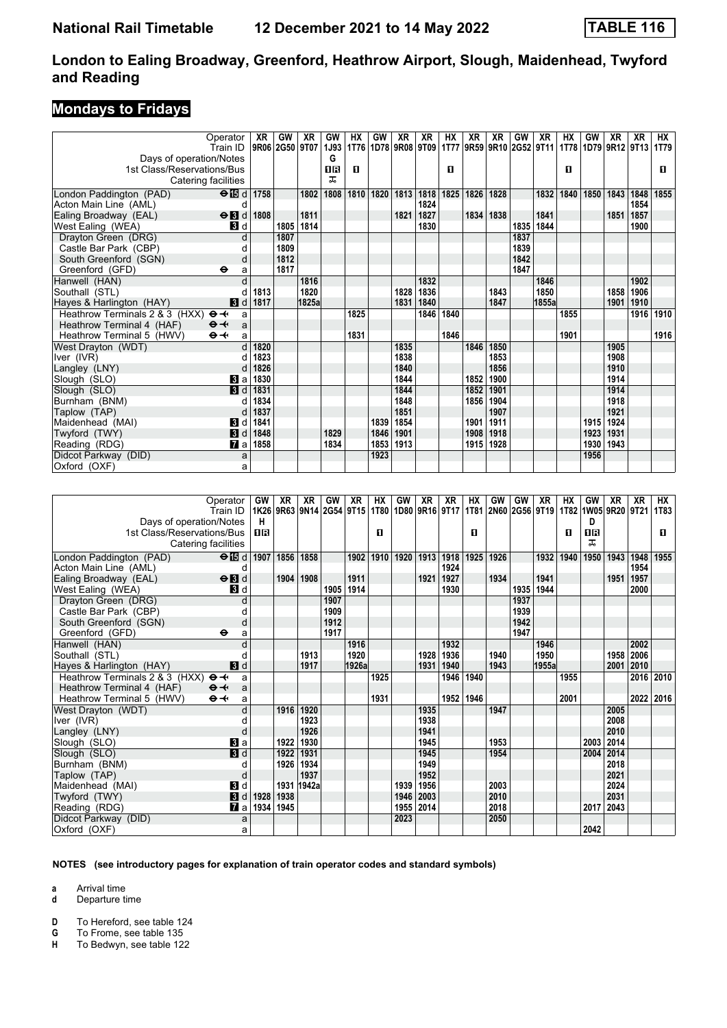## **Mondays to Fridays**

|                                                        | Operator            | XR   | GW             | XR    | GW   | НX   | GW                  | XR   | XR   | НX          | XR   | XR                  | GW   | XR    | НX   | GW   | XR             | XR   | НX   |
|--------------------------------------------------------|---------------------|------|----------------|-------|------|------|---------------------|------|------|-------------|------|---------------------|------|-------|------|------|----------------|------|------|
|                                                        | Train ID            |      | 9R06 2G50 9T07 |       | 1J93 |      | 1T76 1D78 9R08 9T09 |      |      | <b>1T77</b> |      | 9R59 9R10 2G52 9T11 |      |       | 1T78 |      | 1D79 9R12 9T13 |      | 1T79 |
| Days of operation/Notes                                |                     |      |                |       | G    |      |                     |      |      |             |      |                     |      |       |      |      |                |      |      |
| 1st Class/Reservations/Bus                             |                     |      |                |       | OR   | п    |                     |      |      | п           |      |                     |      |       | п    |      |                |      | п    |
| Catering facilities                                    |                     |      |                |       | ᅚ    |      |                     |      |      |             |      |                     |      |       |      |      |                |      |      |
| London Paddington (PAD)                                | $\Theta$ is d 1758  |      |                | 1802  | 1808 | 1810 | 1820                | 1813 | 1818 | 1825        | 1826 | 1828                |      | 1832  | 1840 | 1850 | 1843           | 1848 | 1855 |
| Acton Main Line (AML)                                  | d                   |      |                |       |      |      |                     |      | 1824 |             |      |                     |      |       |      |      |                | 1854 |      |
| Ealing Broadway (EAL)                                  | $\Theta$ <b>B</b> d | 1808 |                | 1811  |      |      |                     | 1821 | 1827 |             | 1834 | 1838                |      | 1841  |      |      | 1851           | 1857 |      |
| West Ealing (WEA)                                      | <b>3</b> d          |      | 1805           | 1814  |      |      |                     |      | 1830 |             |      |                     | 1835 | 1844  |      |      |                | 1900 |      |
| Drayton Green (DRG)                                    | d                   |      | 1807           |       |      |      |                     |      |      |             |      |                     | 1837 |       |      |      |                |      |      |
| Castle Bar Park (CBP)                                  |                     |      | 1809           |       |      |      |                     |      |      |             |      |                     | 1839 |       |      |      |                |      |      |
| South Greenford (SGN)                                  | d                   |      | 1812           |       |      |      |                     |      |      |             |      |                     | 1842 |       |      |      |                |      |      |
| Greenford (GFD)                                        | $\bullet$<br>a      |      | 1817           |       |      |      |                     |      |      |             |      |                     | 1847 |       |      |      |                |      |      |
| Hanwell (HAN)                                          |                     |      |                | 1816  |      |      |                     |      | 1832 |             |      |                     |      | 1846  |      |      |                | 1902 |      |
| Southall (STL)                                         |                     | 1813 |                | 1820  |      |      |                     | 1828 | 1836 |             |      | 1843                |      | 1850  |      |      | 1858           | 1906 |      |
| Hayes & Harlington (HAY)                               | 3d                  | 1817 |                | 1825a |      |      |                     | 1831 | 1840 |             |      | 1847                |      | 1855a |      |      | 1901           | 1910 |      |
| Heathrow Terminals 2 & 3 (HXX)<br>$\Theta \rightarrow$ | a                   |      |                |       |      | 1825 |                     |      | 1846 | 1840        |      |                     |      |       | 1855 |      |                | 1916 | 1910 |
| Heathrow Terminal 4 (HAF)<br>$\Theta +$                | a                   |      |                |       |      |      |                     |      |      |             |      |                     |      |       |      |      |                |      |      |
| $\Theta +$<br>Heathrow Terminal 5 (HWV)                | a                   |      |                |       |      | 1831 |                     |      |      | 1846        |      |                     |      |       | 1901 |      |                |      | 1916 |
| West Drayton (WDT)                                     |                     | 1820 |                |       |      |      |                     | 1835 |      |             | 1846 | 1850                |      |       |      |      | 1905           |      |      |
| Iver (IVR)                                             |                     | 1823 |                |       |      |      |                     | 1838 |      |             |      | 1853                |      |       |      |      | 1908           |      |      |
| Langley (LNY)                                          | d                   | 1826 |                |       |      |      |                     | 1840 |      |             |      | 1856                |      |       |      |      | 1910           |      |      |
| Slough (SLO)                                           | Bl a                | 1830 |                |       |      |      |                     | 1844 |      |             | 1852 | 1900                |      |       |      |      | 1914           |      |      |
| Slough (SLO)                                           | $\blacksquare$      | 1831 |                |       |      |      |                     | 1844 |      |             | 1852 | 1901                |      |       |      |      | 1914           |      |      |
| Burnham (BNM)                                          | d                   | 1834 |                |       |      |      |                     | 1848 |      |             | 1856 | 1904                |      |       |      |      | 1918           |      |      |
| Taplow (TAP)                                           |                     | 1837 |                |       |      |      |                     | 1851 |      |             |      | 1907                |      |       |      |      | 1921           |      |      |
| Maidenhead (MAI)                                       | BI d                | 1841 |                |       |      |      | 1839                | 1854 |      |             | 1901 | 1911                |      |       |      | 1915 | 1924           |      |      |
| Twyford (TWY)                                          | 3d                  | 1848 |                |       | 1829 |      | 1846                | 1901 |      |             | 1908 | 1918                |      |       |      | 1923 | 1931           |      |      |
| Reading (RDG)                                          | $\mathbf{z}$ a      | 1858 |                |       | 1834 |      | 1853                | 1913 |      |             | 1915 | 1928                |      |       |      | 1930 | 1943           |      |      |
| Didcot Parkway (DID)                                   | a                   |      |                |       |      |      | 1923                |      |      |             |      |                     |      |       |      | 1956 |                |      |      |
| Oxford (OXF)                                           | a                   |      |                |       |      |      |                     |      |      |             |      |                     |      |       |      |      |                |      |      |

|                                              | Operator<br>Train ID      | GW   | XR   | XR        | GW   | <b>XR</b>                | HX   | GW                        | XR   | XR   | <b>HX</b> | GW                  | GW   | XR    | НX   | <b>GW</b>      | XR                  | XR   | НX<br><b>1T83</b> |
|----------------------------------------------|---------------------------|------|------|-----------|------|--------------------------|------|---------------------------|------|------|-----------|---------------------|------|-------|------|----------------|---------------------|------|-------------------|
|                                              |                           |      |      |           |      | 1K26 9R63 9N14 2G54 9T15 |      | 1T80   1D80   9R16   9T17 |      |      |           | 1T81 2N60 2G56 9T19 |      |       |      |                | 1T82 1W05 9R20 9T21 |      |                   |
| Days of operation/Notes                      |                           | н    |      |           |      |                          |      |                           |      |      |           |                     |      |       |      | D.             |                     |      |                   |
| 1st Class/Reservations/Bus                   |                           | ПR   |      |           |      |                          | п    |                           |      |      | п         |                     |      |       | п    | <b>08</b><br>ᠼ |                     |      | П.                |
| Catering facilities                          |                           |      |      |           |      |                          |      |                           |      |      |           |                     |      |       |      |                |                     |      |                   |
| London Paddington (PAD)                      | $\Theta$ is d   1907      |      |      | 1856 1858 |      | 1902                     | 1910 | 1920                      | 1913 | 1918 | 1925      | 1926                |      | 1932  | 1940 | 1950           | 1943                | 1948 | 1955              |
| Acton Main Line (AML)                        | $\mathbf C$               |      |      |           |      |                          |      |                           |      | 1924 |           |                     |      |       |      |                |                     | 1954 |                   |
| Ealing Broadway (EAL)                        | $\Theta$ <b>B</b> d       |      | 1904 | 1908      |      | 1911                     |      |                           | 1921 | 1927 |           | 1934                |      | 1941  |      |                | 1951                | 1957 |                   |
| West Ealing (WEA)                            | 3d                        |      |      |           | 1905 | 1914                     |      |                           |      | 1930 |           |                     | 1935 | 1944  |      |                |                     | 2000 |                   |
| Drayton Green (DRG)                          |                           |      |      |           | 1907 |                          |      |                           |      |      |           |                     | 1937 |       |      |                |                     |      |                   |
| Castle Bar Park (CBP)                        |                           |      |      |           | 1909 |                          |      |                           |      |      |           |                     | 1939 |       |      |                |                     |      |                   |
| South Greenford (SGN)                        | d                         |      |      |           | 1912 |                          |      |                           |      |      |           |                     | 1942 |       |      |                |                     |      |                   |
| Greenford (GFD)                              | $\bullet$<br>a            |      |      |           | 1917 |                          |      |                           |      |      |           |                     | 1947 |       |      |                |                     |      |                   |
| Hanwell (HAN)                                |                           |      |      |           |      | 1916                     |      |                           |      | 1932 |           |                     |      | 1946  |      |                |                     | 2002 |                   |
| Southall (STL)                               |                           |      |      | 1913      |      | 1920                     |      |                           | 1928 | 1936 |           | 1940                |      | 1950  |      |                | 1958                | 2006 |                   |
| Hayes & Harlington (HAY)                     | 3d                        |      |      | 1917      |      | 1926a                    |      |                           | 1931 | 1940 |           | 1943                |      | 1955a |      |                | 2001                | 2010 |                   |
| Heathrow Terminals 2 & 3 (HXX)<br>$\Theta +$ | a                         |      |      |           |      |                          | 1925 |                           |      | 1946 | 1940      |                     |      |       | 1955 |                |                     | 2016 | 2010              |
| Heathrow Terminal 4 (HAF)<br>$\Theta +$      | a                         |      |      |           |      |                          |      |                           |      |      |           |                     |      |       |      |                |                     |      |                   |
| Heathrow Terminal 5 (HWV)<br>$\Theta +$      | a                         |      |      |           |      |                          | 1931 |                           |      | 1952 | 1946      |                     |      |       | 2001 |                |                     | 2022 | 2016              |
| West Drayton (WDT)                           | d                         |      | 1916 | 1920      |      |                          |      |                           | 1935 |      |           | 1947                |      |       |      |                | 2005                |      |                   |
| Iver (IVR)                                   |                           |      |      | 1923      |      |                          |      |                           | 1938 |      |           |                     |      |       |      |                | 2008                |      |                   |
| Langley (LNY)                                | C                         |      |      | 1926      |      |                          |      |                           | 1941 |      |           |                     |      |       |      |                | 2010                |      |                   |
| Slough (SLO)                                 | <b>B</b> a                |      | 1922 | 1930      |      |                          |      |                           | 1945 |      |           | 1953                |      |       |      | 2003           | 2014                |      |                   |
| Slough (SLO)                                 | $\overline{\mathbf{B}}$ d |      | 1922 | 1931      |      |                          |      |                           | 1945 |      |           | 1954                |      |       |      | 2004           | 2014                |      |                   |
| Burnham (BNM)                                | C                         |      | 1926 | 1934      |      |                          |      |                           | 1949 |      |           |                     |      |       |      |                | 2018                |      |                   |
| Taplow (TAP)                                 | d                         |      |      | 1937      |      |                          |      |                           | 1952 |      |           |                     |      |       |      |                | 2021                |      |                   |
| Maidenhead (MAI)                             | BI d                      |      | 1931 | 1942a     |      |                          |      | 1939                      | 1956 |      |           | 2003                |      |       |      |                | 2024                |      |                   |
| Twyford (TWY)                                | $\blacksquare$            | 1928 | 1938 |           |      |                          |      | 1946                      | 2003 |      |           | 2010                |      |       |      |                | 2031                |      |                   |
| Reading (RDG)                                | $\mathbf{Z}$ al           | 1934 | 1945 |           |      |                          |      | 1955                      | 2014 |      |           | 2018                |      |       |      | 2017           | 2043                |      |                   |
| Didcot Parkway (DID)                         | a                         |      |      |           |      |                          |      | 2023                      |      |      |           | 2050                |      |       |      |                |                     |      |                   |
| Oxford (OXF)                                 | a                         |      |      |           |      |                          |      |                           |      |      |           |                     |      |       |      | 2042           |                     |      |                   |

**NOTES (see introductory pages for explanation of train operator codes and standard symbols)**

**a** Arrival time

**d** Departure time

**D** To Hereford, see table 124<br>**G** To Frome, see table 135

**G** To Frome, see table 135<br>**H** To Bedwyn, see table 122

**H** To Bedwyn, see table 122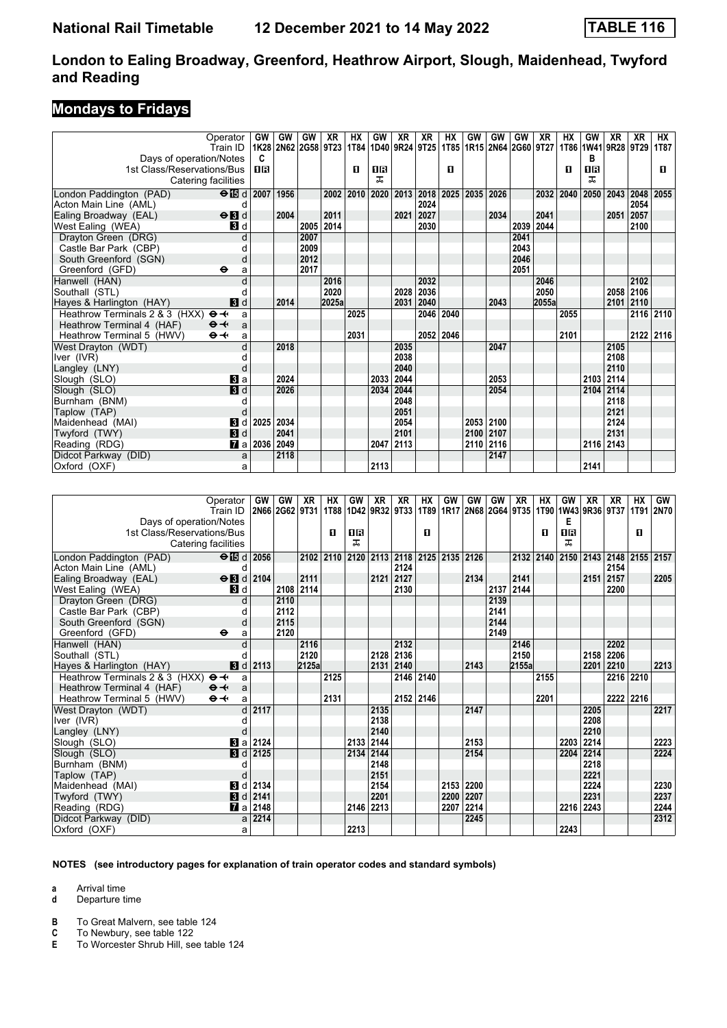## **Mondays to Fridays**

|                                | Operator                  | GW          | GW                  | GW   | XR    | НX   | GW   | XR                               | XR        | НX        | GW        | GW        | GW        | XR                  | НX   | GW        | XR                  | XR   | НX        |
|--------------------------------|---------------------------|-------------|---------------------|------|-------|------|------|----------------------------------|-----------|-----------|-----------|-----------|-----------|---------------------|------|-----------|---------------------|------|-----------|
|                                | Train ID                  |             | 1K28 2N62 2G58 9T23 |      |       |      |      | 1T84   1D40   9R24   9T25   1T85 |           |           |           |           |           | 1R15 2N64 2G60 9T27 |      |           | 1T86 1W41 9R28 9T29 |      | 1T87      |
| Days of operation/Notes        |                           | C           |                     |      |       |      |      |                                  |           |           |           |           |           |                     |      | в         |                     |      |           |
| 1st Class/Reservations/Bus     |                           | ПR          |                     |      |       | п    | 16   |                                  |           | п         |           |           |           |                     | п    | <b>08</b> |                     |      | п         |
| Catering facilities            |                           |             |                     |      |       |      | ᠼ    |                                  |           |           |           |           |           |                     |      | ᅚ         |                     |      |           |
| London Paddington (PAD)        | $\Theta$ is d 2007        |             | 1956                |      | 2002  | 2010 |      | 2020 2013                        | 2018      | 2025      | 2035      | 2026      |           | 2032                | 2040 | 2050      | 2043                | 2048 | 2055      |
| Acton Main Line (AML)          | d                         |             |                     |      |       |      |      |                                  | 2024      |           |           |           |           |                     |      |           |                     | 2054 |           |
| Ealing Broadway (EAL)          | $\Theta$ <b>B</b> d       |             | 2004                |      | 2011  |      |      | 2021                             | 2027      |           |           | 2034      |           | 2041                |      |           | 2051                | 2057 |           |
| West Ealing (WEA)              | 3d                        |             |                     | 2005 | 2014  |      |      |                                  | 2030      |           |           |           | 2039 2044 |                     |      |           |                     | 2100 |           |
| Drayton Green (DRG)            | d                         |             |                     | 2007 |       |      |      |                                  |           |           |           |           | 2041      |                     |      |           |                     |      |           |
| Castle Bar Park (CBP)          |                           |             |                     | 2009 |       |      |      |                                  |           |           |           |           | 2043      |                     |      |           |                     |      |           |
| South Greenford (SGN)          | d                         |             |                     | 2012 |       |      |      |                                  |           |           |           |           | 2046      |                     |      |           |                     |      |           |
| Greenford (GFD)                | $\ddot{\mathbf{e}}$<br>a  |             |                     | 2017 |       |      |      |                                  |           |           |           |           | 2051      |                     |      |           |                     |      |           |
| Hanwell (HAN)                  |                           |             |                     |      | 2016  |      |      |                                  | 2032      |           |           |           |           | 2046                |      |           |                     | 2102 |           |
| Southall (STL)                 |                           |             |                     |      | 2020  |      |      | 2028                             | 2036      |           |           |           |           | 2050                |      |           | 2058 2106           |      |           |
| Hayes & Harlington (HAY)       | 3d                        |             | 2014                |      | 2025a |      |      | 2031                             | 2040      |           |           | 2043      |           | 2055a               |      |           | 2101 2110           |      |           |
| Heathrow Terminals 2 & 3 (HXX) | $\Theta +$<br>a           |             |                     |      |       | 2025 |      |                                  | 2046 2040 |           |           |           |           |                     | 2055 |           |                     |      | 2116 2110 |
| Heathrow Terminal 4 (HAF)      | $\Theta +$<br>a           |             |                     |      |       |      |      |                                  |           |           |           |           |           |                     |      |           |                     |      |           |
| Heathrow Terminal 5 (HWV)      | $\Theta \rightarrow$<br>a |             |                     |      |       | 2031 |      |                                  |           | 2052 2046 |           |           |           |                     | 2101 |           |                     |      | 2122 2116 |
| West Drayton (WDT)             |                           |             | 2018                |      |       |      |      | 2035                             |           |           |           | 2047      |           |                     |      |           | 2105                |      |           |
| Iver (IVR)                     |                           |             |                     |      |       |      |      | 2038                             |           |           |           |           |           |                     |      |           | 2108                |      |           |
| Langley (LNY)                  |                           |             |                     |      |       |      |      | 2040                             |           |           |           |           |           |                     |      |           | 2110                |      |           |
| Slough (SLO)                   | $\mathbf{B}$ a            |             | 2024                |      |       |      | 2033 | 2044                             |           |           |           | 2053      |           |                     |      | 2103      | 2114                |      |           |
| Slough (SLO)                   | <b>B</b> d                |             | 2026                |      |       |      |      | 2034 2044                        |           |           |           | 2054      |           |                     |      | 2104      | 2114                |      |           |
| Burnham (BNM)                  |                           |             |                     |      |       |      |      | 2048                             |           |           |           |           |           |                     |      |           | 2118                |      |           |
| Taplow (TAP)                   |                           |             |                     |      |       |      |      | 2051                             |           |           |           |           |           |                     |      |           | 2121                |      |           |
| Maidenhead (MAI)               | $\mathbf{B}$ d            | 2025        | 2034                |      |       |      |      | 2054                             |           |           |           | 2053 2100 |           |                     |      |           | 2124                |      |           |
| Twyford (TWY)                  | $\mathbf{3}$ d            |             | 2041                |      |       |      |      | 2101                             |           |           | 2100      | 2107      |           |                     |      |           | 2131                |      |           |
| Reading (RDG)                  |                           | 7∎ a   2036 | 2049                |      |       |      | 2047 | 2113                             |           |           | 2110 2116 |           |           |                     |      | 2116      | 2143                |      |           |
| Didcot Parkway (DID)           | a                         |             | 2118                |      |       |      |      |                                  |           |           |           | 2147      |           |                     |      |           |                     |      |           |
| Oxford (OXF)                   | a                         |             |                     |      |       |      | 2113 |                                  |           |           |           |           |           |                     |      | 2141      |                     |      |           |

|                                | Operator                 | GW   | <b>GW</b>      | XR    | HХ   | GW        | XR        | XR                  | НX | GW        | GW        | GW   | XR    | HХ        | GW        | XR        | ХR                                                           | HХ | GW        |
|--------------------------------|--------------------------|------|----------------|-------|------|-----------|-----------|---------------------|----|-----------|-----------|------|-------|-----------|-----------|-----------|--------------------------------------------------------------|----|-----------|
|                                | Train ID                 |      | 2N66 2G62 9T31 |       | 1T88 |           |           | 1D42   9R32   9T33  |    |           |           |      |       |           |           |           | 1T89   1R17   2N68   2G64   9T35   1T90   1W43   9R36   9T37 |    | 1T91 2N70 |
| Days of operation/Notes        |                          |      |                |       |      |           |           |                     |    |           |           |      |       |           | Е         |           |                                                              |    |           |
| 1st Class/Reservations/Bus     |                          |      |                |       | п    | <b>0B</b> |           |                     | п  |           |           |      |       | п         | <b>0B</b> |           |                                                              | п  |           |
| Catering facilities            |                          |      |                |       |      | ᇁ         |           |                     |    |           |           |      |       |           | ㅈ         |           |                                                              |    |           |
| London Paddington (PAD)        | $\Theta$ id d 2056       |      |                | 2102  | 2110 |           |           | 2120 2113 2118 2125 |    | 2135 2126 |           |      |       | 2132 2140 |           | 2150 2143 | 2148                                                         |    | 2155 2157 |
| Acton Main Line (AML)          | d                        |      |                |       |      |           |           | 2124                |    |           |           |      |       |           |           |           | 2154                                                         |    |           |
| Ealing Broadway (EAL)          | $\Theta$ <b>B</b> d      | 2104 |                | 2111  |      |           |           | $2121$ 2127         |    |           | 2134      |      | 2141  |           |           | 2151      | 2157                                                         |    | 2205      |
| West Ealing (WEA)              | 3d                       |      | 2108 2114      |       |      |           |           | 2130                |    |           |           | 2137 | 2144  |           |           |           | 2200                                                         |    |           |
| Drayton Green (DRG)            | d                        |      | 2110           |       |      |           |           |                     |    |           |           | 2139 |       |           |           |           |                                                              |    |           |
| Castle Bar Park (CBP)          |                          |      | 2112           |       |      |           |           |                     |    |           |           | 2141 |       |           |           |           |                                                              |    |           |
| South Greenford (SGN)          | d                        |      | 2115           |       |      |           |           |                     |    |           |           | 2144 |       |           |           |           |                                                              |    |           |
| Greenford (GFD)                | $\ddot{\mathbf{e}}$<br>a |      | 2120           |       |      |           |           |                     |    |           |           | 2149 |       |           |           |           |                                                              |    |           |
| Hanwell (HAN)                  | d                        |      |                | 2116  |      |           |           | 2132                |    |           |           |      | 2146  |           |           |           | 2202                                                         |    |           |
| Southall (STL)                 |                          |      |                | 2120  |      |           |           | 2128 2136           |    |           |           |      | 2150  |           |           | 2158      | 2206                                                         |    |           |
| Hayes & Harlington (HAY)       | 3d                       | 2113 |                | 2125a |      |           |           | 2131 2140           |    |           | 2143      |      | 2155a |           |           | 2201      | 2210                                                         |    | 2213      |
| Heathrow Terminals 2 & 3 (HXX) | $\Theta +$<br>a          |      |                |       | 2125 |           |           | 2146 2140           |    |           |           |      |       | 2155      |           |           | 2216 2210                                                    |    |           |
| Heathrow Terminal 4 (HAF)      | $\Theta +$<br>a          |      |                |       |      |           |           |                     |    |           |           |      |       |           |           |           |                                                              |    |           |
| Heathrow Terminal 5 (HWV)      | $\Theta +$<br>a          |      |                |       | 2131 |           |           | 2152 2146           |    |           |           |      |       | 2201      |           |           | 2222 2216                                                    |    |           |
| West Drayton (WDT)             | $\mathsf{d}$             | 2117 |                |       |      |           | 2135      |                     |    |           | 2147      |      |       |           |           | 2205      |                                                              |    | 2217      |
| Iver (IVR)                     |                          |      |                |       |      |           | 2138      |                     |    |           |           |      |       |           |           | 2208      |                                                              |    |           |
| Langley (LNY)                  |                          |      |                |       |      |           | 2140      |                     |    |           |           |      |       |           |           | 2210      |                                                              |    |           |
| Slough (SLO)                   | $ 3 $ al                 | 2124 |                |       |      | 2133      | 2144      |                     |    |           | 2153      |      |       |           | 2203      | 2214      |                                                              |    | 2223      |
| Slough (SLO)                   | 3d                       | 2125 |                |       |      | 2134      | 2144      |                     |    |           | 2154      |      |       |           | 2204      | 2214      |                                                              |    | 2224      |
| Burnham (BNM)                  |                          |      |                |       |      |           | 2148      |                     |    |           |           |      |       |           |           | 2218      |                                                              |    |           |
| Taplow (TAP)                   | d                        |      |                |       |      |           | 2151      |                     |    |           |           |      |       |           |           | 2221      |                                                              |    |           |
| Maidenhead (MAI)               | <b>3</b> d               | 2134 |                |       |      |           | 2154      |                     |    |           | 2153 2200 |      |       |           |           | 2224      |                                                              |    | 2230      |
| Twyford (TWY)                  | 3d                       | 2141 |                |       |      |           | 2201      |                     |    | 2200      | 2207      |      |       |           |           | 2231      |                                                              |    | 2237      |
| Reading (RDG)                  | $\mathbf{z}$ a           | 2148 |                |       |      |           | 2146 2213 |                     |    | 2207      | 2214      |      |       |           | 2216      | 2243      |                                                              |    | 2244      |
| Didcot Parkway (DID)           | a                        | 2214 |                |       |      |           |           |                     |    |           | 2245      |      |       |           |           |           |                                                              |    | 2312      |
| Oxford (OXF)                   | a                        |      |                |       |      | 2213      |           |                     |    |           |           |      |       |           | 2243      |           |                                                              |    |           |

#### **NOTES (see introductory pages for explanation of train operator codes and standard symbols)**

**a** Arrival time

**d** Departure time

**B** To Great Malvern, see table 124<br>**C** To Newbury, see table 122

**C** To Newbury, see table 122<br>**E** To Worcester Shrub Hill, se

**E** To Worcester Shrub Hill, see table 124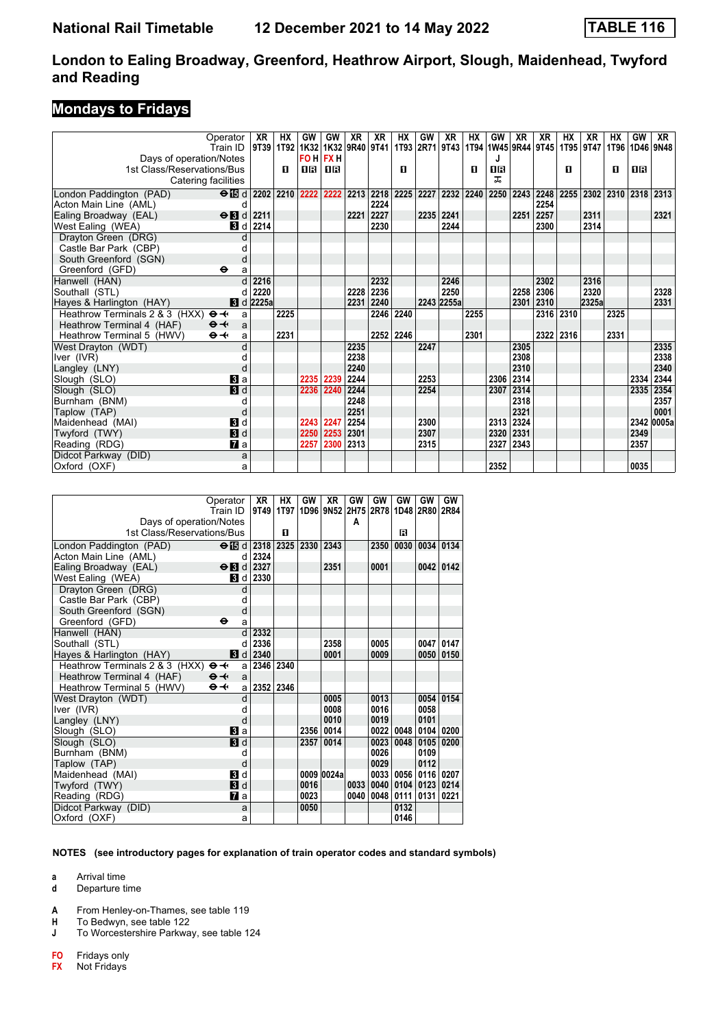## **Mondays to Fridays**

|                                                     | Operator                                              | XR                                                                                                    | HХ   | GW   | GW        | XR   | XR        | НX        | GW   | XR         | НX   | GW   | XR        | XR   | НX        | XR    | НX                               | GW   | <b>XR</b>  |
|-----------------------------------------------------|-------------------------------------------------------|-------------------------------------------------------------------------------------------------------|------|------|-----------|------|-----------|-----------|------|------------|------|------|-----------|------|-----------|-------|----------------------------------|------|------------|
|                                                     | Train ID                                              | 9T39   1T92   1K32   1K32   9R40   9T41   1T93   2R71   9T43   1T94  1W45   9R44   9T45   1T95   9T47 |      |      |           |      |           |           |      |            |      |      |           |      |           |       | 1T96                             |      | 1D46 9N48  |
| Days of operation/Notes                             |                                                       |                                                                                                       |      |      | FO H FX H |      |           |           |      |            |      |      |           |      |           |       |                                  |      |            |
| 1st Class/Reservations/Bus                          |                                                       |                                                                                                       | п    | 16   | ПR        |      |           | п         |      |            | п    | 0 B  |           |      | п         |       | п                                | 1 R  |            |
| Catering facilities                                 |                                                       |                                                                                                       |      |      |           |      |           |           |      |            |      | 풊    |           |      |           |       |                                  |      |            |
| London Paddington (PAD)                             | $\Theta$ is d 2202 2210 2222 2222 2213 2218 2225 2227 |                                                                                                       |      |      |           |      |           |           |      | 2232 2240  |      |      | 2250 2243 | 2248 |           |       | 2255   2302   2310   2318   2313 |      |            |
| Acton Main Line (AML)                               | d                                                     |                                                                                                       |      |      |           |      | 2224      |           |      |            |      |      |           | 2254 |           |       |                                  |      |            |
| Ealing Broadway (EAL)                               | $\Theta$ <b>B</b> d                                   | 2211                                                                                                  |      |      |           | 2221 | 2227      |           | 2235 | 2241       |      |      | 2251      | 2257 |           | 2311  |                                  |      | 2321       |
| West Ealing (WEA)                                   |                                                       | $\vert$ d $\vert$ 2214                                                                                |      |      |           |      | 2230      |           |      | 2244       |      |      |           | 2300 |           | 2314  |                                  |      |            |
| Drayton Green (DRG)                                 |                                                       |                                                                                                       |      |      |           |      |           |           |      |            |      |      |           |      |           |       |                                  |      |            |
| Castle Bar Park (CBP)                               |                                                       |                                                                                                       |      |      |           |      |           |           |      |            |      |      |           |      |           |       |                                  |      |            |
| South Greenford (SGN)                               | d                                                     |                                                                                                       |      |      |           |      |           |           |      |            |      |      |           |      |           |       |                                  |      |            |
| Greenford (GFD)                                     | $\bullet$<br>a                                        |                                                                                                       |      |      |           |      |           |           |      |            |      |      |           |      |           |       |                                  |      |            |
| Hanwell (HAN)                                       |                                                       | 2216                                                                                                  |      |      |           |      | 2232      |           |      | 2246       |      |      |           | 2302 |           | 2316  |                                  |      |            |
| Southall (STL)                                      |                                                       | 2220                                                                                                  |      |      |           | 2228 | 2236      |           |      | 2250       |      |      | 2258      | 2306 |           | 2320  |                                  |      | 2328       |
| Hayes & Harlington (HAY)                            |                                                       | <b>8</b> d 2225a                                                                                      |      |      |           | 2231 | 2240      |           |      | 2243 2255a |      |      | 2301      | 2310 |           | 2325a |                                  |      | 2331       |
| Heathrow Terminals 2 & 3 (HXX) $\Theta \rightarrow$ | a                                                     |                                                                                                       | 2225 |      |           |      | 2246 2240 |           |      |            | 2255 |      |           |      | 2316 2310 |       | 2325                             |      |            |
| Heathrow Terminal 4 (HAF)                           | $\Theta +$<br>a                                       |                                                                                                       |      |      |           |      |           |           |      |            |      |      |           |      |           |       |                                  |      |            |
| Heathrow Terminal 5 (HWV)                           | $\Theta +$<br>a                                       |                                                                                                       | 2231 |      |           |      |           | 2252 2246 |      |            | 2301 |      |           |      | 2322 2316 |       | 2331                             |      |            |
| West Drayton (WDT)                                  |                                                       |                                                                                                       |      |      |           | 2235 |           |           | 2247 |            |      |      | 2305      |      |           |       |                                  |      | 2335       |
| Iver (IVR)                                          |                                                       |                                                                                                       |      |      |           | 2238 |           |           |      |            |      |      | 2308      |      |           |       |                                  |      | 2338       |
| Langley (LNY)                                       | C                                                     |                                                                                                       |      |      |           | 2240 |           |           |      |            |      |      | 2310      |      |           |       |                                  |      | 2340       |
| Slough (SLO)                                        | $\mathbf{B}$ a                                        |                                                                                                       |      |      | 2235 2239 | 2244 |           |           | 2253 |            |      |      | 2306 2314 |      |           |       |                                  | 2334 | 2344       |
| Slough (SLO)                                        | 3d                                                    |                                                                                                       |      | 2236 | 2240      | 2244 |           |           | 2254 |            |      |      | 2307 2314 |      |           |       |                                  | 2335 | 2354       |
| Burnham (BNM)                                       |                                                       |                                                                                                       |      |      |           | 2248 |           |           |      |            |      |      | 2318      |      |           |       |                                  |      | 2357       |
| Taplow (TAP)                                        | C                                                     |                                                                                                       |      |      |           | 2251 |           |           |      |            |      |      | 2321      |      |           |       |                                  |      | 0001       |
| Maidenhead (MAI)                                    | <b>3</b> d                                            |                                                                                                       |      | 2243 | 2247      | 2254 |           |           | 2300 |            |      |      | 2313 2324 |      |           |       |                                  |      | 2342 0005a |
| Twyford (TWY)                                       | 3d                                                    |                                                                                                       |      | 2250 | 2253      | 2301 |           |           | 2307 |            |      | 2320 | 2331      |      |           |       |                                  | 2349 |            |
| Reading (RDG)                                       | $\mathbf{z}$ a                                        |                                                                                                       |      | 2257 | 2300      | 2313 |           |           | 2315 |            |      | 2327 | 2343      |      |           |       |                                  | 2357 |            |
| Didcot Parkway (DID)                                | a                                                     |                                                                                                       |      |      |           |      |           |           |      |            |      |      |           |      |           |       |                                  |      |            |
| Oxford (OXF)                                        | a                                                     |                                                                                                       |      |      |           |      |           |           |      |            |      | 2352 |           |      |           |       |                                  | 0035 |            |

|                                | Operator                             | <b>XR</b> | HХ        | GW   | <b>XR</b>                          | GW   | GW   | GW          | GW   | GW   |
|--------------------------------|--------------------------------------|-----------|-----------|------|------------------------------------|------|------|-------------|------|------|
|                                | Train ID                             | 9T49      | 1T97      |      | 1D96 9N52 2H75 2R78 1D48 2R80 2R84 |      |      |             |      |      |
| Days of operation/Notes        |                                      |           |           |      |                                    | A    |      |             |      |      |
| 1st Class/Reservations/Bus     |                                      |           | п         |      |                                    |      |      | R           |      |      |
| London Paddington (PAD)        | $\Theta$ ibid                        | 2318      | 2325      | 2330 | 2343                               |      | 2350 | 0030        | 0034 | 0134 |
| Acton Main Line (AML)          | d                                    | 2324      |           |      |                                    |      |      |             |      |      |
| Ealing Broadway (EAL)          | $\Theta$ <b>N</b> d                  | 2327      |           |      | 2351                               |      | 0001 |             | 0042 | 0142 |
| West Ealing (WEA)              | BI d                                 | 2330      |           |      |                                    |      |      |             |      |      |
| Drayton Green (DRG)            | d                                    |           |           |      |                                    |      |      |             |      |      |
| Castle Bar Park (CBP)          | d                                    |           |           |      |                                    |      |      |             |      |      |
| South Greenford (SGN)          | d                                    |           |           |      |                                    |      |      |             |      |      |
| Greenford (GFD)                | θ<br>a                               |           |           |      |                                    |      |      |             |      |      |
| Hanwell (HAN)                  | d                                    | 2332      |           |      |                                    |      |      |             |      |      |
| Southall (STL)                 | d                                    | 2336      |           |      | 2358                               |      | 0005 |             | 0047 | 0147 |
| Hayes & Harlington (HAY)       | 3d                                   | 2340      |           |      | 0001                               |      | 0009 |             | 0050 | 0150 |
| Heathrow Terminals 2 & 3 (HXX) | $\Theta +$<br>a                      | 2346 2340 |           |      |                                    |      |      |             |      |      |
| Heathrow Terminal 4 (HAF)      | $\Theta +$<br>a                      |           |           |      |                                    |      |      |             |      |      |
| Heathrow Terminal 5 (HWV)      | $\Theta - \left( \cdot \right)$<br>a |           | 2352 2346 |      |                                    |      |      |             |      |      |
| West Drayton (WDT)             | d                                    |           |           |      | 0005                               |      | 0013 |             | 0054 | 0154 |
| Iver (IVR)                     | d                                    |           |           |      | 0008                               |      | 0016 |             | 0058 |      |
| Langley (LNY)                  | d                                    |           |           |      | 0010                               |      | 0019 |             | 0101 |      |
| Slough (SLO)                   | a                                    |           |           | 2356 | 0014                               |      | 0022 | 0048        | 0104 | 0200 |
| Slough (SLO)                   | <b>B</b> d                           |           |           | 2357 | 0014                               |      | 0023 | 0048        | 0105 | 0200 |
| Burnham (BNM)                  | d                                    |           |           |      |                                    |      | 0026 |             | 0109 |      |
| Taplow (TAP)                   | d                                    |           |           |      |                                    |      | 0029 |             | 0112 |      |
| Maidenhead (MAI)               | $\mathbf{B}$ d                       |           |           |      | 0009 0024a                         |      |      | 0033   0056 | 0116 | 0207 |
| Twyford (TWY)                  | $\blacksquare$                       |           |           | 0016 |                                    | 0033 |      | 0040 0104   | 0123 | 0214 |
| Reading (RDG)                  | $\mathbf{z}$ a                       |           |           | 0023 |                                    | 0040 | 0048 | 0111        | 0131 | 0221 |
| Didcot Parkway (DID)           | a                                    |           |           | 0050 |                                    |      |      | 0132        |      |      |
| Oxford (OXF)                   | a                                    |           |           |      |                                    |      |      | 0146        |      |      |

**NOTES (see introductory pages for explanation of train operator codes and standard symbols)**

**a** Arrival time<br>**d** Departure t

Departure time

**A** From Henley-on-Thames, see table 119

**H** To Bedwyn, see table 122<br>**J** To Worcestershire Parkwa

**J** To Worcestershire Parkway, see table 124

**F0** Fridays only<br>**FX** Not Fridays

**F;** Not Fridays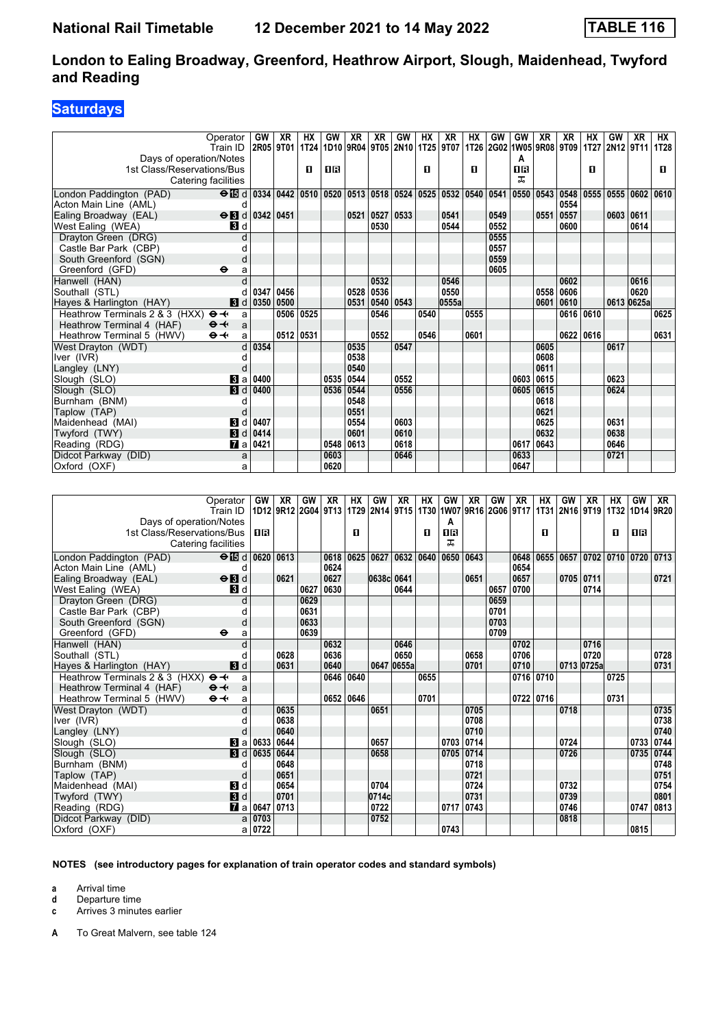## **Saturdays**

| Operator                                            |                | GW        | XR        | ΗХ   | GW        | XR   | XR                                             | <b>GW</b> | ΗХ        | XR                                                                                                        | HX   | GW                       | GW          | XR   | XR        | HХ   | GW             | XR         | HХ   |
|-----------------------------------------------------|----------------|-----------|-----------|------|-----------|------|------------------------------------------------|-----------|-----------|-----------------------------------------------------------------------------------------------------------|------|--------------------------|-------------|------|-----------|------|----------------|------------|------|
| Train ID                                            |                |           |           |      |           |      | 2R05   9T01   1T24   1D10   9R04   9T05   2N10 |           | 1T25 9T07 |                                                                                                           |      | 1T26 2G02 1W05 9R08 9T09 |             |      |           |      | 1T27 2N12 9T11 |            | 1T28 |
| Days of operation/Notes                             |                |           |           |      |           |      |                                                |           |           |                                                                                                           |      |                          | A           |      |           |      |                |            |      |
| 1st Class/Reservations/Bus                          |                |           |           | п    | 1R        |      |                                                |           | п         |                                                                                                           | п    |                          | <b>OR</b>   |      |           | п    |                |            | п    |
| Catering facilities                                 |                |           |           |      |           |      |                                                |           |           |                                                                                                           |      |                          | ᠼ           |      |           |      |                |            |      |
| London Paddington (PAD)                             |                |           |           |      |           |      |                                                |           |           | ⊖ $E$ d   0334   0442   0510   0520   0513   0518   0524   0525   0532   0540   0541   0550   0543   0548 |      |                          |             |      |           | 0555 | 0555 0602      |            | 0610 |
| Acton Main Line (AML)                               | d              |           |           |      |           |      |                                                |           |           |                                                                                                           |      |                          |             |      | 0554      |      |                |            |      |
| $\Theta$ <b>B</b> d<br>Ealing Broadway (EAL)        |                | 0342 0451 |           |      |           | 0521 | 0527   0533                                    |           |           | 0541                                                                                                      |      | 0549                     |             | 0551 | 0557      |      | 0603 0611      |            |      |
| West Ealing (WEA)                                   | <b>B</b> Id    |           |           |      |           |      | 0530                                           |           |           | 0544                                                                                                      |      | 0552                     |             |      | 0600      |      |                | 0614       |      |
| Dravton Green (DRG)                                 | $\mathsf{C}$   |           |           |      |           |      |                                                |           |           |                                                                                                           |      | 0555                     |             |      |           |      |                |            |      |
| Castle Bar Park (CBP)                               |                |           |           |      |           |      |                                                |           |           |                                                                                                           |      | 0557                     |             |      |           |      |                |            |      |
| South Greenford (SGN)                               | d              |           |           |      |           |      |                                                |           |           |                                                                                                           |      | 0559                     |             |      |           |      |                |            |      |
| Greenford (GFD)<br>$\bullet$                        | a              |           |           |      |           |      |                                                |           |           |                                                                                                           |      | 0605                     |             |      |           |      |                |            |      |
| Hanwell (HAN)                                       |                |           |           |      |           |      | 0532                                           |           |           | 0546                                                                                                      |      |                          |             |      | 0602      |      |                | 0616       |      |
| Southall (STL)                                      |                | 0347      | 0456      |      |           |      | 0528 0536                                      |           |           | 0550                                                                                                      |      |                          |             | 0558 | 0606      |      |                | 0620       |      |
| Hayes & Harlington (HAY)                            | $\blacksquare$ | 0350 0500 |           |      |           | 0531 |                                                | 0540 0543 |           | 0555a                                                                                                     |      |                          |             | 0601 | 0610      |      |                | 0613 0625a |      |
| Heathrow Terminals 2 & 3 (HXX) $\Theta \rightarrow$ | a              |           | 0506      | 0525 |           |      | 0546                                           |           | 0540      |                                                                                                           | 0555 |                          |             |      | 0616 0610 |      |                |            | 0625 |
| Heathrow Terminal 4 (HAF)<br>$\Theta +$             | a              |           |           |      |           |      |                                                |           |           |                                                                                                           |      |                          |             |      |           |      |                |            |      |
| $\Theta \rightarrow$<br>Heathrow Terminal 5 (HWV)   | a              |           | 0512 0531 |      |           |      | 0552                                           |           | 0546      |                                                                                                           | 0601 |                          |             |      | 0622 0616 |      |                |            | 0631 |
| West Drayton (WDT)                                  | d              | 0354      |           |      |           | 0535 |                                                | 0547      |           |                                                                                                           |      |                          |             | 0605 |           |      | 0617           |            |      |
| Iver (IVR)                                          |                |           |           |      |           | 0538 |                                                |           |           |                                                                                                           |      |                          |             | 0608 |           |      |                |            |      |
| Langley (LNY)                                       |                |           |           |      |           | 0540 |                                                |           |           |                                                                                                           |      |                          |             | 0611 |           |      |                |            |      |
| Slough (SLO)                                        | $\mathbf{3}$ a | 0400      |           |      | 0535      | 0544 |                                                | 0552      |           |                                                                                                           |      |                          | 0603        | 0615 |           |      | 0623           |            |      |
| Slough (SLO)                                        | $\blacksquare$ | 0400      |           |      | 0536 0544 |      |                                                | 0556      |           |                                                                                                           |      |                          | 0605   0615 |      |           |      | 0624           |            |      |
| Burnham (BNM)                                       |                |           |           |      |           | 0548 |                                                |           |           |                                                                                                           |      |                          |             | 0618 |           |      |                |            |      |
| Taplow (TAP)                                        |                |           |           |      |           | 0551 |                                                |           |           |                                                                                                           |      |                          |             | 0621 |           |      |                |            |      |
| $\mathbf{B}$<br>Maidenhead (MAI)                    | d              | 0407      |           |      |           | 0554 |                                                | 0603      |           |                                                                                                           |      |                          |             | 0625 |           |      | 0631           |            |      |
| Twyford (TWY)                                       | $\blacksquare$ | 0414      |           |      |           | 0601 |                                                | 0610      |           |                                                                                                           |      |                          |             | 0632 |           |      | 0638           |            |      |
| Reading (RDG)                                       | <b>7</b> al    | 0421      |           |      | 0548      | 0613 |                                                | 0618      |           |                                                                                                           |      |                          | 0617        | 0643 |           |      | 0646           |            |      |
| Didcot Parkway (DID)                                | a              |           |           |      | 0603      |      |                                                | 0646      |           |                                                                                                           |      |                          | 0633        |      |           |      | 0721           |            |      |
| Oxford (OXF)                                        | a              |           |           |      | 0620      |      |                                                |           |           |                                                                                                           |      |                          | 0647        |      |           |      |                |            |      |

|                                                     | Operator<br>Train ID        | GW     | XR   | GW   | XR   | <b>HX</b> | GW<br>1012 9R12 2G04 9T13 1T29 2N14 9T15 1T30 1W07 9R16 2G06 9T17 1T31 2N16 9T19 1T32 1D14 9R20 | XR          | НX   | GW        | XR        | GW   | <b>XR</b> | HХ        | GW        | XR         | HX                 | GW   | XR          |
|-----------------------------------------------------|-----------------------------|--------|------|------|------|-----------|-------------------------------------------------------------------------------------------------|-------------|------|-----------|-----------|------|-----------|-----------|-----------|------------|--------------------|------|-------------|
| Days of operation/Notes                             |                             |        |      |      |      |           |                                                                                                 |             |      | A         |           |      |           |           |           |            |                    |      |             |
| 1st Class/Reservations/Bus                          |                             | 0R     |      |      |      | п         |                                                                                                 |             | п    | <b>08</b> |           |      |           | п         |           |            | п                  | 1 R  |             |
|                                                     | Catering facilities         |        |      |      |      |           |                                                                                                 |             |      | ㅈ         |           |      |           |           |           |            |                    |      |             |
| London Paddington (PAD)                             | $\Theta$ $\boxtimes$ d 0620 |        | 0613 |      | 0618 | 0625      |                                                                                                 | 0627   0632 | 0640 | 0650      | 0643      |      | 0648      | 0655      |           |            | 0657   0702   0710 |      | 0720   0713 |
| Acton Main Line (AML)                               | d                           |        |      |      | 0624 |           |                                                                                                 |             |      |           |           |      | 0654      |           |           |            |                    |      |             |
| Ealing Broadway (EAL)                               | $\Theta$ <b>B</b> d         |        | 0621 |      | 0627 |           | 0638c 0641                                                                                      |             |      |           | 0651      |      | 0657      |           | 0705 0711 |            |                    |      | 0721        |
| West Ealing (WEA)                                   | <b>3</b> d                  |        |      | 0627 | 0630 |           |                                                                                                 | 0644        |      |           |           | 0657 | 0700      |           |           | 0714       |                    |      |             |
| Drayton Green (DRG)                                 |                             |        |      | 0629 |      |           |                                                                                                 |             |      |           |           | 0659 |           |           |           |            |                    |      |             |
| Castle Bar Park (CBP)                               |                             |        |      | 0631 |      |           |                                                                                                 |             |      |           |           | 0701 |           |           |           |            |                    |      |             |
| South Greenford (SGN)                               | d                           |        |      | 0633 |      |           |                                                                                                 |             |      |           |           | 0703 |           |           |           |            |                    |      |             |
| Greenford (GFD)                                     | θ<br>a                      |        |      | 0639 |      |           |                                                                                                 |             |      |           |           | 0709 |           |           |           |            |                    |      |             |
| Hanwell (HAN)                                       |                             |        |      |      | 0632 |           |                                                                                                 | 0646        |      |           |           |      | 0702      |           |           | 0716       |                    |      |             |
| Southall (STL)                                      |                             |        | 0628 |      | 0636 |           |                                                                                                 | 0650        |      |           | 0658      |      | 0706      |           |           | 0720       |                    |      | 0728        |
| Hayes & Harlington (HAY)                            | 3d                          |        | 0631 |      | 0640 |           |                                                                                                 | 0647 0655a  |      |           | 0701      |      | 0710      |           |           | 0713 0725a |                    |      | 0731        |
| Heathrow Terminals 2 & 3 (HXX) $\Theta \rightarrow$ | a                           |        |      |      | 0646 | 0640      |                                                                                                 |             | 0655 |           |           |      |           | 0716 0710 |           |            | 0725               |      |             |
| Heathrow Terminal 4 (HAF)                           | $\Theta +$<br>a             |        |      |      |      |           |                                                                                                 |             |      |           |           |      |           |           |           |            |                    |      |             |
| Heathrow Terminal 5 (HWV)                           | $\Theta +$<br>a             |        |      |      |      | 0652 0646 |                                                                                                 |             | 0701 |           |           |      |           | 0722 0716 |           |            | 0731               |      |             |
| West Drayton (WDT)                                  | d                           |        | 0635 |      |      |           | 0651                                                                                            |             |      |           | 0705      |      |           |           | 0718      |            |                    |      | 0735        |
| Iver (IVR)                                          |                             |        | 0638 |      |      |           |                                                                                                 |             |      |           | 0708      |      |           |           |           |            |                    |      | 0738        |
| Langley (LNY)                                       | d                           |        | 0640 |      |      |           |                                                                                                 |             |      |           | 0710      |      |           |           |           |            |                    |      | 0740        |
| Slough (SLO)                                        | $ 3 $ a                     | 0633   | 0644 |      |      |           | 0657                                                                                            |             |      |           | 0703 0714 |      |           |           | 0724      |            |                    | 0733 | 0744        |
| Slough (SLO)                                        | 3d                          | 0635   | 0644 |      |      |           | 0658                                                                                            |             |      |           | 0705 0714 |      |           |           | 0726      |            |                    | 0735 | 0744        |
| Burnham (BNM)                                       |                             |        | 0648 |      |      |           |                                                                                                 |             |      |           | 0718      |      |           |           |           |            |                    |      | 0748        |
| Taplow (TAP)                                        | d                           |        | 0651 |      |      |           |                                                                                                 |             |      |           | 0721      |      |           |           |           |            |                    |      | 0751        |
| Maidenhead (MAI)                                    | 3d                          |        | 0654 |      |      |           | 0704                                                                                            |             |      |           | 0724      |      |           |           | 0732      |            |                    |      | 0754        |
| Twyford (TWY)                                       | $\blacksquare$              |        | 0701 |      |      |           | 0714c                                                                                           |             |      |           | 0731      |      |           |           | 0739      |            |                    |      | 0801        |
| Reading (RDG)                                       | $\mathbf{7}$ a              | 0647   | 0713 |      |      |           | 0722                                                                                            |             |      | 0717      | 0743      |      |           |           | 0746      |            |                    | 0747 | 0813        |
| Didcot Parkway (DID)                                | a                           | 0703   |      |      |      |           | 0752                                                                                            |             |      |           |           |      |           |           | 0818      |            |                    |      |             |
| Oxford (OXF)                                        |                             | a 0722 |      |      |      |           |                                                                                                 |             |      | 0743      |           |      |           |           |           |            |                    | 0815 |             |

#### **NOTES (see introductory pages for explanation of train operator codes and standard symbols)**

**a** Arrival time

**d** Departure time<br>**c** Arrives 3 minute

**c** Arrives 3 minutes earlier

**A** To Great Malvern, see table 124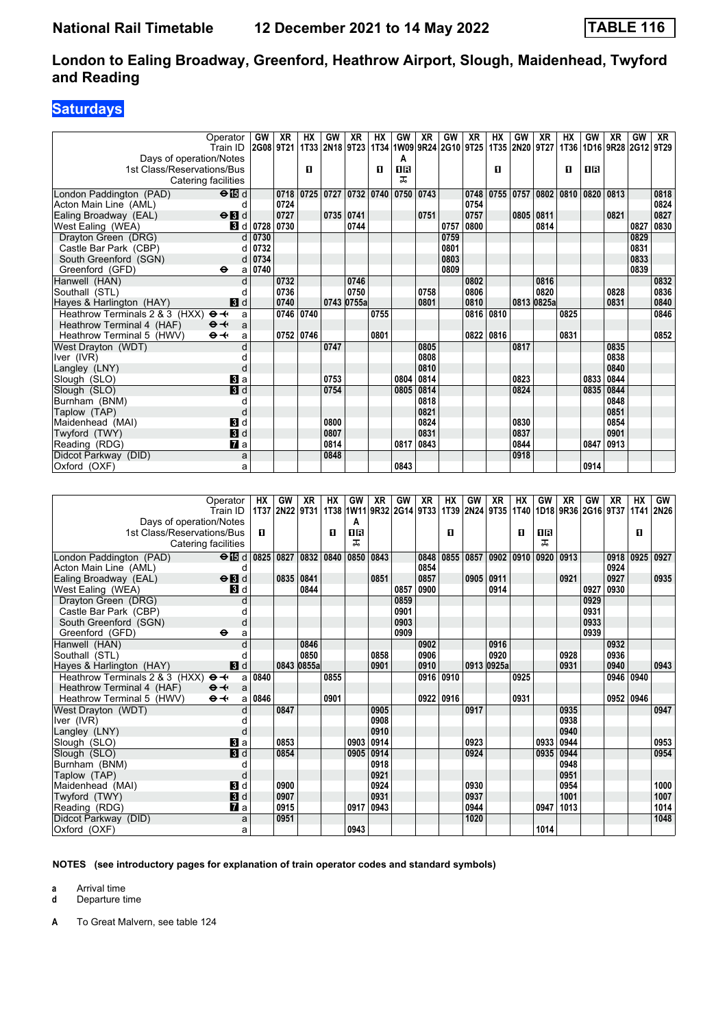## **Saturdays**

| 1T33 2N18 9T23<br>1T34 1W09 9R24 2G10 9T25<br>1T35 2N20 9T27<br>2G08 9T21<br><b>1T36</b><br>1D16 9R28 2G12 9T29<br>Train ID<br>Days of operation/Notes<br>A<br>1st Class/Reservations/Bus<br>$\mathbf{u}$<br>08<br><b>08</b><br>п<br>п<br>п<br>ᅚ<br>Catering facilities<br>$\Theta$ is d<br>0718<br>  0725   0727   0732   0740   0750   0743<br>0748<br>0755   0757   0802   0810  <br>0820 0813<br>0818<br>London Paddington (PAD)<br>0724<br>0754<br>0824<br>Acton Main Line (AML)<br>d<br>0727<br>0751<br>0757<br>0827<br>$\Theta$ <b>B</b> d<br>0735 0741<br>0805 0811<br>0821<br>Ealing Broadway (EAL)<br>0730<br>0744<br>0800<br>0827<br>0830<br>West Ealing (WEA)<br>3 d 0728<br>0757<br>0814<br>Drayton Green (DRG)<br>0730<br>0829<br>0759<br>$\mathsf{d}$<br>Castle Bar Park (CBP)<br>0732<br>0831<br>0801<br>d<br>0833<br>0734<br>0803<br>South Greenford (SGN)<br>d<br>a 0740<br>0809<br>0839<br>Greenford (GFD)<br>$\bullet$<br>Hanwell (HAN)<br>0732<br>0746<br>0802<br>0816<br>0832<br>0736<br>0820<br>0836<br>0750<br>0758<br>0806<br>0828<br>Southall (STL)<br>Hayes & Harlington (HAY)<br>0740<br>0801<br>0810<br>0813 0825a<br>0831<br>0840<br>$\mathbf{3}$ d<br>0743 0755a<br>0846<br>Heathrow Terminals 2 & 3 (HXX) $\Theta \rightarrow$<br>0746 0740<br>0816<br>0825<br>0755<br>0810<br>a<br>Heathrow Terminal 4 (HAF)<br>$\Theta +$<br>a<br>$\Theta +$<br>Heathrow Terminal 5 (HWV)<br>0752 0746<br>0801<br>0822 0816<br>0831<br>0852<br>a<br>0747<br>0805<br>0817<br>0835<br>West Dravton (WDT)<br>d<br>0808<br>0838<br>Iver (IVR)<br>0840<br>0810<br>Langley (LNY)<br>d<br>$\mathbf{B}$ a<br>0753<br>0804<br>0814<br>0823<br>0833<br>0844<br>Slough (SLO)<br>$\overline{\mathbf{B}}$ d<br>0844<br>0754<br>0814<br>0824<br>0835<br>Slough (SLO)<br>0805<br>0818<br>0848<br>Burnham (BNM)<br>C<br>0821<br>0851<br>Taplow (TAP)<br>d<br>0824<br>0854<br>0830<br>Maidenhead (MAI)<br>$\blacksquare$<br>0800<br>3d<br>0901<br>0831<br>0837<br>Twyford (TWY)<br>0807<br>Reading (RDG)<br>$\mathbf{z}$<br>0814<br>0817<br>0843<br>0844<br>0847<br>0913<br>0918<br>0848<br>a<br>0843<br>0914<br>a |                      | Operator | GW | XR | НX | GW | XR. | НX | <b>GW</b> | XR | GW | XR | НX | GW | XR | HХ | GW | XR | <b>GW</b> | XR |
|---------------------------------------------------------------------------------------------------------------------------------------------------------------------------------------------------------------------------------------------------------------------------------------------------------------------------------------------------------------------------------------------------------------------------------------------------------------------------------------------------------------------------------------------------------------------------------------------------------------------------------------------------------------------------------------------------------------------------------------------------------------------------------------------------------------------------------------------------------------------------------------------------------------------------------------------------------------------------------------------------------------------------------------------------------------------------------------------------------------------------------------------------------------------------------------------------------------------------------------------------------------------------------------------------------------------------------------------------------------------------------------------------------------------------------------------------------------------------------------------------------------------------------------------------------------------------------------------------------------------------------------------------------------------------------------------------------------------------------------------------------------------------------------------------------------------------------------------------------------------------------------------------------------------------------------------------------------------------------------------------------------------------------------------------------------------------------------------------------------------|----------------------|----------|----|----|----|----|-----|----|-----------|----|----|----|----|----|----|----|----|----|-----------|----|
|                                                                                                                                                                                                                                                                                                                                                                                                                                                                                                                                                                                                                                                                                                                                                                                                                                                                                                                                                                                                                                                                                                                                                                                                                                                                                                                                                                                                                                                                                                                                                                                                                                                                                                                                                                                                                                                                                                                                                                                                                                                                                                                     |                      |          |    |    |    |    |     |    |           |    |    |    |    |    |    |    |    |    |           |    |
|                                                                                                                                                                                                                                                                                                                                                                                                                                                                                                                                                                                                                                                                                                                                                                                                                                                                                                                                                                                                                                                                                                                                                                                                                                                                                                                                                                                                                                                                                                                                                                                                                                                                                                                                                                                                                                                                                                                                                                                                                                                                                                                     |                      |          |    |    |    |    |     |    |           |    |    |    |    |    |    |    |    |    |           |    |
|                                                                                                                                                                                                                                                                                                                                                                                                                                                                                                                                                                                                                                                                                                                                                                                                                                                                                                                                                                                                                                                                                                                                                                                                                                                                                                                                                                                                                                                                                                                                                                                                                                                                                                                                                                                                                                                                                                                                                                                                                                                                                                                     |                      |          |    |    |    |    |     |    |           |    |    |    |    |    |    |    |    |    |           |    |
|                                                                                                                                                                                                                                                                                                                                                                                                                                                                                                                                                                                                                                                                                                                                                                                                                                                                                                                                                                                                                                                                                                                                                                                                                                                                                                                                                                                                                                                                                                                                                                                                                                                                                                                                                                                                                                                                                                                                                                                                                                                                                                                     |                      |          |    |    |    |    |     |    |           |    |    |    |    |    |    |    |    |    |           |    |
|                                                                                                                                                                                                                                                                                                                                                                                                                                                                                                                                                                                                                                                                                                                                                                                                                                                                                                                                                                                                                                                                                                                                                                                                                                                                                                                                                                                                                                                                                                                                                                                                                                                                                                                                                                                                                                                                                                                                                                                                                                                                                                                     |                      |          |    |    |    |    |     |    |           |    |    |    |    |    |    |    |    |    |           |    |
|                                                                                                                                                                                                                                                                                                                                                                                                                                                                                                                                                                                                                                                                                                                                                                                                                                                                                                                                                                                                                                                                                                                                                                                                                                                                                                                                                                                                                                                                                                                                                                                                                                                                                                                                                                                                                                                                                                                                                                                                                                                                                                                     |                      |          |    |    |    |    |     |    |           |    |    |    |    |    |    |    |    |    |           |    |
|                                                                                                                                                                                                                                                                                                                                                                                                                                                                                                                                                                                                                                                                                                                                                                                                                                                                                                                                                                                                                                                                                                                                                                                                                                                                                                                                                                                                                                                                                                                                                                                                                                                                                                                                                                                                                                                                                                                                                                                                                                                                                                                     |                      |          |    |    |    |    |     |    |           |    |    |    |    |    |    |    |    |    |           |    |
|                                                                                                                                                                                                                                                                                                                                                                                                                                                                                                                                                                                                                                                                                                                                                                                                                                                                                                                                                                                                                                                                                                                                                                                                                                                                                                                                                                                                                                                                                                                                                                                                                                                                                                                                                                                                                                                                                                                                                                                                                                                                                                                     |                      |          |    |    |    |    |     |    |           |    |    |    |    |    |    |    |    |    |           |    |
|                                                                                                                                                                                                                                                                                                                                                                                                                                                                                                                                                                                                                                                                                                                                                                                                                                                                                                                                                                                                                                                                                                                                                                                                                                                                                                                                                                                                                                                                                                                                                                                                                                                                                                                                                                                                                                                                                                                                                                                                                                                                                                                     |                      |          |    |    |    |    |     |    |           |    |    |    |    |    |    |    |    |    |           |    |
|                                                                                                                                                                                                                                                                                                                                                                                                                                                                                                                                                                                                                                                                                                                                                                                                                                                                                                                                                                                                                                                                                                                                                                                                                                                                                                                                                                                                                                                                                                                                                                                                                                                                                                                                                                                                                                                                                                                                                                                                                                                                                                                     |                      |          |    |    |    |    |     |    |           |    |    |    |    |    |    |    |    |    |           |    |
|                                                                                                                                                                                                                                                                                                                                                                                                                                                                                                                                                                                                                                                                                                                                                                                                                                                                                                                                                                                                                                                                                                                                                                                                                                                                                                                                                                                                                                                                                                                                                                                                                                                                                                                                                                                                                                                                                                                                                                                                                                                                                                                     |                      |          |    |    |    |    |     |    |           |    |    |    |    |    |    |    |    |    |           |    |
|                                                                                                                                                                                                                                                                                                                                                                                                                                                                                                                                                                                                                                                                                                                                                                                                                                                                                                                                                                                                                                                                                                                                                                                                                                                                                                                                                                                                                                                                                                                                                                                                                                                                                                                                                                                                                                                                                                                                                                                                                                                                                                                     |                      |          |    |    |    |    |     |    |           |    |    |    |    |    |    |    |    |    |           |    |
|                                                                                                                                                                                                                                                                                                                                                                                                                                                                                                                                                                                                                                                                                                                                                                                                                                                                                                                                                                                                                                                                                                                                                                                                                                                                                                                                                                                                                                                                                                                                                                                                                                                                                                                                                                                                                                                                                                                                                                                                                                                                                                                     |                      |          |    |    |    |    |     |    |           |    |    |    |    |    |    |    |    |    |           |    |
|                                                                                                                                                                                                                                                                                                                                                                                                                                                                                                                                                                                                                                                                                                                                                                                                                                                                                                                                                                                                                                                                                                                                                                                                                                                                                                                                                                                                                                                                                                                                                                                                                                                                                                                                                                                                                                                                                                                                                                                                                                                                                                                     |                      |          |    |    |    |    |     |    |           |    |    |    |    |    |    |    |    |    |           |    |
|                                                                                                                                                                                                                                                                                                                                                                                                                                                                                                                                                                                                                                                                                                                                                                                                                                                                                                                                                                                                                                                                                                                                                                                                                                                                                                                                                                                                                                                                                                                                                                                                                                                                                                                                                                                                                                                                                                                                                                                                                                                                                                                     |                      |          |    |    |    |    |     |    |           |    |    |    |    |    |    |    |    |    |           |    |
|                                                                                                                                                                                                                                                                                                                                                                                                                                                                                                                                                                                                                                                                                                                                                                                                                                                                                                                                                                                                                                                                                                                                                                                                                                                                                                                                                                                                                                                                                                                                                                                                                                                                                                                                                                                                                                                                                                                                                                                                                                                                                                                     |                      |          |    |    |    |    |     |    |           |    |    |    |    |    |    |    |    |    |           |    |
|                                                                                                                                                                                                                                                                                                                                                                                                                                                                                                                                                                                                                                                                                                                                                                                                                                                                                                                                                                                                                                                                                                                                                                                                                                                                                                                                                                                                                                                                                                                                                                                                                                                                                                                                                                                                                                                                                                                                                                                                                                                                                                                     |                      |          |    |    |    |    |     |    |           |    |    |    |    |    |    |    |    |    |           |    |
|                                                                                                                                                                                                                                                                                                                                                                                                                                                                                                                                                                                                                                                                                                                                                                                                                                                                                                                                                                                                                                                                                                                                                                                                                                                                                                                                                                                                                                                                                                                                                                                                                                                                                                                                                                                                                                                                                                                                                                                                                                                                                                                     |                      |          |    |    |    |    |     |    |           |    |    |    |    |    |    |    |    |    |           |    |
|                                                                                                                                                                                                                                                                                                                                                                                                                                                                                                                                                                                                                                                                                                                                                                                                                                                                                                                                                                                                                                                                                                                                                                                                                                                                                                                                                                                                                                                                                                                                                                                                                                                                                                                                                                                                                                                                                                                                                                                                                                                                                                                     |                      |          |    |    |    |    |     |    |           |    |    |    |    |    |    |    |    |    |           |    |
|                                                                                                                                                                                                                                                                                                                                                                                                                                                                                                                                                                                                                                                                                                                                                                                                                                                                                                                                                                                                                                                                                                                                                                                                                                                                                                                                                                                                                                                                                                                                                                                                                                                                                                                                                                                                                                                                                                                                                                                                                                                                                                                     |                      |          |    |    |    |    |     |    |           |    |    |    |    |    |    |    |    |    |           |    |
|                                                                                                                                                                                                                                                                                                                                                                                                                                                                                                                                                                                                                                                                                                                                                                                                                                                                                                                                                                                                                                                                                                                                                                                                                                                                                                                                                                                                                                                                                                                                                                                                                                                                                                                                                                                                                                                                                                                                                                                                                                                                                                                     |                      |          |    |    |    |    |     |    |           |    |    |    |    |    |    |    |    |    |           |    |
|                                                                                                                                                                                                                                                                                                                                                                                                                                                                                                                                                                                                                                                                                                                                                                                                                                                                                                                                                                                                                                                                                                                                                                                                                                                                                                                                                                                                                                                                                                                                                                                                                                                                                                                                                                                                                                                                                                                                                                                                                                                                                                                     |                      |          |    |    |    |    |     |    |           |    |    |    |    |    |    |    |    |    |           |    |
|                                                                                                                                                                                                                                                                                                                                                                                                                                                                                                                                                                                                                                                                                                                                                                                                                                                                                                                                                                                                                                                                                                                                                                                                                                                                                                                                                                                                                                                                                                                                                                                                                                                                                                                                                                                                                                                                                                                                                                                                                                                                                                                     |                      |          |    |    |    |    |     |    |           |    |    |    |    |    |    |    |    |    |           |    |
|                                                                                                                                                                                                                                                                                                                                                                                                                                                                                                                                                                                                                                                                                                                                                                                                                                                                                                                                                                                                                                                                                                                                                                                                                                                                                                                                                                                                                                                                                                                                                                                                                                                                                                                                                                                                                                                                                                                                                                                                                                                                                                                     |                      |          |    |    |    |    |     |    |           |    |    |    |    |    |    |    |    |    |           |    |
|                                                                                                                                                                                                                                                                                                                                                                                                                                                                                                                                                                                                                                                                                                                                                                                                                                                                                                                                                                                                                                                                                                                                                                                                                                                                                                                                                                                                                                                                                                                                                                                                                                                                                                                                                                                                                                                                                                                                                                                                                                                                                                                     |                      |          |    |    |    |    |     |    |           |    |    |    |    |    |    |    |    |    |           |    |
|                                                                                                                                                                                                                                                                                                                                                                                                                                                                                                                                                                                                                                                                                                                                                                                                                                                                                                                                                                                                                                                                                                                                                                                                                                                                                                                                                                                                                                                                                                                                                                                                                                                                                                                                                                                                                                                                                                                                                                                                                                                                                                                     |                      |          |    |    |    |    |     |    |           |    |    |    |    |    |    |    |    |    |           |    |
|                                                                                                                                                                                                                                                                                                                                                                                                                                                                                                                                                                                                                                                                                                                                                                                                                                                                                                                                                                                                                                                                                                                                                                                                                                                                                                                                                                                                                                                                                                                                                                                                                                                                                                                                                                                                                                                                                                                                                                                                                                                                                                                     |                      |          |    |    |    |    |     |    |           |    |    |    |    |    |    |    |    |    |           |    |
|                                                                                                                                                                                                                                                                                                                                                                                                                                                                                                                                                                                                                                                                                                                                                                                                                                                                                                                                                                                                                                                                                                                                                                                                                                                                                                                                                                                                                                                                                                                                                                                                                                                                                                                                                                                                                                                                                                                                                                                                                                                                                                                     |                      |          |    |    |    |    |     |    |           |    |    |    |    |    |    |    |    |    |           |    |
|                                                                                                                                                                                                                                                                                                                                                                                                                                                                                                                                                                                                                                                                                                                                                                                                                                                                                                                                                                                                                                                                                                                                                                                                                                                                                                                                                                                                                                                                                                                                                                                                                                                                                                                                                                                                                                                                                                                                                                                                                                                                                                                     | Didcot Parkway (DID) |          |    |    |    |    |     |    |           |    |    |    |    |    |    |    |    |    |           |    |
|                                                                                                                                                                                                                                                                                                                                                                                                                                                                                                                                                                                                                                                                                                                                                                                                                                                                                                                                                                                                                                                                                                                                                                                                                                                                                                                                                                                                                                                                                                                                                                                                                                                                                                                                                                                                                                                                                                                                                                                                                                                                                                                     | Oxford (OXF)         |          |    |    |    |    |     |    |           |    |    |    |    |    |    |    |    |    |           |    |

| Operator                                              |                         | HХ                              | GW        | XR         | HX   | GW      | XR                               | GW   | XR   | HX   | GW   | XR          | HХ   | GW   | XR   | GW   | XR                                      | <b>HX</b> | GW<br>1T41 2N26 |
|-------------------------------------------------------|-------------------------|---------------------------------|-----------|------------|------|---------|----------------------------------|------|------|------|------|-------------|------|------|------|------|-----------------------------------------|-----------|-----------------|
| Train ID                                              |                         | <b>1T37</b>                     | 2N22 9T31 |            |      |         | 1T38   1W11   9R32   2G14   9T33 |      |      |      |      |             |      |      |      |      | 1T39 2N24 9T35 1T40 1D18 9R36 2G16 9T37 |           |                 |
| Days of operation/Notes<br>1st Class/Reservations/Bus |                         | п                               |           |            | п    | A<br>08 |                                  |      |      | п    |      |             | п    | 0 R  |      |      |                                         | п         |                 |
| Catering facilities                                   |                         |                                 |           |            |      | ᠼ       |                                  |      |      |      |      |             |      | ᠼ    |      |      |                                         |           |                 |
|                                                       |                         |                                 |           |            |      |         |                                  |      |      |      |      |             |      |      |      |      |                                         |           |                 |
| London Paddington (PAD)                               |                         | $\Theta$ $\overline{15}$ d 0825 | 0827      | 0832       | 0840 | 0850    | 0843                             |      | 0848 | 0855 | 0857 | 0902   0910 |      | 0920 | 0913 |      | 0918                                    |           | 0925 0927       |
| Acton Main Line (AML)                                 | d                       |                                 |           |            |      |         |                                  |      | 0854 |      |      |             |      |      |      |      | 0924                                    |           |                 |
| Ealing Broadway (EAL)                                 | $\Theta$ $\blacksquare$ |                                 | 0835      | 0841       |      |         | 0851                             |      | 0857 |      | 0905 | 0911        |      |      | 0921 |      | 0927                                    |           | 0935            |
| West Ealing (WEA)                                     | <b>B</b> d              |                                 |           | 0844       |      |         |                                  | 0857 | 0900 |      |      | 0914        |      |      |      | 0927 | 0930                                    |           |                 |
| Drayton Green (DRG)                                   |                         |                                 |           |            |      |         |                                  | 0859 |      |      |      |             |      |      |      | 0929 |                                         |           |                 |
| Castle Bar Park (CBP)                                 |                         |                                 |           |            |      |         |                                  | 0901 |      |      |      |             |      |      |      | 0931 |                                         |           |                 |
| South Greenford (SGN)                                 | d                       |                                 |           |            |      |         |                                  | 0903 |      |      |      |             |      |      |      | 0933 |                                         |           |                 |
| Greenford (GFD)<br>$\bullet$                          | a                       |                                 |           |            |      |         |                                  | 0909 |      |      |      |             |      |      |      | 0939 |                                         |           |                 |
| Hanwell (HAN)                                         |                         |                                 |           | 0846       |      |         |                                  |      | 0902 |      |      | 0916        |      |      |      |      | 0932                                    |           |                 |
| Southall (STL)                                        |                         |                                 |           | 0850       |      |         | 0858                             |      | 0906 |      |      | 0920        |      |      | 0928 |      | 0936                                    |           |                 |
| Hayes & Harlington (HAY)                              | <b>3</b> d              |                                 |           | 0843 0855a |      |         | 0901                             |      | 0910 |      |      | 0913 0925a  |      |      | 0931 |      | 0940                                    |           | 0943            |
| Heathrow Terminals 2 & 3 (HXX) $\Theta \rightarrow$   | a                       | 0840                            |           |            | 0855 |         |                                  |      | 0916 | 0910 |      |             | 0925 |      |      |      | 0946                                    | 0940      |                 |
| Heathrow Terminal 4 (HAF)<br>$\Theta +$               | a                       |                                 |           |            |      |         |                                  |      |      |      |      |             |      |      |      |      |                                         |           |                 |
| $\Theta +$<br>Heathrow Terminal 5 (HWV)               | al                      | 0846                            |           |            | 0901 |         |                                  |      | 0922 | 0916 |      |             | 0931 |      |      |      | 0952 0946                               |           |                 |
| West Drayton (WDT)                                    |                         |                                 | 0847      |            |      |         | 0905                             |      |      |      | 0917 |             |      |      | 0935 |      |                                         |           | 0947            |
| Iver (IVR)                                            |                         |                                 |           |            |      |         | 0908                             |      |      |      |      |             |      |      | 0938 |      |                                         |           |                 |
| Langley (LNY)                                         |                         |                                 |           |            |      |         | 0910                             |      |      |      |      |             |      |      | 0940 |      |                                         |           |                 |
| Slough (SLO)                                          | Вl a                    |                                 | 0853      |            |      | 0903    | 0914                             |      |      |      | 0923 |             |      | 0933 | 0944 |      |                                         |           | 0953            |
| Slough (SLO)                                          | <b>3</b> d              |                                 | 0854      |            |      | 0905    | 0914                             |      |      |      | 0924 |             |      | 0935 | 0944 |      |                                         |           | 0954            |
| Burnham (BNM)                                         |                         |                                 |           |            |      |         | 0918                             |      |      |      |      |             |      |      | 0948 |      |                                         |           |                 |
| Taplow (TAP)                                          | d                       |                                 |           |            |      |         | 0921                             |      |      |      |      |             |      |      | 0951 |      |                                         |           |                 |
| Maidenhead (MAI)                                      | 3d                      |                                 | 0900      |            |      |         | 0924                             |      |      |      | 0930 |             |      |      | 0954 |      |                                         |           | 1000            |
| Twyford (TWY)                                         | $\blacksquare$          |                                 | 0907      |            |      |         | 0931                             |      |      |      | 0937 |             |      |      | 1001 |      |                                         |           | 1007            |
| Reading (RDG)                                         | <b>7</b> a              |                                 | 0915      |            |      | 0917    | 0943                             |      |      |      | 0944 |             |      | 0947 | 1013 |      |                                         |           | 1014            |
| Didcot Parkway (DID)                                  | a                       |                                 | 0951      |            |      |         |                                  |      |      |      | 1020 |             |      |      |      |      |                                         |           | 1048            |
| Oxford (OXF)                                          | a                       |                                 |           |            |      | 0943    |                                  |      |      |      |      |             |      | 1014 |      |      |                                         |           |                 |

**NOTES (see introductory pages for explanation of train operator codes and standard symbols)**

**a** Arrival time

**d** Departure time

**A** To Great Malvern, see table 124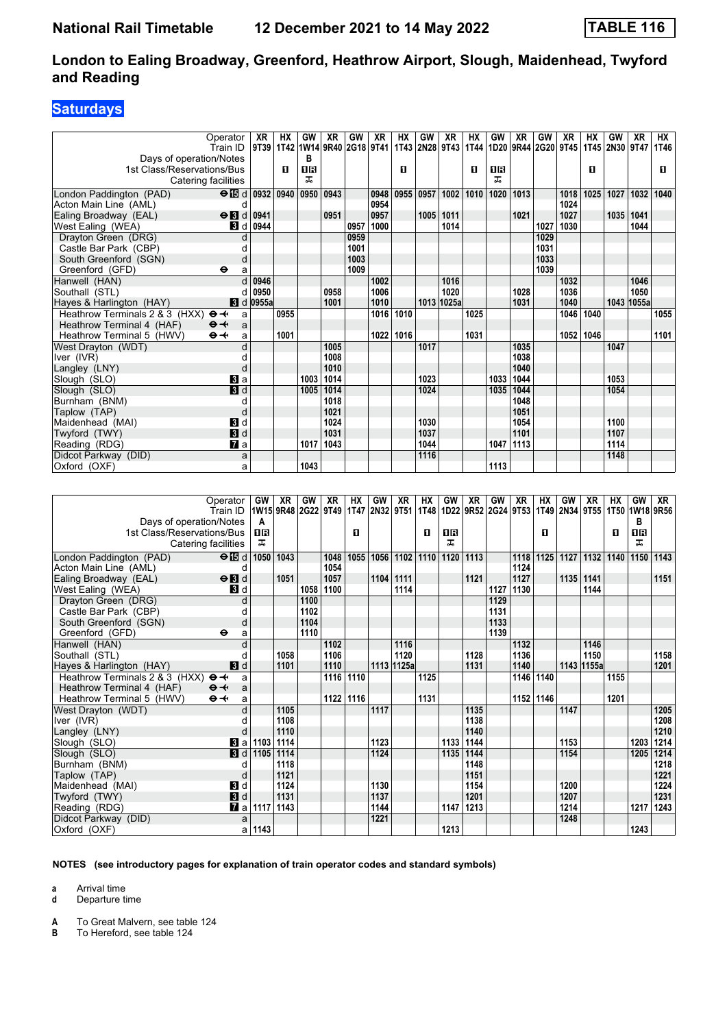## **Saturdays**

|                                                     | Operator                     | XR                                     | НX   | GW        | XR   | GW   | XR   | НX        | GW   | XR             | НX   | GW   | XR          | GW                  | XR   | HХ   | GW             | XR         | HX   |
|-----------------------------------------------------|------------------------------|----------------------------------------|------|-----------|------|------|------|-----------|------|----------------|------|------|-------------|---------------------|------|------|----------------|------------|------|
|                                                     | Train ID                     | 9T39   1T42  1W14   9R40   2G18   9T41 |      |           |      |      |      |           |      | 1T43 2N28 9T43 | 1T44 |      |             | 1D20 9R44 2G20 9T45 |      |      | 1T45 2N30 9T47 |            | 1T46 |
| Days of operation/Notes                             |                              |                                        |      | в         |      |      |      |           |      |                |      |      |             |                     |      |      |                |            |      |
| 1st Class/Reservations/Bus                          |                              |                                        | п    | <b>OB</b> |      |      |      | п         |      |                | п    | OR   |             |                     |      | п    |                |            | п    |
|                                                     | Catering facilities          |                                        |      | ᅚ         |      |      |      |           |      |                |      | ᅚ    |             |                     |      |      |                |            |      |
| London Paddington (PAD)                             | $\Theta$ is d 0932 0940 0950 |                                        |      |           | 0943 |      | 0948 | 0955      | 0957 | 1002           | 1010 |      | 1020   1013 |                     | 1018 | 1025 | 1027           | 1032       | 1040 |
| Acton Main Line (AML)                               | d                            |                                        |      |           |      |      | 0954 |           |      |                |      |      |             |                     | 1024 |      |                |            |      |
| Ealing Broadway (EAL)                               | $\Theta$ <b>B</b> d          | 0941                                   |      |           | 0951 |      | 0957 |           | 1005 | 1011           |      |      | 1021        |                     | 1027 |      | 1035           | 1041       |      |
| West Ealing (WEA)                                   | <b>3</b> d                   | 0944                                   |      |           |      | 0957 | 1000 |           |      | 1014           |      |      |             | 1027                | 1030 |      |                | 1044       |      |
| Drayton Green (DRG)                                 | d                            |                                        |      |           |      | 0959 |      |           |      |                |      |      |             | 1029                |      |      |                |            |      |
| Castle Bar Park (CBP)                               |                              |                                        |      |           |      | 1001 |      |           |      |                |      |      |             | 1031                |      |      |                |            |      |
| South Greenford (SGN)                               | d                            |                                        |      |           |      | 1003 |      |           |      |                |      |      |             | 1033                |      |      |                |            |      |
| Greenford (GFD)                                     | $\bullet$<br>a               |                                        |      |           |      | 1009 |      |           |      |                |      |      |             | 1039                |      |      |                |            |      |
| Hanwell (HAN)                                       |                              | 0946                                   |      |           |      |      | 1002 |           |      | 1016           |      |      |             |                     | 1032 |      |                | 1046       |      |
| Southall (STL)                                      |                              | 0950                                   |      |           | 0958 |      | 1006 |           |      | 1020           |      |      | 1028        |                     | 1036 |      |                | 1050       |      |
| Hayes & Harlington (HAY)                            |                              | <b>8</b> d 0955a                       |      |           | 1001 |      | 1010 |           |      | 1013 1025a     |      |      | 1031        |                     | 1040 |      |                | 1043 1055a |      |
| Heathrow Terminals 2 & 3 (HXX) $\Theta \rightarrow$ | a                            |                                        | 0955 |           |      |      |      | 1016 1010 |      |                | 1025 |      |             |                     | 1046 | 1040 |                |            | 1055 |
| Heathrow Terminal 4 (HAF)                           | $\Theta +$<br>a              |                                        |      |           |      |      |      |           |      |                |      |      |             |                     |      |      |                |            |      |
| Heathrow Terminal 5 (HWV)                           | $\Theta +$<br>a              |                                        | 1001 |           |      |      | 1022 | 1016      |      |                | 1031 |      |             |                     | 1052 | 1046 |                |            | 1101 |
| West Dravton (WDT)                                  |                              |                                        |      |           | 1005 |      |      |           | 1017 |                |      |      | 1035        |                     |      |      | 1047           |            |      |
| Iver (IVR)                                          |                              |                                        |      |           | 1008 |      |      |           |      |                |      |      | 1038        |                     |      |      |                |            |      |
| Langley (LNY)                                       | d                            |                                        |      |           | 1010 |      |      |           |      |                |      |      | 1040        |                     |      |      |                |            |      |
| Slough (SLO)                                        | $\bf{B}$ a                   |                                        |      | 1003      | 1014 |      |      |           | 1023 |                |      |      | 1033 1044   |                     |      |      | 1053           |            |      |
| Slough (SLO)                                        | 3d                           |                                        |      | 1005      | 1014 |      |      |           | 1024 |                |      | 1035 | 1044        |                     |      |      | 1054           |            |      |
| Burnham (BNM)                                       | $\epsilon$                   |                                        |      |           | 1018 |      |      |           |      |                |      |      | 1048        |                     |      |      |                |            |      |
| Taplow (TAP)                                        | d                            |                                        |      |           | 1021 |      |      |           |      |                |      |      | 1051        |                     |      |      |                |            |      |
| Maidenhead (MAI)                                    | $\blacksquare$               |                                        |      |           | 1024 |      |      |           | 1030 |                |      |      | 1054        |                     |      |      | 1100           |            |      |
| Twyford (TWY)                                       | 3d                           |                                        |      |           | 1031 |      |      |           | 1037 |                |      |      | 1101        |                     |      |      | 1107           |            |      |
| Reading (RDG)                                       | <b>7</b> a                   |                                        |      | 1017      | 1043 |      |      |           | 1044 |                |      |      | 1047 1113   |                     |      |      | 1114           |            |      |
| Didcot Parkway (DID)                                | a                            |                                        |      |           |      |      |      |           | 1116 |                |      |      |             |                     |      |      | 1148           |            |      |
| Oxford (OXF)                                        | a                            |                                        |      | 1043      |      |      |      |           |      |                |      | 1113 |             |                     |      |      |                |            |      |

|                                                     | Operator<br>Train ID      | GW<br>1W15 9R48 2G22 9T49 | XR   | GW   | <b>XR</b>    | <b>HX</b> | GW<br>1T47 2N32 9T51 | XR         | НX   | GW   | <b>XR</b> | GW   | XR<br> 1T48   1D22   9R52   2G24   9T53   1T49   2N34   9T55 | HХ   | GW        | <b>XR</b>  | <b>HX</b><br>1T50 1W18 9R56 | GW   | <b>XR</b> |
|-----------------------------------------------------|---------------------------|---------------------------|------|------|--------------|-----------|----------------------|------------|------|------|-----------|------|--------------------------------------------------------------|------|-----------|------------|-----------------------------|------|-----------|
| Days of operation/Notes                             |                           | A                         |      |      |              |           |                      |            |      |      |           |      |                                                              |      |           |            |                             | в    |           |
| 1st Class/Reservations/Bus                          |                           | 18                        |      |      |              | п         |                      |            | п    | 0B   |           |      |                                                              | п    |           |            | п                           | 18   |           |
| Catering facilities                                 |                           | ᠼ                         |      |      |              |           |                      |            |      | ᠼ    |           |      |                                                              |      |           |            |                             | ᅚ    |           |
|                                                     |                           |                           |      |      |              |           |                      |            |      |      |           |      |                                                              |      |           |            |                             |      |           |
| London Paddington (PAD)                             | $\Theta$ $\blacksquare$ d | 1050                      | 1043 |      | 1048         | 1055      | 1056                 | 1102       | 1110 | 1120 | 1113      |      | 1118<br>1124                                                 | 1125 | 1127      | 1132       | 1140                        |      | 1150 1143 |
| Acton Main Line (AML)                               | d                         |                           |      |      | 1054<br>1057 |           |                      |            |      |      |           |      |                                                              |      |           |            |                             |      |           |
| Ealing Broadway (EAL)                               | $\Theta$ $\blacksquare$   |                           | 1051 |      |              |           |                      | 1104 1111  |      |      | 1121      | 1127 | 1127                                                         |      | 1135 1141 | 1144       |                             |      | 1151      |
| West Ealing (WEA)                                   | <b>B</b> d                |                           |      | 1058 | 1100         |           |                      | 1114       |      |      |           |      | 1130                                                         |      |           |            |                             |      |           |
| Drayton Green (DRG)                                 | d                         |                           |      | 1100 |              |           |                      |            |      |      |           | 1129 |                                                              |      |           |            |                             |      |           |
| Castle Bar Park (CBP)                               |                           |                           |      | 1102 |              |           |                      |            |      |      |           | 1131 |                                                              |      |           |            |                             |      |           |
| South Greenford (SGN)                               | d                         |                           |      | 1104 |              |           |                      |            |      |      |           | 1133 |                                                              |      |           |            |                             |      |           |
| Greenford (GFD)                                     | $\ddot{\mathbf{e}}$<br>a  |                           |      | 1110 |              |           |                      |            |      |      |           | 1139 |                                                              |      |           |            |                             |      |           |
| Hanwell (HAN)                                       |                           |                           |      |      | 1102         |           |                      | 1116       |      |      |           |      | 1132                                                         |      |           | 1146       |                             |      |           |
| Southall (STL)                                      |                           |                           | 1058 |      | 1106         |           |                      | 1120       |      |      | 1128      |      | 1136                                                         |      |           | 1150       |                             |      | 1158      |
| Hayes & Harlington (HAY)                            | <b>3</b> d                |                           | 1101 |      | 1110         |           |                      | 1113 1125a |      |      | 1131      |      | 1140                                                         |      |           | 1143 1155a |                             |      | 1201      |
| Heathrow Terminals 2 & 3 (HXX) $\Theta \rightarrow$ | a                         |                           |      |      | 1116         | 1110      |                      |            | 1125 |      |           |      | 1146 1140                                                    |      |           |            | 1155                        |      |           |
| Heathrow Terminal 4 (HAF)                           | $\Theta +$<br>a           |                           |      |      |              |           |                      |            |      |      |           |      |                                                              |      |           |            |                             |      |           |
| Heathrow Terminal 5 (HWV)                           | $\Theta +$<br>a           |                           |      |      | 1122 1116    |           |                      |            | 1131 |      |           |      | 1152                                                         | 1146 |           |            | 1201                        |      |           |
| West Drayton (WDT)                                  |                           |                           | 1105 |      |              |           | 1117                 |            |      |      | 1135      |      |                                                              |      | 1147      |            |                             |      | 1205      |
| Iver (IVR)                                          |                           |                           | 1108 |      |              |           |                      |            |      |      | 1138      |      |                                                              |      |           |            |                             |      | 1208      |
| Langley (LNY)                                       |                           |                           | 1110 |      |              |           |                      |            |      |      | 1140      |      |                                                              |      |           |            |                             |      | 1210      |
| Slough (SLO)                                        | $ 3 $ a                   | 1103                      | 1114 |      |              |           | 1123                 |            |      | 1133 | 1144      |      |                                                              |      | 1153      |            |                             | 1203 | 1214      |
| Slough (SLO)                                        | 3d                        | 1105                      | 1114 |      |              |           | 1124                 |            |      | 1135 | 1144      |      |                                                              |      | 1154      |            |                             | 1205 | 1214      |
| Burnham (BNM)                                       |                           |                           | 1118 |      |              |           |                      |            |      |      | 1148      |      |                                                              |      |           |            |                             |      | 1218      |
| Taplow (TAP)                                        | d                         |                           | 1121 |      |              |           |                      |            |      |      | 1151      |      |                                                              |      |           |            |                             |      | 1221      |
| Maidenhead (MAI)                                    | <b>3</b> d                |                           | 1124 |      |              |           | 1130                 |            |      |      | 1154      |      |                                                              |      | 1200      |            |                             |      | 1224      |
| Twyford (TWY)                                       | 3d                        |                           | 1131 |      |              |           | 1137                 |            |      |      | 1201      |      |                                                              |      | 1207      |            |                             |      | 1231      |
| Reading (RDG)                                       | $\mathbf{7}$ a            | 1117                      | 1143 |      |              |           | 1144                 |            |      | 1147 | 1213      |      |                                                              |      | 1214      |            |                             | 1217 | 1243      |
| Didcot Parkway (DID)                                | a                         |                           |      |      |              |           | 1221                 |            |      |      |           |      |                                                              |      | 1248      |            |                             |      |           |
| Oxford (OXF)                                        |                           | a 1143                    |      |      |              |           |                      |            |      | 1213 |           |      |                                                              |      |           |            |                             | 1243 |           |

#### **NOTES (see introductory pages for explanation of train operator codes and standard symbols)**

**a** Arrival time

**d** Departure time

**A** To Great Malvern, see table 124<br>**B** To Hereford, see table 124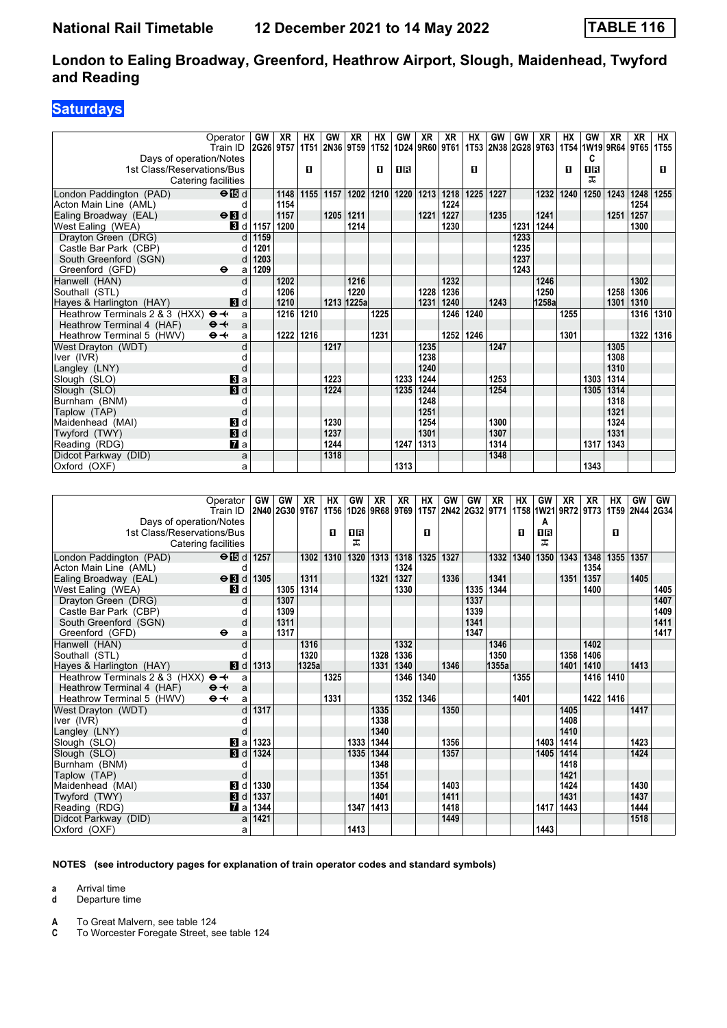## **Saturdays**

|                                | Operator                  | GW        | XR   | НX        | GW   | XR         | НX        | GW                                 | XR        | <b>XR</b> | НX   | <b>GW</b> | GW        | XR                                      | HX        | GW        | <b>XR</b> | <b>XR</b> | HX          |
|--------------------------------|---------------------------|-----------|------|-----------|------|------------|-----------|------------------------------------|-----------|-----------|------|-----------|-----------|-----------------------------------------|-----------|-----------|-----------|-----------|-------------|
|                                | Train ID                  | 2G26 9T57 |      |           |      |            |           | 1T51 2N36 9T59 1T52 1D24 9R60 9T61 |           |           |      |           |           | 1T53 2N38 2G28 9T63 1T54 1W19 9R64 9T65 |           |           |           |           | <b>1T55</b> |
| Days of operation/Notes        |                           |           |      |           |      |            |           |                                    |           |           |      |           |           |                                         |           | C         |           |           |             |
| 1st Class/Reservations/Bus     |                           |           |      | п         |      |            | П         | 0 B                                |           |           | п    |           |           |                                         | O         | <b>08</b> |           |           | п           |
|                                | Catering facilities       |           |      |           |      |            |           |                                    |           |           |      |           |           |                                         |           | ᠼ         |           |           |             |
| London Paddington (PAD)        | $\Theta$ is d             |           | 1148 | 1155      | 1157 | 1202       |           | 1210 1220                          | 1213      | 1218      | 1225 | 1227      |           | 1232                                    | 1240      | 1250      | 1243      | 1248      | 1255        |
| Acton Main Line (AML)          | d                         |           | 1154 |           |      |            |           |                                    |           | 1224      |      |           |           |                                         |           |           |           | 1254      |             |
| Ealing Broadway (EAL)          | $\Theta$ <b>B</b> d       |           | 1157 |           | 1205 | 1211       |           |                                    | 1221      | 1227      |      | 1235      |           | 1241                                    |           |           | 1251      | 1257      |             |
| West Ealing (WEA)              | 3d                        | 1157      | 1200 |           |      | 1214       |           |                                    |           | 1230      |      |           | 1231      | 1244                                    |           |           |           | 1300      |             |
| Dravton Green (DRG)            | d                         | 1159      |      |           |      |            |           |                                    |           |           |      |           | 1233      |                                         |           |           |           |           |             |
| Castle Bar Park (CBP)          | d                         | 1201      |      |           |      |            |           |                                    |           |           |      |           | 1235      |                                         |           |           |           |           |             |
| South Greenford (SGN)          | d                         | 1203      |      |           |      |            |           |                                    |           |           |      |           | 1237      |                                         |           |           |           |           |             |
| Greenford (GFD)                | $\bullet$<br>a            | 1209      |      |           |      |            |           |                                    |           |           |      |           | 1243      |                                         |           |           |           |           |             |
| Hanwell (HAN)                  | d                         |           | 1202 |           |      | 1216       |           |                                    |           | 1232      |      |           |           | 1246                                    |           |           |           | 1302      |             |
| Southall (STL)                 | d                         |           | 1206 |           |      | 1220       |           |                                    | 1228      | 1236      |      |           |           | 1250                                    |           |           | 1258      | 1306      |             |
| Hayes & Harlington (HAY)       | 3d                        |           | 1210 |           |      | 1213 1225a |           |                                    | 1231      | 1240      |      | 1243      |           | 1258a                                   |           |           | 1301      | 1310      |             |
| Heathrow Terminals 2 & 3 (HXX) | $\mathbf{\Theta}$<br>a    |           |      | 1216 1210 |      |            | 1225      |                                    |           | 1246      | 1240 |           |           |                                         | 1255      |           |           |           | 1316 1310   |
| Heathrow Terminal 4 (HAF)      | $\Theta +$<br>a           |           |      |           |      |            |           |                                    |           |           |      |           |           |                                         |           |           |           |           |             |
| Heathrow Terminal 5 (HWV)      | $\Theta +$<br>a           |           | 1222 | 1216      |      |            | 1231      |                                    |           | 1252      | 1246 |           |           |                                         | 1301      |           |           | 1322      | 1316        |
| West Drayton (WDT)             | d                         |           |      |           | 1217 |            |           |                                    | 1235      |           |      | 1247      |           |                                         |           |           | 1305      |           |             |
| Iver (IVR)                     | d                         |           |      |           |      |            |           |                                    | 1238      |           |      |           |           |                                         |           |           | 1308      |           |             |
| Langley (LNY)                  | d                         |           |      |           |      |            |           |                                    | 1240      |           |      |           |           |                                         |           |           | 1310      |           |             |
| Slough (SLO)                   | a                         |           |      |           | 1223 |            |           | 1233                               | 1244      |           |      | 1253      |           |                                         |           | 1303      | 1314      |           |             |
| Slough (SLO)                   | $\overline{\mathbf{3}}$ d |           |      |           | 1224 |            |           | 1235                               | 1244      |           |      | 1254      |           |                                         |           | 1305      | 1314      |           |             |
| Burnham (BNM)                  | d                         |           |      |           |      |            |           |                                    | 1248      |           |      |           |           |                                         |           |           | 1318      |           |             |
| Taplow (TAP)                   | d                         |           |      |           |      |            |           |                                    | 1251      |           |      |           |           |                                         |           |           | 1321      |           |             |
| Maidenhead (MAI)               | <b>3</b> d                |           |      |           | 1230 |            |           |                                    | 1254      |           |      | 1300      |           |                                         |           |           | 1324      |           |             |
| Twyford (TWY)                  | 3d                        |           |      |           | 1237 |            |           |                                    | 1301      |           |      | 1307      |           |                                         |           |           | 1331      |           |             |
| Reading (RDG)                  | <b>7</b> a                |           |      |           | 1244 |            |           | 1247                               | 1313      |           |      | 1314      |           |                                         |           | 1317      | 1343      |           |             |
| Didcot Parkway (DID)           | a                         |           |      |           | 1318 |            |           |                                    |           |           |      | 1348      |           |                                         |           |           |           |           |             |
| Oxford (OXF)                   | a                         |           |      |           |      |            |           | 1313                               |           |           |      |           |           |                                         |           | 1343      |           |           |             |
|                                |                           |           |      |           |      |            |           |                                    |           |           |      |           |           |                                         |           |           |           |           |             |
|                                | Operator                  | <b>GW</b> | GW   | <b>XR</b> | HX   | GW         | <b>XR</b> | <b>XR</b>                          | <b>HX</b> | GW        | GW   | <b>XR</b> | <b>HX</b> | GW                                      | <b>XR</b> | <b>XR</b> | <b>HX</b> | GW        | <b>GW</b>   |
|                                | Train ID                  |           |      |           |      |            |           |                                    |           |           |      |           |           |                                         |           |           |           |           |             |

|                                | Train ID             |                  |      |       |      |      |      |      |      |      |      |        |      |      |      |           |      |      | 2014  2030  20167 1756  2026  2026  2020  2020  2020  2032  2071  2032  2021  2022  2073  2020  2020 |
|--------------------------------|----------------------|------------------|------|-------|------|------|------|------|------|------|------|--------|------|------|------|-----------|------|------|------------------------------------------------------------------------------------------------------|
| Days of operation/Notes        |                      |                  |      |       |      |      |      |      |      |      |      |        |      | A    |      |           |      |      |                                                                                                      |
| 1st Class/Reservations/Bus     |                      |                  |      |       | п    | 0 R  |      |      | п    |      |      |        | п    | 0 R  |      |           | п    |      |                                                                                                      |
| Catering facilities            |                      |                  |      |       |      | ᇁ    |      |      |      |      |      |        |      | ㅈ    |      |           |      |      |                                                                                                      |
| London Paddington (PAD)        | $\Theta$ id d   1257 |                  |      | 1302  | 1310 | 1320 | 1313 | 1318 | 1325 | 1327 |      | 1332   | 1340 | 1350 | 1343 | 1348      | 1355 | 1357 |                                                                                                      |
| Acton Main Line (AML)          |                      |                  |      |       |      |      |      | 1324 |      |      |      |        |      |      |      | 1354      |      |      |                                                                                                      |
| Ealing Broadway (EAL)          | $\Theta$ 3 d 1305    |                  |      | 1311  |      |      | 1321 | 1327 |      | 1336 |      | 1341   |      |      | 1351 | 1357      |      | 1405 |                                                                                                      |
| West Ealing (WEA)              | <b>3</b> d           |                  | 1305 | 1314  |      |      |      | 1330 |      |      | 1335 | 1344   |      |      |      | 1400      |      |      | 1405                                                                                                 |
| Drayton Green (DRG)            |                      |                  | 1307 |       |      |      |      |      |      |      | 1337 |        |      |      |      |           |      |      | 1407                                                                                                 |
| Castle Bar Park (CBP)          |                      |                  | 1309 |       |      |      |      |      |      |      | 1339 |        |      |      |      |           |      |      | 1409                                                                                                 |
| South Greenford (SGN)          | d                    |                  | 1311 |       |      |      |      |      |      |      | 1341 |        |      |      |      |           |      |      | 1411                                                                                                 |
| Greenford (GFD)                | $\bullet$<br>a       |                  | 1317 |       |      |      |      |      |      |      | 1347 |        |      |      |      |           |      |      | 1417                                                                                                 |
| Hanwell (HAN)                  |                      |                  |      | 1316  |      |      |      | 1332 |      |      |      | 1346   |      |      |      | 1402      |      |      |                                                                                                      |
| Southall (STL)                 |                      |                  |      | 1320  |      |      | 1328 | 1336 |      |      |      | 1350   |      |      | 1358 | 1406      |      |      |                                                                                                      |
| Hayes & Harlington (HAY)       | 3d                   | 1313             |      | 1325a |      |      | 1331 | 1340 |      | 1346 |      | 1355al |      |      | 1401 | 1410      |      | 1413 |                                                                                                      |
| Heathrow Terminals 2 & 3 (HXX) | $\Theta +$<br>a      |                  |      |       | 1325 |      |      | 1346 | 1340 |      |      |        | 1355 |      |      | 1416 1410 |      |      |                                                                                                      |
| Heathrow Terminal 4 (HAF)      | $\Theta +$<br>a      |                  |      |       |      |      |      |      |      |      |      |        |      |      |      |           |      |      |                                                                                                      |
| Heathrow Terminal 5 (HWV)      | $\Theta +$<br>a      |                  |      |       | 1331 |      |      | 1352 | 1346 |      |      |        | 1401 |      |      | 1422      | 1416 |      |                                                                                                      |
| West Drayton (WDT)             |                      | 1317             |      |       |      |      | 1335 |      |      | 1350 |      |        |      |      | 1405 |           |      | 1417 |                                                                                                      |
| Iver (IVR)                     |                      |                  |      |       |      |      | 1338 |      |      |      |      |        |      |      | 1408 |           |      |      |                                                                                                      |
| Langley (LNY)                  |                      |                  |      |       |      |      | 1340 |      |      |      |      |        |      |      | 1410 |           |      |      |                                                                                                      |
| Slough (SLO)                   | Bl a l               | 1323             |      |       |      | 1333 | 1344 |      |      | 1356 |      |        |      | 1403 | 1414 |           |      | 1423 |                                                                                                      |
| Slough (SLO)                   | $\blacksquare$       | 1324             |      |       |      | 1335 | 1344 |      |      | 1357 |      |        |      | 1405 | 1414 |           |      | 1424 |                                                                                                      |
| Burnham (BNM)                  |                      |                  |      |       |      |      | 1348 |      |      |      |      |        |      |      | 1418 |           |      |      |                                                                                                      |
| Taplow (TAP)                   |                      |                  |      |       |      |      | 1351 |      |      |      |      |        |      |      | 1421 |           |      |      |                                                                                                      |
| Maidenhead (MAI)               | 3d                   | 1330             |      |       |      |      | 1354 |      |      | 1403 |      |        |      |      | 1424 |           |      | 1430 |                                                                                                      |
| Twyford (TWY)                  |                      | $\vert$ d   1337 |      |       |      |      | 1401 |      |      | 1411 |      |        |      |      | 1431 |           |      | 1437 |                                                                                                      |
| Reading (RDG)                  | <b>7</b> a           | 1344             |      |       |      | 1347 | 1413 |      |      | 1418 |      |        |      | 1417 | 1443 |           |      | 1444 |                                                                                                      |
| Didcot Parkway (DID)           | a                    | 1421             |      |       |      |      |      |      |      | 1449 |      |        |      |      |      |           |      | 1518 |                                                                                                      |
| Oxford (OXF)                   | a                    |                  |      |       |      | 1413 |      |      |      |      |      |        |      | 1443 |      |           |      |      |                                                                                                      |

#### **NOTES (see introductory pages for explanation of train operator codes and standard symbols)**

**a** Arrival time

**d** Departure time

**A** To Great Malvern, see table 124<br>**C** To Worcester Foregate Street, se

**C** To Worcester Foregate Street, see table 124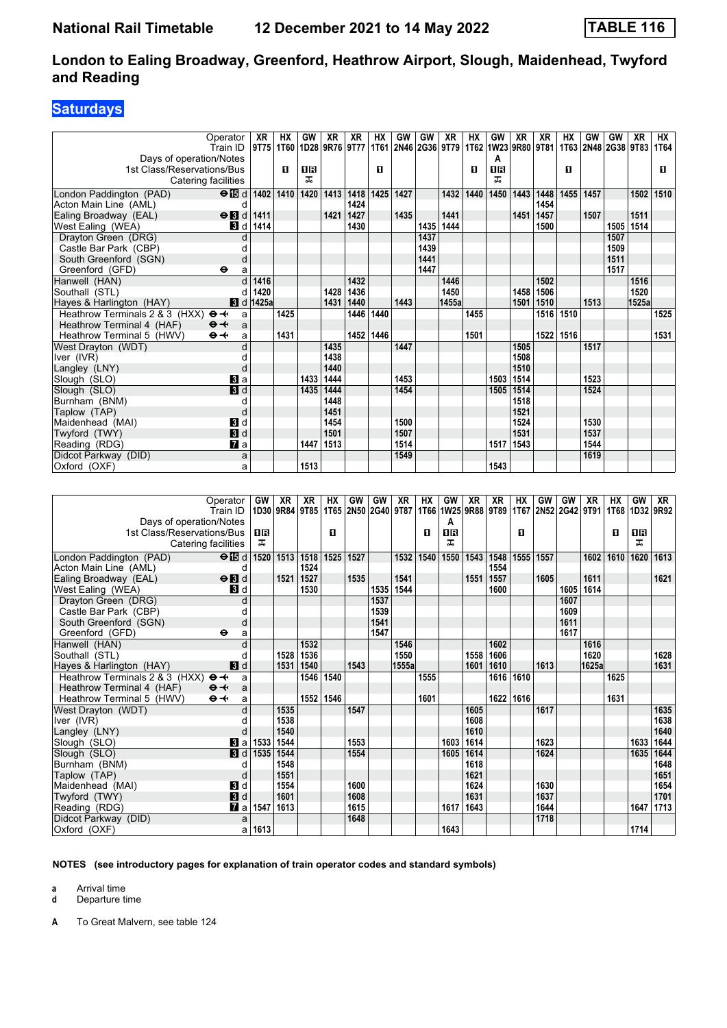## **Saturdays**

| Operator                                     | XR                          | HХ                               | GW   | XR                | XR   | HХ   | GW   | GW   | <b>XR</b>           | НX   | GW   | XR   | XR                  | НX        | GW   | GW             | XR    | HX   |
|----------------------------------------------|-----------------------------|----------------------------------|------|-------------------|------|------|------|------|---------------------|------|------|------|---------------------|-----------|------|----------------|-------|------|
| Train ID                                     |                             | 9T75   1T60   1D28   9R76   9T77 |      |                   |      |      |      |      | 1T61 2N46 2G36 9T79 |      |      |      | 1T62 1W23 9R80 9T81 | 1T63      |      | 2N48 2G38 9T83 |       | 1T64 |
| Days of operation/Notes                      |                             |                                  |      |                   |      |      |      |      |                     |      | Α    |      |                     |           |      |                |       |      |
| 1st Class/Reservations/Bus                   |                             | п                                | 0 B  |                   |      | п    |      |      |                     | п    | 0B   |      |                     | п         |      |                |       | п    |
| Catering facilities                          |                             |                                  | ᠼ    |                   |      |      |      |      |                     |      | ᅚ    |      |                     |           |      |                |       |      |
| London Paddington (PAD)                      | $\Theta$ is d   1402   1410 |                                  | 1420 | $\overline{1413}$ | 1418 | 1425 | 1427 |      | 1432                | 1440 | 1450 | 1443 | 1448                | 1455      | 1457 |                | 1502  | 1510 |
| Acton Main Line (AML)                        | d                           |                                  |      |                   | 1424 |      |      |      |                     |      |      |      | 1454                |           |      |                |       |      |
| $\Theta$ <b>R</b> d<br>Ealing Broadway (EAL) | 1411                        |                                  |      | 1421              | 1427 |      | 1435 |      | 1441                |      |      | 1451 | 1457                |           | 1507 |                | 1511  |      |
| West Ealing (WEA)<br>3d                      | 1414                        |                                  |      |                   | 1430 |      |      | 1435 | 1444                |      |      |      | 1500                |           |      | 1505           | 1514  |      |
| Drayton Green (DRG)                          | C                           |                                  |      |                   |      |      |      | 1437 |                     |      |      |      |                     |           |      | 1507           |       |      |
| Castle Bar Park (CBP)                        |                             |                                  |      |                   |      |      |      | 1439 |                     |      |      |      |                     |           |      | 1509           |       |      |
| South Greenford (SGN)                        | d                           |                                  |      |                   |      |      |      | 1441 |                     |      |      |      |                     |           |      | 1511           |       |      |
| Greenford (GFD)<br>$\bullet$                 | a                           |                                  |      |                   |      |      |      | 1447 |                     |      |      |      |                     |           |      | 1517           |       |      |
| Hanwell (HAN)                                | 1416                        |                                  |      |                   | 1432 |      |      |      | 1446                |      |      |      | 1502                |           |      |                | 1516  |      |
| Southall (STL)                               | 1420<br>d                   |                                  |      | 1428              | 1436 |      |      |      | 1450                |      |      | 1458 | 1506                |           |      |                | 1520  |      |
| Hayes & Harlington (HAY)                     | <b>8</b> d 1425a            |                                  |      | 1431              | 1440 |      | 1443 |      | 1455a               |      |      | 1501 | 1510                |           | 1513 |                | 1525a |      |
| Heathrow Terminals 2 & 3 (HXX)<br>$\Theta +$ | a                           | 1425                             |      |                   | 1446 | 1440 |      |      |                     | 1455 |      |      | 1516 1510           |           |      |                |       | 1525 |
| Heathrow Terminal 4 (HAF)<br>$\Theta +$      | a                           |                                  |      |                   |      |      |      |      |                     |      |      |      |                     |           |      |                |       |      |
| $\Theta +$<br>Heathrow Terminal 5 (HWV)      | a                           | 1431                             |      |                   | 1452 | 1446 |      |      |                     | 1501 |      |      |                     | 1522 1516 |      |                |       | 1531 |
| West Drayton (WDT)                           | $\mathbf{c}$                |                                  |      | 1435              |      |      | 1447 |      |                     |      |      | 1505 |                     |           | 1517 |                |       |      |
| Iver (IVR)                                   |                             |                                  |      | 1438              |      |      |      |      |                     |      |      | 1508 |                     |           |      |                |       |      |
| Langley (LNY)                                | $\mathsf{C}$                |                                  |      | 1440              |      |      |      |      |                     |      |      | 1510 |                     |           |      |                |       |      |
| <b>Bl</b> a<br>Slough (SLO)                  |                             |                                  | 1433 | 1444              |      |      | 1453 |      |                     |      | 1503 | 1514 |                     |           | 1523 |                |       |      |
| 3d<br>Slough (SLO)                           |                             |                                  | 1435 | 1444              |      |      | 1454 |      |                     |      | 1505 | 1514 |                     |           | 1524 |                |       |      |
| Burnham (BNM)                                | C                           |                                  |      | 1448              |      |      |      |      |                     |      |      | 1518 |                     |           |      |                |       |      |
| Taplow (TAP)                                 | $\mathbf C$                 |                                  |      | 1451              |      |      |      |      |                     |      |      | 1521 |                     |           |      |                |       |      |
| <b>3</b> d<br>Maidenhead (MAI)               |                             |                                  |      | 1454              |      |      | 1500 |      |                     |      |      | 1524 |                     |           | 1530 |                |       |      |
| 3d<br>Twyford (TWY)                          |                             |                                  |      | 1501              |      |      | 1507 |      |                     |      |      | 1531 |                     |           | 1537 |                |       |      |
| $\mathbf{z}$ a<br>Reading (RDG)              |                             |                                  | 1447 | 1513              |      |      | 1514 |      |                     |      | 1517 | 1543 |                     |           | 1544 |                |       |      |
| Didcot Parkway (DID)                         | a                           |                                  |      |                   |      |      | 1549 |      |                     |      |      |      |                     |           | 1619 |                |       |      |
| Oxford (OXF)                                 | a                           |                                  | 1513 |                   |      |      |      |      |                     |      | 1543 |      |                     |           |      |                |       |      |

| Operator<br>Train ID                                        | <b>GW</b> | XR<br>1D30 9R84 9T85 | XR   | НX   | GW   | GW<br>1T65 2N50 2G40 9T87 | XR    | ΗХ   | GW<br>1T66   1W25   9R88   9T89 | XR   | XR   | HХ           | GW<br>1T67 2N52 2G42 9T91 | GW   | XR    | НX<br>1T68 | GW   | XR.<br>1D32 9R92 |
|-------------------------------------------------------------|-----------|----------------------|------|------|------|---------------------------|-------|------|---------------------------------|------|------|--------------|---------------------------|------|-------|------------|------|------------------|
|                                                             |           |                      |      |      |      |                           |       |      | A                               |      |      |              |                           |      |       |            |      |                  |
| Days of operation/Notes<br>1st Class/Reservations/Bus       | 1R        |                      |      | п    |      |                           |       | п    | 08                              |      |      | $\mathbf{u}$ |                           |      |       | п          | 18   |                  |
| Catering facilities                                         | ᠼ         |                      |      |      |      |                           |       |      | ᠼ                               |      |      |              |                           |      |       |            | ᠼ    |                  |
|                                                             |           |                      |      |      |      |                           |       |      |                                 |      |      |              |                           |      |       |            |      |                  |
| $\Theta$ is d<br>London Paddington (PAD)                    | 1520      | 1513                 | 1518 | 1525 | 1527 |                           | 1532  | 1540 | 1550                            | 1543 | 1548 | 1555         | 1557                      |      | 1602  | 1610       | 1620 | 1613             |
| Acton Main Line (AML)<br>d                                  |           |                      | 1524 |      |      |                           |       |      |                                 |      | 1554 |              |                           |      |       |            |      |                  |
| $\Theta$ <b>B</b> d<br>Ealing Broadway (EAL)                |           | 1521                 | 1527 |      | 1535 |                           | 1541  |      |                                 | 1551 | 1557 |              | 1605                      |      | 1611  |            |      | 1621             |
| West Ealing (WEA)<br><b>3</b> d                             |           |                      | 1530 |      |      | 1535                      | 1544  |      |                                 |      | 1600 |              |                           | 1605 | 1614  |            |      |                  |
| Drayton Green (DRG)                                         | d         |                      |      |      |      | 1537                      |       |      |                                 |      |      |              |                           | 1607 |       |            |      |                  |
| Castle Bar Park (CBP)                                       |           |                      |      |      |      | 1539                      |       |      |                                 |      |      |              |                           | 1609 |       |            |      |                  |
| South Greenford (SGN)<br>d                                  |           |                      |      |      |      | 1541                      |       |      |                                 |      |      |              |                           | 1611 |       |            |      |                  |
| Greenford (GFD)<br>$\bullet$                                | a         |                      |      |      |      | 1547                      |       |      |                                 |      |      |              |                           | 1617 |       |            |      |                  |
| Hanwell (HAN)<br>d                                          |           |                      | 1532 |      |      |                           | 1546  |      |                                 |      | 1602 |              |                           |      | 1616  |            |      |                  |
| Southall (STL)                                              |           | 1528                 | 1536 |      |      |                           | 1550  |      |                                 | 1558 | 1606 |              |                           |      | 1620  |            |      | 1628             |
| 3d<br>Hayes & Harlington (HAY)                              |           | 1531                 | 1540 |      | 1543 |                           | 1555a |      |                                 | 1601 | 1610 |              | 1613                      |      | 1625a |            |      | 1631             |
| Heathrow Terminals 2 & 3 (HXX)<br>$\Theta \rightarrow$<br>a |           |                      | 1546 | 1540 |      |                           |       | 1555 |                                 |      | 1616 | 1610         |                           |      |       | 1625       |      |                  |
| $\Theta +$<br>Heathrow Terminal 4 (HAF)<br>a                |           |                      |      |      |      |                           |       |      |                                 |      |      |              |                           |      |       |            |      |                  |
| Heathrow Terminal 5 (HWV)<br>$\Theta +$                     | a         |                      | 1552 | 1546 |      |                           |       | 1601 |                                 |      | 1622 | 1616         |                           |      |       | 1631       |      |                  |
| West Drayton (WDT)                                          | d         | 1535                 |      |      | 1547 |                           |       |      |                                 | 1605 |      |              | 1617                      |      |       |            |      | 1635             |
| Iver (IVR)                                                  |           | 1538                 |      |      |      |                           |       |      |                                 | 1608 |      |              |                           |      |       |            |      | 1638             |
| Langley (LNY)                                               |           | 1540                 |      |      |      |                           |       |      |                                 | 1610 |      |              |                           |      |       |            |      | 1640             |
| 3a<br>Slough (SLO)                                          | 1533      | 1544                 |      |      | 1553 |                           |       |      | 1603                            | 1614 |      |              | 1623                      |      |       |            | 1633 | 1644             |
| 3d<br>Slough (SLO)                                          | 1535      | 1544                 |      |      | 1554 |                           |       |      | 1605                            | 1614 |      |              | 1624                      |      |       |            | 1635 | 1644             |
| Burnham (BNM)                                               |           | 1548                 |      |      |      |                           |       |      |                                 | 1618 |      |              |                           |      |       |            |      | 1648             |
| Taplow (TAP)<br>d                                           |           | 1551                 |      |      |      |                           |       |      |                                 | 1621 |      |              |                           |      |       |            |      | 1651             |
| <b>3</b> d<br>Maidenhead (MAI)                              |           | 1554                 |      |      | 1600 |                           |       |      |                                 | 1624 |      |              | 1630                      |      |       |            |      | 1654             |
| <b>3</b> d<br>Twyford (TWY)                                 |           | 1601                 |      |      | 1608 |                           |       |      |                                 | 1631 |      |              | 1637                      |      |       |            |      | 1701             |
| $\mathbf{z}$ a<br>Reading (RDG)                             | 1547      | 1613                 |      |      | 1615 |                           |       |      | 1617                            | 1643 |      |              | 1644                      |      |       |            | 1647 | 1713             |
| Didcot Parkway (DID)<br>a                                   |           |                      |      |      | 1648 |                           |       |      |                                 |      |      |              | 1718                      |      |       |            |      |                  |
| Oxford (OXF)                                                | 1613<br>a |                      |      |      |      |                           |       |      | 1643                            |      |      |              |                           |      |       |            | 1714 |                  |

#### **NOTES (see introductory pages for explanation of train operator codes and standard symbols)**

**a** Arrival time

**d** Departure time

**A** To Great Malvern, see table 124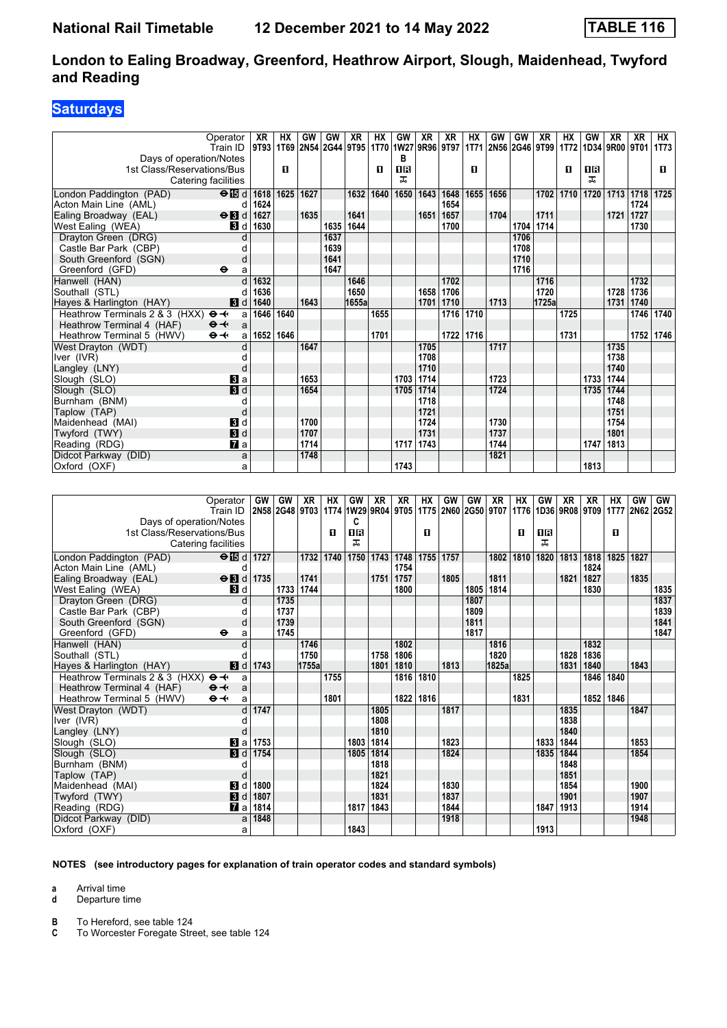## **Saturdays**

| Operator                                              |                           | XR   | HX        | GW        | GW           | <b>XR</b> | HX        | GW                                                                                       | XR        | <b>XR</b> | <b>HX</b> | GW        | GW           | XR                              | <b>HX</b>   | GW        | <b>XR</b>                         | <b>XR</b> | НX        |
|-------------------------------------------------------|---------------------------|------|-----------|-----------|--------------|-----------|-----------|------------------------------------------------------------------------------------------|-----------|-----------|-----------|-----------|--------------|---------------------------------|-------------|-----------|-----------------------------------|-----------|-----------|
| Train ID                                              |                           |      |           |           |              |           |           | 9T93   1T69   2N54   2G44   9T95   1T70   1W27   9R96   9T97                             |           |           |           |           |              | 1T71 2N56 2G46 9T99             | <b>1T72</b> |           | 1D34 9R00 9T01                    |           | 1T73      |
| Days of operation/Notes                               |                           |      | п         |           |              |           | п         | в<br>0 B                                                                                 |           |           | п         |           |              |                                 | П           | 18        |                                   |           | п         |
| 1st Class/Reservations/Bus<br>Catering facilities     |                           |      |           |           |              |           |           | ᠼ                                                                                        |           |           |           |           |              |                                 |             | ᠼ         |                                   |           |           |
|                                                       |                           |      |           |           |              |           |           |                                                                                          |           |           |           |           |              |                                 |             |           |                                   |           |           |
| London Paddington (PAD)                               | $\Theta$ is d             | 1618 | 1625      | 1627      |              | 1632      | 1640      | 1650                                                                                     | 1643      | 1648      | 1655      | 1656      |              | 1702                            | 1710        | 1720      | 1713                              | 1718      | 1725      |
| Acton Main Line (AML)                                 | d                         | 1624 |           |           |              |           |           |                                                                                          |           | 1654      |           |           |              |                                 |             |           |                                   | 1724      |           |
| Ealing Broadway (EAL)                                 | $\Theta$ <b>B</b> d       | 1627 |           | 1635      |              | 1641      |           |                                                                                          | 1651      | 1657      |           | 1704      |              | 1711                            |             |           | 1721                              | 1727      |           |
| West Ealing (WEA)                                     | <b>3</b> d                | 1630 |           |           | 1635         | 1644      |           |                                                                                          |           | 1700      |           |           | 1704         | 1714                            |             |           |                                   | 1730      |           |
| Drayton Green (DRG)                                   | d                         |      |           |           | 1637<br>1639 |           |           |                                                                                          |           |           |           |           | 1706<br>1708 |                                 |             |           |                                   |           |           |
| Castle Bar Park (CBP)                                 |                           |      |           |           | 1641         |           |           |                                                                                          |           |           |           |           | 1710         |                                 |             |           |                                   |           |           |
| South Greenford (SGN)<br>Greenford (GFD)<br>$\bullet$ | d<br>a                    |      |           |           | 1647         |           |           |                                                                                          |           |           |           |           | 1716         |                                 |             |           |                                   |           |           |
| Hanwell (HAN)                                         | d                         | 1632 |           |           |              | 1646      |           |                                                                                          |           | 1702      |           |           |              | 1716                            |             |           |                                   | 1732      |           |
| Southall (STL)                                        | d                         | 1636 |           |           |              | 1650      |           |                                                                                          | 1658      | 1706      |           |           |              | 1720                            |             |           | 1728                              | 1736      |           |
| Hayes & Harlington (HAY)                              | <b>3</b> d                | 1640 |           | 1643      |              | 1655a     |           |                                                                                          | 1701      | 1710      |           | 1713      |              | 1725a                           |             |           | 1731                              | 1740      |           |
| Heathrow Terminals 2 & 3 (HXX)<br>$\mathbf{\Theta}$   | a                         | 1646 | 1640      |           |              |           | 1655      |                                                                                          |           | 1716      | 1710      |           |              |                                 | 1725        |           |                                   | 1746      | 1740      |
| Heathrow Terminal 4 (HAF)<br>$\Theta +$               | a                         |      |           |           |              |           |           |                                                                                          |           |           |           |           |              |                                 |             |           |                                   |           |           |
| $\Theta +$<br>Heathrow Terminal 5 (HWV)               | a                         |      | 1652 1646 |           |              |           | 1701      |                                                                                          |           |           | 1722 1716 |           |              |                                 | 1731        |           |                                   | 1752      | 1746      |
| West Drayton (WDT)                                    |                           |      |           | 1647      |              |           |           |                                                                                          | 1705      |           |           | 1717      |              |                                 |             |           | 1735                              |           |           |
| Iver (IVR)                                            | d                         |      |           |           |              |           |           |                                                                                          | 1708      |           |           |           |              |                                 |             |           | 1738                              |           |           |
| Langley (LNY)                                         | d                         |      |           |           |              |           |           |                                                                                          | 1710      |           |           |           |              |                                 |             |           | 1740                              |           |           |
| Slough (SLO)                                          | $\bf{B}$ a                |      |           | 1653      |              |           |           | 1703                                                                                     | 1714      |           |           | 1723      |              |                                 |             | 1733      | 1744                              |           |           |
| Slough (SLO)                                          | $\overline{\mathbf{3}}$ d |      |           | 1654      |              |           |           | 1705                                                                                     | 1714      |           |           | 1724      |              |                                 |             | 1735      | 1744                              |           |           |
| Burnham (BNM)                                         | d                         |      |           |           |              |           |           |                                                                                          | 1718      |           |           |           |              |                                 |             |           | 1748                              |           |           |
| Taplow (TAP)                                          | d                         |      |           |           |              |           |           |                                                                                          | 1721      |           |           |           |              |                                 |             |           | 1751                              |           |           |
| Maidenhead (MAI)                                      | $\mathbf{3}$ d            |      |           | 1700      |              |           |           |                                                                                          | 1724      |           |           | 1730      |              |                                 |             |           | 1754                              |           |           |
| Twyford (TWY)                                         | $\blacksquare$            |      |           | 1707      |              |           |           |                                                                                          | 1731      |           |           | 1737      |              |                                 |             |           | 1801                              |           |           |
| Reading (RDG)                                         | $\mathbf{z}$ a            |      |           | 1714      |              |           |           | 1717                                                                                     | 1743      |           |           | 1744      |              |                                 |             | 1747      | 1813                              |           |           |
| Didcot Parkway (DID)                                  | a                         |      |           | 1748      |              |           |           |                                                                                          |           |           |           | 1821      |              |                                 |             |           |                                   |           |           |
| Oxford (OXF)                                          | a                         |      |           |           |              |           |           | 1743                                                                                     |           |           |           |           |              |                                 |             | 1813      |                                   |           |           |
|                                                       |                           |      |           |           |              |           |           |                                                                                          |           |           |           |           |              |                                 |             |           |                                   |           |           |
| Operator                                              |                           |      |           |           |              |           |           |                                                                                          |           |           |           |           |              |                                 |             |           |                                   |           |           |
| Train ID                                              |                           | GW   | GW        | <b>XR</b> | <b>HX</b>    | GW        | <b>XR</b> | <b>XR</b><br> 2N58   2G48   9T03   1T74   1W29   9R04   9T05   1T75   2N60   2G50   9T07 | <b>HX</b> | GW        | GW        | <b>XR</b> | <b>HX</b>    | GW<br>1T76   1D36   9R08   9T09 | <b>XR</b>   | <b>XR</b> | <b>HX</b><br>  1T77   2N62   2G52 | GW        | <b>GW</b> |

|                                                     | oporutor<br>Train ID | 2002 2008 1772 2009 1774 2009 2004 2010 1775 2000 2009 2010 1776 1800 2009 2010 1777 2002 2002 | $\ddotsc$ | <i><b>AUS</b></i> | $\cdots$ |      | $\mathbf{v}$ | <i><b>ILL</b></i> | $\cdots$ |      |      | $\sim$ $\sim$ $\sim$ | $\blacksquare$ |      | $\sim$      | <i><b>IMM</b></i> | $\blacksquare$ |      |      |
|-----------------------------------------------------|----------------------|------------------------------------------------------------------------------------------------|-----------|-------------------|----------|------|--------------|-------------------|----------|------|------|----------------------|----------------|------|-------------|-------------------|----------------|------|------|
| Days of operation/Notes                             |                      |                                                                                                |           |                   |          | c    |              |                   |          |      |      |                      |                |      |             |                   |                |      |      |
| 1st Class/Reservations/Bus                          |                      |                                                                                                |           |                   | п        | 1R   |              |                   | п        |      |      |                      | п              | 1 R  |             |                   | п              |      |      |
|                                                     | Catering facilities  |                                                                                                |           |                   |          | ᇁ    |              |                   |          |      |      |                      |                | ㅈ    |             |                   |                |      |      |
| London Paddington (PAD)                             | $\Theta$ is d 1727   |                                                                                                |           | 1732              | 1740     | 1750 |              | 1743   1748       | 1755     | 1757 |      | 1802                 | 1810           | 1820 | 1813        | 1818              | 1825           | 1827 |      |
| Acton Main Line (AML)                               |                      |                                                                                                |           |                   |          |      |              | 1754              |          |      |      |                      |                |      |             | 1824              |                |      |      |
| Ealing Broadway (EAL)                               | $\Theta$ id 1735     |                                                                                                |           | 1741              |          |      | 1751         | 1757              |          | 1805 |      | 1811                 |                |      | 1821        | 1827              |                | 1835 |      |
| West Ealing (WEA)                                   | 3d                   |                                                                                                | 1733      | 1744              |          |      |              | 1800              |          |      | 1805 | 1814                 |                |      |             | 1830              |                |      | 1835 |
| Drayton Green (DRG)                                 |                      |                                                                                                | 1735      |                   |          |      |              |                   |          |      | 1807 |                      |                |      |             |                   |                |      | 1837 |
| Castle Bar Park (CBP)                               |                      |                                                                                                | 1737      |                   |          |      |              |                   |          |      | 1809 |                      |                |      |             |                   |                |      | 1839 |
| South Greenford (SGN)                               |                      |                                                                                                | 1739      |                   |          |      |              |                   |          |      | 1811 |                      |                |      |             |                   |                |      | 1841 |
| Greenford (GFD)                                     | $\bullet$            |                                                                                                | 1745      |                   |          |      |              |                   |          |      | 1817 |                      |                |      |             |                   |                |      | 1847 |
| Hanwell (HAN)                                       |                      |                                                                                                |           | 1746              |          |      |              | 1802              |          |      |      | 1816                 |                |      |             | 1832              |                |      |      |
| Southall (STL)                                      |                      |                                                                                                |           | 1750              |          |      | 1758         | 1806              |          |      |      | 1820                 |                |      | 1828        | 1836              |                |      |      |
| Hayes & Harlington (HAY)                            | 3d                   | 1743                                                                                           |           | 1755al            |          |      | 1801         | 1810              |          | 1813 |      | 1825al               |                |      | 1831        | 1840              |                | 1843 |      |
| Heathrow Terminals 2 & 3 (HXX) $\Theta \rightarrow$ | a                    |                                                                                                |           |                   | 1755     |      |              | 1816              | 1810     |      |      |                      | 1825           |      |             | 1846              | 1840           |      |      |
| Heathrow Terminal 4 (HAF)                           | $\Theta +$<br>a      |                                                                                                |           |                   |          |      |              |                   |          |      |      |                      |                |      |             |                   |                |      |      |
| Heathrow Terminal 5 (HWV)                           | $\Theta +$<br>a      |                                                                                                |           |                   | 1801     |      |              | 1822              | 1816     |      |      |                      | 1831           |      |             |                   | 1852 1846      |      |      |
| West Drayton (WDT)                                  | Ч                    | 1747                                                                                           |           |                   |          |      | 1805         |                   |          | 1817 |      |                      |                |      | 1835        |                   |                | 1847 |      |
| Iver (IVR)                                          |                      |                                                                                                |           |                   |          |      | 1808         |                   |          |      |      |                      |                |      | 1838        |                   |                |      |      |
| Langley (LNY)                                       |                      |                                                                                                |           |                   |          |      | 1810         |                   |          |      |      |                      |                |      | 1840        |                   |                |      |      |
| Slough (SLO)                                        |                      | <b>8</b> a 1753                                                                                |           |                   |          | 1803 | 1814         |                   |          | 1823 |      |                      |                | 1833 | 1844        |                   |                | 1853 |      |
| Slough (SLO)                                        | <b>3</b> d           | 1754                                                                                           |           |                   |          | 1805 | 1814         |                   |          | 1824 |      |                      |                | 1835 | 1844        |                   |                | 1854 |      |
| Burnham (BNM)                                       |                      |                                                                                                |           |                   |          |      | 1818         |                   |          |      |      |                      |                |      | 1848        |                   |                |      |      |
| Taplow (TAP)                                        |                      |                                                                                                |           |                   |          |      | 1821         |                   |          |      |      |                      |                |      | 1851        |                   |                |      |      |
| Maidenhead (MAI)                                    | 3d                   | 1800                                                                                           |           |                   |          |      | 1824         |                   |          | 1830 |      |                      |                |      | 1854        |                   |                | 1900 |      |
| Twyford (TWY)                                       |                      | <b>8</b> d 1807                                                                                |           |                   |          |      | 1831         |                   |          | 1837 |      |                      |                |      | 1901        |                   |                | 1907 |      |
| Reading (RDG)                                       | <b>7</b> a           | 1814                                                                                           |           |                   |          | 1817 | 1843         |                   |          | 1844 |      |                      |                |      | 1847   1913 |                   |                | 1914 |      |
| Didcot Parkway (DID)                                | a                    | 1848                                                                                           |           |                   |          |      |              |                   |          | 1918 |      |                      |                |      |             |                   |                | 1948 |      |
| Oxford (OXF)                                        | а                    |                                                                                                |           |                   |          | 1843 |              |                   |          |      |      |                      |                | 1913 |             |                   |                |      |      |

#### **NOTES (see introductory pages for explanation of train operator codes and standard symbols)**

**a** Arrival time

**d** Departure time

**B** To Hereford, see table 124<br>**C** To Worcester Foregate Stre

**C** To Worcester Foregate Street, see table 124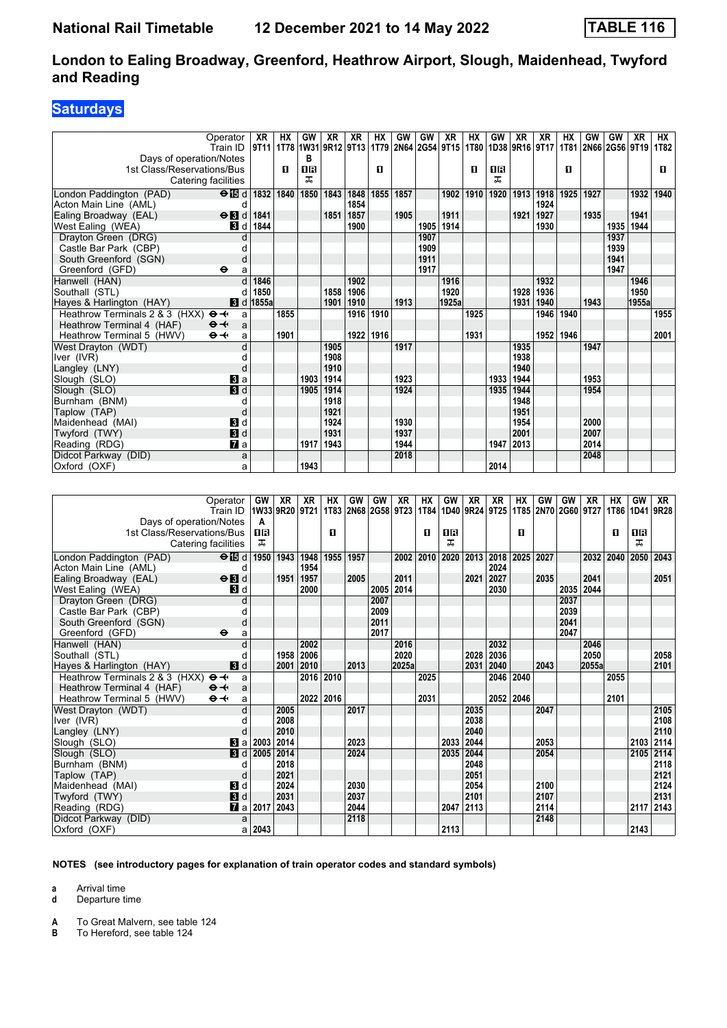## **Saturdays**

|                                | Operator                    | XR                               | HХ   | GW        | XR   | XR   | HХ   | GW   | GW   | <b>XR</b>           | НX   | GW   | XR        | XR                  | НX        | GW   | GW             | XR    | НX   |
|--------------------------------|-----------------------------|----------------------------------|------|-----------|------|------|------|------|------|---------------------|------|------|-----------|---------------------|-----------|------|----------------|-------|------|
|                                | Train ID                    | 9T11   1T78   1W31   9R12   9T13 |      |           |      |      |      |      |      | 1T79 2N64 2G54 9T15 | 1T80 |      |           | 1D38 9R16 9T17 1T81 |           |      | 2N66 2G56 9T19 |       | 1T82 |
| Days of operation/Notes        |                             |                                  |      | в         |      |      |      |      |      |                     |      |      |           |                     |           |      |                |       |      |
| 1st Class/Reservations/Bus     |                             |                                  | D.   | <b>OB</b> |      |      | п    |      |      |                     | п    | 0B   |           |                     | п         |      |                |       | п    |
| Catering facilities            |                             |                                  |      | ᅚ         |      |      |      |      |      |                     |      | ᅚ    |           |                     |           |      |                |       |      |
| London Paddington (PAD)        | $\Theta$ is d   1832   1840 |                                  |      | 1850      | 1843 | 1848 | 1855 | 1857 |      | 1902                | 1910 | 1920 | 1913 1918 |                     | 1925      | 1927 |                | 1932  | 1940 |
| Acton Main Line (AML)          | d                           |                                  |      |           |      | 1854 |      |      |      |                     |      |      |           | 1924                |           |      |                |       |      |
| Ealing Broadway (EAL)          | $\Theta$ <b>B</b> d         | 1841                             |      |           | 1851 | 1857 |      | 1905 |      | 1911                |      |      | 1921      | 1927                |           | 1935 |                | 1941  |      |
| West Ealing (WEA)              | 3d                          | 1844                             |      |           |      | 1900 |      |      | 1905 | 1914                |      |      |           | 1930                |           |      | 1935           | 1944  |      |
| Drayton Green (DRG)            |                             |                                  |      |           |      |      |      |      | 1907 |                     |      |      |           |                     |           |      | 1937           |       |      |
| Castle Bar Park (CBP)          |                             |                                  |      |           |      |      |      |      | 1909 |                     |      |      |           |                     |           |      | 1939           |       |      |
| South Greenford (SGN)          | d                           |                                  |      |           |      |      |      |      | 1911 |                     |      |      |           |                     |           |      | 1941           |       |      |
| Greenford (GFD)                | $\bullet$<br>a              |                                  |      |           |      |      |      |      | 1917 |                     |      |      |           |                     |           |      | 1947           |       |      |
| Hanwell (HAN)                  |                             | 1846                             |      |           |      | 1902 |      |      |      | 1916                |      |      |           | 1932                |           |      |                | 1946  |      |
| Southall (STL)                 | d                           | 1850                             |      |           | 1858 | 1906 |      |      |      | 1920                |      |      | 1928      | 1936                |           |      |                | 1950  |      |
| Hayes & Harlington (HAY)       |                             | <b>8</b> d 1855a                 |      |           | 1901 | 1910 |      | 1913 |      | 1925a               |      |      | 1931      | 1940                |           | 1943 |                | 1955a |      |
| Heathrow Terminals 2 & 3 (HXX) | $\mathbf{\Theta}$<br>a      |                                  | 1855 |           |      | 1916 | 1910 |      |      |                     | 1925 |      |           | 1946                | 1940      |      |                |       | 1955 |
| Heathrow Terminal 4 (HAF)      | $\Theta +$<br>a             |                                  |      |           |      |      |      |      |      |                     |      |      |           |                     |           |      |                |       |      |
| Heathrow Terminal 5 (HWV)      | $\Theta +$<br>a             |                                  | 1901 |           |      | 1922 | 1916 |      |      |                     | 1931 |      |           |                     | 1952 1946 |      |                |       | 2001 |
| West Drayton (WDT)             |                             |                                  |      |           | 1905 |      |      | 1917 |      |                     |      |      | 1935      |                     |           | 1947 |                |       |      |
| Iver (IVR)                     |                             |                                  |      |           | 1908 |      |      |      |      |                     |      |      | 1938      |                     |           |      |                |       |      |
| Langley (LNY)                  |                             |                                  |      |           | 1910 |      |      |      |      |                     |      |      | 1940      |                     |           |      |                |       |      |
| Slough (SLO)                   | Вl а                        |                                  |      | 1903      | 1914 |      |      | 1923 |      |                     |      | 1933 | 1944      |                     |           | 1953 |                |       |      |
| Slough (SLO)                   | 3d                          |                                  |      | 1905      | 1914 |      |      | 1924 |      |                     |      | 1935 | 1944      |                     |           | 1954 |                |       |      |
| Burnham (BNM)                  | d                           |                                  |      |           | 1918 |      |      |      |      |                     |      |      | 1948      |                     |           |      |                |       |      |
| Taplow (TAP)                   | d                           |                                  |      |           | 1921 |      |      |      |      |                     |      |      | 1951      |                     |           |      |                |       |      |
| Maidenhead (MAI)               | <b>3</b> d                  |                                  |      |           | 1924 |      |      | 1930 |      |                     |      |      | 1954      |                     |           | 2000 |                |       |      |
| Twyford (TWY)                  | 3d                          |                                  |      |           | 1931 |      |      | 1937 |      |                     |      |      | 2001      |                     |           | 2007 |                |       |      |
| Reading (RDG)                  | $\mathbf{z}$ a              |                                  |      | 1917      | 1943 |      |      | 1944 |      |                     |      | 1947 | 2013      |                     |           | 2014 |                |       |      |
| Didcot Parkway (DID)           | a                           |                                  |      |           |      |      |      | 2018 |      |                     |      |      |           |                     |           | 2048 |                |       |      |
| Oxford (OXF)                   | a                           |                                  |      | 1943      |      |      |      |      |      |                     |      | 2014 |           |                     |           |      |                |       |      |

| Operator<br>Train ID                                   | <b>GW</b><br>1W33 9R20 | XR   | XR<br>9T21 | НX        | GW   | GW<br>1T83 2N68 2G58 9T23 | XR    | HХ<br>1T84 | GW<br>1D40 9R24 9T25 | XR   | XR   | НX        | GW<br>1T85 2N70 2G60 9T27 | GW   | XR    | НX<br>1T86 | GW<br>1D41 | XR<br>9R28 |
|--------------------------------------------------------|------------------------|------|------------|-----------|------|---------------------------|-------|------------|----------------------|------|------|-----------|---------------------------|------|-------|------------|------------|------------|
| Days of operation/Notes                                | A                      |      |            |           |      |                           |       |            |                      |      |      |           |                           |      |       |            |            |            |
| 1st Class/Reservations/Bus                             | 18                     |      |            | п         |      |                           |       | п          | <b>08</b>            |      |      | п         |                           |      |       | п          | 0B         |            |
| Catering facilities                                    | ᠼ                      |      |            |           |      |                           |       |            | ㅈ                    |      |      |           |                           |      |       |            | ᠼ          |            |
|                                                        |                        |      |            |           |      |                           |       |            |                      |      |      |           |                           |      |       |            |            |            |
| $\Theta$ is d<br>London Paddington (PAD)               | 1950                   | 1943 | 1948       | 1955      | 1957 |                           | 2002  | 2010       | 2020                 | 2013 |      | 2018 2025 | 2027                      |      | 2032  | 2040       | 2050       | 2043       |
| Acton Main Line (AML)<br>d                             |                        |      | 1954       |           |      |                           |       |            |                      |      | 2024 |           |                           |      |       |            |            |            |
| $\Theta$ <b>B</b> d<br>Ealing Broadway (EAL)           |                        | 1951 | 1957       |           | 2005 |                           | 2011  |            |                      | 2021 | 2027 |           | 2035                      |      | 2041  |            |            | 2051       |
| West Ealing (WEA)<br><b>3</b> d                        |                        |      | 2000       |           |      | 2005                      | 2014  |            |                      |      | 2030 |           |                           | 2035 | 2044  |            |            |            |
| Drayton Green (DRG)<br>d                               |                        |      |            |           |      | 2007                      |       |            |                      |      |      |           |                           | 2037 |       |            |            |            |
| Castle Bar Park (CBP)                                  |                        |      |            |           |      | 2009                      |       |            |                      |      |      |           |                           | 2039 |       |            |            |            |
| South Greenford (SGN)<br>d                             |                        |      |            |           |      | 2011                      |       |            |                      |      |      |           |                           | 2041 |       |            |            |            |
| Greenford (GFD)<br>$\ddot{\mathbf{e}}$                 | a                      |      |            |           |      | 2017                      |       |            |                      |      |      |           |                           | 2047 |       |            |            |            |
| Hanwell (HAN)<br>$\mathbf{c}$                          |                        |      | 2002       |           |      |                           | 2016  |            |                      |      | 2032 |           |                           |      | 2046  |            |            |            |
| Southall (STL)                                         |                        | 1958 | 2006       |           |      |                           | 2020  |            |                      | 2028 | 2036 |           |                           |      | 2050  |            |            | 2058       |
| $\mathbf{3}$ d<br>Hayes & Harlington (HAY)             |                        | 2001 | 2010       |           | 2013 |                           | 2025a |            |                      | 2031 | 2040 |           | 2043                      |      | 2055a |            |            | 2101       |
| Heathrow Terminals 2 & 3 (HXX)<br>$\Theta \rightarrow$ | a                      |      | 2016       | 2010      |      |                           |       | 2025       |                      |      | 2046 | 2040      |                           |      |       | 2055       |            |            |
| $\Theta +$<br>Heathrow Terminal 4 (HAF)                | a                      |      |            |           |      |                           |       |            |                      |      |      |           |                           |      |       |            |            |            |
| Heathrow Terminal 5 (HWV)<br>$\Theta +$                | a                      |      |            | 2022 2016 |      |                           |       | 2031       |                      |      |      | 2052 2046 |                           |      |       | 2101       |            |            |
| West Drayton (WDT)                                     | d                      | 2005 |            |           | 2017 |                           |       |            |                      | 2035 |      |           | 2047                      |      |       |            |            | 2105       |
| Iver (IVR)                                             |                        | 2008 |            |           |      |                           |       |            |                      | 2038 |      |           |                           |      |       |            |            | 2108       |
| Langley (LNY)                                          |                        | 2010 |            |           |      |                           |       |            |                      | 2040 |      |           |                           |      |       |            |            | 2110       |
| $\bf{B}$ a<br>Slough (SLO)                             | 2003                   | 2014 |            |           | 2023 |                           |       |            | 2033                 | 2044 |      |           | 2053                      |      |       |            | 2103       | 2114       |
| Slough (SLO)                                           | <b>B</b> d 2005        | 2014 |            |           | 2024 |                           |       |            | 2035 2044            |      |      |           | 2054                      |      |       |            | 2105       | 2114       |
| Burnham (BNM)                                          |                        | 2018 |            |           |      |                           |       |            |                      | 2048 |      |           |                           |      |       |            |            | 2118       |
| Taplow (TAP)<br>d                                      |                        | 2021 |            |           |      |                           |       |            |                      | 2051 |      |           |                           |      |       |            |            | 2121       |
| 3d<br>Maidenhead (MAI)                                 |                        | 2024 |            |           | 2030 |                           |       |            |                      | 2054 |      |           | 2100                      |      |       |            |            | 2124       |
| <b>3</b> d<br>Twyford (TWY)                            |                        | 2031 |            |           | 2037 |                           |       |            |                      | 2101 |      |           | 2107                      |      |       |            |            | 2131       |
| <b>7</b> a<br>Reading (RDG)                            | 2017                   | 2043 |            |           | 2044 |                           |       |            | 2047                 | 2113 |      |           | 2114                      |      |       |            | 2117       | 2143       |
| Didcot Parkway (DID)                                   | a                      |      |            |           | 2118 |                           |       |            |                      |      |      |           | 2148                      |      |       |            |            |            |
| Oxford (OXF)                                           | 2043<br>a              |      |            |           |      |                           |       |            | 2113                 |      |      |           |                           |      |       |            | 2143       |            |

#### **NOTES (see introductory pages for explanation of train operator codes and standard symbols)**

**a** Arrival time

**d** Departure time

**A** To Great Malvern, see table 124<br>**B** To Hereford, see table 124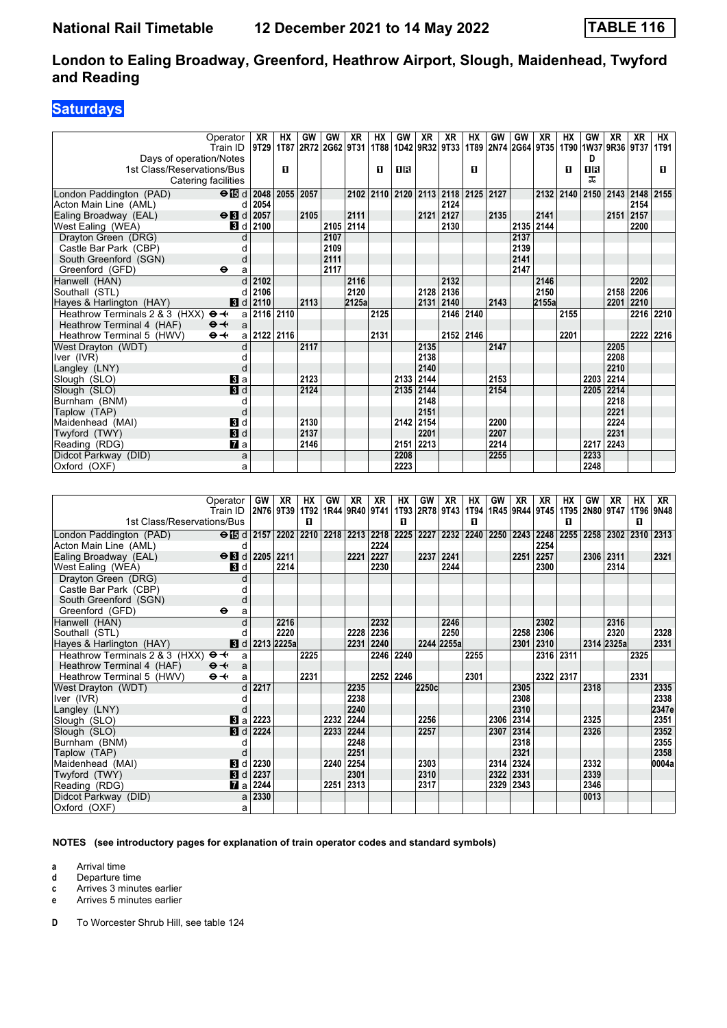## **Saturdays**

|                                                     | Operator                           | XR                               | HХ | GW   | GW        | XR    | НX                                 | <b>GW</b>                 | XR   | XR        | <b>HX</b> | GW   | GW        | XR                  | HХ        | GW        | XR                  | XR   | HХ        |
|-----------------------------------------------------|------------------------------------|----------------------------------|----|------|-----------|-------|------------------------------------|---------------------------|------|-----------|-----------|------|-----------|---------------------|-----------|-----------|---------------------|------|-----------|
|                                                     | Train ID                           | 9T29   1T87   2R72   2G62   9T31 |    |      |           |       |                                    | 1T88   1D42   9R32   9T33 |      |           |           |      |           | 1T89 2N74 2G64 9T35 |           |           | 1T90 1W37 9R36 9T37 |      | 1T91      |
| Days of operation/Notes                             |                                    |                                  |    |      |           |       |                                    |                           |      |           |           |      |           |                     |           | D.        |                     |      |           |
| 1st Class/Reservations/Bus                          |                                    |                                  | п  |      |           |       | п                                  | 18                        |      |           | п         |      |           |                     | п         | <b>OR</b> |                     |      | п         |
| Catering facilities                                 |                                    |                                  |    |      |           |       |                                    |                           |      |           |           |      |           |                     |           | ㅈ         |                     |      |           |
| London Paddington (PAD)                             | $\Theta$ $\boxed{3}$ d $2048$ 2055 |                                  |    | 2057 |           |       | 2102 2110 2120 2113 2118 2125 2127 |                           |      |           |           |      |           |                     | 2132 2140 | 2150      | 2143 2148 2155      |      |           |
| Acton Main Line (AML)                               | d                                  | 2054                             |    |      |           |       |                                    |                           |      | 2124      |           |      |           |                     |           |           |                     | 2154 |           |
| Ealing Broadway (EAL)                               | $\Theta$ <b>B</b> d                | 2057                             |    | 2105 |           | 2111  |                                    |                           |      | 2121 2127 |           | 2135 |           | 2141                |           |           | 2151 2157           |      |           |
| West Ealing (WEA)                                   | 3 d                                | 2100                             |    |      | 2105 2114 |       |                                    |                           |      | 2130      |           |      | 2135 2144 |                     |           |           |                     | 2200 |           |
| Drayton Green (DRG)                                 |                                    |                                  |    |      | 2107      |       |                                    |                           |      |           |           |      | 2137      |                     |           |           |                     |      |           |
| Castle Bar Park (CBP)                               |                                    |                                  |    |      | 2109      |       |                                    |                           |      |           |           |      | 2139      |                     |           |           |                     |      |           |
| South Greenford (SGN)                               | d                                  |                                  |    |      | 2111      |       |                                    |                           |      |           |           |      | 2141      |                     |           |           |                     |      |           |
| Greenford (GFD)                                     | $\bullet$<br>a                     |                                  |    |      | 2117      |       |                                    |                           |      |           |           |      | 2147      |                     |           |           |                     |      |           |
| Hanwell (HAN)                                       | $\mathsf{d}$                       | 2102                             |    |      |           | 2116  |                                    |                           |      | 2132      |           |      |           | 2146                |           |           |                     | 2202 |           |
| Southall (STL)                                      |                                    | 2106                             |    |      |           | 2120  |                                    |                           |      | 2128 2136 |           |      |           | 2150                |           |           | 2158                | 2206 |           |
| Hayes & Harlington (HAY)                            |                                    | $\vert$ d 2110                   |    | 2113 |           | 2125a |                                    |                           | 2131 | 2140      |           | 2143 |           | 2155a               |           |           | 2201                | 2210 |           |
| Heathrow Terminals 2 & 3 (HXX) $\Theta \rightarrow$ |                                    | a 2116 2110                      |    |      |           |       | 2125                               |                           |      | 2146 2140 |           |      |           |                     | 2155      |           |                     |      | 2216 2210 |
| Heathrow Terminal 4 (HAF)                           | $\mathsf{a}$<br>$\Theta +$         |                                  |    |      |           |       |                                    |                           |      |           |           |      |           |                     |           |           |                     |      |           |
| Heathrow Terminal 5 (HWV)                           | $\Theta +$                         | a 2122 2116                      |    |      |           |       | 2131                               |                           |      | 2152 2146 |           |      |           |                     | 2201      |           |                     |      | 2222 2216 |
| West Drayton (WDT)                                  |                                    |                                  |    | 2117 |           |       |                                    |                           | 2135 |           |           | 2147 |           |                     |           |           | 2205                |      |           |
| Iver (IVR)                                          |                                    |                                  |    |      |           |       |                                    |                           | 2138 |           |           |      |           |                     |           |           | 2208                |      |           |
| Langley (LNY)                                       |                                    |                                  |    |      |           |       |                                    |                           | 2140 |           |           |      |           |                     |           |           | 2210                |      |           |
| Slough (SLO)                                        | $\mathbf{3}$ a                     |                                  |    | 2123 |           |       |                                    | 2133 2144                 |      |           |           | 2153 |           |                     |           | 2203      | 2214                |      |           |
| Slough (SLO)                                        | 3d                                 |                                  |    | 2124 |           |       |                                    | 2135                      | 2144 |           |           | 2154 |           |                     |           | 2205      | 2214                |      |           |
| Burnham (BNM)                                       | d                                  |                                  |    |      |           |       |                                    |                           | 2148 |           |           |      |           |                     |           |           | 2218                |      |           |
| Taplow (TAP)                                        | d                                  |                                  |    |      |           |       |                                    |                           | 2151 |           |           |      |           |                     |           |           | 2221                |      |           |
| Maidenhead (MAI)                                    | $\mathbf{3}$ d                     |                                  |    | 2130 |           |       |                                    | 2142 2154                 |      |           |           | 2200 |           |                     |           |           | 2224                |      |           |
| Twyford (TWY)                                       | 3d                                 |                                  |    | 2137 |           |       |                                    |                           | 2201 |           |           | 2207 |           |                     |           |           | 2231                |      |           |
| Reading (RDG)                                       | $\mathbf{z}$ a                     |                                  |    | 2146 |           |       |                                    | 2151 2213                 |      |           |           | 2214 |           |                     |           | 2217      | 2243                |      |           |
| Didcot Parkway (DID)                                | a                                  |                                  |    |      |           |       |                                    | 2208                      |      |           |           | 2255 |           |                     |           | 2233      |                     |      |           |
| Oxford (OXF)                                        | a                                  |                                  |    |      |           |       |                                    | 2223                      |      |           |           |      |           |                     |           | 2248      |                     |      |           |
|                                                     |                                    |                                  |    |      |           |       |                                    |                           |      |           |           |      |           |                     |           |           |                     |      |           |

|                                                     | Operator                                                       | <b>GW</b>        | XR   | НX   | GW   | XR        | XR                                                                              | НX        | <b>GW</b> | XR         | НX   | GW   | XR             | XR        | НX   | GW   | XR         | НX        | XR.       |
|-----------------------------------------------------|----------------------------------------------------------------|------------------|------|------|------|-----------|---------------------------------------------------------------------------------|-----------|-----------|------------|------|------|----------------|-----------|------|------|------------|-----------|-----------|
|                                                     | Train ID                                                       |                  |      |      |      |           | 2N76 9T39 1T92 1R44 9R40 9T41 1T93 2R78 9T43 1T94 1R45 9R44 9T45 1T95 2N80 9T47 |           |           |            |      |      |                |           |      |      |            | 1T96 9N48 |           |
| 1st Class/Reservations/Bus                          |                                                                |                  |      | п    |      |           |                                                                                 | п         |           |            | п    |      |                |           | п    |      |            | 0         |           |
| London Paddington (PAD)                             | $\Theta$ is d   2157   2202   2210   2218   2213   2218   2225 |                  |      |      |      |           |                                                                                 |           | 2227      | 2232       |      |      | 2240 2250 2243 | 2248      | 2255 |      | 2258 2302  |           | 2310 2313 |
| Acton Main Line (AML)                               | C                                                              |                  |      |      |      |           | 2224                                                                            |           |           |            |      |      |                | 2254      |      |      |            |           |           |
| Ealing Broadway (EAL)                               | $\Theta$ $\blacksquare$ d 2205                                 |                  | 2211 |      |      | 2221      | 2227                                                                            |           | 2237      | 2241       |      |      | 2251           | 2257      |      | 2306 | 2311       |           | 2321      |
| West Ealing (WEA)                                   | <b>3</b> d                                                     |                  | 2214 |      |      |           | 2230                                                                            |           |           | 2244       |      |      |                | 2300      |      |      | 2314       |           |           |
| Drayton Green (DRG)                                 |                                                                |                  |      |      |      |           |                                                                                 |           |           |            |      |      |                |           |      |      |            |           |           |
| Castle Bar Park (CBP)                               |                                                                |                  |      |      |      |           |                                                                                 |           |           |            |      |      |                |           |      |      |            |           |           |
| South Greenford (SGN)                               |                                                                |                  |      |      |      |           |                                                                                 |           |           |            |      |      |                |           |      |      |            |           |           |
| Greenford (GFD)                                     | $\ddot{\mathbf{e}}$<br>a                                       |                  |      |      |      |           |                                                                                 |           |           |            |      |      |                |           |      |      |            |           |           |
| Hanwell (HAN)                                       |                                                                |                  | 2216 |      |      |           | 2232                                                                            |           |           | 2246       |      |      |                | 2302      |      |      | 2316       |           |           |
| Southall (STL)                                      |                                                                |                  | 2220 |      |      | 2228      | 2236                                                                            |           |           | 2250       |      |      | 2258           | 2306      |      |      | 2320       |           | 2328      |
| Hayes & Harlington (HAY)                            |                                                                | $d$ d 2213 2225a |      |      |      | 2231      | 2240                                                                            |           |           | 2244 2255a |      |      | 2301           | 2310      |      |      | 2314 2325a |           | 2331      |
| Heathrow Terminals 2 & 3 (HXX) $\Theta \rightarrow$ | a                                                              |                  |      | 2225 |      |           | 2246 2240                                                                       |           |           |            | 2255 |      |                | 2316 2311 |      |      |            | 2325      |           |
| Heathrow Terminal 4 (HAF)                           | $\Theta +$<br>a                                                |                  |      |      |      |           |                                                                                 |           |           |            |      |      |                |           |      |      |            |           |           |
| Heathrow Terminal 5 (HWV)                           | $\Theta +$<br>a                                                |                  |      | 2231 |      |           |                                                                                 | 2252 2246 |           |            | 2301 |      |                | 2322      | 2317 |      |            | 2331      |           |
| West Drayton (WDT)                                  |                                                                | 2217             |      |      |      | 2235      |                                                                                 |           | 2250c     |            |      |      | 2305           |           |      | 2318 |            |           | 2335      |
| Iver (IVR)                                          |                                                                |                  |      |      |      | 2238      |                                                                                 |           |           |            |      |      | 2308           |           |      |      |            |           | 2338      |
| Langley (LNY)                                       |                                                                |                  |      |      |      | 2240      |                                                                                 |           |           |            |      |      | 2310           |           |      |      |            |           | 2347e     |
| Slough (SLO)                                        | $\blacksquare$ a                                               | 2223             |      |      | 2232 | 2244      |                                                                                 |           | 2256      |            |      |      | 2306 2314      |           |      | 2325 |            |           | 2351      |
| Slough (SLO)                                        | $\mathbf{B}$ d                                                 | 2224             |      |      |      | 2233 2244 |                                                                                 |           | 2257      |            |      | 2307 | 2314           |           |      | 2326 |            |           | 2352      |
| Burnham (BNM)                                       |                                                                |                  |      |      |      | 2248      |                                                                                 |           |           |            |      |      | 2318           |           |      |      |            |           | 2355      |
| Taplow (TAP)                                        |                                                                |                  |      |      |      | 2251      |                                                                                 |           |           |            |      |      | 2321           |           |      |      |            |           | 2358      |
| Maidenhead (MAI)                                    | В<br>d                                                         | 2230             |      |      |      | 2240 2254 |                                                                                 |           | 2303      |            |      |      | 2314 2324      |           |      | 2332 |            |           | 0004a     |
| Twyford (TWY)                                       | $\blacksquare$                                                 | 2237             |      |      |      | 2301      |                                                                                 |           | 2310      |            |      | 2322 | 2331           |           |      | 2339 |            |           |           |
| Reading (RDG)                                       | $\mathbf{z}$ a                                                 | 2244             |      |      |      | 2251 2313 |                                                                                 |           | 2317      |            |      |      | 2329 2343      |           |      | 2346 |            |           |           |
| Didcot Parkway (DID)                                | a                                                              | 2330             |      |      |      |           |                                                                                 |           |           |            |      |      |                |           |      | 0013 |            |           |           |
| Oxford (OXF)                                        | a                                                              |                  |      |      |      |           |                                                                                 |           |           |            |      |      |                |           |      |      |            |           |           |

#### **NOTES (see introductory pages for explanation of train operator codes and standard symbols)**

**a** Arrival time<br>**d** Departure t

**d** Departure time

**c** Arrives 3 minutes earlier<br>**e** Arrives 5 minutes earlier

**e** Arrives 5 minutes earlier

**D** To Worcester Shrub Hill, see table 124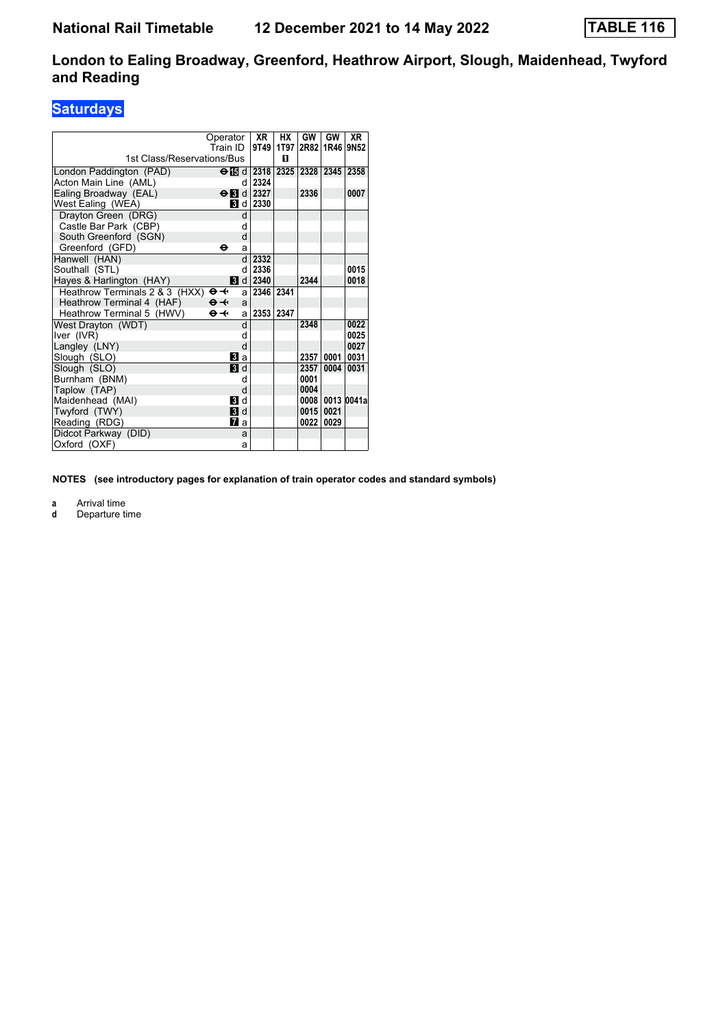## **Saturdays**

|                                                     | Operator<br>Train ID       | <b>XR</b><br>9T49       | НX   | GW<br>1T97 2R82 | GW<br>1R46 | <b>XR</b><br>9N <sub>52</sub> |
|-----------------------------------------------------|----------------------------|-------------------------|------|-----------------|------------|-------------------------------|
| 1st Class/Reservations/Bus                          |                            |                         | п    |                 |            |                               |
| London Paddington (PAD)                             |                            | $\Theta$ is d 2318      | 2325 | 2328            | 2345 2358  |                               |
| Acton Main Line (AML)                               | d                          | 2324                    |      |                 |            |                               |
| Ealing Broadway (EAL)                               |                            | $\Theta$ M d 2327       |      | 2336            |            | 0007                          |
| West Ealing (WEA)                                   |                            | $\blacksquare$ d   2330 |      |                 |            |                               |
| Drayton Green (DRG)                                 | d                          |                         |      |                 |            |                               |
| Castle Bar Park (CBP)                               | d                          |                         |      |                 |            |                               |
| South Greenford (SGN)                               | d                          |                         |      |                 |            |                               |
| Greenford (GFD)                                     | θ<br>a                     |                         |      |                 |            |                               |
| Hanwell (HAN)                                       | d                          | 2332                    |      |                 |            |                               |
| Southall (STL)                                      | q                          | 2336                    |      |                 |            | 0015                          |
| Hayes & Harlington (HAY)                            |                            | $d$ d 2340              |      | 2344            |            | 0018                          |
| Heathrow Terminals 2 & 3 (HXX) $\Theta \rightarrow$ |                            | 2346 2341<br>a          |      |                 |            |                               |
| Heathrow Terminal 4 (HAF)                           | $\Theta - \leftarrow$<br>a |                         |      |                 |            |                               |
| Heathrow Terminal 5 (HWV)                           | $\Theta +$<br>a            | 2353                    | 2347 |                 |            |                               |
| West Drayton (WDT)                                  | d                          |                         |      | 2348            |            | 0022                          |
| Iver (IVR)                                          | d                          |                         |      |                 |            | 0025                          |
| Langley (LNY)                                       | d                          |                         |      |                 |            | 0027                          |
| Slough (SLO)                                        | Bl a                       |                         |      | 2357            | 0001       | 0031                          |
| Slough (SLO)                                        | <b>B</b> d                 |                         |      | 2357            | 0004       | 0031                          |
| Burnham (BNM)                                       | d                          |                         |      | 0001            |            |                               |
| Taplow (TAP)                                        | d                          |                         |      | 0004            |            |                               |
| Maidenhead (MAI)                                    | <b>3</b> d                 |                         |      | 0008            |            | 0013 0041a                    |
| Twyford (TWY)                                       | <b>3</b> d                 |                         |      | 0015            | 0021       |                               |
| Reading (RDG)                                       | Пa                         |                         |      | 0022            | 0029       |                               |
| Didcot Parkway (DID)                                | a                          |                         |      |                 |            |                               |
| Oxford (OXF)                                        | a                          |                         |      |                 |            |                               |

**NOTES (see introductory pages for explanation of train operator codes and standard symbols)**

**a** Arrival time<br>**d** Departure t

**d** Departure time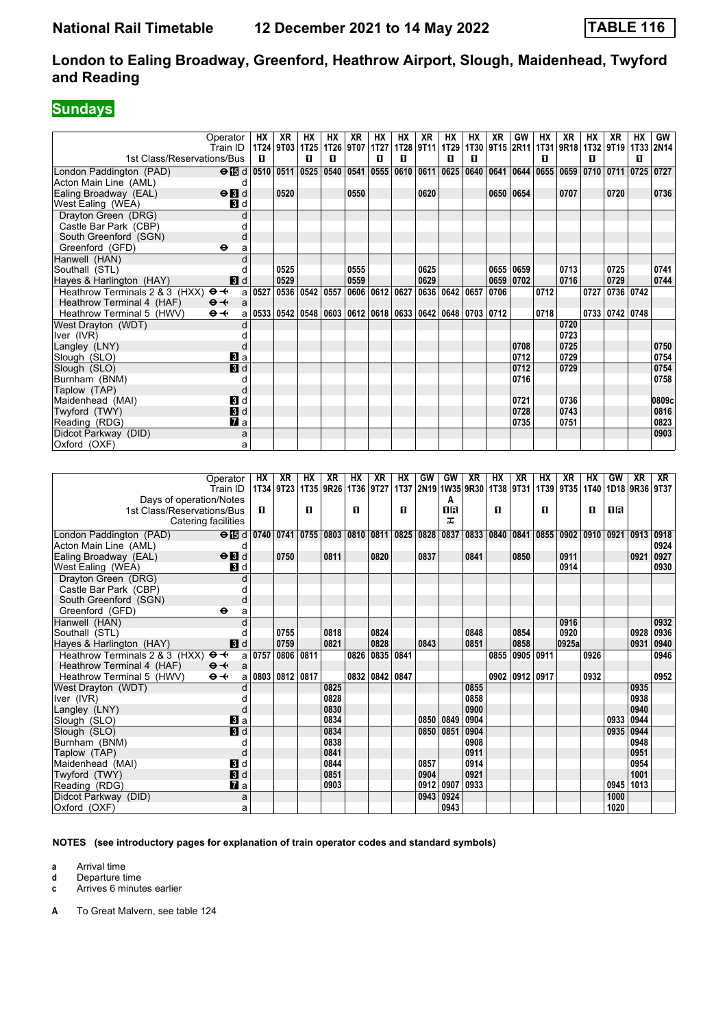# **Sundays**

|                                                     | Operator                                                   | HХ                                                                             | XR             | НX                 | НX | XR        | НX             | HХ | XR        | HХ             | НX | XR   | GW        | HХ                                 | XR   | HХ   | XR             | HХ        | GW                                                           |
|-----------------------------------------------------|------------------------------------------------------------|--------------------------------------------------------------------------------|----------------|--------------------|----|-----------|----------------|----|-----------|----------------|----|------|-----------|------------------------------------|------|------|----------------|-----------|--------------------------------------------------------------|
|                                                     | Train ID                                                   |                                                                                | 1T24 9T03 1T25 |                    |    | 1T26 9T07 | 1T27           |    | 1T28 9T11 | <b>1T29</b>    |    |      |           | 1T30 9T15 2R11 1T31 9R18 1T32 9T19 |      |      |                |           | 1T33 2N14                                                    |
| 1st Class/Reservations/Bus                          |                                                            | п                                                                              |                | п                  | п  |           | п              | п  |           | п              | п  |      |           | п                                  |      | п    |                | п         |                                                              |
| London Paddington (PAD)                             | $\Theta$ is d 0510 0511 0525 0540 0541 0555 0610 0611 0625 |                                                                                |                |                    |    |           |                |    |           |                |    |      |           |                                    |      |      |                |           | 0640   0641   0644   0655   0659   0710   0711   0725   0727 |
| Acton Main Line (AML)                               | d                                                          |                                                                                |                |                    |    |           |                |    |           |                |    |      |           |                                    |      |      |                |           |                                                              |
| Ealing Broadway (EAL)                               | $\Theta$ <b>B</b> d                                        |                                                                                | 0520           |                    |    | 0550      |                |    | 0620      |                |    |      | 0650 0654 |                                    | 0707 |      | 0720           |           | 0736                                                         |
| West Ealing (WEA)                                   | <b>3</b> d                                                 |                                                                                |                |                    |    |           |                |    |           |                |    |      |           |                                    |      |      |                |           |                                                              |
| Drayton Green (DRG)                                 | $\mathsf{C}$                                               |                                                                                |                |                    |    |           |                |    |           |                |    |      |           |                                    |      |      |                |           |                                                              |
| Castle Bar Park (CBP)                               |                                                            |                                                                                |                |                    |    |           |                |    |           |                |    |      |           |                                    |      |      |                |           |                                                              |
| South Greenford (SGN)                               |                                                            |                                                                                |                |                    |    |           |                |    |           |                |    |      |           |                                    |      |      |                |           |                                                              |
| Greenford (GFD)                                     | $\ddot{\mathbf{e}}$<br>a                                   |                                                                                |                |                    |    |           |                |    |           |                |    |      |           |                                    |      |      |                |           |                                                              |
| Hanwell (HAN)                                       |                                                            |                                                                                |                |                    |    |           |                |    |           |                |    |      |           |                                    |      |      |                |           |                                                              |
| Southall (STL)                                      |                                                            |                                                                                | 0525           |                    |    | 0555      |                |    | 0625      |                |    |      | 0655 0659 |                                    | 0713 |      | 0725           |           | 0741                                                         |
| Hayes & Harlington (HAY)                            | 3d                                                         |                                                                                | 0529           |                    |    | 0559      |                |    | 0629      |                |    |      | 0659 0702 |                                    | 0716 |      | 0729           |           | 0744                                                         |
| Heathrow Terminals 2 & 3 (HXX) $\Theta \rightarrow$ |                                                            | a   0527                                                                       |                | 0536   0542   0557 |    |           | 0606 0612 0627 |    |           | 0636 0642 0657 |    | 0706 |           | 0712                               |      | 0727 |                | 0736 0742 |                                                              |
| Heathrow Terminal 4 (HAF)                           | $\Theta +$<br>$\mathbf{a}$                                 |                                                                                |                |                    |    |           |                |    |           |                |    |      |           |                                    |      |      |                |           |                                                              |
| Heathrow Terminal 5 (HWV)                           | $\Theta +$                                                 | a   0533   0542   0548   0603   0612   0618   0633   0642   0648   0703   0712 |                |                    |    |           |                |    |           |                |    |      |           | 0718                               |      |      | 0733 0742 0748 |           |                                                              |
| West Drayton (WDT)                                  |                                                            |                                                                                |                |                    |    |           |                |    |           |                |    |      |           |                                    | 0720 |      |                |           |                                                              |
| Iver (IVR)                                          |                                                            |                                                                                |                |                    |    |           |                |    |           |                |    |      |           |                                    | 0723 |      |                |           |                                                              |
| Langley (LNY)                                       |                                                            |                                                                                |                |                    |    |           |                |    |           |                |    |      | 0708      |                                    | 0725 |      |                |           | 0750                                                         |
| Slough (SLO)                                        | Вl a                                                       |                                                                                |                |                    |    |           |                |    |           |                |    |      | 0712      |                                    | 0729 |      |                |           | 0754                                                         |
| Slough (SLO)                                        | 3d                                                         |                                                                                |                |                    |    |           |                |    |           |                |    |      | 0712      |                                    | 0729 |      |                |           | 0754                                                         |
| Burnham (BNM)                                       |                                                            |                                                                                |                |                    |    |           |                |    |           |                |    |      | 0716      |                                    |      |      |                |           | 0758                                                         |
| Taplow (TAP)                                        |                                                            |                                                                                |                |                    |    |           |                |    |           |                |    |      |           |                                    |      |      |                |           |                                                              |
| Maidenhead (MAI)                                    | 3d                                                         |                                                                                |                |                    |    |           |                |    |           |                |    |      | 0721      |                                    | 0736 |      |                |           | 0809c                                                        |
| Twyford (TWY)                                       | 3d                                                         |                                                                                |                |                    |    |           |                |    |           |                |    |      | 0728      |                                    | 0743 |      |                |           | 0816                                                         |
| Reading (RDG)                                       | $\mathbf{z}$ a                                             |                                                                                |                |                    |    |           |                |    |           |                |    |      | 0735      |                                    | 0751 |      |                |           | 0823                                                         |
| Didcot Parkway (DID)                                | a                                                          |                                                                                |                |                    |    |           |                |    |           |                |    |      |           |                                    |      |      |                |           | 0903                                                         |
| Oxford (OXF)                                        | a                                                          |                                                                                |                |                    |    |           |                |    |           |                |    |      |           |                                    |      |      |                |           |                                                              |

|                                                     | Operator                          | HХ   | XR             | НX | XR        | HХ   | XR        | НX   | GW   | GW                  | XR   | НX        | XR             | HХ        | XR     | HХ   | GW   | XR             | XR   |
|-----------------------------------------------------|-----------------------------------|------|----------------|----|-----------|------|-----------|------|------|---------------------|------|-----------|----------------|-----------|--------|------|------|----------------|------|
|                                                     | Train ID                          |      | 1T34 9T23      |    | 1T35 9R26 |      | 1136 9127 |      |      | 1T37 2N19 1W35 9R30 |      | 1T38 9T31 |                | 1T39 9T35 |        | 1T40 |      | 1D18 9R36 9T37 |      |
| Days of operation/Notes                             |                                   |      |                |    |           |      |           |      |      | A                   |      |           |                |           |        |      |      |                |      |
| 1st Class/Reservations/Bus                          |                                   | п    |                | п  |           | п    |           | п    |      | <b>OR</b>           |      | п         |                | п         |        | п    | 0 B  |                |      |
| Catering facilities                                 |                                   |      |                |    |           |      |           |      |      | ㅈ                   |      |           |                |           |        |      |      |                |      |
| London Paddington (PAD)                             | $\Theta$ is d  0740   0741   0755 |      |                |    | 0803      | 0810 | 0811      | 0825 | 0828 | 0837                | 0833 | 0840      | 0841           | 0855      | 0902   | 0910 | 0921 | 0913           | 0918 |
| Acton Main Line (AML)                               | d                                 |      |                |    |           |      |           |      |      |                     |      |           |                |           |        |      |      |                | 0924 |
| Ealing Broadway (EAL)                               | $\Theta$ <b>B</b> d               |      | 0750           |    | 0811      |      | 0820      |      | 0837 |                     | 0841 |           | 0850           |           | 0911   |      |      | 0921           | 0927 |
| West Ealing (WEA)                                   | <b>3</b> d                        |      |                |    |           |      |           |      |      |                     |      |           |                |           | 0914   |      |      |                | 0930 |
| Drayton Green (DRG)                                 | d                                 |      |                |    |           |      |           |      |      |                     |      |           |                |           |        |      |      |                |      |
| Castle Bar Park (CBP)                               |                                   |      |                |    |           |      |           |      |      |                     |      |           |                |           |        |      |      |                |      |
| South Greenford (SGN)                               | d                                 |      |                |    |           |      |           |      |      |                     |      |           |                |           |        |      |      |                |      |
| Greenford (GFD)                                     | $\bullet$<br>a                    |      |                |    |           |      |           |      |      |                     |      |           |                |           |        |      |      |                |      |
| Hanwell (HAN)                                       |                                   |      |                |    |           |      |           |      |      |                     |      |           |                |           | 0916   |      |      |                | 0932 |
| Southall (STL)                                      |                                   |      | 0755           |    | 0818      |      | 0824      |      |      |                     | 0848 |           | 0854           |           | 0920   |      |      | 0928           | 0936 |
| Hayes & Harlington (HAY)                            | 3d                                |      | 0759           |    | 0821      |      | 0828      |      | 0843 |                     | 0851 |           | 0858           |           | 0925al |      |      | 0931           | 0940 |
| Heathrow Terminals 2 & 3 (HXX) $\Theta \rightarrow$ | a                                 | 0757 | 0806 0811      |    |           | 0826 | 0835      | 0841 |      |                     |      | 0855      | 0905           | 0911      |        | 0926 |      |                | 0946 |
| Heathrow Terminal 4 (HAF)                           | $\Theta +$<br>a                   |      |                |    |           |      |           |      |      |                     |      |           |                |           |        |      |      |                |      |
| Heathrow Terminal 5 (HWV)                           | $\Theta +$<br>a                   |      | 0803 0812 0817 |    |           | 0832 | 0842 0847 |      |      |                     |      |           | 0902 0912 0917 |           |        | 0932 |      |                | 0952 |
| West Drayton (WDT)                                  |                                   |      |                |    | 0825      |      |           |      |      |                     | 0855 |           |                |           |        |      |      | 0935           |      |
| Iver (IVR)                                          |                                   |      |                |    | 0828      |      |           |      |      |                     | 0858 |           |                |           |        |      |      | 0938           |      |
| Langley (LNY)                                       | d                                 |      |                |    | 0830      |      |           |      |      |                     | 0900 |           |                |           |        |      |      | 0940           |      |
| Slough (SLO)                                        | $\mathbf{B}$ a                    |      |                |    | 0834      |      |           |      | 0850 | 0849                | 0904 |           |                |           |        |      | 0933 | 0944           |      |
| Slough (SLO)                                        | $\mathbf{B}$ d                    |      |                |    | 0834      |      |           |      | 0850 | 0851                | 0904 |           |                |           |        |      | 0935 | 0944           |      |
| Burnham (BNM)                                       |                                   |      |                |    | 0838      |      |           |      |      |                     | 0908 |           |                |           |        |      |      | 0948           |      |
| Taplow (TAP)                                        | d                                 |      |                |    | 0841      |      |           |      |      |                     | 0911 |           |                |           |        |      |      | 0951           |      |
| Maidenhead (MAI)                                    | $\mathbf{B}$ d                    |      |                |    | 0844      |      |           |      | 0857 |                     | 0914 |           |                |           |        |      |      | 0954           |      |
| Twyford (TWY)                                       | <b>3</b> d                        |      |                |    | 0851      |      |           |      | 0904 |                     | 0921 |           |                |           |        |      |      | 1001           |      |
| Reading (RDG)                                       | $\mathbf{z}$ a                    |      |                |    | 0903      |      |           |      | 0912 | 0907                | 0933 |           |                |           |        |      | 0945 | 1013           |      |
| Didcot Parkway (DID)                                | a                                 |      |                |    |           |      |           |      | 0943 | 0924                |      |           |                |           |        |      | 1000 |                |      |
| Oxford (OXF)                                        | a                                 |      |                |    |           |      |           |      |      | 0943                |      |           |                |           |        |      | 1020 |                |      |

**NOTES (see introductory pages for explanation of train operator codes and standard symbols)**

**a** Arrival time<br>**d** Departure t

**d** Departure time

**c** Arrives 6 minutes earlier

**A** To Great Malvern, see table 124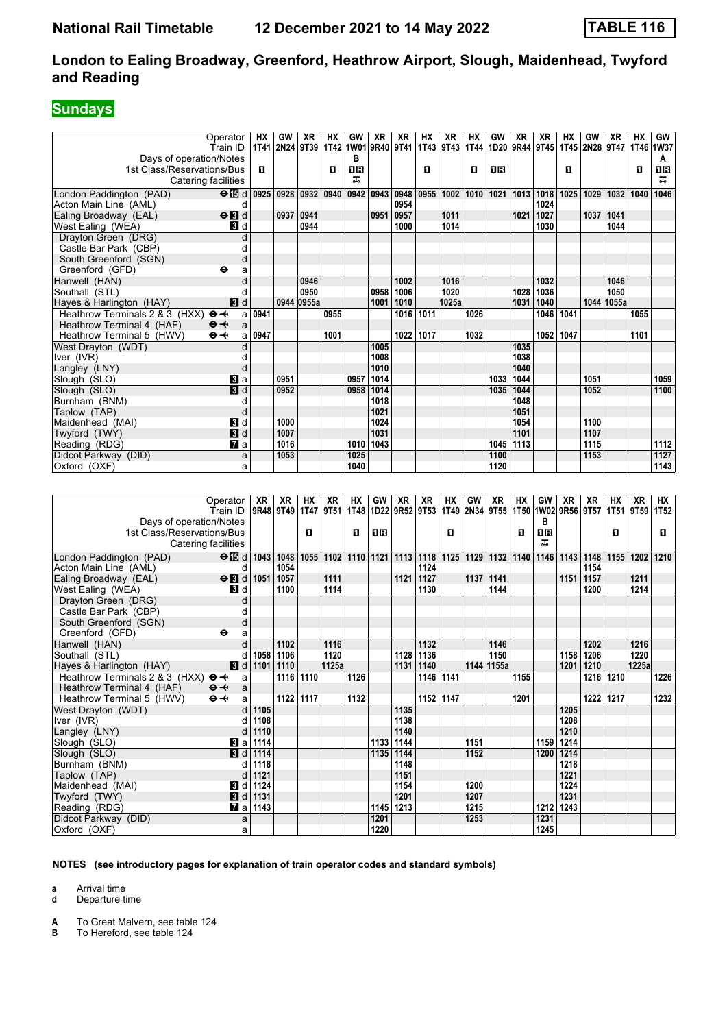## **Sundays**

| 9T43<br><b>2N28</b><br>2N24 9T39<br>1T42<br>1W01 9R40 9T41<br>1T43<br>1T44<br>1D <sub>20</sub><br>9R44 9T45<br>1T45<br>9T47<br>1T46 1W37<br>Train ID<br><b>1T41</b><br>Days of operation/Notes<br>в<br>A<br>О<br>ΠR<br>O<br>п<br>1R<br>п<br>П<br>1R<br>1st Class/Reservations/Bus<br>0<br>ᠼ<br>Catering facilities<br>ᠼ<br>0942<br>0943<br>1025<br>1029<br>1046<br>London Paddington (PAD)<br>$\Theta$ id<br>0925<br>0928 0932<br>0940<br>0948<br>0955<br>1002<br>1010<br>1021<br>1013 1018<br>1032<br>1040<br>Acton Main Line (AML)<br>0954<br>1024<br>d<br>$\Theta$ $\blacksquare$<br>0937<br>0941<br>0951<br>1021<br>1027<br>1037<br>Ealing Broadway (EAL)<br>0957<br>1011<br>1041<br>0944<br>1014<br>1030<br>1044<br>West Ealing (WEA)<br><b>3</b> d<br>1000<br>Drayton Green (DRG)<br>d<br>Castle Bar Park (CBP)<br>d<br>South Greenford (SGN)<br>d<br>Greenford (GFD)<br>⊖<br>a<br>Hanwell (HAN)<br>d<br>0946<br>1002<br>1016<br>1032<br>1046<br>0950<br>0958<br>1020<br>1028<br>1036<br>1050<br>Southall (STL)<br>1006<br>d<br>0944 0955a<br>1025a<br>1044 1055a<br>Hayes & Harlington (HAY)<br><b>3</b> d<br>1001<br>1010<br>1031<br>1040<br>Heathrow Terminals 2 & 3 (HXX) $\Theta \rightarrow$<br>0941<br>0955<br>1016<br>1011<br>1026<br>1046<br>1041<br>1055<br>a<br>Heathrow Terminal 4 (HAF)<br>$\mathbf{\Theta}$ $\mathbf{\leftarrow}$<br>a<br>0947<br>1017<br>1052 1047<br>Heathrow Terminal 5 (HWV)<br>⊖≁<br>1001<br>1022<br>1032<br>1101<br>a<br>1005<br>1035<br>West Drayton (WDT)<br>d<br>1008<br>1038<br>Iver (IVR)<br>d<br>1010<br>1040<br>Langley (LNY)<br>d<br>1014<br>1059<br>0951<br>0957<br>1033<br>1044<br>1051<br>Slough (SLO)<br><b>B</b> a<br>3d<br>0952<br>0958<br>1014<br>1044<br>1052<br>Slough (SLO)<br>1035<br>1100<br>1018<br>1048<br>Burnham (BNM)<br>d<br>1021<br>1051<br>Taplow (TAP)<br>d<br><b>B</b> Id<br>1000<br>1024<br>1054<br>1100<br>Maidenhead (MAI)<br>3d<br>1031<br>1101<br>1007<br>1107<br>Twyford (TWY)<br>1010<br>1043<br>1112<br>1016<br>1045 1113<br>1115<br>Reading (RDG)<br><b>7</b> a<br>1127<br>Didcot Parkway (DID)<br>a<br>1053<br>1025<br>1100<br>1153<br>1040<br>1120<br>1143<br>Oxford (OXF)<br>a<br><b>XR</b><br><b>HX</b><br><b>XR</b><br>HX<br><b>GW</b><br><b>XR</b><br><b>XR</b><br>HX<br>GW<br><b>XR</b><br>HX<br>GW<br><b>XR</b><br><b>XR</b><br>HX<br><b>XR</b><br>XR<br>HХ<br>Operator<br>Train ID<br>9R48 9T49<br>9T51<br>1T48<br>1D22 9R52 9T53<br>1T49<br>2N34 9T55 1T50 1W02<br>9R56<br>9T57<br>1T51<br>9T <sub>59</sub><br><b>1T52</b><br>1T47<br>Days of operation/Notes<br>в<br>1st Class/Reservations/Bus<br>ΠR<br>O<br>О<br>1R<br>П<br>O<br>O<br>O.<br>ᠼ<br>Catering facilities<br>1055<br>1110<br>1121 1113<br>1125<br>1129<br>1132 1140<br>1202<br>1210<br>London Paddington (PAD)<br>$\Theta$ is d<br>1043 1048<br>1102<br>1118<br>1146<br>1143<br>1148<br>1155<br>1054<br>Acton Main Line (AML)<br>1124<br>1154<br>d<br>1111<br>Ealing Broadway (EAL)<br>$\Theta$ <b>B</b> d<br>1051<br>1057<br>1121<br>1127<br>1137   1141<br>1151<br>1157<br>1211<br>1214<br>1100<br>1114<br>1130<br>1144<br>1200<br>West Ealing (WEA)<br>BI d<br>Drayton Green (DRG)<br>d<br>Castle Bar Park (CBP)<br>d<br>South Greenford (SGN)<br>d<br>Greenford (GFD)<br>$\bullet$<br>a<br>1116<br>d<br>1102<br>1132<br>1146<br>1202<br>1216<br>Hanwell (HAN)<br>1058<br>1120<br>1136<br>1150<br>1220<br>Southall (STL)<br>1106<br>1128<br>1158<br>1206<br>d<br>1225a<br>1125a<br>1131<br>1144 1155a<br>1201<br>1210<br><b>B</b> d 1101<br>1110<br>1140<br>Hayes & Harlington (HAY)<br>1116 1110<br>1146 1141<br>$\overline{1226}$<br>Heathrow Terminals 2 & 3 (HXX) $\Theta \rightarrow$<br>1126<br>1216 1210<br>1155<br>a<br>Heathrow Terminal 4 (HAF)<br>$\Theta \rightarrow$<br>a<br>1122 1117<br>$\Theta \rightarrow$<br>1132<br>1152 1147<br>1201<br>1222 1217<br>1232<br>Heathrow Terminal 5 (HWV)<br>a<br>West Drayton (WDT)<br>$d$ 1105<br>1135<br>1205<br>Iver (IVR)<br>d 1108<br>1138<br>1208<br>Langley (LNY)<br>$d$ 1110<br>1140<br>1210<br>1151<br>1214<br><b>B</b> a 1114<br>1133 1144<br>1159<br>Slough (SLO)<br>Slough (SLO)<br><b>8</b> d 1114<br>1135 1144<br>1152<br>1200 1214<br>Burnham (BNM)<br>$d$ 1118<br>1218<br>1148<br>$d$ 1121<br>1151<br>1221<br>Taplow (TAP)<br>$\blacksquare$ d 1124<br>1200<br>Maidenhead (MAI)<br>1154<br>1224 |          |    |    |    |    |    |    |    |    |    |    |    |    |    |    |    |    |    |    |
|-------------------------------------------------------------------------------------------------------------------------------------------------------------------------------------------------------------------------------------------------------------------------------------------------------------------------------------------------------------------------------------------------------------------------------------------------------------------------------------------------------------------------------------------------------------------------------------------------------------------------------------------------------------------------------------------------------------------------------------------------------------------------------------------------------------------------------------------------------------------------------------------------------------------------------------------------------------------------------------------------------------------------------------------------------------------------------------------------------------------------------------------------------------------------------------------------------------------------------------------------------------------------------------------------------------------------------------------------------------------------------------------------------------------------------------------------------------------------------------------------------------------------------------------------------------------------------------------------------------------------------------------------------------------------------------------------------------------------------------------------------------------------------------------------------------------------------------------------------------------------------------------------------------------------------------------------------------------------------------------------------------------------------------------------------------------------------------------------------------------------------------------------------------------------------------------------------------------------------------------------------------------------------------------------------------------------------------------------------------------------------------------------------------------------------------------------------------------------------------------------------------------------------------------------------------------------------------------------------------------------------------------------------------------------------------------------------------------------------------------------------------------------------------------------------------------------------------------------------------------------------------------------------------------------------------------------------------------------------------------------------------------------------------------------------------------------------------------------------------------------------------------------------------------------------------------------------------------------------------------------------------------------------------------------------------------------------------------------------------------------------------------------------------------------------------------------------------------------------------------------------------------------------------------------------------------------------------------------------------------------------------------------------------------------------------------------------------------------------------------------------------------------------------------------------------------------------------------------------------------------------------------------------------------------------------------------------------------------------------------------------------------------------------------------------------------------------------------------------------------------------------------------------------------------------------------------------------------------------------------------------------------------------------------------------------------------------|----------|----|----|----|----|----|----|----|----|----|----|----|----|----|----|----|----|----|----|
|                                                                                                                                                                                                                                                                                                                                                                                                                                                                                                                                                                                                                                                                                                                                                                                                                                                                                                                                                                                                                                                                                                                                                                                                                                                                                                                                                                                                                                                                                                                                                                                                                                                                                                                                                                                                                                                                                                                                                                                                                                                                                                                                                                                                                                                                                                                                                                                                                                                                                                                                                                                                                                                                                                                                                                                                                                                                                                                                                                                                                                                                                                                                                                                                                                                                                                                                                                                                                                                                                                                                                                                                                                                                                                                                                                                                                                                                                                                                                                                                                                                                                                                                                                                                                                                                                                                               | Operator | HХ | GW | XR | HХ | GW | XR | XR | HХ | XR | HХ | GW | XR | XR | HХ | GW | XR | НΧ | GW |
|                                                                                                                                                                                                                                                                                                                                                                                                                                                                                                                                                                                                                                                                                                                                                                                                                                                                                                                                                                                                                                                                                                                                                                                                                                                                                                                                                                                                                                                                                                                                                                                                                                                                                                                                                                                                                                                                                                                                                                                                                                                                                                                                                                                                                                                                                                                                                                                                                                                                                                                                                                                                                                                                                                                                                                                                                                                                                                                                                                                                                                                                                                                                                                                                                                                                                                                                                                                                                                                                                                                                                                                                                                                                                                                                                                                                                                                                                                                                                                                                                                                                                                                                                                                                                                                                                                                               |          |    |    |    |    |    |    |    |    |    |    |    |    |    |    |    |    |    |    |
|                                                                                                                                                                                                                                                                                                                                                                                                                                                                                                                                                                                                                                                                                                                                                                                                                                                                                                                                                                                                                                                                                                                                                                                                                                                                                                                                                                                                                                                                                                                                                                                                                                                                                                                                                                                                                                                                                                                                                                                                                                                                                                                                                                                                                                                                                                                                                                                                                                                                                                                                                                                                                                                                                                                                                                                                                                                                                                                                                                                                                                                                                                                                                                                                                                                                                                                                                                                                                                                                                                                                                                                                                                                                                                                                                                                                                                                                                                                                                                                                                                                                                                                                                                                                                                                                                                                               |          |    |    |    |    |    |    |    |    |    |    |    |    |    |    |    |    |    |    |
|                                                                                                                                                                                                                                                                                                                                                                                                                                                                                                                                                                                                                                                                                                                                                                                                                                                                                                                                                                                                                                                                                                                                                                                                                                                                                                                                                                                                                                                                                                                                                                                                                                                                                                                                                                                                                                                                                                                                                                                                                                                                                                                                                                                                                                                                                                                                                                                                                                                                                                                                                                                                                                                                                                                                                                                                                                                                                                                                                                                                                                                                                                                                                                                                                                                                                                                                                                                                                                                                                                                                                                                                                                                                                                                                                                                                                                                                                                                                                                                                                                                                                                                                                                                                                                                                                                                               |          |    |    |    |    |    |    |    |    |    |    |    |    |    |    |    |    |    |    |
|                                                                                                                                                                                                                                                                                                                                                                                                                                                                                                                                                                                                                                                                                                                                                                                                                                                                                                                                                                                                                                                                                                                                                                                                                                                                                                                                                                                                                                                                                                                                                                                                                                                                                                                                                                                                                                                                                                                                                                                                                                                                                                                                                                                                                                                                                                                                                                                                                                                                                                                                                                                                                                                                                                                                                                                                                                                                                                                                                                                                                                                                                                                                                                                                                                                                                                                                                                                                                                                                                                                                                                                                                                                                                                                                                                                                                                                                                                                                                                                                                                                                                                                                                                                                                                                                                                                               |          |    |    |    |    |    |    |    |    |    |    |    |    |    |    |    |    |    |    |
|                                                                                                                                                                                                                                                                                                                                                                                                                                                                                                                                                                                                                                                                                                                                                                                                                                                                                                                                                                                                                                                                                                                                                                                                                                                                                                                                                                                                                                                                                                                                                                                                                                                                                                                                                                                                                                                                                                                                                                                                                                                                                                                                                                                                                                                                                                                                                                                                                                                                                                                                                                                                                                                                                                                                                                                                                                                                                                                                                                                                                                                                                                                                                                                                                                                                                                                                                                                                                                                                                                                                                                                                                                                                                                                                                                                                                                                                                                                                                                                                                                                                                                                                                                                                                                                                                                                               |          |    |    |    |    |    |    |    |    |    |    |    |    |    |    |    |    |    |    |
|                                                                                                                                                                                                                                                                                                                                                                                                                                                                                                                                                                                                                                                                                                                                                                                                                                                                                                                                                                                                                                                                                                                                                                                                                                                                                                                                                                                                                                                                                                                                                                                                                                                                                                                                                                                                                                                                                                                                                                                                                                                                                                                                                                                                                                                                                                                                                                                                                                                                                                                                                                                                                                                                                                                                                                                                                                                                                                                                                                                                                                                                                                                                                                                                                                                                                                                                                                                                                                                                                                                                                                                                                                                                                                                                                                                                                                                                                                                                                                                                                                                                                                                                                                                                                                                                                                                               |          |    |    |    |    |    |    |    |    |    |    |    |    |    |    |    |    |    |    |
|                                                                                                                                                                                                                                                                                                                                                                                                                                                                                                                                                                                                                                                                                                                                                                                                                                                                                                                                                                                                                                                                                                                                                                                                                                                                                                                                                                                                                                                                                                                                                                                                                                                                                                                                                                                                                                                                                                                                                                                                                                                                                                                                                                                                                                                                                                                                                                                                                                                                                                                                                                                                                                                                                                                                                                                                                                                                                                                                                                                                                                                                                                                                                                                                                                                                                                                                                                                                                                                                                                                                                                                                                                                                                                                                                                                                                                                                                                                                                                                                                                                                                                                                                                                                                                                                                                                               |          |    |    |    |    |    |    |    |    |    |    |    |    |    |    |    |    |    |    |
|                                                                                                                                                                                                                                                                                                                                                                                                                                                                                                                                                                                                                                                                                                                                                                                                                                                                                                                                                                                                                                                                                                                                                                                                                                                                                                                                                                                                                                                                                                                                                                                                                                                                                                                                                                                                                                                                                                                                                                                                                                                                                                                                                                                                                                                                                                                                                                                                                                                                                                                                                                                                                                                                                                                                                                                                                                                                                                                                                                                                                                                                                                                                                                                                                                                                                                                                                                                                                                                                                                                                                                                                                                                                                                                                                                                                                                                                                                                                                                                                                                                                                                                                                                                                                                                                                                                               |          |    |    |    |    |    |    |    |    |    |    |    |    |    |    |    |    |    |    |
|                                                                                                                                                                                                                                                                                                                                                                                                                                                                                                                                                                                                                                                                                                                                                                                                                                                                                                                                                                                                                                                                                                                                                                                                                                                                                                                                                                                                                                                                                                                                                                                                                                                                                                                                                                                                                                                                                                                                                                                                                                                                                                                                                                                                                                                                                                                                                                                                                                                                                                                                                                                                                                                                                                                                                                                                                                                                                                                                                                                                                                                                                                                                                                                                                                                                                                                                                                                                                                                                                                                                                                                                                                                                                                                                                                                                                                                                                                                                                                                                                                                                                                                                                                                                                                                                                                                               |          |    |    |    |    |    |    |    |    |    |    |    |    |    |    |    |    |    |    |
|                                                                                                                                                                                                                                                                                                                                                                                                                                                                                                                                                                                                                                                                                                                                                                                                                                                                                                                                                                                                                                                                                                                                                                                                                                                                                                                                                                                                                                                                                                                                                                                                                                                                                                                                                                                                                                                                                                                                                                                                                                                                                                                                                                                                                                                                                                                                                                                                                                                                                                                                                                                                                                                                                                                                                                                                                                                                                                                                                                                                                                                                                                                                                                                                                                                                                                                                                                                                                                                                                                                                                                                                                                                                                                                                                                                                                                                                                                                                                                                                                                                                                                                                                                                                                                                                                                                               |          |    |    |    |    |    |    |    |    |    |    |    |    |    |    |    |    |    |    |
|                                                                                                                                                                                                                                                                                                                                                                                                                                                                                                                                                                                                                                                                                                                                                                                                                                                                                                                                                                                                                                                                                                                                                                                                                                                                                                                                                                                                                                                                                                                                                                                                                                                                                                                                                                                                                                                                                                                                                                                                                                                                                                                                                                                                                                                                                                                                                                                                                                                                                                                                                                                                                                                                                                                                                                                                                                                                                                                                                                                                                                                                                                                                                                                                                                                                                                                                                                                                                                                                                                                                                                                                                                                                                                                                                                                                                                                                                                                                                                                                                                                                                                                                                                                                                                                                                                                               |          |    |    |    |    |    |    |    |    |    |    |    |    |    |    |    |    |    |    |
|                                                                                                                                                                                                                                                                                                                                                                                                                                                                                                                                                                                                                                                                                                                                                                                                                                                                                                                                                                                                                                                                                                                                                                                                                                                                                                                                                                                                                                                                                                                                                                                                                                                                                                                                                                                                                                                                                                                                                                                                                                                                                                                                                                                                                                                                                                                                                                                                                                                                                                                                                                                                                                                                                                                                                                                                                                                                                                                                                                                                                                                                                                                                                                                                                                                                                                                                                                                                                                                                                                                                                                                                                                                                                                                                                                                                                                                                                                                                                                                                                                                                                                                                                                                                                                                                                                                               |          |    |    |    |    |    |    |    |    |    |    |    |    |    |    |    |    |    |    |
|                                                                                                                                                                                                                                                                                                                                                                                                                                                                                                                                                                                                                                                                                                                                                                                                                                                                                                                                                                                                                                                                                                                                                                                                                                                                                                                                                                                                                                                                                                                                                                                                                                                                                                                                                                                                                                                                                                                                                                                                                                                                                                                                                                                                                                                                                                                                                                                                                                                                                                                                                                                                                                                                                                                                                                                                                                                                                                                                                                                                                                                                                                                                                                                                                                                                                                                                                                                                                                                                                                                                                                                                                                                                                                                                                                                                                                                                                                                                                                                                                                                                                                                                                                                                                                                                                                                               |          |    |    |    |    |    |    |    |    |    |    |    |    |    |    |    |    |    |    |
|                                                                                                                                                                                                                                                                                                                                                                                                                                                                                                                                                                                                                                                                                                                                                                                                                                                                                                                                                                                                                                                                                                                                                                                                                                                                                                                                                                                                                                                                                                                                                                                                                                                                                                                                                                                                                                                                                                                                                                                                                                                                                                                                                                                                                                                                                                                                                                                                                                                                                                                                                                                                                                                                                                                                                                                                                                                                                                                                                                                                                                                                                                                                                                                                                                                                                                                                                                                                                                                                                                                                                                                                                                                                                                                                                                                                                                                                                                                                                                                                                                                                                                                                                                                                                                                                                                                               |          |    |    |    |    |    |    |    |    |    |    |    |    |    |    |    |    |    |    |
|                                                                                                                                                                                                                                                                                                                                                                                                                                                                                                                                                                                                                                                                                                                                                                                                                                                                                                                                                                                                                                                                                                                                                                                                                                                                                                                                                                                                                                                                                                                                                                                                                                                                                                                                                                                                                                                                                                                                                                                                                                                                                                                                                                                                                                                                                                                                                                                                                                                                                                                                                                                                                                                                                                                                                                                                                                                                                                                                                                                                                                                                                                                                                                                                                                                                                                                                                                                                                                                                                                                                                                                                                                                                                                                                                                                                                                                                                                                                                                                                                                                                                                                                                                                                                                                                                                                               |          |    |    |    |    |    |    |    |    |    |    |    |    |    |    |    |    |    |    |
|                                                                                                                                                                                                                                                                                                                                                                                                                                                                                                                                                                                                                                                                                                                                                                                                                                                                                                                                                                                                                                                                                                                                                                                                                                                                                                                                                                                                                                                                                                                                                                                                                                                                                                                                                                                                                                                                                                                                                                                                                                                                                                                                                                                                                                                                                                                                                                                                                                                                                                                                                                                                                                                                                                                                                                                                                                                                                                                                                                                                                                                                                                                                                                                                                                                                                                                                                                                                                                                                                                                                                                                                                                                                                                                                                                                                                                                                                                                                                                                                                                                                                                                                                                                                                                                                                                                               |          |    |    |    |    |    |    |    |    |    |    |    |    |    |    |    |    |    |    |
|                                                                                                                                                                                                                                                                                                                                                                                                                                                                                                                                                                                                                                                                                                                                                                                                                                                                                                                                                                                                                                                                                                                                                                                                                                                                                                                                                                                                                                                                                                                                                                                                                                                                                                                                                                                                                                                                                                                                                                                                                                                                                                                                                                                                                                                                                                                                                                                                                                                                                                                                                                                                                                                                                                                                                                                                                                                                                                                                                                                                                                                                                                                                                                                                                                                                                                                                                                                                                                                                                                                                                                                                                                                                                                                                                                                                                                                                                                                                                                                                                                                                                                                                                                                                                                                                                                                               |          |    |    |    |    |    |    |    |    |    |    |    |    |    |    |    |    |    |    |
|                                                                                                                                                                                                                                                                                                                                                                                                                                                                                                                                                                                                                                                                                                                                                                                                                                                                                                                                                                                                                                                                                                                                                                                                                                                                                                                                                                                                                                                                                                                                                                                                                                                                                                                                                                                                                                                                                                                                                                                                                                                                                                                                                                                                                                                                                                                                                                                                                                                                                                                                                                                                                                                                                                                                                                                                                                                                                                                                                                                                                                                                                                                                                                                                                                                                                                                                                                                                                                                                                                                                                                                                                                                                                                                                                                                                                                                                                                                                                                                                                                                                                                                                                                                                                                                                                                                               |          |    |    |    |    |    |    |    |    |    |    |    |    |    |    |    |    |    |    |
|                                                                                                                                                                                                                                                                                                                                                                                                                                                                                                                                                                                                                                                                                                                                                                                                                                                                                                                                                                                                                                                                                                                                                                                                                                                                                                                                                                                                                                                                                                                                                                                                                                                                                                                                                                                                                                                                                                                                                                                                                                                                                                                                                                                                                                                                                                                                                                                                                                                                                                                                                                                                                                                                                                                                                                                                                                                                                                                                                                                                                                                                                                                                                                                                                                                                                                                                                                                                                                                                                                                                                                                                                                                                                                                                                                                                                                                                                                                                                                                                                                                                                                                                                                                                                                                                                                                               |          |    |    |    |    |    |    |    |    |    |    |    |    |    |    |    |    |    |    |
|                                                                                                                                                                                                                                                                                                                                                                                                                                                                                                                                                                                                                                                                                                                                                                                                                                                                                                                                                                                                                                                                                                                                                                                                                                                                                                                                                                                                                                                                                                                                                                                                                                                                                                                                                                                                                                                                                                                                                                                                                                                                                                                                                                                                                                                                                                                                                                                                                                                                                                                                                                                                                                                                                                                                                                                                                                                                                                                                                                                                                                                                                                                                                                                                                                                                                                                                                                                                                                                                                                                                                                                                                                                                                                                                                                                                                                                                                                                                                                                                                                                                                                                                                                                                                                                                                                                               |          |    |    |    |    |    |    |    |    |    |    |    |    |    |    |    |    |    |    |
|                                                                                                                                                                                                                                                                                                                                                                                                                                                                                                                                                                                                                                                                                                                                                                                                                                                                                                                                                                                                                                                                                                                                                                                                                                                                                                                                                                                                                                                                                                                                                                                                                                                                                                                                                                                                                                                                                                                                                                                                                                                                                                                                                                                                                                                                                                                                                                                                                                                                                                                                                                                                                                                                                                                                                                                                                                                                                                                                                                                                                                                                                                                                                                                                                                                                                                                                                                                                                                                                                                                                                                                                                                                                                                                                                                                                                                                                                                                                                                                                                                                                                                                                                                                                                                                                                                                               |          |    |    |    |    |    |    |    |    |    |    |    |    |    |    |    |    |    |    |
|                                                                                                                                                                                                                                                                                                                                                                                                                                                                                                                                                                                                                                                                                                                                                                                                                                                                                                                                                                                                                                                                                                                                                                                                                                                                                                                                                                                                                                                                                                                                                                                                                                                                                                                                                                                                                                                                                                                                                                                                                                                                                                                                                                                                                                                                                                                                                                                                                                                                                                                                                                                                                                                                                                                                                                                                                                                                                                                                                                                                                                                                                                                                                                                                                                                                                                                                                                                                                                                                                                                                                                                                                                                                                                                                                                                                                                                                                                                                                                                                                                                                                                                                                                                                                                                                                                                               |          |    |    |    |    |    |    |    |    |    |    |    |    |    |    |    |    |    |    |
|                                                                                                                                                                                                                                                                                                                                                                                                                                                                                                                                                                                                                                                                                                                                                                                                                                                                                                                                                                                                                                                                                                                                                                                                                                                                                                                                                                                                                                                                                                                                                                                                                                                                                                                                                                                                                                                                                                                                                                                                                                                                                                                                                                                                                                                                                                                                                                                                                                                                                                                                                                                                                                                                                                                                                                                                                                                                                                                                                                                                                                                                                                                                                                                                                                                                                                                                                                                                                                                                                                                                                                                                                                                                                                                                                                                                                                                                                                                                                                                                                                                                                                                                                                                                                                                                                                                               |          |    |    |    |    |    |    |    |    |    |    |    |    |    |    |    |    |    |    |
|                                                                                                                                                                                                                                                                                                                                                                                                                                                                                                                                                                                                                                                                                                                                                                                                                                                                                                                                                                                                                                                                                                                                                                                                                                                                                                                                                                                                                                                                                                                                                                                                                                                                                                                                                                                                                                                                                                                                                                                                                                                                                                                                                                                                                                                                                                                                                                                                                                                                                                                                                                                                                                                                                                                                                                                                                                                                                                                                                                                                                                                                                                                                                                                                                                                                                                                                                                                                                                                                                                                                                                                                                                                                                                                                                                                                                                                                                                                                                                                                                                                                                                                                                                                                                                                                                                                               |          |    |    |    |    |    |    |    |    |    |    |    |    |    |    |    |    |    |    |
|                                                                                                                                                                                                                                                                                                                                                                                                                                                                                                                                                                                                                                                                                                                                                                                                                                                                                                                                                                                                                                                                                                                                                                                                                                                                                                                                                                                                                                                                                                                                                                                                                                                                                                                                                                                                                                                                                                                                                                                                                                                                                                                                                                                                                                                                                                                                                                                                                                                                                                                                                                                                                                                                                                                                                                                                                                                                                                                                                                                                                                                                                                                                                                                                                                                                                                                                                                                                                                                                                                                                                                                                                                                                                                                                                                                                                                                                                                                                                                                                                                                                                                                                                                                                                                                                                                                               |          |    |    |    |    |    |    |    |    |    |    |    |    |    |    |    |    |    |    |
|                                                                                                                                                                                                                                                                                                                                                                                                                                                                                                                                                                                                                                                                                                                                                                                                                                                                                                                                                                                                                                                                                                                                                                                                                                                                                                                                                                                                                                                                                                                                                                                                                                                                                                                                                                                                                                                                                                                                                                                                                                                                                                                                                                                                                                                                                                                                                                                                                                                                                                                                                                                                                                                                                                                                                                                                                                                                                                                                                                                                                                                                                                                                                                                                                                                                                                                                                                                                                                                                                                                                                                                                                                                                                                                                                                                                                                                                                                                                                                                                                                                                                                                                                                                                                                                                                                                               |          |    |    |    |    |    |    |    |    |    |    |    |    |    |    |    |    |    |    |
|                                                                                                                                                                                                                                                                                                                                                                                                                                                                                                                                                                                                                                                                                                                                                                                                                                                                                                                                                                                                                                                                                                                                                                                                                                                                                                                                                                                                                                                                                                                                                                                                                                                                                                                                                                                                                                                                                                                                                                                                                                                                                                                                                                                                                                                                                                                                                                                                                                                                                                                                                                                                                                                                                                                                                                                                                                                                                                                                                                                                                                                                                                                                                                                                                                                                                                                                                                                                                                                                                                                                                                                                                                                                                                                                                                                                                                                                                                                                                                                                                                                                                                                                                                                                                                                                                                                               |          |    |    |    |    |    |    |    |    |    |    |    |    |    |    |    |    |    |    |
|                                                                                                                                                                                                                                                                                                                                                                                                                                                                                                                                                                                                                                                                                                                                                                                                                                                                                                                                                                                                                                                                                                                                                                                                                                                                                                                                                                                                                                                                                                                                                                                                                                                                                                                                                                                                                                                                                                                                                                                                                                                                                                                                                                                                                                                                                                                                                                                                                                                                                                                                                                                                                                                                                                                                                                                                                                                                                                                                                                                                                                                                                                                                                                                                                                                                                                                                                                                                                                                                                                                                                                                                                                                                                                                                                                                                                                                                                                                                                                                                                                                                                                                                                                                                                                                                                                                               |          |    |    |    |    |    |    |    |    |    |    |    |    |    |    |    |    |    |    |
|                                                                                                                                                                                                                                                                                                                                                                                                                                                                                                                                                                                                                                                                                                                                                                                                                                                                                                                                                                                                                                                                                                                                                                                                                                                                                                                                                                                                                                                                                                                                                                                                                                                                                                                                                                                                                                                                                                                                                                                                                                                                                                                                                                                                                                                                                                                                                                                                                                                                                                                                                                                                                                                                                                                                                                                                                                                                                                                                                                                                                                                                                                                                                                                                                                                                                                                                                                                                                                                                                                                                                                                                                                                                                                                                                                                                                                                                                                                                                                                                                                                                                                                                                                                                                                                                                                                               |          |    |    |    |    |    |    |    |    |    |    |    |    |    |    |    |    |    |    |
|                                                                                                                                                                                                                                                                                                                                                                                                                                                                                                                                                                                                                                                                                                                                                                                                                                                                                                                                                                                                                                                                                                                                                                                                                                                                                                                                                                                                                                                                                                                                                                                                                                                                                                                                                                                                                                                                                                                                                                                                                                                                                                                                                                                                                                                                                                                                                                                                                                                                                                                                                                                                                                                                                                                                                                                                                                                                                                                                                                                                                                                                                                                                                                                                                                                                                                                                                                                                                                                                                                                                                                                                                                                                                                                                                                                                                                                                                                                                                                                                                                                                                                                                                                                                                                                                                                                               |          |    |    |    |    |    |    |    |    |    |    |    |    |    |    |    |    |    |    |
|                                                                                                                                                                                                                                                                                                                                                                                                                                                                                                                                                                                                                                                                                                                                                                                                                                                                                                                                                                                                                                                                                                                                                                                                                                                                                                                                                                                                                                                                                                                                                                                                                                                                                                                                                                                                                                                                                                                                                                                                                                                                                                                                                                                                                                                                                                                                                                                                                                                                                                                                                                                                                                                                                                                                                                                                                                                                                                                                                                                                                                                                                                                                                                                                                                                                                                                                                                                                                                                                                                                                                                                                                                                                                                                                                                                                                                                                                                                                                                                                                                                                                                                                                                                                                                                                                                                               |          |    |    |    |    |    |    |    |    |    |    |    |    |    |    |    |    |    |    |
|                                                                                                                                                                                                                                                                                                                                                                                                                                                                                                                                                                                                                                                                                                                                                                                                                                                                                                                                                                                                                                                                                                                                                                                                                                                                                                                                                                                                                                                                                                                                                                                                                                                                                                                                                                                                                                                                                                                                                                                                                                                                                                                                                                                                                                                                                                                                                                                                                                                                                                                                                                                                                                                                                                                                                                                                                                                                                                                                                                                                                                                                                                                                                                                                                                                                                                                                                                                                                                                                                                                                                                                                                                                                                                                                                                                                                                                                                                                                                                                                                                                                                                                                                                                                                                                                                                                               |          |    |    |    |    |    |    |    |    |    |    |    |    |    |    |    |    |    |    |
|                                                                                                                                                                                                                                                                                                                                                                                                                                                                                                                                                                                                                                                                                                                                                                                                                                                                                                                                                                                                                                                                                                                                                                                                                                                                                                                                                                                                                                                                                                                                                                                                                                                                                                                                                                                                                                                                                                                                                                                                                                                                                                                                                                                                                                                                                                                                                                                                                                                                                                                                                                                                                                                                                                                                                                                                                                                                                                                                                                                                                                                                                                                                                                                                                                                                                                                                                                                                                                                                                                                                                                                                                                                                                                                                                                                                                                                                                                                                                                                                                                                                                                                                                                                                                                                                                                                               |          |    |    |    |    |    |    |    |    |    |    |    |    |    |    |    |    |    |    |
|                                                                                                                                                                                                                                                                                                                                                                                                                                                                                                                                                                                                                                                                                                                                                                                                                                                                                                                                                                                                                                                                                                                                                                                                                                                                                                                                                                                                                                                                                                                                                                                                                                                                                                                                                                                                                                                                                                                                                                                                                                                                                                                                                                                                                                                                                                                                                                                                                                                                                                                                                                                                                                                                                                                                                                                                                                                                                                                                                                                                                                                                                                                                                                                                                                                                                                                                                                                                                                                                                                                                                                                                                                                                                                                                                                                                                                                                                                                                                                                                                                                                                                                                                                                                                                                                                                                               |          |    |    |    |    |    |    |    |    |    |    |    |    |    |    |    |    |    |    |
|                                                                                                                                                                                                                                                                                                                                                                                                                                                                                                                                                                                                                                                                                                                                                                                                                                                                                                                                                                                                                                                                                                                                                                                                                                                                                                                                                                                                                                                                                                                                                                                                                                                                                                                                                                                                                                                                                                                                                                                                                                                                                                                                                                                                                                                                                                                                                                                                                                                                                                                                                                                                                                                                                                                                                                                                                                                                                                                                                                                                                                                                                                                                                                                                                                                                                                                                                                                                                                                                                                                                                                                                                                                                                                                                                                                                                                                                                                                                                                                                                                                                                                                                                                                                                                                                                                                               |          |    |    |    |    |    |    |    |    |    |    |    |    |    |    |    |    |    |    |
|                                                                                                                                                                                                                                                                                                                                                                                                                                                                                                                                                                                                                                                                                                                                                                                                                                                                                                                                                                                                                                                                                                                                                                                                                                                                                                                                                                                                                                                                                                                                                                                                                                                                                                                                                                                                                                                                                                                                                                                                                                                                                                                                                                                                                                                                                                                                                                                                                                                                                                                                                                                                                                                                                                                                                                                                                                                                                                                                                                                                                                                                                                                                                                                                                                                                                                                                                                                                                                                                                                                                                                                                                                                                                                                                                                                                                                                                                                                                                                                                                                                                                                                                                                                                                                                                                                                               |          |    |    |    |    |    |    |    |    |    |    |    |    |    |    |    |    |    |    |
|                                                                                                                                                                                                                                                                                                                                                                                                                                                                                                                                                                                                                                                                                                                                                                                                                                                                                                                                                                                                                                                                                                                                                                                                                                                                                                                                                                                                                                                                                                                                                                                                                                                                                                                                                                                                                                                                                                                                                                                                                                                                                                                                                                                                                                                                                                                                                                                                                                                                                                                                                                                                                                                                                                                                                                                                                                                                                                                                                                                                                                                                                                                                                                                                                                                                                                                                                                                                                                                                                                                                                                                                                                                                                                                                                                                                                                                                                                                                                                                                                                                                                                                                                                                                                                                                                                                               |          |    |    |    |    |    |    |    |    |    |    |    |    |    |    |    |    |    |    |
|                                                                                                                                                                                                                                                                                                                                                                                                                                                                                                                                                                                                                                                                                                                                                                                                                                                                                                                                                                                                                                                                                                                                                                                                                                                                                                                                                                                                                                                                                                                                                                                                                                                                                                                                                                                                                                                                                                                                                                                                                                                                                                                                                                                                                                                                                                                                                                                                                                                                                                                                                                                                                                                                                                                                                                                                                                                                                                                                                                                                                                                                                                                                                                                                                                                                                                                                                                                                                                                                                                                                                                                                                                                                                                                                                                                                                                                                                                                                                                                                                                                                                                                                                                                                                                                                                                                               |          |    |    |    |    |    |    |    |    |    |    |    |    |    |    |    |    |    |    |
|                                                                                                                                                                                                                                                                                                                                                                                                                                                                                                                                                                                                                                                                                                                                                                                                                                                                                                                                                                                                                                                                                                                                                                                                                                                                                                                                                                                                                                                                                                                                                                                                                                                                                                                                                                                                                                                                                                                                                                                                                                                                                                                                                                                                                                                                                                                                                                                                                                                                                                                                                                                                                                                                                                                                                                                                                                                                                                                                                                                                                                                                                                                                                                                                                                                                                                                                                                                                                                                                                                                                                                                                                                                                                                                                                                                                                                                                                                                                                                                                                                                                                                                                                                                                                                                                                                                               |          |    |    |    |    |    |    |    |    |    |    |    |    |    |    |    |    |    |    |
|                                                                                                                                                                                                                                                                                                                                                                                                                                                                                                                                                                                                                                                                                                                                                                                                                                                                                                                                                                                                                                                                                                                                                                                                                                                                                                                                                                                                                                                                                                                                                                                                                                                                                                                                                                                                                                                                                                                                                                                                                                                                                                                                                                                                                                                                                                                                                                                                                                                                                                                                                                                                                                                                                                                                                                                                                                                                                                                                                                                                                                                                                                                                                                                                                                                                                                                                                                                                                                                                                                                                                                                                                                                                                                                                                                                                                                                                                                                                                                                                                                                                                                                                                                                                                                                                                                                               |          |    |    |    |    |    |    |    |    |    |    |    |    |    |    |    |    |    |    |
|                                                                                                                                                                                                                                                                                                                                                                                                                                                                                                                                                                                                                                                                                                                                                                                                                                                                                                                                                                                                                                                                                                                                                                                                                                                                                                                                                                                                                                                                                                                                                                                                                                                                                                                                                                                                                                                                                                                                                                                                                                                                                                                                                                                                                                                                                                                                                                                                                                                                                                                                                                                                                                                                                                                                                                                                                                                                                                                                                                                                                                                                                                                                                                                                                                                                                                                                                                                                                                                                                                                                                                                                                                                                                                                                                                                                                                                                                                                                                                                                                                                                                                                                                                                                                                                                                                                               |          |    |    |    |    |    |    |    |    |    |    |    |    |    |    |    |    |    |    |
|                                                                                                                                                                                                                                                                                                                                                                                                                                                                                                                                                                                                                                                                                                                                                                                                                                                                                                                                                                                                                                                                                                                                                                                                                                                                                                                                                                                                                                                                                                                                                                                                                                                                                                                                                                                                                                                                                                                                                                                                                                                                                                                                                                                                                                                                                                                                                                                                                                                                                                                                                                                                                                                                                                                                                                                                                                                                                                                                                                                                                                                                                                                                                                                                                                                                                                                                                                                                                                                                                                                                                                                                                                                                                                                                                                                                                                                                                                                                                                                                                                                                                                                                                                                                                                                                                                                               |          |    |    |    |    |    |    |    |    |    |    |    |    |    |    |    |    |    |    |
|                                                                                                                                                                                                                                                                                                                                                                                                                                                                                                                                                                                                                                                                                                                                                                                                                                                                                                                                                                                                                                                                                                                                                                                                                                                                                                                                                                                                                                                                                                                                                                                                                                                                                                                                                                                                                                                                                                                                                                                                                                                                                                                                                                                                                                                                                                                                                                                                                                                                                                                                                                                                                                                                                                                                                                                                                                                                                                                                                                                                                                                                                                                                                                                                                                                                                                                                                                                                                                                                                                                                                                                                                                                                                                                                                                                                                                                                                                                                                                                                                                                                                                                                                                                                                                                                                                                               |          |    |    |    |    |    |    |    |    |    |    |    |    |    |    |    |    |    |    |
|                                                                                                                                                                                                                                                                                                                                                                                                                                                                                                                                                                                                                                                                                                                                                                                                                                                                                                                                                                                                                                                                                                                                                                                                                                                                                                                                                                                                                                                                                                                                                                                                                                                                                                                                                                                                                                                                                                                                                                                                                                                                                                                                                                                                                                                                                                                                                                                                                                                                                                                                                                                                                                                                                                                                                                                                                                                                                                                                                                                                                                                                                                                                                                                                                                                                                                                                                                                                                                                                                                                                                                                                                                                                                                                                                                                                                                                                                                                                                                                                                                                                                                                                                                                                                                                                                                                               |          |    |    |    |    |    |    |    |    |    |    |    |    |    |    |    |    |    |    |
|                                                                                                                                                                                                                                                                                                                                                                                                                                                                                                                                                                                                                                                                                                                                                                                                                                                                                                                                                                                                                                                                                                                                                                                                                                                                                                                                                                                                                                                                                                                                                                                                                                                                                                                                                                                                                                                                                                                                                                                                                                                                                                                                                                                                                                                                                                                                                                                                                                                                                                                                                                                                                                                                                                                                                                                                                                                                                                                                                                                                                                                                                                                                                                                                                                                                                                                                                                                                                                                                                                                                                                                                                                                                                                                                                                                                                                                                                                                                                                                                                                                                                                                                                                                                                                                                                                                               |          |    |    |    |    |    |    |    |    |    |    |    |    |    |    |    |    |    |    |
|                                                                                                                                                                                                                                                                                                                                                                                                                                                                                                                                                                                                                                                                                                                                                                                                                                                                                                                                                                                                                                                                                                                                                                                                                                                                                                                                                                                                                                                                                                                                                                                                                                                                                                                                                                                                                                                                                                                                                                                                                                                                                                                                                                                                                                                                                                                                                                                                                                                                                                                                                                                                                                                                                                                                                                                                                                                                                                                                                                                                                                                                                                                                                                                                                                                                                                                                                                                                                                                                                                                                                                                                                                                                                                                                                                                                                                                                                                                                                                                                                                                                                                                                                                                                                                                                                                                               |          |    |    |    |    |    |    |    |    |    |    |    |    |    |    |    |    |    |    |
|                                                                                                                                                                                                                                                                                                                                                                                                                                                                                                                                                                                                                                                                                                                                                                                                                                                                                                                                                                                                                                                                                                                                                                                                                                                                                                                                                                                                                                                                                                                                                                                                                                                                                                                                                                                                                                                                                                                                                                                                                                                                                                                                                                                                                                                                                                                                                                                                                                                                                                                                                                                                                                                                                                                                                                                                                                                                                                                                                                                                                                                                                                                                                                                                                                                                                                                                                                                                                                                                                                                                                                                                                                                                                                                                                                                                                                                                                                                                                                                                                                                                                                                                                                                                                                                                                                                               |          |    |    |    |    |    |    |    |    |    |    |    |    |    |    |    |    |    |    |
|                                                                                                                                                                                                                                                                                                                                                                                                                                                                                                                                                                                                                                                                                                                                                                                                                                                                                                                                                                                                                                                                                                                                                                                                                                                                                                                                                                                                                                                                                                                                                                                                                                                                                                                                                                                                                                                                                                                                                                                                                                                                                                                                                                                                                                                                                                                                                                                                                                                                                                                                                                                                                                                                                                                                                                                                                                                                                                                                                                                                                                                                                                                                                                                                                                                                                                                                                                                                                                                                                                                                                                                                                                                                                                                                                                                                                                                                                                                                                                                                                                                                                                                                                                                                                                                                                                                               |          |    |    |    |    |    |    |    |    |    |    |    |    |    |    |    |    |    |    |
|                                                                                                                                                                                                                                                                                                                                                                                                                                                                                                                                                                                                                                                                                                                                                                                                                                                                                                                                                                                                                                                                                                                                                                                                                                                                                                                                                                                                                                                                                                                                                                                                                                                                                                                                                                                                                                                                                                                                                                                                                                                                                                                                                                                                                                                                                                                                                                                                                                                                                                                                                                                                                                                                                                                                                                                                                                                                                                                                                                                                                                                                                                                                                                                                                                                                                                                                                                                                                                                                                                                                                                                                                                                                                                                                                                                                                                                                                                                                                                                                                                                                                                                                                                                                                                                                                                                               |          |    |    |    |    |    |    |    |    |    |    |    |    |    |    |    |    |    |    |
|                                                                                                                                                                                                                                                                                                                                                                                                                                                                                                                                                                                                                                                                                                                                                                                                                                                                                                                                                                                                                                                                                                                                                                                                                                                                                                                                                                                                                                                                                                                                                                                                                                                                                                                                                                                                                                                                                                                                                                                                                                                                                                                                                                                                                                                                                                                                                                                                                                                                                                                                                                                                                                                                                                                                                                                                                                                                                                                                                                                                                                                                                                                                                                                                                                                                                                                                                                                                                                                                                                                                                                                                                                                                                                                                                                                                                                                                                                                                                                                                                                                                                                                                                                                                                                                                                                                               |          |    |    |    |    |    |    |    |    |    |    |    |    |    |    |    |    |    |    |
|                                                                                                                                                                                                                                                                                                                                                                                                                                                                                                                                                                                                                                                                                                                                                                                                                                                                                                                                                                                                                                                                                                                                                                                                                                                                                                                                                                                                                                                                                                                                                                                                                                                                                                                                                                                                                                                                                                                                                                                                                                                                                                                                                                                                                                                                                                                                                                                                                                                                                                                                                                                                                                                                                                                                                                                                                                                                                                                                                                                                                                                                                                                                                                                                                                                                                                                                                                                                                                                                                                                                                                                                                                                                                                                                                                                                                                                                                                                                                                                                                                                                                                                                                                                                                                                                                                                               |          |    |    |    |    |    |    |    |    |    |    |    |    |    |    |    |    |    |    |
|                                                                                                                                                                                                                                                                                                                                                                                                                                                                                                                                                                                                                                                                                                                                                                                                                                                                                                                                                                                                                                                                                                                                                                                                                                                                                                                                                                                                                                                                                                                                                                                                                                                                                                                                                                                                                                                                                                                                                                                                                                                                                                                                                                                                                                                                                                                                                                                                                                                                                                                                                                                                                                                                                                                                                                                                                                                                                                                                                                                                                                                                                                                                                                                                                                                                                                                                                                                                                                                                                                                                                                                                                                                                                                                                                                                                                                                                                                                                                                                                                                                                                                                                                                                                                                                                                                                               |          |    |    |    |    |    |    |    |    |    |    |    |    |    |    |    |    |    |    |
|                                                                                                                                                                                                                                                                                                                                                                                                                                                                                                                                                                                                                                                                                                                                                                                                                                                                                                                                                                                                                                                                                                                                                                                                                                                                                                                                                                                                                                                                                                                                                                                                                                                                                                                                                                                                                                                                                                                                                                                                                                                                                                                                                                                                                                                                                                                                                                                                                                                                                                                                                                                                                                                                                                                                                                                                                                                                                                                                                                                                                                                                                                                                                                                                                                                                                                                                                                                                                                                                                                                                                                                                                                                                                                                                                                                                                                                                                                                                                                                                                                                                                                                                                                                                                                                                                                                               |          |    |    |    |    |    |    |    |    |    |    |    |    |    |    |    |    |    |    |
|                                                                                                                                                                                                                                                                                                                                                                                                                                                                                                                                                                                                                                                                                                                                                                                                                                                                                                                                                                                                                                                                                                                                                                                                                                                                                                                                                                                                                                                                                                                                                                                                                                                                                                                                                                                                                                                                                                                                                                                                                                                                                                                                                                                                                                                                                                                                                                                                                                                                                                                                                                                                                                                                                                                                                                                                                                                                                                                                                                                                                                                                                                                                                                                                                                                                                                                                                                                                                                                                                                                                                                                                                                                                                                                                                                                                                                                                                                                                                                                                                                                                                                                                                                                                                                                                                                                               |          |    |    |    |    |    |    |    |    |    |    |    |    |    |    |    |    |    |    |
|                                                                                                                                                                                                                                                                                                                                                                                                                                                                                                                                                                                                                                                                                                                                                                                                                                                                                                                                                                                                                                                                                                                                                                                                                                                                                                                                                                                                                                                                                                                                                                                                                                                                                                                                                                                                                                                                                                                                                                                                                                                                                                                                                                                                                                                                                                                                                                                                                                                                                                                                                                                                                                                                                                                                                                                                                                                                                                                                                                                                                                                                                                                                                                                                                                                                                                                                                                                                                                                                                                                                                                                                                                                                                                                                                                                                                                                                                                                                                                                                                                                                                                                                                                                                                                                                                                                               |          |    |    |    |    |    |    |    |    |    |    |    |    |    |    |    |    |    |    |
|                                                                                                                                                                                                                                                                                                                                                                                                                                                                                                                                                                                                                                                                                                                                                                                                                                                                                                                                                                                                                                                                                                                                                                                                                                                                                                                                                                                                                                                                                                                                                                                                                                                                                                                                                                                                                                                                                                                                                                                                                                                                                                                                                                                                                                                                                                                                                                                                                                                                                                                                                                                                                                                                                                                                                                                                                                                                                                                                                                                                                                                                                                                                                                                                                                                                                                                                                                                                                                                                                                                                                                                                                                                                                                                                                                                                                                                                                                                                                                                                                                                                                                                                                                                                                                                                                                                               |          |    |    |    |    |    |    |    |    |    |    |    |    |    |    |    |    |    |    |
|                                                                                                                                                                                                                                                                                                                                                                                                                                                                                                                                                                                                                                                                                                                                                                                                                                                                                                                                                                                                                                                                                                                                                                                                                                                                                                                                                                                                                                                                                                                                                                                                                                                                                                                                                                                                                                                                                                                                                                                                                                                                                                                                                                                                                                                                                                                                                                                                                                                                                                                                                                                                                                                                                                                                                                                                                                                                                                                                                                                                                                                                                                                                                                                                                                                                                                                                                                                                                                                                                                                                                                                                                                                                                                                                                                                                                                                                                                                                                                                                                                                                                                                                                                                                                                                                                                                               |          |    |    |    |    |    |    |    |    |    |    |    |    |    |    |    |    |    |    |
|                                                                                                                                                                                                                                                                                                                                                                                                                                                                                                                                                                                                                                                                                                                                                                                                                                                                                                                                                                                                                                                                                                                                                                                                                                                                                                                                                                                                                                                                                                                                                                                                                                                                                                                                                                                                                                                                                                                                                                                                                                                                                                                                                                                                                                                                                                                                                                                                                                                                                                                                                                                                                                                                                                                                                                                                                                                                                                                                                                                                                                                                                                                                                                                                                                                                                                                                                                                                                                                                                                                                                                                                                                                                                                                                                                                                                                                                                                                                                                                                                                                                                                                                                                                                                                                                                                                               |          |    |    |    |    |    |    |    |    |    |    |    |    |    |    |    |    |    |    |
|                                                                                                                                                                                                                                                                                                                                                                                                                                                                                                                                                                                                                                                                                                                                                                                                                                                                                                                                                                                                                                                                                                                                                                                                                                                                                                                                                                                                                                                                                                                                                                                                                                                                                                                                                                                                                                                                                                                                                                                                                                                                                                                                                                                                                                                                                                                                                                                                                                                                                                                                                                                                                                                                                                                                                                                                                                                                                                                                                                                                                                                                                                                                                                                                                                                                                                                                                                                                                                                                                                                                                                                                                                                                                                                                                                                                                                                                                                                                                                                                                                                                                                                                                                                                                                                                                                                               |          |    |    |    |    |    |    |    |    |    |    |    |    |    |    |    |    |    |    |
|                                                                                                                                                                                                                                                                                                                                                                                                                                                                                                                                                                                                                                                                                                                                                                                                                                                                                                                                                                                                                                                                                                                                                                                                                                                                                                                                                                                                                                                                                                                                                                                                                                                                                                                                                                                                                                                                                                                                                                                                                                                                                                                                                                                                                                                                                                                                                                                                                                                                                                                                                                                                                                                                                                                                                                                                                                                                                                                                                                                                                                                                                                                                                                                                                                                                                                                                                                                                                                                                                                                                                                                                                                                                                                                                                                                                                                                                                                                                                                                                                                                                                                                                                                                                                                                                                                                               |          |    |    |    |    |    |    |    |    |    |    |    |    |    |    |    |    |    |    |
|                                                                                                                                                                                                                                                                                                                                                                                                                                                                                                                                                                                                                                                                                                                                                                                                                                                                                                                                                                                                                                                                                                                                                                                                                                                                                                                                                                                                                                                                                                                                                                                                                                                                                                                                                                                                                                                                                                                                                                                                                                                                                                                                                                                                                                                                                                                                                                                                                                                                                                                                                                                                                                                                                                                                                                                                                                                                                                                                                                                                                                                                                                                                                                                                                                                                                                                                                                                                                                                                                                                                                                                                                                                                                                                                                                                                                                                                                                                                                                                                                                                                                                                                                                                                                                                                                                                               |          |    |    |    |    |    |    |    |    |    |    |    |    |    |    |    |    |    |    |
|                                                                                                                                                                                                                                                                                                                                                                                                                                                                                                                                                                                                                                                                                                                                                                                                                                                                                                                                                                                                                                                                                                                                                                                                                                                                                                                                                                                                                                                                                                                                                                                                                                                                                                                                                                                                                                                                                                                                                                                                                                                                                                                                                                                                                                                                                                                                                                                                                                                                                                                                                                                                                                                                                                                                                                                                                                                                                                                                                                                                                                                                                                                                                                                                                                                                                                                                                                                                                                                                                                                                                                                                                                                                                                                                                                                                                                                                                                                                                                                                                                                                                                                                                                                                                                                                                                                               |          |    |    |    |    |    |    |    |    |    |    |    |    |    |    |    |    |    |    |
|                                                                                                                                                                                                                                                                                                                                                                                                                                                                                                                                                                                                                                                                                                                                                                                                                                                                                                                                                                                                                                                                                                                                                                                                                                                                                                                                                                                                                                                                                                                                                                                                                                                                                                                                                                                                                                                                                                                                                                                                                                                                                                                                                                                                                                                                                                                                                                                                                                                                                                                                                                                                                                                                                                                                                                                                                                                                                                                                                                                                                                                                                                                                                                                                                                                                                                                                                                                                                                                                                                                                                                                                                                                                                                                                                                                                                                                                                                                                                                                                                                                                                                                                                                                                                                                                                                                               |          |    |    |    |    |    |    |    |    |    |    |    |    |    |    |    |    |    |    |
|                                                                                                                                                                                                                                                                                                                                                                                                                                                                                                                                                                                                                                                                                                                                                                                                                                                                                                                                                                                                                                                                                                                                                                                                                                                                                                                                                                                                                                                                                                                                                                                                                                                                                                                                                                                                                                                                                                                                                                                                                                                                                                                                                                                                                                                                                                                                                                                                                                                                                                                                                                                                                                                                                                                                                                                                                                                                                                                                                                                                                                                                                                                                                                                                                                                                                                                                                                                                                                                                                                                                                                                                                                                                                                                                                                                                                                                                                                                                                                                                                                                                                                                                                                                                                                                                                                                               |          |    |    |    |    |    |    |    |    |    |    |    |    |    |    |    |    |    |    |

**NOTES (see introductory pages for explanation of train operator codes and standard symbols)**

 Burnham (BNM) d **1118 1148 1218** Taplow (TAP) **d 1121 1151 1221 1151 1221 1221 1221 1221 1221 1221 1221** Maidenhead (MAI) **1224**<br>
Twyford (TWY) **1331**<br>
Twyford (TWY) **1231**<br>
1231 Twyford (TWY) **1201**<br>Reading (RDG) **1212 12143 12143 12143 1215 1215 1212 12143**  Reading (RDG) } a **1143 1145 1213 1215 1212 1243**  Didcot Parkway (DID) a **1201 1253 1231**

**a** Arrival time

Oxford (OXF)

**d** Departure time

**A** To Great Malvern, see table 124<br>**B** To Hereford see table 124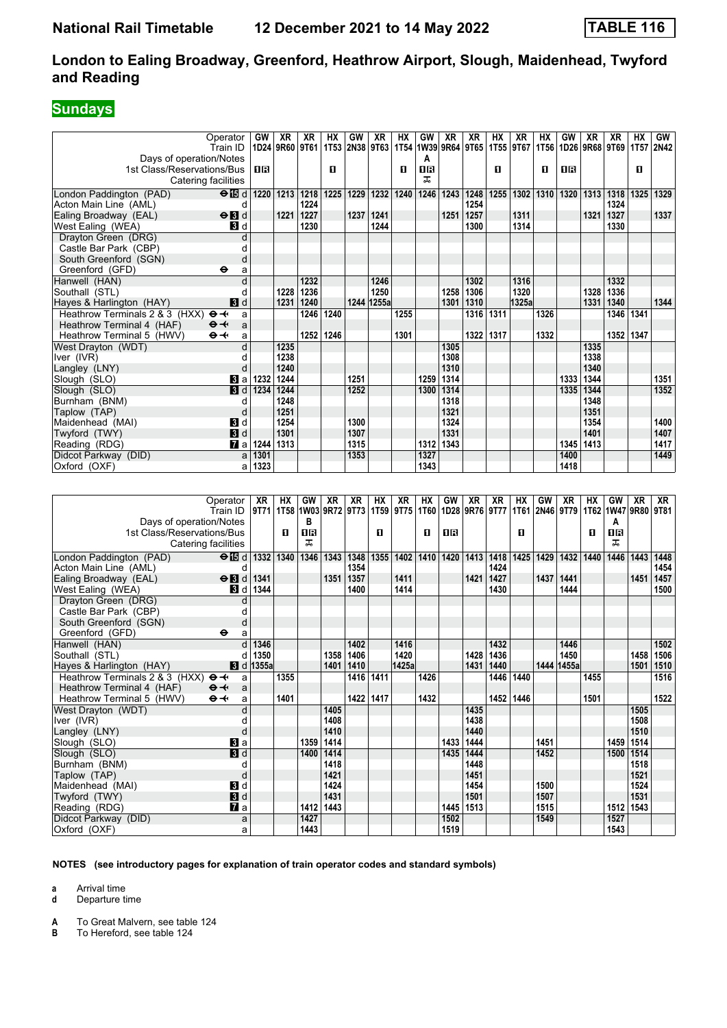## **Sundays**

|                                | Operator<br>Train ID       | GW   | XR<br>1D24 9R60 9T61 | XR   | <b>HX</b> | GW        | XR         | <b>HX</b><br>1T53 2N38 9T63 1T54 1W39 9R64 9T65 | GW        | <b>XR</b> | <b>XR</b> | <b>HX</b> | XR<br>1T55 9T67 | HХ   | GW   | <b>XR</b> | XR<br>  1T56   1D26   9R68   9T69 | <b>HX</b> | GW<br>1T57 2N42 |
|--------------------------------|----------------------------|------|----------------------|------|-----------|-----------|------------|-------------------------------------------------|-----------|-----------|-----------|-----------|-----------------|------|------|-----------|-----------------------------------|-----------|-----------------|
| Days of operation/Notes        |                            |      |                      |      |           |           |            |                                                 | А         |           |           |           |                 |      |      |           |                                   |           |                 |
| 1st Class/Reservations/Bus     |                            | ПR   |                      |      | п         |           |            | п                                               | <b>08</b> |           |           | п         |                 | п    | 18   |           |                                   | п         |                 |
|                                | Catering facilities        |      |                      |      |           |           |            |                                                 | ᠼ         |           |           |           |                 |      |      |           |                                   |           |                 |
| London Paddington (PAD)        | $\Theta$ is d              |      | 1220   1213          | 1218 | 1225      | 1229      |            | 1232 1240                                       | 1246      | 1243      | 1248      |           | 1255 1302 1310  |      | 1320 | 1313      | 1318                              | 1325      | 1329            |
| Acton Main Line (AML)          | d                          |      |                      | 1224 |           |           |            |                                                 |           |           | 1254      |           |                 |      |      |           | 1324                              |           |                 |
| Ealing Broadway (EAL)          | $\Theta$ <b>B</b> d        |      | 1221                 | 1227 |           | 1237      | 1241       |                                                 |           | 1251      | 1257      |           | 1311            |      |      | 1321      | 1327                              |           | 1337            |
| West Ealing (WEA)              | <b>3</b> d                 |      |                      | 1230 |           |           | 1244       |                                                 |           |           | 1300      |           | 1314            |      |      |           | 1330                              |           |                 |
| Drayton Green (DRG)            | d                          |      |                      |      |           |           |            |                                                 |           |           |           |           |                 |      |      |           |                                   |           |                 |
| Castle Bar Park (CBP)          | d                          |      |                      |      |           |           |            |                                                 |           |           |           |           |                 |      |      |           |                                   |           |                 |
| South Greenford (SGN)          | d                          |      |                      |      |           |           |            |                                                 |           |           |           |           |                 |      |      |           |                                   |           |                 |
| Greenford (GFD)                | $\bullet$<br>a             |      |                      |      |           |           |            |                                                 |           |           |           |           |                 |      |      |           |                                   |           |                 |
| Hanwell (HAN)                  | d                          |      |                      | 1232 |           |           | 1246       |                                                 |           |           | 1302      |           | 1316            |      |      |           | 1332                              |           |                 |
| Southall (STL)                 | d                          |      | 1228                 | 1236 |           |           | 1250       |                                                 |           | 1258      | 1306      |           | 1320            |      |      | 1328      | 1336                              |           |                 |
| Hayes & Harlington (HAY)       | 3d                         |      | 1231                 | 1240 |           |           | 1244 1255a |                                                 |           | 1301      | 1310      |           | 1325a           |      |      | 1331      | 1340                              |           | 1344            |
| Heathrow Terminals 2 & 3 (HXX) | $\Theta +$<br>a            |      |                      | 1246 | 1240      |           |            | 1255                                            |           |           | 1316      | 1311      |                 | 1326 |      |           | 1346                              | 1341      |                 |
| Heathrow Terminal 4 (HAF)      | $\Theta +$<br>a            |      |                      |      |           |           |            |                                                 |           |           |           |           |                 |      |      |           |                                   |           |                 |
| Heathrow Terminal 5 (HWV)      | $\Theta +$<br>a            |      |                      | 1252 | 1246      |           |            | 1301                                            |           |           | 1322      | 1317      |                 | 1332 |      |           | 1352                              | 1347      |                 |
| West Drayton (WDT)             | d                          |      | 1235                 |      |           |           |            |                                                 |           | 1305      |           |           |                 |      |      | 1335      |                                   |           |                 |
| Iver (IVR)                     | d                          |      | 1238                 |      |           |           |            |                                                 |           | 1308      |           |           |                 |      |      | 1338      |                                   |           |                 |
| Langley (LNY)                  | d                          |      | 1240                 |      |           |           |            |                                                 |           | 1310      |           |           |                 |      |      | 1340      |                                   |           |                 |
| Slough (SLO)                   | $\bf{3}$ a                 | 1232 | 1244                 |      |           | 1251      |            |                                                 | 1259      | 1314      |           |           |                 |      | 1333 | 1344      |                                   |           | 1351            |
| Slough (SLO)                   | $\blacksquare$             | 1234 | 1244                 |      |           | 1252      |            |                                                 | 1300      | 1314      |           |           |                 |      | 1335 | 1344      |                                   |           | 1352            |
| Burnham (BNM)                  | d                          |      | 1248                 |      |           |           |            |                                                 |           | 1318      |           |           |                 |      |      | 1348      |                                   |           |                 |
| Taplow (TAP)                   | d                          |      | 1251                 |      |           |           |            |                                                 |           | 1321      |           |           |                 |      |      | 1351      |                                   |           |                 |
| Maidenhead (MAI)               | <b>3</b> d                 |      | 1254                 |      |           | 1300      |            |                                                 |           | 1324      |           |           |                 |      |      | 1354      |                                   |           | 1400            |
| Twyford (TWY)                  | 3d                         |      | 1301                 |      |           | 1307      |            |                                                 |           | 1331      |           |           |                 |      |      | 1401      |                                   |           | 1407            |
| Reading (RDG)                  | $\mathbf{z}$ a             | 1244 | 1313                 |      |           | 1315      |            |                                                 | 1312      | 1343      |           |           |                 |      | 1345 | 1413      |                                   |           | 1417            |
| Didcot Parkway (DID)           | a                          | 1301 |                      |      |           | 1353      |            |                                                 | 1327      |           |           |           |                 |      | 1400 |           |                                   |           | 1449            |
| Oxford (OXF)                   | al                         | 1323 |                      |      |           |           |            |                                                 | 1343      |           |           |           |                 |      | 1418 |           |                                   |           |                 |
|                                |                            |      |                      |      |           |           |            |                                                 |           |           |           |           |                 |      |      |           |                                   |           |                 |
|                                |                            |      |                      |      |           |           |            |                                                 |           |           |           |           |                 |      |      |           |                                   |           |                 |
|                                | $Onerator$ $\overline{XR}$ |      | HX                   |      | GW XR     | <b>YR</b> | <b>HX</b>  | <b>XR</b>                                       | HX        |           | GW XR     | <b>YR</b> | <b>HX</b>       | GW I | XR I | <b>HX</b> |                                   | $GW$ $XP$ | <b>YR</b>       |

| Operator<br>Train ID                         | XR<br>9T71       | <b>HX</b> | GW<br>1T58 1W03 | XR   | XR   | HX   | XR<br>9R72 9T73 1T59 9T75 | HX<br><b>1T60</b> | GW   | XR   | <b>XR</b><br>1D28 9R76 9T77 | НX   | GW   | XR<br>1T61 2N46 9T79 | НX   | GW<br>1T62 1W47 9R80 9T81 | <b>XR</b> | XR   |
|----------------------------------------------|------------------|-----------|-----------------|------|------|------|---------------------------|-------------------|------|------|-----------------------------|------|------|----------------------|------|---------------------------|-----------|------|
| Days of operation/Notes                      |                  |           | в               |      |      |      |                           |                   |      |      |                             |      |      |                      |      | A                         |           |      |
| 1st Class/Reservations/Bus                   |                  | O         | 1 R             |      |      | п    |                           | О                 | 0B   |      |                             | п    |      |                      | O    | 16                        |           |      |
| Catering facilities                          |                  |           | ㅈ               |      |      |      |                           |                   |      |      |                             |      |      |                      |      | ᅚ                         |           |      |
| London Paddington (PAD)<br>$\Theta$ is d     | 1332             | 1340      | 1346            | 1343 | 1348 | 1355 | 1402                      | 1410              | 1420 | 1413 | 1418                        | 1425 | 1429 | 1432                 | 1440 | 1446                      | 1443      | 1448 |
| Acton Main Line (AML)                        |                  |           |                 |      | 1354 |      |                           |                   |      |      | 1424                        |      |      |                      |      |                           |           | 1454 |
| Ealing Broadway (EAL)<br>$\Theta$ <b>B</b> d | 1341             |           |                 | 1351 | 1357 |      | 1411                      |                   |      | 1421 | 1427                        |      | 1437 | 1441                 |      |                           | 1451      | 1457 |
| West Ealing (WEA)<br><b>B</b> d              | 1344             |           |                 |      | 1400 |      | 1414                      |                   |      |      | 1430                        |      |      | 1444                 |      |                           |           | 1500 |
| Drayton Green (DRG)                          |                  |           |                 |      |      |      |                           |                   |      |      |                             |      |      |                      |      |                           |           |      |
| Castle Bar Park (CBP)                        |                  |           |                 |      |      |      |                           |                   |      |      |                             |      |      |                      |      |                           |           |      |
| South Greenford (SGN)                        |                  |           |                 |      |      |      |                           |                   |      |      |                             |      |      |                      |      |                           |           |      |
| Greenford (GFD)<br>⊖                         | a                |           |                 |      |      |      |                           |                   |      |      |                             |      |      |                      |      |                           |           |      |
| Hanwell (HAN)                                | 1346             |           |                 |      | 1402 |      | 1416                      |                   |      |      | 1432                        |      |      | 1446                 |      |                           |           | 1502 |
| Southall (STL)                               | 1350             |           |                 | 1358 | 1406 |      | 1420                      |                   |      | 1428 | 1436                        |      |      | 1450                 |      |                           | 1458      | 1506 |
| Hayes & Harlington (HAY)                     | <b>8</b> d 1355a |           |                 | 1401 | 1410 |      | 1425a                     |                   |      | 1431 | 1440                        |      |      | 1444 1455a           |      |                           | 1501      | 1510 |
| Heathrow Terminals 2 & 3 (HXX)<br>$\Theta +$ | a                | 1355      |                 |      | 1416 | 1411 |                           | 1426              |      |      | 1446                        | 1440 |      |                      | 1455 |                           |           | 1516 |
| $\Theta +$<br>Heathrow Terminal 4 (HAF)      | a                |           |                 |      |      |      |                           |                   |      |      |                             |      |      |                      |      |                           |           |      |
| $\Theta +$<br>Heathrow Terminal 5 (HWV)      | a                | 1401      |                 |      | 1422 | 1417 |                           | 1432              |      |      | 1452                        | 1446 |      |                      | 1501 |                           |           | 1522 |
| West Drayton (WDT)                           |                  |           |                 | 1405 |      |      |                           |                   |      | 1435 |                             |      |      |                      |      |                           | 1505      |      |
| Iver (IVR)                                   |                  |           |                 | 1408 |      |      |                           |                   |      | 1438 |                             |      |      |                      |      |                           | 1508      |      |
| Langley (LNY)                                | d                |           |                 | 1410 |      |      |                           |                   |      | 1440 |                             |      |      |                      |      |                           | 1510      |      |
| <b>B</b> la<br>Slough (SLO)                  |                  |           | 1359            | 1414 |      |      |                           |                   | 1433 | 1444 |                             |      | 1451 |                      |      | 1459                      | 1514      |      |
| <b>3</b> d<br>Slough (SLO)                   |                  |           | 1400            | 1414 |      |      |                           |                   | 1435 | 1444 |                             |      | 1452 |                      |      | 1500                      | 1514      |      |
| Burnham (BNM)                                |                  |           |                 | 1418 |      |      |                           |                   |      | 1448 |                             |      |      |                      |      |                           | 1518      |      |
| Taplow (TAP)                                 | d                |           |                 | 1421 |      |      |                           |                   |      | 1451 |                             |      |      |                      |      |                           | 1521      |      |
| 3d<br>Maidenhead (MAI)                       |                  |           |                 | 1424 |      |      |                           |                   |      | 1454 |                             |      | 1500 |                      |      |                           | 1524      |      |
| <b>3</b> d<br>Twyford (TWY)                  |                  |           |                 | 1431 |      |      |                           |                   |      | 1501 |                             |      | 1507 |                      |      |                           | 1531      |      |
| <b>7</b> a<br>Reading (RDG)                  |                  |           | 1412            | 1443 |      |      |                           |                   | 1445 | 1513 |                             |      | 1515 |                      |      | 1512                      | 1543      |      |
| Didcot Parkway (DID)                         | a                |           | 1427            |      |      |      |                           |                   | 1502 |      |                             |      | 1549 |                      |      | 1527                      |           |      |
| Oxford (OXF)                                 | a                |           | 1443            |      |      |      |                           |                   | 1519 |      |                             |      |      |                      |      | 1543                      |           |      |

#### **NOTES (see introductory pages for explanation of train operator codes and standard symbols)**

**a** Arrival time

**d** Departure time

**A** To Great Malvern, see table 124<br>**B** To Hereford, see table 124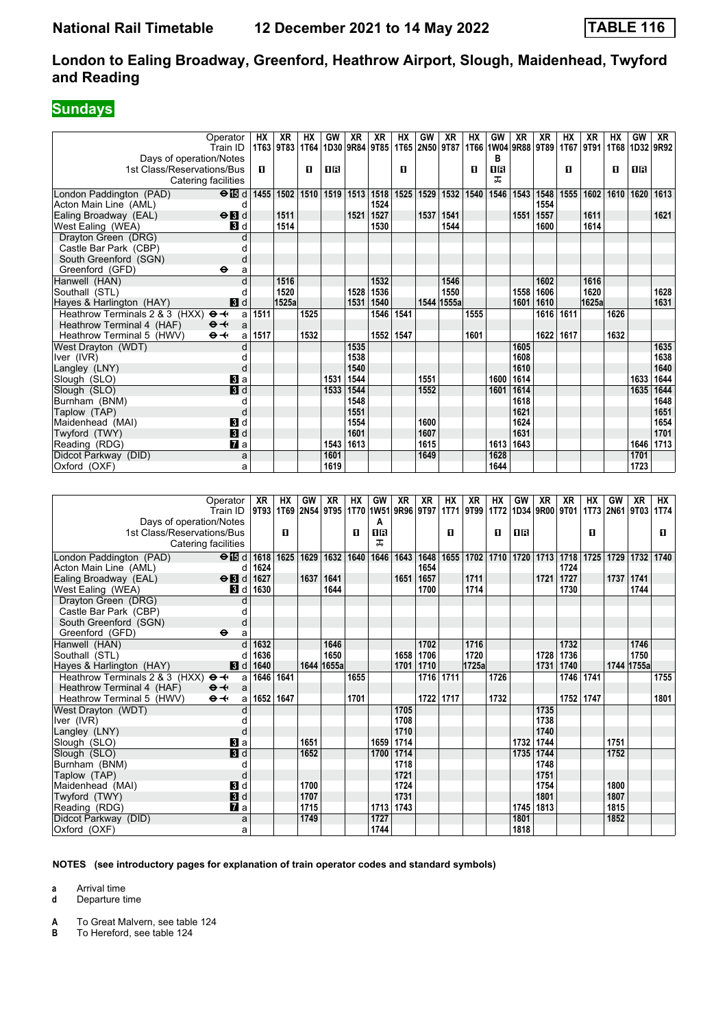## **Sundays**

|                                                       | Operator               | <b>HX</b> | <b>XR</b>                       | <b>HX</b> | GW           | <b>XR</b>    | <b>XR</b>                               | <b>HX</b>              | GW             | <b>XR</b>   | <b>HX</b> | GW             | <b>XR</b> | <b>XR</b>                   | <b>HX</b>   | <b>XR</b> | HX             | GW           | XR                |
|-------------------------------------------------------|------------------------|-----------|---------------------------------|-----------|--------------|--------------|-----------------------------------------|------------------------|----------------|-------------|-----------|----------------|-----------|-----------------------------|-------------|-----------|----------------|--------------|-------------------|
|                                                       |                        |           | 1T63 9T83                       |           | 1D30         |              | 9R84 9T85                               |                        | 1T65 2N50 9T87 |             |           | 1T66 1W04 9R88 |           | 9T89                        | <b>1T67</b> | 9T91      | 1T68           |              | 1D32 9R92         |
| Days of operation/Notes                               | Train ID               |           |                                 | 1T64      |              |              |                                         |                        |                |             |           | в              |           |                             |             |           |                |              |                   |
| 1st Class/Reservations/Bus                            |                        | O.        |                                 | п         | <b>08</b>    |              |                                         | $\blacksquare$         |                |             | П         | 08             |           |                             | п           |           | п              | <b>08</b>    |                   |
|                                                       |                        |           |                                 |           |              |              |                                         |                        |                |             |           | ᠼ              |           |                             |             |           |                |              |                   |
|                                                       | Catering facilities    |           |                                 |           |              |              |                                         |                        |                |             |           |                |           |                             |             |           |                |              |                   |
| London Paddington (PAD)                               | $\Theta$ is d          | 1455      |                                 |           |              |              | 1502   1510   1519   1513   1518   1525 |                        | 1529           | 1532        | 1540      | 1546           |           | 1543 1548                   | 1555        | 1602      | 1610           | 1620         | 1613              |
| Acton Main Line (AML)                                 | d                      |           |                                 |           |              |              | 1524                                    |                        |                |             |           |                |           | 1554                        |             |           |                |              |                   |
| Ealing Broadway (EAL)                                 | $\Theta$ <b>B</b> d    |           | 1511                            |           |              | 1521         | 1527                                    |                        | 1537           | 1541        |           |                | 1551      | 1557                        |             | 1611      |                |              | 1621              |
| West Ealing (WEA)                                     | <b>3</b> d             |           | 1514                            |           |              |              | 1530                                    |                        |                | 1544        |           |                |           | 1600                        |             | 1614      |                |              |                   |
| Drayton Green (DRG)                                   | d                      |           |                                 |           |              |              |                                         |                        |                |             |           |                |           |                             |             |           |                |              |                   |
| Castle Bar Park (CBP)                                 | d                      |           |                                 |           |              |              |                                         |                        |                |             |           |                |           |                             |             |           |                |              |                   |
| South Greenford (SGN)                                 | d                      |           |                                 |           |              |              |                                         |                        |                |             |           |                |           |                             |             |           |                |              |                   |
| Greenford (GFD)                                       | $\bullet$<br>a         |           |                                 |           |              |              |                                         |                        |                |             |           |                |           |                             |             |           |                |              |                   |
| Hanwell (HAN)                                         | d                      |           | 1516                            |           |              |              | 1532                                    |                        |                | 1546        |           |                |           | 1602                        |             | 1616      |                |              |                   |
| Southall (STL)                                        | d                      |           | 1520                            |           |              | 1528         | 1536                                    |                        |                | 1550        |           |                | 1558      | 1606                        |             | 1620      |                |              | 1628              |
| Hayes & Harlington (HAY)                              | 3d                     |           | 1525a                           |           |              | 1531         | 1540                                    |                        |                | 1544 1555a  |           |                | 1601      | 1610                        |             | 1625a     |                |              | 1631              |
| Heathrow Terminals 2 & 3 (HXX)                        | $\mathbf{\Theta}$<br>a | 1511      |                                 | 1525      |              |              | 1546                                    | 1541                   |                |             | 1555      |                |           | 1616                        | 1611        |           | 1626           |              |                   |
| Heathrow Terminal 4 (HAF)                             | $\Theta +$<br>a        |           |                                 |           |              |              |                                         |                        |                |             |           |                |           |                             |             |           |                |              |                   |
| Heathrow Terminal 5 (HWV)                             | $\mathbf{\Theta}$<br>a | 1517      |                                 | 1532      |              |              |                                         | 1552 1547              |                |             | 1601      |                |           | 1622 1617                   |             |           | 1632           |              |                   |
| West Drayton (WDT)                                    | d                      |           |                                 |           |              | 1535         |                                         |                        |                |             |           |                | 1605      |                             |             |           |                |              | 1635              |
| Iver (IVR)                                            | d                      |           |                                 |           |              | 1538         |                                         |                        |                |             |           |                | 1608      |                             |             |           |                |              | 1638              |
| Langley (LNY)                                         | d                      |           |                                 |           |              | 1540         |                                         |                        |                |             |           |                | 1610      |                             |             |           |                |              | 1640              |
| Slough (SLO)                                          | $\bf{B}$ a             |           |                                 |           | 1531         | 1544         |                                         |                        | 1551           |             |           | 1600           | 1614      |                             |             |           |                | 1633         | 1644              |
| Slough (SLO)                                          | 3d                     |           |                                 |           | 1533         | 1544         |                                         |                        | 1552           |             |           | 1601           | 1614      |                             |             |           |                | 1635         | 1644              |
| Burnham (BNM)                                         | d                      |           |                                 |           |              | 1548         |                                         |                        |                |             |           |                | 1618      |                             |             |           |                |              | 1648              |
| Taplow (TAP)                                          | d                      |           |                                 |           |              | 1551         |                                         |                        |                |             |           |                | 1621      |                             |             |           |                |              | 1651              |
| Maidenhead (MAI)                                      | $\blacksquare$         |           |                                 |           |              | 1554<br>1601 |                                         |                        | 1600           |             |           |                | 1624      |                             |             |           |                |              | 1654              |
| Twyford (TWY)                                         | $\blacksquare$         |           |                                 |           |              | 1613         |                                         |                        | 1607           |             |           |                | 1631      |                             |             |           |                |              | 1701<br>1646 1713 |
| Reading (RDG)                                         | $\mathbf{z}$           |           |                                 |           | 1543         |              |                                         |                        | 1615           |             |           | 1613 1643      |           |                             |             |           |                |              |                   |
| Didcot Parkway (DID)                                  | a                      |           |                                 |           | 1601<br>1619 |              |                                         |                        | 1649           |             |           | 1628<br>1644   |           |                             |             |           |                | 1701<br>1723 |                   |
| Oxford (OXF)                                          | a                      |           |                                 |           |              |              |                                         |                        |                |             |           |                |           |                             |             |           |                |              |                   |
|                                                       |                        |           |                                 |           |              |              |                                         |                        |                |             |           |                |           |                             |             |           |                |              |                   |
|                                                       |                        |           |                                 |           | <b>XR</b>    | <b>HX</b>    |                                         |                        |                | <b>HX</b>   | <b>XR</b> | <b>HX</b>      | GW        |                             |             | <b>HX</b> | GW             | <b>XR</b>    | <b>HX</b>         |
|                                                       | Operator               | XR        | HX<br>9T93   1T69   2N54   9T95 | GW        |              |              | GW<br>1T70 1W51                         | <b>XR</b><br>9R96 9T97 | XR             | <b>1T71</b> | 9T99      | 1T72           |           | <b>XR</b><br>1D34 9R00 9T01 | <b>XR</b>   |           | 1T73 2N61 9T03 |              | 1T74              |
|                                                       | Train ID               |           |                                 |           |              |              | A                                       |                        |                |             |           |                |           |                             |             |           |                |              |                   |
| Days of operation/Notes<br>1st Class/Reservations/Bus |                        |           | п                               |           |              | п            | <b>0B</b>                               |                        |                | п           |           | п              | 1R        |                             |             | п         |                |              | D.                |
|                                                       | Catering facilities    |           |                                 |           |              |              | ᠼ                                       |                        |                |             |           |                |           |                             |             |           |                |              |                   |
|                                                       |                        |           |                                 |           |              |              |                                         |                        |                |             |           |                |           |                             |             |           |                |              |                   |
| London Paddington (PAD)                               | $\Theta$ is d          | 1618      | 1625                            | 1629      | 1632         | 1640         | 1646                                    | 1643                   | 1648           | 1655        | 1702      |                |           | 1710 1720 1713 1718         |             | 1725      |                | 1729 1732    | 1740              |
| Acton Main Line (AML)                                 | d                      | 1624      |                                 |           |              |              |                                         |                        | 1654           |             |           |                |           |                             | 1724        |           |                |              |                   |
| Ealing Broadway (EAL)                                 | $\Theta$ <b>B</b> d    | 1627      |                                 | 1637      | 1641         |              |                                         | 1651                   | 1657           |             | 1711      |                |           | 1721                        | 1727        |           | 1737           | 1741         |                   |
| West Ealing (WEA)                                     | <b>3</b> d             | 1630      |                                 |           | 1644         |              |                                         |                        | 1700           |             | 1714      |                |           |                             | 1730        |           |                | 1744         |                   |
| Drayton Green (DRG)                                   | d                      |           |                                 |           |              |              |                                         |                        |                |             |           |                |           |                             |             |           |                |              |                   |
| Castle Bar Park (CBP)                                 | d                      |           |                                 |           |              |              |                                         |                        |                |             |           |                |           |                             |             |           |                |              |                   |
| South Greenford (SGN)                                 | d                      |           |                                 |           |              |              |                                         |                        |                |             |           |                |           |                             |             |           |                |              |                   |

|                                | Train ID.           | 9T93   1T69   2N54   9T95   1T70  1W51   9R96   9T97   1T71   9T99   1T72   1D34   9R00   9T01   1T73   2N61   9T03   1T74 |      |      |            |      |      |           |           |      |       |      |      |                    |      |      |           |            |           |
|--------------------------------|---------------------|----------------------------------------------------------------------------------------------------------------------------|------|------|------------|------|------|-----------|-----------|------|-------|------|------|--------------------|------|------|-----------|------------|-----------|
| Days of operation/Notes        |                     |                                                                                                                            |      |      |            |      | A    |           |           |      |       |      |      |                    |      |      |           |            |           |
| 1st Class/Reservations/Bus     |                     |                                                                                                                            | 0    |      |            | п    | 1R   |           |           | п    |       | п    | 1R   |                    |      | п    |           |            | п         |
|                                | Catering facilities |                                                                                                                            |      |      |            |      | ᅚ    |           |           |      |       |      |      |                    |      |      |           |            |           |
| London Paddington (PAD)        | $\Theta$ is d       | 1618                                                                                                                       | 1625 | 1629 | 1632       | 1640 | 1646 | 1643      | 1648      | 1655 | 1702  |      |      | 1710   1720   1713 | 1718 | 1725 | 1729      |            | 1732 1740 |
| Acton Main Line (AML)          | d                   | 1624                                                                                                                       |      |      |            |      |      |           | 1654      |      |       |      |      |                    | 1724 |      |           |            |           |
| Ealing Broadway (EAL)          | $\Theta$ <b>N</b> d | 1627                                                                                                                       |      | 1637 | 1641       |      |      | 1651      | 1657      |      | 1711  |      |      | 1721               | 1727 |      | 1737 1741 |            |           |
| West Ealing (WEA)              | Bid                 | 1630                                                                                                                       |      |      | 1644       |      |      |           | 1700      |      | 1714  |      |      |                    | 1730 |      |           | 1744       |           |
| Drayton Green (DRG)            |                     |                                                                                                                            |      |      |            |      |      |           |           |      |       |      |      |                    |      |      |           |            |           |
| Castle Bar Park (CBP)          |                     |                                                                                                                            |      |      |            |      |      |           |           |      |       |      |      |                    |      |      |           |            |           |
| South Greenford (SGN)          | d                   |                                                                                                                            |      |      |            |      |      |           |           |      |       |      |      |                    |      |      |           |            |           |
| Greenford (GFD)                | $\bullet$<br>a      |                                                                                                                            |      |      |            |      |      |           |           |      |       |      |      |                    |      |      |           |            |           |
| Hanwell (HAN)                  |                     | 1632                                                                                                                       |      |      | 1646       |      |      |           | 1702      |      | 1716  |      |      |                    | 1732 |      |           | 1746       |           |
| Southall (STL)                 |                     | 1636                                                                                                                       |      |      | 1650       |      |      | 1658      | 1706      |      | 1720  |      |      | 1728               | 1736 |      |           | 1750       |           |
| Hayes & Harlington (HAY)       | 3d                  | 1640                                                                                                                       |      |      | 1644 1655a |      |      | 1701      | 1710      |      | 1725a |      |      | 1731               | 1740 |      |           | 1744 1755a |           |
| Heathrow Terminals 2 & 3 (HXX) | $\Theta +$<br>a     | 1646                                                                                                                       | 1641 |      |            | 1655 |      |           | 1716      | 1711 |       | 1726 |      |                    | 1746 | 1741 |           |            | 1755      |
| Heathrow Terminal 4 (HAF)      | $\Theta +$<br>a     |                                                                                                                            |      |      |            |      |      |           |           |      |       |      |      |                    |      |      |           |            |           |
| Heathrow Terminal 5 (HWV)      | $\Theta +$<br>al    | 1652 1647                                                                                                                  |      |      |            | 1701 |      |           | 1722 1717 |      |       | 1732 |      |                    | 1752 | 1747 |           |            | 1801      |
| West Drayton (WDT)             |                     |                                                                                                                            |      |      |            |      |      | 1705      |           |      |       |      |      | 1735               |      |      |           |            |           |
| Iver (IVR)                     |                     |                                                                                                                            |      |      |            |      |      | 1708      |           |      |       |      |      | 1738               |      |      |           |            |           |
| Langley (LNY)                  |                     |                                                                                                                            |      |      |            |      |      | 1710      |           |      |       |      |      | 1740               |      |      |           |            |           |
| Slough (SLO)                   | Bl a                |                                                                                                                            |      | 1651 |            |      |      | 1659 1714 |           |      |       |      | 1732 | 1744               |      |      | 1751      |            |           |
| Slough (SLO)                   | 3d                  |                                                                                                                            |      | 1652 |            |      | 1700 | 1714      |           |      |       |      | 1735 | 1744               |      |      | 1752      |            |           |
| Burnham (BNM)                  |                     |                                                                                                                            |      |      |            |      |      | 1718      |           |      |       |      |      | 1748               |      |      |           |            |           |
| Taplow (TAP)                   | d                   |                                                                                                                            |      |      |            |      |      | 1721      |           |      |       |      |      | 1751               |      |      |           |            |           |
| Maidenhead (MAI)               | $\mathbf{3}$ d      |                                                                                                                            |      | 1700 |            |      |      | 1724      |           |      |       |      |      | 1754               |      |      | 1800      |            |           |
| Twyford (TWY)                  | 3d                  |                                                                                                                            |      | 1707 |            |      |      | 1731      |           |      |       |      |      | 1801               |      |      | 1807      |            |           |
| Reading (RDG)                  | <b>7</b> а          |                                                                                                                            |      | 1715 |            |      |      | 1713 1743 |           |      |       |      | 1745 | 1813               |      |      | 1815      |            |           |
| Didcot Parkway (DID)           | a                   |                                                                                                                            |      | 1749 |            |      | 1727 |           |           |      |       |      | 1801 |                    |      |      | 1852      |            |           |
| Oxford (OXF)                   | a                   |                                                                                                                            |      |      |            |      | 1744 |           |           |      |       |      | 1818 |                    |      |      |           |            |           |

**NOTES (see introductory pages for explanation of train operator codes and standard symbols)**

**a** Arrival time

**d** Departure time

**A** To Great Malvern, see table 124<br>**B** To Hereford, see table 124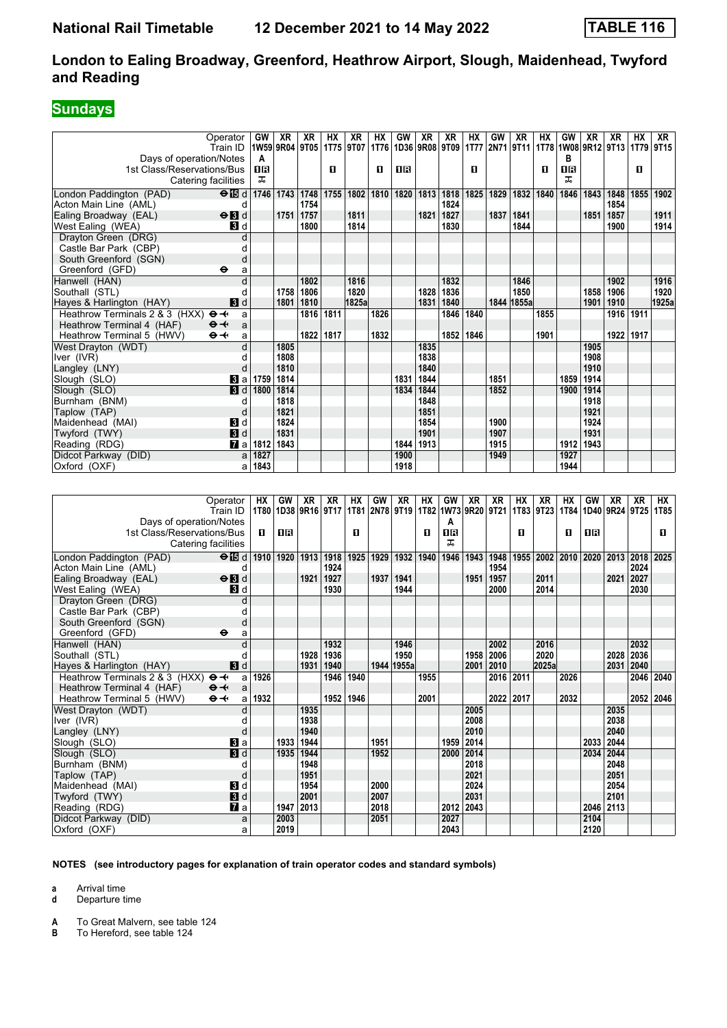## **Sundays**

|                                                     | Operator                   | GW              | XR             | XR          | HХ        | XR          | нх             | GW         | XR   | XR           | HХ        | GW        | XR          | нх             | GW          | XR           | XR               | НX        | XR        |
|-----------------------------------------------------|----------------------------|-----------------|----------------|-------------|-----------|-------------|----------------|------------|------|--------------|-----------|-----------|-------------|----------------|-------------|--------------|------------------|-----------|-----------|
|                                                     | Train ID                   | 1W59 9R04 9T05  |                |             | 1T75      | 9T07        | 1T76           | 1D36       | 9R08 | 9T09         | 1T77      | 2N71 9T11 |             | 1T78 1W08 9R12 |             |              | 9T <sub>13</sub> | 1T79      | 9T15      |
| Days of operation/Notes                             |                            | A               |                |             |           |             |                |            |      |              |           |           |             |                | в           |              |                  |           |           |
| 1st Class/Reservations/Bus                          |                            | 1R              |                |             | O         |             | O              | ΠR         |      |              | п         |           |             | П              | ΠR          |              |                  | П         |           |
|                                                     |                            | ᠼ               |                |             |           |             |                |            |      |              |           |           |             |                | ᠼ           |              |                  |           |           |
|                                                     | Catering facilities        |                 |                |             |           |             |                |            |      |              |           |           |             |                |             |              |                  |           |           |
| London Paddington (PAD)                             | $\Theta$ $\blacksquare$ d  | 1746            | $ 1743\rangle$ | 1748        | 1755      | 1802        | 1810           | 1820       | 1813 | 1818         | 1825      | 1829      | 1832        | 1840           | 1846        | 1843         | 1848             | 1855      | 1902      |
| Acton Main Line (AML)                               | d                          |                 |                | 1754        |           |             |                |            |      | 1824         |           |           |             |                |             |              | 1854             |           |           |
| Ealing Broadway (EAL)                               | $\Theta$ <b>B</b> d        |                 | 1751           | 1757        |           | 1811        |                |            | 1821 | 1827         |           | 1837      | 1841        |                |             | 1851         | 1857             |           | 1911      |
|                                                     |                            |                 |                |             |           |             |                |            |      |              |           |           |             |                |             |              |                  |           |           |
| West Ealing (WEA)                                   | $\mathbf{B}$ d             |                 |                | 1800        |           | 1814        |                |            |      | 1830         |           |           | 1844        |                |             |              | 1900             |           | 1914      |
| Drayton Green (DRG)                                 | d                          |                 |                |             |           |             |                |            |      |              |           |           |             |                |             |              |                  |           |           |
| Castle Bar Park (CBP)                               | d                          |                 |                |             |           |             |                |            |      |              |           |           |             |                |             |              |                  |           |           |
|                                                     | d                          |                 |                |             |           |             |                |            |      |              |           |           |             |                |             |              |                  |           |           |
| South Greenford (SGN)                               |                            |                 |                |             |           |             |                |            |      |              |           |           |             |                |             |              |                  |           |           |
| Greenford (GFD)                                     | θ<br>a                     |                 |                |             |           |             |                |            |      |              |           |           |             |                |             |              |                  |           |           |
| Hanwell (HAN)                                       | d                          |                 |                | 1802        |           | 1816        |                |            |      | 1832         |           |           | 1846        |                |             |              | 1902             |           | 1916      |
| Southall (STL)                                      | d                          |                 | 1758           | 1806        |           | 1820        |                |            | 1828 | 1836         |           |           | 1850        |                |             | 1858         | 1906             |           | 1920      |
|                                                     |                            |                 |                |             |           |             |                |            |      |              |           |           |             |                |             |              |                  |           |           |
| Hayes & Harlington (HAY)                            | 3d                         |                 | 1801           | 1810        |           | 1825a       |                |            | 1831 | 1840         |           |           | 1844 1855a  |                |             | 1901         | 1910             |           | 1925a     |
| Heathrow Terminals 2 & 3 (HXX) $\Theta \rightarrow$ | a                          |                 |                | 1816        | 1811      |             | 1826           |            |      | 1846         | 1840      |           |             | 1855           |             |              | 1916             | 1911      |           |
| Heathrow Terminal 4 (HAF)                           | $\mathbf{\Theta}$<br>a     |                 |                |             |           |             |                |            |      |              |           |           |             |                |             |              |                  |           |           |
| Heathrow Terminal 5 (HWV)                           | ⊖≁<br>a                    |                 |                | 1822        | 1817      |             | 1832           |            |      | 1852         | 1846      |           |             | 1901           |             |              | 1922             | 1917      |           |
|                                                     |                            |                 |                |             |           |             |                |            |      |              |           |           |             |                |             |              |                  |           |           |
| West Drayton (WDT)                                  | d                          |                 | 1805           |             |           |             |                |            | 1835 |              |           |           |             |                |             | 1905         |                  |           |           |
| Iver (IVR)                                          | d                          |                 | 1808           |             |           |             |                |            | 1838 |              |           |           |             |                |             | 1908         |                  |           |           |
| Langley (LNY)                                       | d                          |                 | 1810           |             |           |             |                |            | 1840 |              |           |           |             |                |             | 1910         |                  |           |           |
| Slough (SLO)                                        | 8I a                       | 1759            | 1814           |             |           |             |                | 1831       | 1844 |              |           | 1851      |             |                | 1859        | 1914         |                  |           |           |
|                                                     |                            |                 |                |             |           |             |                |            |      |              |           |           |             |                |             |              |                  |           |           |
| Slough (SLO)                                        | $\blacksquare$             | 1800            | 1814           |             |           |             |                | 1834       | 1844 |              |           | 1852      |             |                | 1900        | 1914         |                  |           |           |
| Burnham (BNM)                                       | d                          |                 | 1818           |             |           |             |                |            | 1848 |              |           |           |             |                |             | 1918         |                  |           |           |
| Taplow (TAP)                                        | d                          |                 | 1821           |             |           |             |                |            | 1851 |              |           |           |             |                |             | 1921         |                  |           |           |
| Maidenhead (MAI)                                    | <b>B</b> d                 |                 | 1824           |             |           |             |                |            | 1854 |              |           | 1900      |             |                |             | 1924         |                  |           |           |
|                                                     |                            |                 |                |             |           |             |                |            |      |              |           |           |             |                |             |              |                  |           |           |
| Twyford (TWY)                                       | 3d                         |                 | 1831           |             |           |             |                |            | 1901 |              |           | 1907      |             |                |             | 1931         |                  |           |           |
| Reading (RDG)                                       |                            | <b>7</b> a 1812 | 1843           |             |           |             |                | 1844       | 1913 |              |           | 1915      |             |                | 1912        | 1943         |                  |           |           |
| Didcot Parkway (DID)                                | a                          | 1827            |                |             |           |             |                | 1900       |      |              |           | 1949      |             |                | 1927        |              |                  |           |           |
| Oxford (OXF)                                        | a                          | 1843            |                |             |           |             |                | 1918       |      |              |           |           |             |                | 1944        |              |                  |           |           |
|                                                     |                            |                 |                |             |           |             |                |            |      |              |           |           |             |                |             |              |                  |           |           |
|                                                     |                            |                 |                |             |           |             |                |            |      |              |           |           |             |                |             |              |                  |           |           |
|                                                     |                            |                 |                |             |           |             |                |            |      |              |           |           |             |                |             |              |                  |           |           |
|                                                     |                            |                 |                |             |           |             |                |            |      |              |           |           |             |                |             |              |                  |           |           |
|                                                     | Operator                   | НΧ              | GW             | <b>XR</b>   | <b>XR</b> | HX          | GW             | XR         | HХ   | GW           | <b>XR</b> | <b>XR</b> | HХ          | XR             | HX          | GW           | <b>XR</b>        | <b>XR</b> | НX        |
|                                                     |                            |                 |                |             |           |             |                |            |      |              |           |           |             |                |             |              |                  |           |           |
|                                                     | Train ID                   | 1T80            | 1D38           | 9R16        | 9T17      |             | 1T81 2N78 9T19 |            |      | 1T82 1W73    | 9R20      | 9T21      | <b>1T83</b> | 9T23           | <b>1T84</b> | 1D40         | 9R24 9T25        |           | 1T85      |
| Days of operation/Notes                             |                            |                 |                |             |           |             |                |            |      | A            |           |           |             |                |             |              |                  |           |           |
| 1st Class/Reservations/Bus                          |                            | O.              | 1R             |             |           | О           |                |            | 0    | 1R           |           |           | 0           |                | п           | 1R           |                  |           | O         |
|                                                     |                            |                 |                |             |           |             |                |            |      | ᠼ            |           |           |             |                |             |              |                  |           |           |
|                                                     | Catering facilities        |                 |                |             |           |             |                |            |      |              |           |           |             |                |             |              |                  |           |           |
| London Paddington (PAD)                             | $\Theta$ $\blacksquare$ d  | 1910            | 1920           | 1913        | 1918      | 1925        | 1929           | 1932       | 1940 | 1946         | 1943      | 1948      | 1955        | $2002$ 2010    |             | 2020         | 2013 2018        |           | 2025      |
| Acton Main Line (AML)                               | d                          |                 |                |             | 1924      |             |                |            |      |              |           | 1954      |             |                |             |              |                  | 2024      |           |
|                                                     |                            |                 |                |             |           |             |                |            |      |              |           |           |             |                |             |              |                  |           |           |
| Ealing Broadway (EAL)                               | $\Theta$ $\blacksquare$    |                 |                | 1921        | 1927      |             | 1937           | 1941       |      |              | 1951      | 1957      |             | 2011           |             |              | 2021             | 2027      |           |
| West Ealing (WEA)                                   | <b>3</b> d                 |                 |                |             | 1930      |             |                | 1944       |      |              |           | 2000      |             | 2014           |             |              |                  | 2030      |           |
| Drayton Green (DRG)                                 | d                          |                 |                |             |           |             |                |            |      |              |           |           |             |                |             |              |                  |           |           |
| Castle Bar Park (CBP)                               | d                          |                 |                |             |           |             |                |            |      |              |           |           |             |                |             |              |                  |           |           |
|                                                     |                            |                 |                |             |           |             |                |            |      |              |           |           |             |                |             |              |                  |           |           |
| South Greenford (SGN)                               | d                          |                 |                |             |           |             |                |            |      |              |           |           |             |                |             |              |                  |           |           |
| Greenford (GFD)                                     | ٠<br>a                     |                 |                |             |           |             |                |            |      |              |           |           |             |                |             |              |                  |           |           |
| Hanwell (HAN)                                       | d                          |                 |                |             | 1932      |             |                | 1946       |      |              |           | 2002      |             | 2016           |             |              |                  | 2032      |           |
| Southall (STL)                                      | d                          |                 |                | 1928        | 1936      |             |                | 1950       |      |              | 1958      | 2006      |             | 2020           |             |              | 2028             | 2036      |           |
|                                                     |                            |                 |                | 1931        | 1940      |             |                | 1944 1955a |      |              | 2001      | 2010      |             | 2025a          |             |              | 2031             | 2040      |           |
| Hayes & Harlington (HAY)                            | <b>B</b> d                 |                 |                |             |           |             |                |            |      |              |           |           |             |                |             |              |                  |           |           |
| Heathrow Terminals 2 & 3 (HXX) $\Theta \rightarrow$ |                            | a   1926        |                |             |           | 1946   1940 |                |            | 1955 |              |           | 2016 2011 |             |                | 2026        |              |                  |           | 2046 2040 |
| Heathrow Terminal 4 (HAF)                           | $\div$<br>a                |                 |                |             |           |             |                |            |      |              |           |           |             |                |             |              |                  |           |           |
| Heathrow Terminal 5 (HWV)                           | $\Theta \rightarrow$<br>al | 1932            |                |             |           | 1952 1946   |                |            | 2001 |              |           | 2022 2017 |             |                | 2032        |              |                  |           | 2052 2046 |
| West Dravton (WDT)                                  | d                          |                 |                | 1935        |           |             |                |            |      |              | 2005      |           |             |                |             |              | 2035             |           |           |
|                                                     |                            |                 |                |             |           |             |                |            |      |              |           |           |             |                |             |              |                  |           |           |
| Iver (IVR)                                          | d                          |                 |                | 1938        |           |             |                |            |      |              | 2008      |           |             |                |             |              | 2038             |           |           |
| Langley (LNY)                                       | d                          |                 |                | 1940        |           |             |                |            |      |              | 2010      |           |             |                |             |              | 2040             |           |           |
| Slough (SLO)                                        | Вl a                       |                 |                | 1933 1944   |           |             | 1951           |            |      |              | 1959 2014 |           |             |                |             | 2033         | 2044             |           |           |
|                                                     |                            |                 |                |             |           |             | 1952           |            |      |              |           |           |             |                |             |              |                  |           |           |
| Slough (SLO)                                        | <b>3</b> d                 |                 |                | 1935   1944 |           |             |                |            |      |              | 2000 2014 |           |             |                |             |              | 2034 2044        |           |           |
| Burnham (BNM)                                       | d                          |                 |                | 1948        |           |             |                |            |      |              | 2018      |           |             |                |             |              | 2048             |           |           |
| Taplow (TAP)                                        | d                          |                 |                | 1951        |           |             |                |            |      |              | 2021      |           |             |                |             |              | 2051             |           |           |
| Maidenhead (MAI)                                    | 3d                         |                 |                | 1954        |           |             | 2000           |            |      |              | 2024      |           |             |                |             |              | 2054             |           |           |
| Twyford (TWY)                                       |                            |                 |                | 2001        |           |             | 2007           |            |      |              | 2031      |           |             |                |             |              | 2101             |           |           |
|                                                     | 3d                         |                 |                |             |           |             |                |            |      |              |           |           |             |                |             |              |                  |           |           |
| Reading (RDG)                                       | $\mathbf{z}$ a             |                 |                | 1947 2013   |           |             | 2018           |            |      |              | 2012 2043 |           |             |                |             |              | 2046 2113        |           |           |
| Didcot Parkway (DID)<br>Oxford (OXF)                | $\mathsf{a}$<br>a          |                 | 2003<br>2019   |             |           |             | 2051           |            |      | 2027<br>2043 |           |           |             |                |             | 2104<br>2120 |                  |           |           |

#### **NOTES (see introductory pages for explanation of train operator codes and standard symbols)**

**a** Arrival time

**Oxford** (OXF)

**d** Departure time

**A** To Great Malvern, see table 124<br>**B** To Hereford see table 124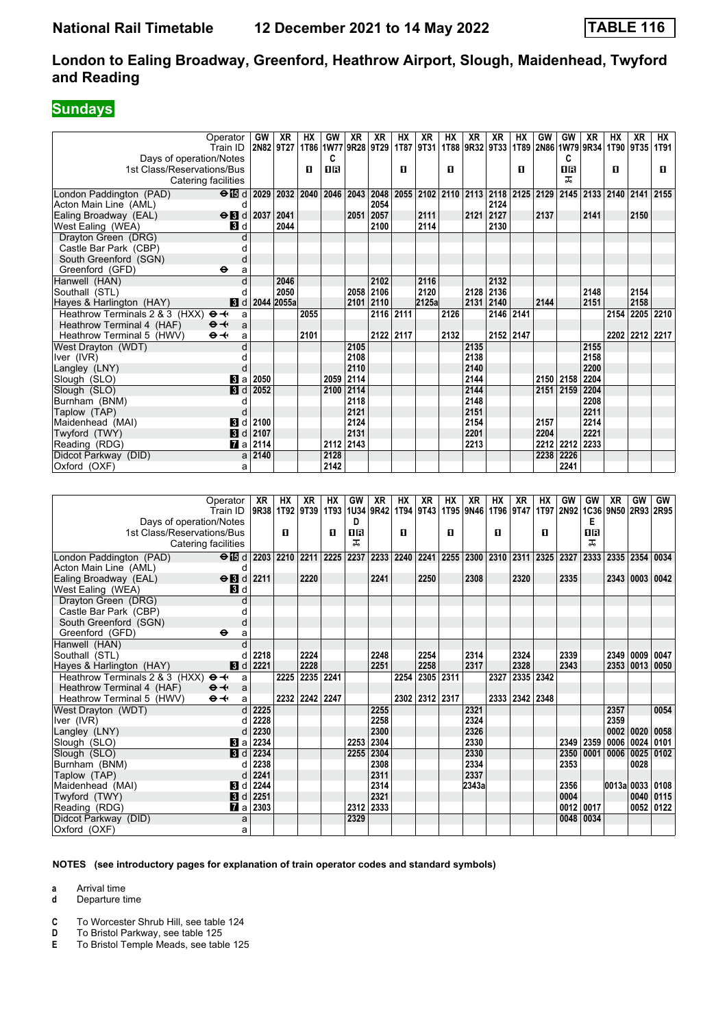## **Sundays**

| Operator                                            |                              | GW        | <b>XR</b>      | <b>HX</b> | GW          | <b>XR</b> | <b>XR</b> | HX          | <b>XR</b> | <b>HX</b>   | <b>XR</b>           | XR        | HX        | GW                                                          | GW        | <b>XR</b> | HX             | <b>XR</b>      | НX           |
|-----------------------------------------------------|------------------------------|-----------|----------------|-----------|-------------|-----------|-----------|-------------|-----------|-------------|---------------------|-----------|-----------|-------------------------------------------------------------|-----------|-----------|----------------|----------------|--------------|
| Train ID                                            |                              | 2N82 9T27 |                | 1T86      | 1W77        | 9R28 9T29 |           | <b>1T87</b> | 9T31      | <b>1T88</b> |                     | 9R32 9T33 |           | 1T89 2N86 1W79 9R34                                         |           |           |                | 1T90 9T35      | 1T91         |
| Days of operation/Notes                             |                              |           |                |           | C           |           |           |             |           |             |                     |           |           |                                                             | C         |           |                |                |              |
| 1st Class/Reservations/Bus                          |                              |           |                | п         | <b>08</b>   |           |           | п           |           | п           |                     |           | п         |                                                             | <b>OR</b> |           | $\mathbf{u}$   |                | $\mathbf{u}$ |
| Catering facilities                                 |                              |           |                |           |             |           |           |             |           |             |                     |           |           |                                                             | ᠼ         |           |                |                |              |
| London Paddington (PAD)                             | $\Theta$ is d                |           | 2029 2032 2040 |           | 2046        |           | 2043 2048 |             |           |             |                     |           |           | 2055 2102 2110 2113 2118 2125 2129 2145 2133 2140 2141 2155 |           |           |                |                |              |
| Acton Main Line (AML)                               | d                            |           |                |           |             |           | 2054      |             |           |             |                     | 2124      |           |                                                             |           |           |                |                |              |
| Ealing Broadway (EAL)                               | $\Theta$ <b>B</b> d          | 2037      | 2041           |           |             | 2051      | 2057      |             | 2111      |             | 2121                | 2127      |           | 2137                                                        |           | 2141      |                | 2150           |              |
| West Ealing (WEA)                                   | <b>3</b> d                   |           | 2044           |           |             |           | 2100      |             | 2114      |             |                     | 2130      |           |                                                             |           |           |                |                |              |
| Dravton Green (DRG)                                 | d                            |           |                |           |             |           |           |             |           |             |                     |           |           |                                                             |           |           |                |                |              |
| Castle Bar Park (CBP)                               | d                            |           |                |           |             |           |           |             |           |             |                     |           |           |                                                             |           |           |                |                |              |
| South Greenford (SGN)                               | d                            |           |                |           |             |           |           |             |           |             |                     |           |           |                                                             |           |           |                |                |              |
| Greenford (GFD)<br>٠                                | a                            |           |                |           |             |           |           |             |           |             |                     |           |           |                                                             |           |           |                |                |              |
| Hanwell (HAN)                                       | d                            |           | 2046           |           |             |           | 2102      |             | 2116      |             |                     | 2132      |           |                                                             |           |           |                |                |              |
| Southall (STL)                                      | d                            |           | 2050           |           |             | 2058      | 2106      |             | 2120      |             | 2128                | 2136      |           |                                                             |           | 2148      |                | 2154           |              |
| Hayes & Harlington (HAY)                            | 3d                           |           | 2044 2055a     |           |             |           | 2101 2110 |             | 2125a     |             | 2131                | 2140      |           | 2144                                                        |           | 2151      |                | 2158           |              |
| Heathrow Terminals 2 & 3 (HXX)<br>$\mathbf{\Theta}$ | a                            |           |                | 2055      |             |           |           | 2116 2111   |           | 2126        |                     | 2146 2141 |           |                                                             |           |           | 2154           |                | 2205 2210    |
| Heathrow Terminal 4 (HAF)<br>$\Theta +$             | a                            |           |                |           |             |           |           |             |           |             |                     |           |           |                                                             |           |           |                |                |              |
| $\Theta \rightarrow$<br>Heathrow Terminal 5 (HWV)   | a                            |           |                | 2101      |             |           |           | 2122 2117   |           | 2132        |                     | 2152 2147 |           |                                                             |           |           |                | 2202 2212 2217 |              |
| West Dravton (WDT)                                  | d                            |           |                |           |             | 2105      |           |             |           |             | 2135                |           |           |                                                             |           | 2155      |                |                |              |
| Iver (IVR)                                          | d                            |           |                |           |             | 2108      |           |             |           |             | 2138                |           |           |                                                             |           | 2158      |                |                |              |
| Langley (LNY)                                       | d                            |           |                |           |             | 2110      |           |             |           |             | 2140                |           |           |                                                             |           | 2200      |                |                |              |
| Slough (SLO)                                        | <b>B</b> la                  | 2050      |                |           | 2059        | 2114      |           |             |           |             | 2144                |           |           |                                                             | 2150 2158 | 2204      |                |                |              |
| Slough (SLO)                                        | $\blacksquare$               | 2052      |                |           | 2100        | 2114      |           |             |           |             | 2144                |           |           |                                                             | 2151 2159 | 2204      |                |                |              |
| Burnham (BNM)                                       | d                            |           |                |           |             | 2118      |           |             |           |             | 2148                |           |           |                                                             |           | 2208      |                |                |              |
| Taplow (TAP)                                        | d                            |           |                |           |             | 2121      |           |             |           |             | 2151                |           |           |                                                             |           | 2211      |                |                |              |
| Maidenhead (MAI)                                    | <b>3</b> d                   | 2100      |                |           |             | 2124      |           |             |           |             | 2154                |           |           | 2157                                                        |           | 2214      |                |                |              |
| Twyford (TWY)                                       | 3d                           | 2107      |                |           |             | 2131      |           |             |           |             | 2201                |           |           | 2204                                                        |           | 2221      |                |                |              |
| Reading (RDG)                                       | $\mathbf{z}$ a               | 2114      |                |           | 2112        | 2143      |           |             |           |             | 2213                |           |           |                                                             | 2212 2212 | 2233      |                |                |              |
| Didcot Parkway (DID)                                |                              | a 2140    |                |           | 2128        |           |           |             |           |             |                     |           |           |                                                             | 2238 2226 |           |                |                |              |
| Oxford (OXF)                                        | a                            |           |                |           | 2142        |           |           |             |           |             |                     |           |           |                                                             | 2241      |           |                |                |              |
|                                                     |                              |           |                |           |             |           |           |             |           |             |                     |           |           |                                                             |           |           |                |                |              |
|                                                     |                              |           |                |           |             |           |           |             |           |             |                     |           |           |                                                             |           |           |                |                |              |
| Operator                                            |                              | <b>XR</b> | <b>HX</b>      | <b>XR</b> | <b>HX</b>   | GW        | <b>XR</b> | <b>HX</b>   | XR        | <b>HX</b>   | <b>XR</b>           | <b>HX</b> | <b>XR</b> | <b>HX</b>                                                   | GW        | GW        | <b>XR</b>      | GW             | GW           |
| Train ID                                            |                              |           | 9R38 1T92      | 9T39      | <b>1T93</b> |           | 1U34 9R42 |             | 1T94 9T43 |             | 1T95 9N46           | 1T96 9T47 |           | 1T97 2N92                                                   |           | 1C36      | 9N50 2R93 2R95 |                |              |
| Days of operation/Notes                             |                              |           |                |           |             | D         |           |             |           |             |                     |           |           |                                                             |           | Е         |                |                |              |
| 1st Class/Reservations/Bus                          |                              |           | п              |           | п           | <b>0B</b> |           | п           |           | п           |                     | п         |           | п                                                           |           | <b>08</b> |                |                |              |
| Catering facilities                                 |                              |           |                |           |             | ᠼ         |           |             |           |             |                     |           |           |                                                             |           | ᠼ         |                |                |              |
| London Paddington (PAD)                             | $\Theta$ id                  |           | 2203 2210 2211 |           | 2225        | 2237      |           | 2233 2240   | 2241      |             | 2255 2300 2310 2311 |           |           | 2325 2327                                                   |           | 2333      |                | 2335 2354 0034 |              |
| Acton Main Line (AML)                               | d                            |           |                |           |             |           |           |             |           |             |                     |           |           |                                                             |           |           |                |                |              |
| Ealing Broadway (EAL)                               | $\Theta$ $\blacksquare$<br>d | 2211      |                | 2220      |             |           | 2241      |             | 2250      |             | 2308                |           | 2320      |                                                             | 2335      |           | 2343           | 0003           | 0042         |
| West Ealing (WEA)                                   | <b>B</b> Id                  |           |                |           |             |           |           |             |           |             |                     |           |           |                                                             |           |           |                |                |              |

| Ealling Divauway (EAL)                                  |              |            | $\sigma$ N $\alpha$ $\alpha$ $\alpha$ | <b>ZZZU</b>    |      | 224 L     | ZZJU           | LOUO. | ZJZU           |                | മാാ       |           |      |             | ZJ4J I UUUJ I UU4Z       |
|---------------------------------------------------------|--------------|------------|---------------------------------------|----------------|------|-----------|----------------|-------|----------------|----------------|-----------|-----------|------|-------------|--------------------------|
| West Ealing (WEA)                                       |              | <b>3</b> d |                                       |                |      |           |                |       |                |                |           |           |      |             |                          |
| Drayton Green (DRG)                                     |              | d          |                                       |                |      |           |                |       |                |                |           |           |      |             |                          |
| Castle Bar Park (CBP)                                   |              |            |                                       |                |      |           |                |       |                |                |           |           |      |             |                          |
| South Greenford (SGN)                                   |              |            |                                       |                |      |           |                |       |                |                |           |           |      |             |                          |
| Greenford (GFD)                                         | $\bullet$    | a          |                                       |                |      |           |                |       |                |                |           |           |      |             |                          |
| Hanwell (HAN)                                           |              |            |                                       |                |      |           |                |       |                |                |           |           |      |             |                          |
| Southall (STL)                                          |              |            | 2218                                  | 2224           |      | 2248      | 2254           | 2314  | 2324           |                | 2339      |           |      | 2349 0009   | 0047                     |
| Hayes & Harlington (HAY)                                |              |            | $d$ d 2221                            | 2228           |      | 2251      | 2258           | 2317  | 2328           |                | 2343      |           |      |             | 2353 0013 0050           |
| Heathrow Terminals 2 & 3 (HXX) $\Theta \rightarrow a$ a |              |            |                                       | 2225 2235 2241 |      |           | 2254 2305 2311 |       | 2327 2335 2342 |                |           |           |      |             |                          |
| Heathrow Terminal 4 (HAF)                               | $\theta + a$ |            |                                       |                |      |           |                |       |                |                |           |           |      |             |                          |
| Heathrow Terminal 5 (HWV)                               | $\Theta +$   | a          |                                       | 2232 2242 2247 |      |           | 2302 2312 2317 |       |                | 2333 2342 2348 |           |           |      |             |                          |
| West Drayton (WDT)                                      |              | d l        | 2225                                  |                |      | 2255      |                | 2321  |                |                |           |           | 2357 |             | 0054                     |
| lver (IVR)                                              |              |            | 2228                                  |                |      | 2258      |                | 2324  |                |                |           |           | 2359 |             |                          |
| Langley (LNY)                                           |              |            | 2230                                  |                |      | 2300      |                | 2326  |                |                |           |           |      | 0002   0020 | 0058                     |
| Slough (SLO)                                            |              |            | <b>8</b> a 2234                       |                | 2253 | 2304      |                | 2330  |                |                |           | 2349 2359 |      |             | 0006 0024 0101           |
| Slough (SLO)                                            |              | 3d         | 2234                                  |                | 2255 | 2304      |                | 2330  |                |                |           |           |      |             | 2350 0001 0006 0025 0102 |
| Burnham (BNM)                                           |              |            | 2238                                  |                |      | 2308      |                | 2334  |                |                | 2353      |           |      | 0028        |                          |
| Taplow (TAP)                                            |              |            | 2241                                  |                |      | 2311      |                | 2337  |                |                |           |           |      |             |                          |
| Maidenhead (MAI)                                        |              | 3d         | 2244                                  |                |      | 2314      |                | 2343a |                |                | 2356      |           |      |             | 0013a 0033 0108          |
| Twyford (TWY)                                           |              |            | $3 d$ 2251                            |                |      | 2321      |                |       |                |                | 0004      |           |      |             | 0040   0115              |
| Reading (RDG)                                           |              |            | $\blacksquare$ a   2303               |                |      | 2312 2333 |                |       |                |                | 0012 0017 |           |      |             | 0052   0122              |
| Didcot Parkway (DID)                                    |              | a          |                                       |                | 2329 |           |                |       |                |                |           | 0048 0034 |      |             |                          |
| Oxford (OXF)                                            |              | a          |                                       |                |      |           |                |       |                |                |           |           |      |             |                          |

#### **NOTES (see introductory pages for explanation of train operator codes and standard symbols)**

**a** Arrival time

**d** Departure time

**C** To Worcester Shrub Hill, see table 124

**D** To Bristol Parkway, see table 125

**E** To Bristol Temple Meads, see table 125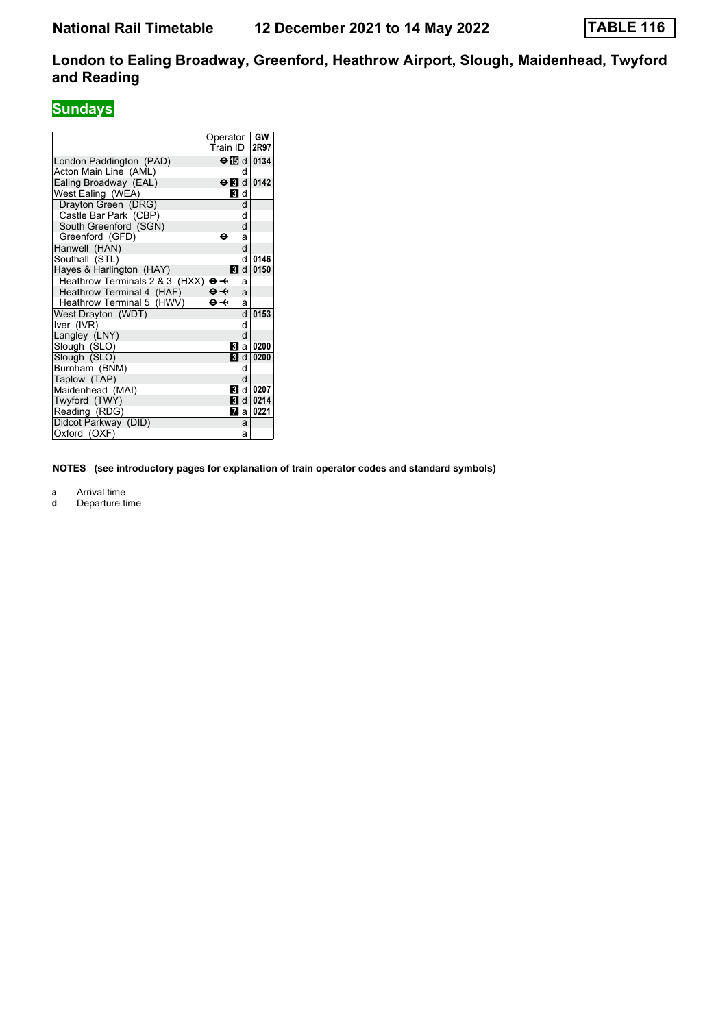## **Sundays**

|                                | Operator                  | GW                          |
|--------------------------------|---------------------------|-----------------------------|
|                                | Train ID                  | 2R97                        |
| London Paddington (PAD)        |                           | $\Theta$ $\boxtimes$ d 0134 |
| Acton Main Line (AML)          | d                         |                             |
| Ealing Broadway (EAL)          |                           | $\Theta$ id dia $142$       |
| West Ealing (WEA)              | <b>3</b> d                |                             |
| Drayton Green (DRG)            | d                         |                             |
| Castle Bar Park (CBP)          | d                         |                             |
| South Greenford (SGN)          | d                         |                             |
| Greenford (GFD)                | ө<br>a                    |                             |
| Hanwell (HAN)                  | d                         |                             |
| Southall (STL)                 | d                         | 0146                        |
| Hayes & Harlington (HAY)       |                           | <b>B</b> d 0150             |
| Heathrow Terminals 2 & 3 (HXX) | ⊖≁<br>a                   |                             |
| Heathrow Terminal 4 (HAF)      | $\Theta \rightarrow$<br>a |                             |
| Heathrow Terminal 5 (HWV)      | $\Theta \rightarrow$<br>a |                             |
| West Drayton (WDT)             | d                         | 0153                        |
| Iver (IVR)                     | d                         |                             |
| Langley (LNY)                  | d                         |                             |
| Slough (SLO)                   | Bl al                     | 0200                        |
| Slough (SLO)                   | <b>3</b> d                | 0200                        |
| Burnham (BNM)                  | d                         |                             |
| Taplow (TAP)                   | d                         |                             |
| Maidenhead (MAI)               |                           | <b>B</b> d 0207             |
| Twyford (TWY)                  | <b>3</b> d                | 0214                        |
| Reading (RDG)                  | 7                         | 0221<br>al                  |
| Didcot Parkway (DID)           | a                         |                             |
| Oxford (OXF)                   | a                         |                             |

**NOTES (see introductory pages for explanation of train operator codes and standard symbols)**

**a** Arrival time<br>**d** Departure t

**d** Departure time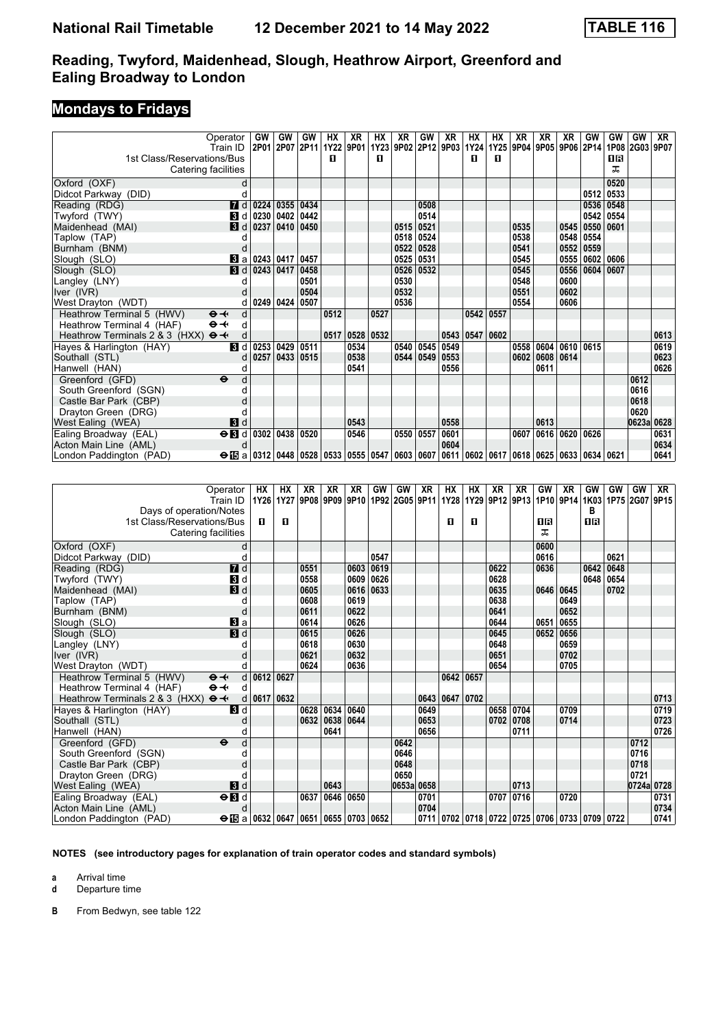## **Mondays to Fridays**

| Operator                                         |              | <b>GW</b> | GW   | GW   | <b>HX</b> | XR        | НX             | <b>XR</b> | GW        | <b>XR</b>                                                                                     | НX        | HХ        | XR   | XR        | <b>XR</b>           | <b>GW</b> | GW        | GW         | XR   |
|--------------------------------------------------|--------------|-----------|------|------|-----------|-----------|----------------|-----------|-----------|-----------------------------------------------------------------------------------------------|-----------|-----------|------|-----------|---------------------|-----------|-----------|------------|------|
| Train ID                                         |              | 2P01      | 2P07 | 2P11 |           | 1Y22 9P01 |                |           |           | 1Y23 9P02 2P12 9P03                                                                           | 1Y24      |           |      |           | 1Y25 9P04 9P05 9P06 | 2P14      | 1P08 2G03 |            | 9P07 |
| 1st Class/Reservations/Bus                       |              |           |      |      | п         |           | П              |           |           |                                                                                               | п         | п         |      |           |                     |           | ПR        |            |      |
| Catering facilities                              |              |           |      |      |           |           |                |           |           |                                                                                               |           |           |      |           |                     |           | ᅚ         |            |      |
| Oxford (OXF)                                     | d            |           |      |      |           |           |                |           |           |                                                                                               |           |           |      |           |                     |           | 0520      |            |      |
| Didcot Parkway (DID)                             |              |           |      |      |           |           |                |           |           |                                                                                               |           |           |      |           |                     | 0512      | 0533      |            |      |
| Reading (RDG)                                    | 7d           | 0224      | 0355 | 0434 |           |           |                |           | 0508      |                                                                                               |           |           |      |           |                     | 0536      | 0548      |            |      |
| Twyford (TWY)                                    | <b>B</b> d   | 0230      | 0402 | 0442 |           |           |                |           | 0514      |                                                                                               |           |           |      |           |                     | 0542      | 0554      |            |      |
| Maidenhead (MAI)                                 | 3d           | 0237      | 0410 | 0450 |           |           |                | 0515      | 0521      |                                                                                               |           |           | 0535 |           | 0545                | 0550      | 0601      |            |      |
| Taplow (TAP)                                     |              |           |      |      |           |           |                | 0518      | 0524      |                                                                                               |           |           | 0538 |           | 0548                | 0554      |           |            |      |
| Burnham (BNM)                                    |              |           |      |      |           |           |                | 0522      | 0528      |                                                                                               |           |           | 0541 |           | 0552                | 0559      |           |            |      |
| Slough (SLO)                                     | Bl a         | 0243      | 0417 | 0457 |           |           |                | 0525      | 0531      |                                                                                               |           |           | 0545 |           | 0555                |           | 0602 0606 |            |      |
| Slough (SLO)                                     | 3d           | 0243      | 0417 | 0458 |           |           |                | 0526      | 0532      |                                                                                               |           |           | 0545 |           | 0556                | 0604      | 0607      |            |      |
| Langley (LNY)                                    |              |           |      | 0501 |           |           |                | 0530      |           |                                                                                               |           |           | 0548 |           | 0600                |           |           |            |      |
| Iver (IVR)                                       |              |           |      | 0504 |           |           |                | 0532      |           |                                                                                               |           |           | 0551 |           | 0602                |           |           |            |      |
| West Drayton (WDT)                               |              | 0249 0424 |      | 0507 |           |           |                | 0536      |           |                                                                                               |           |           | 0554 |           | 0606                |           |           |            |      |
| Heathrow Terminal 5 (HWV)<br>$\Theta +$          | d            |           |      |      | 0512      |           | 0527           |           |           |                                                                                               |           | 0542 0557 |      |           |                     |           |           |            |      |
| Heathrow Terminal 4 (HAF)<br>$\Theta +$          | d            |           |      |      |           |           |                |           |           |                                                                                               |           |           |      |           |                     |           |           |            |      |
| $\Theta +$<br>Heathrow Terminals 2 & 3 (HXX)     | d            |           |      |      |           |           | 0517 0528 0532 |           |           | 0543                                                                                          | 0547 0602 |           |      |           |                     |           |           |            | 0613 |
| Haves & Harlington (HAY)                         | Bid          | 0253      | 0429 | 0511 |           | 0534      |                |           | 0540 0545 | 10549                                                                                         |           |           | 0558 |           | 0604   0610         | 0615      |           |            | 0619 |
| Southall (STL)                                   | <sub>d</sub> | 0257      | 0433 | 0515 |           | 0538      |                |           | 0544 0549 | 0553                                                                                          |           |           | 0602 | 0608 0614 |                     |           |           |            | 0623 |
| Hanwell (HAN)                                    |              |           |      |      |           | 0541      |                |           |           | 0556                                                                                          |           |           |      | 0611      |                     |           |           |            | 0626 |
| Greenford (GFD)<br>$\ddot{\mathbf{e}}$           | d            |           |      |      |           |           |                |           |           |                                                                                               |           |           |      |           |                     |           |           | 0612       |      |
| South Greenford (SGN)                            |              |           |      |      |           |           |                |           |           |                                                                                               |           |           |      |           |                     |           |           | 0616       |      |
| Castle Bar Park (CBP)                            |              |           |      |      |           |           |                |           |           |                                                                                               |           |           |      |           |                     |           |           | 0618       |      |
| Drayton Green (DRG)                              |              |           |      |      |           |           |                |           |           |                                                                                               |           |           |      |           |                     |           |           | 0620       |      |
| West Ealing (WEA)                                | 3d           |           |      |      |           | 0543      |                |           |           | 0558                                                                                          |           |           |      | 0613      |                     |           |           | 0623a 0628 |      |
| $\frac{\Theta}{\Omega}$<br>Ealing Broadway (EAL) |              | 0302      | 0438 | 0520 |           | 0546      |                | 0550 0557 |           | 0601                                                                                          |           |           | 0607 |           | 0616 0620           | 0626      |           |            | 0631 |
| Acton Main Line (AML)                            |              |           |      |      |           |           |                |           |           | 0604                                                                                          |           |           |      |           |                     |           |           |            | 0634 |
| London Paddington (PAD)                          |              |           |      |      |           |           |                |           |           | $\Theta$ is a 0312 0448 0528 0533 0555 0547 0603 0607 0611 0602 0617 0618 0625 0633 0634 0621 |           |           |      |           |                     |           |           |            | 0641 |

| Operator                                               | HХ                                          | НX                       | XR   | XR   | XR   | GW   | <b>GW</b>           | XR   | НX                                                           | НX        | XR        | XR          | GW        | XR   | GW             | GW   | GW                                      | XR   |
|--------------------------------------------------------|---------------------------------------------|--------------------------|------|------|------|------|---------------------|------|--------------------------------------------------------------|-----------|-----------|-------------|-----------|------|----------------|------|-----------------------------------------|------|
| Train ID                                               |                                             | 1Y26 1Y27 9P08 9P09 9P10 |      |      |      |      | 1P92 2G05 9P11 1Y28 |      |                                                              |           |           |             |           |      |                |      | 1Y29 9P12 9P13 1P10 9P14 1K03 1P75 2G07 | 9P15 |
| Days of operation/Notes                                |                                             |                          |      |      |      |      |                     |      |                                                              |           |           |             |           |      | R              |      |                                         |      |
| 1st Class/Reservations/Bus                             | п                                           | $\mathbf{u}$             |      |      |      |      |                     |      | п                                                            | п         |           |             | OR        |      | $\overline{1}$ |      |                                         |      |
| Catering facilities                                    |                                             |                          |      |      |      |      |                     |      |                                                              |           |           |             | ᅚ         |      |                |      |                                         |      |
| Oxford (OXF)<br>d                                      |                                             |                          |      |      |      |      |                     |      |                                                              |           |           |             | 0600      |      |                |      |                                         |      |
| Didcot Parkway (DID)                                   |                                             |                          |      |      |      | 0547 |                     |      |                                                              |           |           |             | 0616      |      |                | 0621 |                                         |      |
| 7d<br>Reading (RDG)                                    |                                             |                          | 0551 |      | 0603 | 0619 |                     |      |                                                              |           | 0622      |             | 0636      |      | 0642           | 0648 |                                         |      |
| Twyford (TWY)<br>3d                                    |                                             |                          | 0558 |      | 0609 | 0626 |                     |      |                                                              |           | 0628      |             |           |      | 0648           | 0654 |                                         |      |
| $\mathbf{B}$ d<br>Maidenhead (MAI)                     |                                             |                          | 0605 |      | 0616 | 0633 |                     |      |                                                              |           | 0635      |             | 0646 0645 |      |                | 0702 |                                         |      |
| Taplow (TAP)                                           |                                             |                          | 0608 |      | 0619 |      |                     |      |                                                              |           | 0638      |             |           | 0649 |                |      |                                         |      |
| Burnham (BNM)                                          |                                             |                          | 0611 |      | 0622 |      |                     |      |                                                              |           | 0641      |             |           | 0652 |                |      |                                         |      |
| Вl а<br>Slough (SLO)                                   |                                             |                          | 0614 |      | 0626 |      |                     |      |                                                              |           | 0644      |             | 0651      | 0655 |                |      |                                         |      |
| 3d<br>Slough (SLO)                                     |                                             |                          | 0615 |      | 0626 |      |                     |      |                                                              |           | 0645      |             | 0652      | 0656 |                |      |                                         |      |
| Langley (LNY)                                          |                                             |                          | 0618 |      | 0630 |      |                     |      |                                                              |           | 0648      |             |           | 0659 |                |      |                                         |      |
| Iver (IVR)                                             |                                             |                          | 0621 |      | 0632 |      |                     |      |                                                              |           | 0651      |             |           | 0702 |                |      |                                         |      |
| West Drayton (WDT)                                     |                                             |                          | 0624 |      | 0636 |      |                     |      |                                                              |           | 0654      |             |           | 0705 |                |      |                                         |      |
| Heathrow Terminal 5 (HWV)<br>$\Theta \rightarrow$      | d 0612 0627                                 |                          |      |      |      |      |                     |      |                                                              | 0642 0657 |           |             |           |      |                |      |                                         |      |
| $\Theta \rightarrow$<br>Heathrow Terminal 4 (HAF)<br>d |                                             |                          |      |      |      |      |                     |      |                                                              |           |           |             |           |      |                |      |                                         |      |
| $\Theta +$<br>Heathrow Terminals 2 & 3 (HXX)           | $d$ 0617 0632                               |                          |      |      |      |      |                     | 0643 | 0647                                                         | 0702      |           |             |           |      |                |      |                                         | 0713 |
| $\blacksquare$<br>Hayes & Harlington (HAY)             |                                             |                          | 0628 | 0634 | 0640 |      |                     | 0649 |                                                              |           | 0658 0704 |             |           | 0709 |                |      |                                         | 0719 |
| Southall (STL)                                         |                                             |                          | 0632 | 0638 | 0644 |      |                     | 0653 |                                                              |           |           | 0702   0708 |           | 0714 |                |      |                                         | 0723 |
| Hanwell (HAN)                                          |                                             |                          |      | 0641 |      |      |                     | 0656 |                                                              |           |           | 0711        |           |      |                |      |                                         | 0726 |
| $\ddot{\mathbf{e}}$<br>Greenford (GFD)<br>d            |                                             |                          |      |      |      |      | 0642                |      |                                                              |           |           |             |           |      |                |      | 0712                                    |      |
| South Greenford (SGN)                                  |                                             |                          |      |      |      |      | 0646                |      |                                                              |           |           |             |           |      |                |      | 0716                                    |      |
| Castle Bar Park (CBP)                                  |                                             |                          |      |      |      |      | 0648                |      |                                                              |           |           |             |           |      |                |      | 0718                                    |      |
| Drayton Green (DRG)                                    |                                             |                          |      |      |      |      | 0650                |      |                                                              |           |           |             |           |      |                |      | 0721                                    |      |
| 3d<br>West Ealing (WEA)                                |                                             |                          |      | 0643 |      |      | 0653a 0658          |      |                                                              |           |           | 0713        |           |      |                |      | 0724a 0728                              |      |
| $\overline{H}$<br>Ealing Broadway (EAL)                |                                             |                          | 0637 | 0646 | 0650 |      |                     | 0701 |                                                              |           | 0707 0716 |             |           | 0720 |                |      |                                         | 0731 |
| Acton Main Line (AML)                                  |                                             |                          |      |      |      |      |                     | 0704 |                                                              |           |           |             |           |      |                |      |                                         | 0734 |
| London Paddington (PAD)                                | $\Theta$ is a 0632 0647 0651 0655 0703 0652 |                          |      |      |      |      |                     |      | 0711   0702   0718   0722   0725   0706   0733   0709   0722 |           |           |             |           |      |                |      |                                         | 0741 |

**NOTES (see introductory pages for explanation of train operator codes and standard symbols)**

**a** Arrival time

**d** Departure time

**B** From Bedwyn, see table 122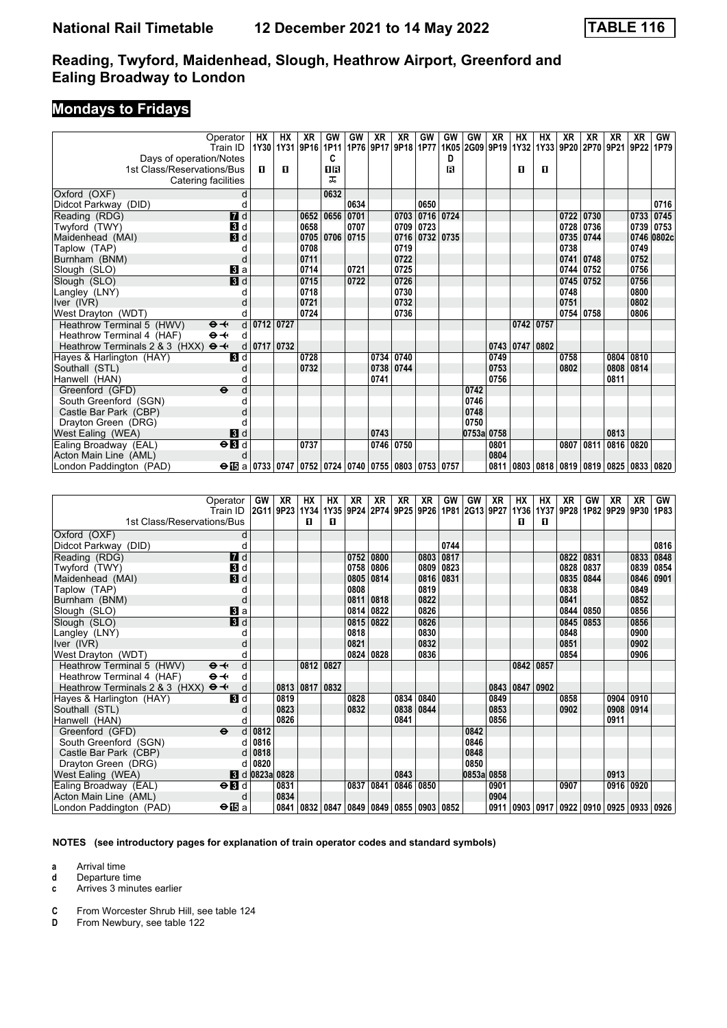## **Mondays to Fridays**

|                                                     | Operator                 | НX        | HX        | X <sub>R</sub> | GW        | GW        | X <sub>R</sub>                                        | X <sub>R</sub> | GW        | GW        | GW         | <b>XR</b> | HX        | HX             | <b>XR</b>      | <b>XR</b> | <b>XR</b> | X <sub>R</sub> | GW         |
|-----------------------------------------------------|--------------------------|-----------|-----------|----------------|-----------|-----------|-------------------------------------------------------|----------------|-----------|-----------|------------|-----------|-----------|----------------|----------------|-----------|-----------|----------------|------------|
|                                                     | Train ID                 | 1Y30      | 1Y31 I    | 9P16           | 1P11      |           | 1P76 9P17 9P18                                        |                | 1P77      | 1K05      |            | 2G09 9P19 |           | 1Y32 1Y33 9P20 |                | 2P70      |           | 9P21 9P22 1P79 |            |
| Days of operation/Notes                             |                          |           |           |                | C         |           |                                                       |                |           | D         |            |           |           |                |                |           |           |                |            |
| 1st Class/Reservations/Bus                          |                          | п         | п         |                | <b>OR</b> |           |                                                       |                |           | R         |            |           | п         | п              |                |           |           |                |            |
|                                                     | Catering facilities      |           |           |                | ᠼ         |           |                                                       |                |           |           |            |           |           |                |                |           |           |                |            |
| Oxford (OXF)                                        | d                        |           |           |                | 0632      |           |                                                       |                |           |           |            |           |           |                |                |           |           |                |            |
| Didcot Parkway (DID)                                | d                        |           |           |                |           | 0634      |                                                       |                | 0650      |           |            |           |           |                |                |           |           |                | 0716       |
| Reading (RDG)                                       | $\overline{d}$ d         |           |           | 0652           | 0656      | 0701      |                                                       | 0703           | 0716      | 0724      |            |           |           |                | 0722           | 0730      |           |                | 0733 0745  |
| Twyford (TWY)                                       | <b>B</b> Id              |           |           | 0658           |           | 0707      |                                                       | 0709           | 0723      |           |            |           |           |                | 0728           | 0736      |           |                | 0739 0753  |
| Maidenhead (MAI)                                    | $\blacksquare$           |           |           | 0705           | 0706      | 0715      |                                                       | 0716           | 0732      | 0735      |            |           |           |                | 0735           | 0744      |           |                | 0746 0802c |
| Taplow (TAP)                                        | d                        |           |           | 0708           |           |           |                                                       | 0719           |           |           |            |           |           |                | 0738           |           |           | 0749           |            |
| Burnham (BNM)                                       | d                        |           |           | 0711           |           |           |                                                       | 0722           |           |           |            |           |           |                | 0741           | 0748      |           | 0752           |            |
| Slough (SLO)                                        | $\blacksquare$ a         |           |           | 0714           |           | 0721      |                                                       | 0725           |           |           |            |           |           |                | 0744           | 0752      |           | 0756           |            |
| Slough (SLO)                                        | $\blacksquare$           |           |           | 0715           |           | 0722      |                                                       | 0726           |           |           |            |           |           |                | 0745           | 0752      |           | 0756           |            |
| Langley (LNY)                                       | d                        |           |           | 0718           |           |           |                                                       | 0730           |           |           |            |           |           |                | 0748           |           |           | 0800           |            |
| Iver (IVR)                                          | d                        |           |           | 0721           |           |           |                                                       | 0732           |           |           |            |           |           |                | 0751           |           |           | 0802           |            |
| West Drayton (WDT)                                  | d                        |           |           | 0724           |           |           |                                                       | 0736           |           |           |            |           |           |                | 0754           | 0758      |           | 0806           |            |
| Heathrow Terminal 5 (HWV)                           | d<br>$\Theta +$          | 0712 0727 |           |                |           |           |                                                       |                |           |           |            |           | 0742 0757 |                |                |           |           |                |            |
| Heathrow Terminal 4 (HAF)                           | $\Theta +$<br>d          |           |           |                |           |           |                                                       |                |           |           |            |           |           |                |                |           |           |                |            |
| Heathrow Terminals 2 & 3 (HXX) $\Theta \rightarrow$ | d                        | 0717 0732 |           |                |           |           |                                                       |                |           |           |            | 0743 0747 |           | 0802           |                |           |           |                |            |
| Hayes & Harlington (HAY)                            | $\blacksquare$           |           |           | 0728           |           |           | 0734                                                  | 0740           |           |           |            | 0749      |           |                | 0758           |           | 0804      | 0810           |            |
| Southall (STL)                                      | d                        |           |           | 0732           |           |           | 0738                                                  | 0744           |           |           |            | 0753      |           |                | 0802           |           | 0808      | 0814           |            |
| Hanwell (HAN)                                       | d                        |           |           |                |           |           | 0741                                                  |                |           |           |            | 0756      |           |                |                |           | 0811      |                |            |
| Greenford (GFD)                                     | d<br>$\ddot{\mathbf{e}}$ |           |           |                |           |           |                                                       |                |           |           | 0742       |           |           |                |                |           |           |                |            |
| South Greenford (SGN)                               | d                        |           |           |                |           |           |                                                       |                |           |           | 0746       |           |           |                |                |           |           |                |            |
| Castle Bar Park (CBP)                               | d                        |           |           |                |           |           |                                                       |                |           |           | 0748       |           |           |                |                |           |           |                |            |
| Drayton Green (DRG)                                 | d                        |           |           |                |           |           |                                                       |                |           |           | 0750       |           |           |                |                |           |           |                |            |
| West Ealing (WEA)                                   | $\blacksquare$           |           |           |                |           |           | 0743                                                  |                |           |           | 0753a 0758 |           |           |                |                |           | 0813      |                |            |
| Ealing Broadway (EAL)                               | $\Theta$ <b>B</b> d      |           |           | 0737           |           |           |                                                       | 0746 0750      |           |           |            | 0801      |           |                | 0807           | 0811      | 0816 0820 |                |            |
| Acton Main Line (AML)                               | d                        |           |           |                |           |           |                                                       |                |           |           |            | 0804      |           |                |                |           |           |                |            |
| London Paddington (PAD)                             | $\Theta$ is a            | 0733      |           |                |           |           | 0747   0752   0724   0740   0755   0803   0753   0757 |                |           |           |            | 0811      | 0803      |                | 0818 0819 0819 |           |           | 0825 0833 0820 |            |
|                                                     |                          |           |           |                |           |           |                                                       |                |           |           |            |           |           |                |                |           |           |                |            |
|                                                     |                          |           |           |                |           |           |                                                       |                |           |           |            |           |           |                |                |           |           |                |            |
|                                                     | Operator                 | GW        | <b>XR</b> | <b>HX</b>      | <b>HX</b> | <b>XR</b> | <b>XR</b>                                             | <b>XR</b>      | <b>XR</b> | GW        | GW         | <b>XR</b> | <b>HX</b> | <b>HX</b>      | <b>XR</b>      | GW        | <b>XR</b> | <b>XR</b>      | GW         |
|                                                     | Train ID                 |           | 2G11 9P23 | 1Y34           |           |           | 1Y35 9P24 2P74 9P25                                   |                | 9P26      | 1P81      |            | 2G13 9P27 |           | 1Y36 1Y37 9P28 |                | 1P82      |           | 9P29 9P30 1P83 |            |
| 1st Class/Reservations/Bus                          |                          |           |           | п              | п         |           |                                                       |                |           |           |            |           | 0         | П              |                |           |           |                |            |
| Oxford (OXF)                                        | d                        |           |           |                |           |           |                                                       |                |           |           |            |           |           |                |                |           |           |                |            |
| Didcot Parkway (DID)                                | d                        |           |           |                |           |           |                                                       |                |           | 0744      |            |           |           |                |                |           |           |                | 0816       |
| Reading (RDG)                                       | 7d                       |           |           |                |           |           | 0752 0800                                             |                | 0803      | 0817      |            |           |           |                | 0822           | 0831      |           | 0833           | 0848       |
| Twyford (TWY)                                       | 3 d                      |           |           |                |           |           | 0758 0806                                             |                |           | 0809 0823 |            |           |           |                | 0828           | 0837      |           |                | 0839 0854  |
|                                                     |                          |           |           |                |           |           |                                                       |                |           |           |            |           |           |                |                |           |           |                |            |

| Reading (RDG)                                       | 7d                           |                |      |           |      |      | 0752   0800                             |           | 0803      | 0817 |            |      |                |           | 0822 0831 |      |                                                       | 0833 0848 |
|-----------------------------------------------------|------------------------------|----------------|------|-----------|------|------|-----------------------------------------|-----------|-----------|------|------------|------|----------------|-----------|-----------|------|-------------------------------------------------------|-----------|
| Twyford (TWY)                                       | $\mathbf{B}$ d               |                |      |           |      | 0758 | 0806                                    |           | 0809      | 0823 |            |      |                |           | 0828 0837 |      |                                                       | 0839 0854 |
| Maidenhead (MAI)                                    | 3d                           |                |      |           |      |      | 0805 0814                               |           | 0816      | 0831 |            |      |                | 0835 0844 |           |      | 0846 0901                                             |           |
| Taplow (TAP)                                        |                              |                |      |           |      | 0808 |                                         |           | 0819      |      |            |      |                | 0838      |           |      | 0849                                                  |           |
| Burnham (BNM)                                       |                              |                |      |           |      | 0811 | 0818                                    |           | 0822      |      |            |      |                | 0841      |           |      | 0852                                                  |           |
| Slough (SLO)                                        | 3 a                          |                |      |           |      | 0814 | 0822                                    |           | 0826      |      |            |      |                |           | 0844 0850 |      | 0856                                                  |           |
| Slough (SLO)                                        | 3d                           |                |      |           |      |      | 0815 0822                               |           | 0826      |      |            |      |                |           | 0845 0853 |      | 0856                                                  |           |
| Langley (LNY)                                       |                              |                |      |           |      | 0818 |                                         |           | 0830      |      |            |      |                | 0848      |           |      | 0900                                                  |           |
| Iver (IVR)                                          |                              |                |      |           |      | 0821 |                                         |           | 0832      |      |            |      |                | 0851      |           |      | 0902                                                  |           |
| West Drayton (WDT)                                  |                              |                |      |           |      |      | 0824 0828                               |           | 0836      |      |            |      |                | 0854      |           |      | 0906                                                  |           |
| Heathrow Terminal 5 (HWV)                           | $\Theta +$<br>d              |                |      | 0812      | 0827 |      |                                         |           |           |      |            |      | 0842 0857      |           |           |      |                                                       |           |
| Heathrow Terminal 4 (HAF)                           | $\Theta +$<br>d              |                |      |           |      |      |                                         |           |           |      |            |      |                |           |           |      |                                                       |           |
| Heathrow Terminals 2 & 3 (HXX) $\Theta \rightarrow$ | d d                          |                |      | 0813 0817 | 0832 |      |                                         |           |           |      |            |      | 0843 0847 0902 |           |           |      |                                                       |           |
| Hayes & Harlington (HAY)                            | $\blacksquare$               |                | 0819 |           |      | 0828 |                                         |           | 0834 0840 |      |            | 0849 |                | 0858      |           |      | 0904 0910                                             |           |
| Southall (STL)                                      |                              |                | 0823 |           |      | 0832 |                                         | 0838 0844 |           |      |            | 0853 |                | 0902      |           |      | 0908 0914                                             |           |
| Hanwell (HAN)                                       |                              |                | 0826 |           |      |      |                                         | 0841      |           |      |            | 0856 |                |           |           | 0911 |                                                       |           |
| Greenford (GFD)                                     | $\ddot{\boldsymbol{\Theta}}$ | $d$ 0812       |      |           |      |      |                                         |           |           |      | 0842       |      |                |           |           |      |                                                       |           |
| South Greenford (SGN)                               |                              | 0816           |      |           |      |      |                                         |           |           |      | 0846       |      |                |           |           |      |                                                       |           |
| Castle Bar Park (CBP)                               |                              | $d$ 0818       |      |           |      |      |                                         |           |           |      | 0848       |      |                |           |           |      |                                                       |           |
| Drayton Green (DRG)                                 |                              | 0820           |      |           |      |      |                                         |           |           |      | 0850       |      |                |           |           |      |                                                       |           |
| West Ealing (WEA)                                   |                              | 3 d 0823a 0828 |      |           |      |      |                                         | 0843      |           |      | 0853a 0858 |      |                |           |           | 0913 |                                                       |           |
| Ealing Broadway (EAL)                               | $\Theta$ <b>B</b>            |                | 0831 |           |      |      | 0837 0841                               | 0846 0850 |           |      |            | 0901 |                | 0907      |           |      | 0916 0920                                             |           |
| Acton Main Line (AML)                               | d                            |                | 0834 |           |      |      |                                         |           |           |      |            | 0904 |                |           |           |      |                                                       |           |
| London Paddington (PAD)                             | ⊖l⊡a                         |                |      |           |      |      | 0841 0832 0847 0849 0849 0855 0903 0852 |           |           |      |            |      |                |           |           |      | 0911   0903   0917   0922   0910   0925   0933   0926 |           |

**NOTES (see introductory pages for explanation of train operator codes and standard symbols)**

**a** Arrival time<br>**d** Departure t

**d** Departure time

**c** Arrives 3 minutes earlier

**C** From Worcester Shrub Hill, see table 124<br>**D** From Newbury, see table 122

From Newbury, see table 122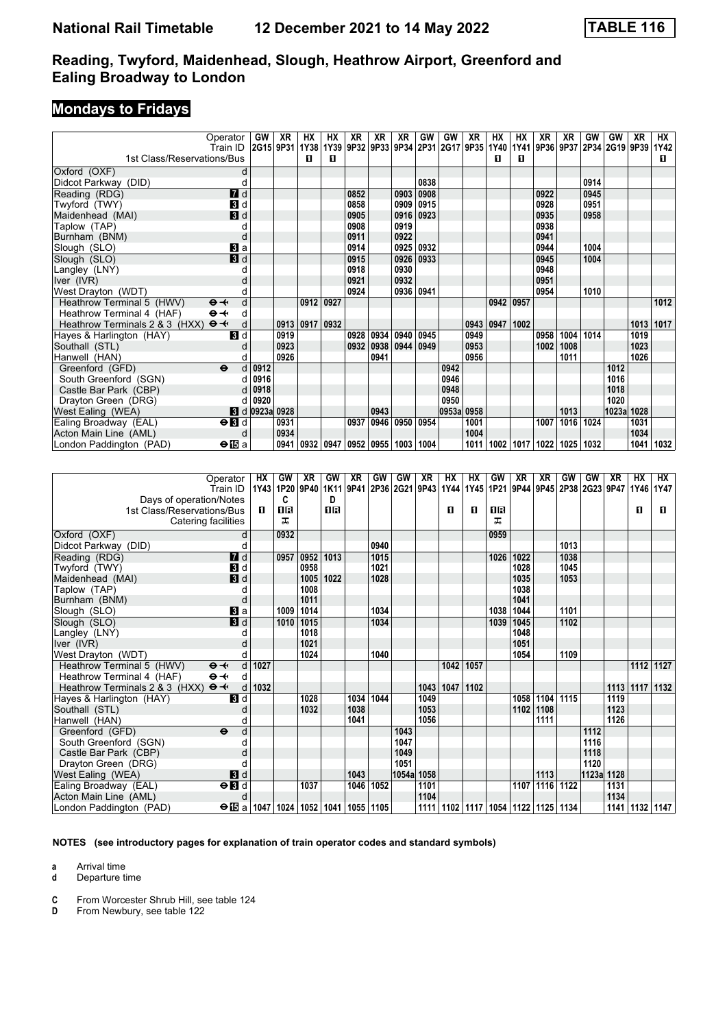## **Mondays to Fridays**

|                                                     | Operator                  | GW                                                                                   | XR   | НX        | НX   | XR   | XR             | XR        | GW   | GW         | XR   | HХ        | HХ          | XR   | XR             | GW   | <b>GW</b> | XR   | <b>HX</b>  |
|-----------------------------------------------------|---------------------------|--------------------------------------------------------------------------------------|------|-----------|------|------|----------------|-----------|------|------------|------|-----------|-------------|------|----------------|------|-----------|------|------------|
| 1st Class/Reservations/Bus                          | Train ID                  | 2015 9P31 1Y38 1Y39 9P32 9P33 9P34 2P31 2G17 9P35 1Y40 1Y41 9P36 9P37 2P34 2G19 9P39 |      | п         | п    |      |                |           |      |            |      | п         | п           |      |                |      |           |      | 1Y42<br>п. |
|                                                     |                           |                                                                                      |      |           |      |      |                |           |      |            |      |           |             |      |                |      |           |      |            |
| Oxford (OXF)                                        | d                         |                                                                                      |      |           |      |      |                |           |      |            |      |           |             |      |                |      |           |      |            |
| Didcot Parkway (DID)                                | d                         |                                                                                      |      |           |      |      |                |           | 0838 |            |      |           |             |      |                | 0914 |           |      |            |
| Reading (RDG)                                       | 7d                        |                                                                                      |      |           |      | 0852 |                | 0903      | 0908 |            |      |           |             | 0922 |                | 0945 |           |      |            |
| Twyford (TWY)                                       | 3d                        |                                                                                      |      |           |      | 0858 |                | 0909 0915 |      |            |      |           |             | 0928 |                | 0951 |           |      |            |
| Maidenhead (MAI)                                    | $\mathbf{3}$ d            |                                                                                      |      |           |      | 0905 |                | 0916 0923 |      |            |      |           |             | 0935 |                | 0958 |           |      |            |
| Taplow (TAP)                                        |                           |                                                                                      |      |           |      | 0908 |                | 0919      |      |            |      |           |             | 0938 |                |      |           |      |            |
| Burnham (BNM)                                       |                           |                                                                                      |      |           |      | 0911 |                | 0922      |      |            |      |           |             | 0941 |                |      |           |      |            |
| Slough (SLO)                                        | $\mathbf{B}$ a            |                                                                                      |      |           |      | 0914 |                | 0925 0932 |      |            |      |           |             | 0944 |                | 1004 |           |      |            |
| Slough (SLO)                                        | 3d                        |                                                                                      |      |           |      | 0915 |                | 0926      | 0933 |            |      |           |             | 0945 |                | 1004 |           |      |            |
| Langley (LNY)                                       |                           |                                                                                      |      |           |      | 0918 |                | 0930      |      |            |      |           |             | 0948 |                |      |           |      |            |
| Iver (IVR)                                          |                           |                                                                                      |      |           |      | 0921 |                | 0932      |      |            |      |           |             | 0951 |                |      |           |      |            |
| West Drayton (WDT)                                  |                           |                                                                                      |      |           |      | 0924 |                | 0936 0941 |      |            |      |           |             | 0954 |                | 1010 |           |      |            |
| Heathrow Terminal 5 (HWV)                           | $\Theta \rightarrow$<br>d |                                                                                      |      | 0912      | 0927 |      |                |           |      |            |      | 0942 0957 |             |      |                |      |           |      | 1012       |
| Heathrow Terminal 4 (HAF)                           | $\Theta \rightarrow$<br>d |                                                                                      |      |           |      |      |                |           |      |            |      |           |             |      |                |      |           |      |            |
| Heathrow Terminals 2 & 3 (HXX) $\Theta \rightarrow$ | d                         |                                                                                      |      | 0913 0917 | 0932 |      |                |           |      |            | 0943 | 0947      | 1002        |      |                |      |           |      | 1013 1017  |
| Hayes & Harlington (HAY)                            | $\blacksquare$            |                                                                                      | 0919 |           |      |      | 0928 0934 0940 |           | 0945 |            | 0949 |           |             | 0958 | 1004           | 1014 |           | 1019 |            |
| Southall (STL)                                      |                           |                                                                                      | 0923 |           |      | 0932 |                | 0938 0944 | 0949 |            | 0953 |           |             | 1002 | 1008           |      |           | 1023 |            |
| Hanwell (HAN)                                       |                           |                                                                                      | 0926 |           |      |      | 0941           |           |      |            | 0956 |           |             |      | 1011           |      |           | 1026 |            |
| Greenford (GFD)                                     | $\ddot{\mathbf{e}}$<br>d  | 0912                                                                                 |      |           |      |      |                |           |      | 0942       |      |           |             |      |                |      | 1012      |      |            |
| South Greenford (SGN)                               |                           | 0916                                                                                 |      |           |      |      |                |           |      | 0946       |      |           |             |      |                |      | 1016      |      |            |
| Castle Bar Park (CBP)                               |                           | 0918                                                                                 |      |           |      |      |                |           |      | 0948       |      |           |             |      |                |      | 1018      |      |            |
| Drayton Green (DRG)                                 |                           | 0920                                                                                 |      |           |      |      |                |           |      | 0950       |      |           |             |      |                |      | 1020      |      |            |
| West Ealing (WEA)                                   |                           | <b>8</b> d 0923a 0928                                                                |      |           |      |      | 0943           |           |      | 0953a 0958 |      |           |             |      | 1013           |      | 1023a     | 1028 |            |
| Ealing Broadway (EAL)                               | $\Theta$ $\blacksquare$   |                                                                                      | 0931 |           |      |      | 0937 0946      | 0950      | 0954 |            | 1001 |           |             | 1007 | 1016 1024      |      |           | 1031 |            |
| Acton Main Line (AML)                               | d                         |                                                                                      | 0934 |           |      |      |                |           |      |            | 1004 |           |             |      |                |      |           | 1034 |            |
| London Paddington (PAD)                             | $\bigoplus$ a             |                                                                                      |      | 0941 0932 | 0947 |      | 0952   0955    | 1003 1004 |      |            | 1011 |           | 1002   1017 |      | 1022 1025 1032 |      |           | 1041 | 1032       |

| Operator<br>Train ID                             | HХ        | 1Y43 1P20 | GW   | XR<br>9P40 | <b>GW</b>          | XR        | GW   | GW<br>1K11 9P41 2P36 2G21 9P43 1Y44 1Y45 | XR   | HX   | HX   | <b>GW</b>                               | <b>XR</b> | XR<br>1P21 9P44 9P45 2P38 2G23 9P47 1Y46 1Y47 | GW   | GW         | <b>XR</b> | HX             | НX   |
|--------------------------------------------------|-----------|-----------|------|------------|--------------------|-----------|------|------------------------------------------|------|------|------|-----------------------------------------|-----------|-----------------------------------------------|------|------------|-----------|----------------|------|
| Days of operation/Notes                          |           |           | C    |            | D.                 |           |      |                                          |      |      |      |                                         |           |                                               |      |            |           |                |      |
| 1st Class/Reservations/Bus                       | п         |           | 0 R  |            | 18                 |           |      |                                          |      | п    | п    | 0 B                                     |           |                                               |      |            |           | п              | п    |
| Catering facilities                              |           |           | ᅚ    |            |                    |           |      |                                          |      |      |      | ᅚ                                       |           |                                               |      |            |           |                |      |
|                                                  |           |           |      |            |                    |           |      |                                          |      |      |      |                                         |           |                                               |      |            |           |                |      |
| Oxford (OXF)                                     | d         |           | 0932 |            |                    |           |      |                                          |      |      |      | 0959                                    |           |                                               |      |            |           |                |      |
| Didcot Parkway (DID)                             |           |           |      |            |                    |           | 0940 |                                          |      |      |      |                                         |           |                                               | 1013 |            |           |                |      |
| $I$ d<br>Reading (RDG)                           |           |           | 0957 | 0952       | 1013               |           | 1015 |                                          |      |      |      | 1026                                    | 1022      |                                               | 1038 |            |           |                |      |
| $\blacksquare$<br>Twyford (TWY)                  |           |           |      | 0958       |                    |           | 1021 |                                          |      |      |      |                                         | 1028      |                                               | 1045 |            |           |                |      |
| $\mathbf{B}$ d<br>Maidenhead (MAI)               |           |           |      | 1005       | 1022               |           | 1028 |                                          |      |      |      |                                         | 1035      |                                               | 1053 |            |           |                |      |
| Taplow (TAP)                                     |           |           |      | 1008       |                    |           |      |                                          |      |      |      |                                         | 1038      |                                               |      |            |           |                |      |
| Burnham (BNM)                                    | d         |           |      | 1011       |                    |           |      |                                          |      |      |      |                                         | 1041      |                                               |      |            |           |                |      |
| Slough (SLO)<br>Bl a                             |           |           | 1009 | 1014       |                    |           | 1034 |                                          |      |      |      | 1038                                    | 1044      |                                               | 1101 |            |           |                |      |
| $\overline{B}$ d<br>Slough (SLO)                 |           |           | 1010 | 1015       |                    |           | 1034 |                                          |      |      |      | 1039                                    | 1045      |                                               | 1102 |            |           |                |      |
| Langley (LNY)                                    |           |           |      | 1018       |                    |           |      |                                          |      |      |      |                                         | 1048      |                                               |      |            |           |                |      |
| Iver (IVR)                                       |           |           |      | 1021       |                    |           |      |                                          |      |      |      |                                         | 1051      |                                               |      |            |           |                |      |
| West Drayton (WDT)                               |           |           |      | 1024       |                    |           | 1040 |                                          |      |      |      |                                         | 1054      |                                               | 1109 |            |           |                |      |
| Heathrow Terminal 5 (HWV)<br>$\Theta +$          | d<br>1027 |           |      |            |                    |           |      |                                          |      | 1042 | 1057 |                                         |           |                                               |      |            |           | 1112           | 1127 |
| Heathrow Terminal 4 (HAF)<br>$\Theta +$          | d         |           |      |            |                    |           |      |                                          |      |      |      |                                         |           |                                               |      |            |           |                |      |
| Heathrow Terminals 2 & 3 (HXX)<br>$\Theta +$     | 1032<br>d |           |      |            |                    |           |      |                                          | 1043 | 1047 | 1102 |                                         |           |                                               |      |            | 1113      | 1117           | 1132 |
| $\mathbf{B}$ d<br>Hayes & Harlington (HAY)       |           |           |      | 1028       |                    | 1034      | 1044 |                                          | 1049 |      |      |                                         | 1058      | 1104                                          | 1115 |            | 1119      |                |      |
| Southall (STL)                                   |           |           |      | 1032       |                    | 1038      |      |                                          | 1053 |      |      |                                         | 1102      | 1108                                          |      |            | 1123      |                |      |
| Hanwell (HAN)                                    |           |           |      |            |                    | 1041      |      |                                          | 1056 |      |      |                                         |           | 1111                                          |      |            | 1126      |                |      |
| Greenford (GFD)<br>$\ddot{\mathbf{e}}$           | d         |           |      |            |                    |           |      | 1043                                     |      |      |      |                                         |           |                                               |      | 1112       |           |                |      |
| South Greenford (SGN)                            |           |           |      |            |                    |           |      | 1047                                     |      |      |      |                                         |           |                                               |      | 1116       |           |                |      |
| Castle Bar Park (CBP)                            |           |           |      |            |                    |           |      | 1049                                     |      |      |      |                                         |           |                                               |      | 1118       |           |                |      |
| Drayton Green (DRG)                              |           |           |      |            |                    |           |      | 1051                                     |      |      |      |                                         |           |                                               |      | 1120       |           |                |      |
| West Ealing (WEA)<br>3d                          |           |           |      |            |                    | 1043      |      | 1054a                                    | 1058 |      |      |                                         |           | 1113                                          |      | 1123a 1128 |           |                |      |
| $\Theta$ $\blacksquare$<br>Ealing Broadway (EAL) |           |           |      | 1037       |                    | 1046      | 1052 |                                          | 1101 |      |      |                                         | 1107      | 1116 1122                                     |      |            | 1131      |                |      |
| Acton Main Line (AML)                            | d         |           |      |            |                    |           |      |                                          | 1104 |      |      |                                         |           |                                               |      |            | 1134      |                |      |
| $\Theta$ is a<br>London Paddington (PAD)         | 1047      |           |      |            | 1024   1052   1041 | 1055 1105 |      |                                          | 1111 |      |      | 1102   1117   1054   1122   1125   1134 |           |                                               |      |            |           | 1141 1132 1147 |      |

**NOTES (see introductory pages for explanation of train operator codes and standard symbols)**

**a** Arrival time<br>**d** Departure t

**d** Departure time

**C** From Worcester Shrub Hill, see table 124<br>**D** From Newbury, see table 122

From Newbury, see table 122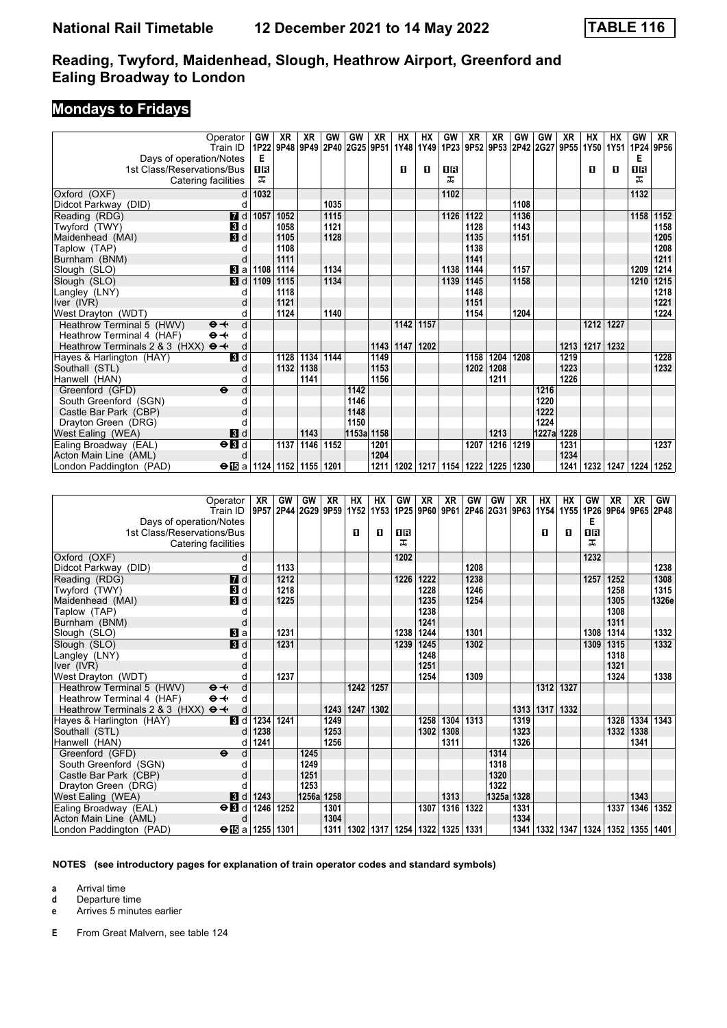### **Mondays to Fridays**

| Operator<br>Train ID                                  |                           | GW<br>1P22                                | XR<br>9P48     | XR<br>9P49 | GW        | GW<br>2P40 2G25 9P51 1Y48 | XR             | HX            | НX<br>1Y49 | GW                 | <b>XR</b> | XR        | GW        | GW<br>1P23 9P52 9P53 2P42 2G27 9P55 | <b>XR</b> | <b>HX</b><br>1Y50 | НX        | GW<br>1Y51 1P24 9P56 | XR        |
|-------------------------------------------------------|---------------------------|-------------------------------------------|----------------|------------|-----------|---------------------------|----------------|---------------|------------|--------------------|-----------|-----------|-----------|-------------------------------------|-----------|-------------------|-----------|----------------------|-----------|
| Days of operation/Notes<br>1st Class/Reservations/Bus |                           | Е<br>ПR                                   |                |            |           |                           |                | п             | п          | 1R                 |           |           |           |                                     |           | п                 | п         | Е<br>1R              |           |
| Catering facilities                                   |                           | ᅚ                                         |                |            |           |                           |                |               |            | ᅚ                  |           |           |           |                                     |           |                   |           | ᠼ                    |           |
|                                                       |                           |                                           |                |            |           |                           |                |               |            |                    |           |           |           |                                     |           |                   |           |                      |           |
| Oxford (OXF)                                          | d                         | 1032                                      |                |            |           |                           |                |               |            | 1102               |           |           |           |                                     |           |                   |           | 1132                 |           |
| Didcot Parkway (DID)                                  | d                         |                                           |                |            | 1035      |                           |                |               |            |                    |           |           | 1108      |                                     |           |                   |           |                      |           |
| Reading (RDG)                                         | $\overline{a}$ d          | 1057                                      | 1052           |            | 1115      |                           |                |               |            | 1126               | 1122      |           | 1136      |                                     |           |                   |           |                      | 1158 1152 |
| Twyford (TWY)                                         | $\blacksquare$            |                                           | 1058           |            | 1121      |                           |                |               |            |                    | 1128      |           | 1143      |                                     |           |                   |           |                      | 1158      |
| Maidenhead (MAI)                                      | $\blacksquare$            |                                           | 1105           |            | 1128      |                           |                |               |            |                    | 1135      |           | 1151      |                                     |           |                   |           |                      | 1205      |
| Taplow (TAP)                                          | d                         |                                           | 1108           |            |           |                           |                |               |            |                    | 1138      |           |           |                                     |           |                   |           |                      | 1208      |
| Burnham (BNM)                                         | d                         |                                           | 1111           |            |           |                           |                |               |            |                    | 1141      |           |           |                                     |           |                   |           |                      | 1211      |
| Slough (SLO)                                          | Вl a                      | 1108                                      | 1114           |            | 1134      |                           |                |               |            | 1138               | 1144      |           | 1157      |                                     |           |                   |           | 1209                 | 1214      |
| Slough (SLO)                                          | $\overline{\mathbf{3}}$ d | 1109                                      | 1115           |            | 1134      |                           |                |               |            | 1139               | 1145      |           | 1158      |                                     |           |                   |           | 1210                 | 1215      |
| Langley (LNY)                                         | d                         |                                           | 1118           |            |           |                           |                |               |            |                    | 1148      |           |           |                                     |           |                   |           |                      | 1218      |
| Iver (IVR)                                            | d                         |                                           | 1121           |            |           |                           |                |               |            |                    | 1151      |           |           |                                     |           |                   |           |                      | 1221      |
| West Drayton (WDT)                                    | d                         |                                           | 1124           |            | 1140      |                           |                |               |            |                    | 1154      |           | 1204      |                                     |           |                   |           |                      | 1224      |
| Heathrow Terminal 5 (HWV)<br>$\Theta +$               | d                         |                                           |                |            |           |                           |                | 1142          | 1157       |                    |           |           |           |                                     |           | 1212              | 1227      |                      |           |
| Heathrow Terminal 4 (HAF)<br>$\Theta +$               | d                         |                                           |                |            |           |                           |                |               |            |                    |           |           |           |                                     |           |                   |           |                      |           |
| Heathrow Terminals 2 & 3 (HXX)<br>$\Theta +$          | d                         |                                           |                |            |           |                           |                | $1143$   1147 | 1202       |                    |           |           |           |                                     | 1213      | 1217              | 1232      |                      |           |
| Hayes & Harlington (HAY)                              | $\blacksquare$            |                                           | 1128           | 1134       | 1144      |                           | 1149           |               |            |                    | 1158      | 1204      | 1208      |                                     | 1219      |                   |           |                      | 1228      |
| Southall (STL)                                        | d                         |                                           | 1132           | 1138       |           |                           | 1153           |               |            |                    | 1202      | 1208      |           |                                     | 1223      |                   |           |                      | 1232      |
| Hanwell (HAN)                                         | d                         |                                           |                | 1141       |           |                           | 1156           |               |            |                    |           | 1211      |           |                                     | 1226      |                   |           |                      |           |
| Greenford (GFD)<br>$\ddot{\mathbf{e}}$                | d                         |                                           |                |            |           | 1142                      |                |               |            |                    |           |           |           | 1216                                |           |                   |           |                      |           |
| South Greenford (SGN)                                 | d                         |                                           |                |            |           | 1146                      |                |               |            |                    |           |           |           | 1220                                |           |                   |           |                      |           |
| Castle Bar Park (CBP)                                 |                           |                                           |                |            |           | 1148                      |                |               |            |                    |           |           |           | 1222                                |           |                   |           |                      |           |
| Drayton Green (DRG)                                   |                           |                                           |                |            |           | 1150                      |                |               |            |                    |           |           |           | 1224                                |           |                   |           |                      |           |
| West Ealing (WEA)                                     | 3d                        |                                           |                | 1143       |           | 1153a 1158                |                |               |            |                    |           | 1213      |           | 1227a 1228                          |           |                   |           |                      |           |
| Ealing Broadway (EAL)                                 | $\Theta$ <b>B</b>         |                                           | 1137           | 1146       | 1152      |                           | 1201           |               |            |                    | 1207      | 1216 1219 |           |                                     | 1231      |                   |           |                      | 1237      |
| Acton Main Line (AML)                                 | d                         |                                           |                |            |           |                           | 1204           |               |            |                    |           |           |           |                                     | 1234      |                   |           |                      |           |
| London Paddington (PAD)                               |                           | $\Theta$ is a   1124   1152   1155   1201 |                |            |           |                           | 1211           | 1202          |            | 1217   1154   1222 |           | 1225 1230 |           |                                     | 1241      | 1232              | 1247      | 1224                 | 1252      |
|                                                       |                           |                                           |                |            |           |                           |                |               |            |                    |           |           |           |                                     |           |                   |           |                      |           |
| Operator                                              |                           | XR                                        | GW             | GW         | <b>XR</b> | <b>HX</b>                 | <b>HX</b>      | GW            | XR         | <b>XR</b>          | GW        | GW        | <b>XR</b> | <b>HX</b>                           | <b>HX</b> | GW                | <b>XR</b> | <b>XR</b>            | GW        |
| Train ID                                              |                           |                                           | 9P57 2P44 2G29 |            | 9P59      |                           | 1Y52 1Y53 1P25 |               | 9P60 9P61  |                    |           |           |           | 2P46 2G31 9P63 1Y54 1Y55            |           | 1P26              |           | 9P64 9P65 2P48       |           |
| Days of operation/Notes                               |                           |                                           |                |            |           |                           |                |               |            |                    |           |           |           |                                     |           | E                 |           |                      |           |
|                                                       |                           |                                           |                |            |           |                           |                |               |            |                    |           |           |           |                                     |           |                   |           |                      |           |

| Days of operation/Notes<br>1st Class/Reservations/Bus<br>Catering facilities | 1131111D  9P37 ZP44 ZGZ9 9P39 113Z 1133 1PZ3 9P00 9P01 ZP40 ZG31 9P03 1134 1133 1PZ0 9P04 9P03 ZP40 |      |      |       |      | п    | п    | 1R<br>ᅚ            |      |                    |      |            |      | п    | п    | Е<br>1 <sub>R</sub><br>ᇁ                |      |      |       |
|------------------------------------------------------------------------------|-----------------------------------------------------------------------------------------------------|------|------|-------|------|------|------|--------------------|------|--------------------|------|------------|------|------|------|-----------------------------------------|------|------|-------|
| Oxford (OXF)                                                                 | d                                                                                                   |      |      |       |      |      |      | 1202               |      |                    |      |            |      |      |      | 1232                                    |      |      |       |
| Didcot Parkway (DID)                                                         |                                                                                                     |      | 1133 |       |      |      |      |                    |      |                    | 1208 |            |      |      |      |                                         |      |      | 1238  |
| Reading (RDG)                                                                | 7d                                                                                                  |      | 1212 |       |      |      |      | 1226               | 1222 |                    | 1238 |            |      |      |      | 1257                                    | 1252 |      | 1308  |
| Twyford (TWY)                                                                | $\mathbf{3}$ d                                                                                      |      | 1218 |       |      |      |      |                    | 1228 |                    | 1246 |            |      |      |      |                                         | 1258 |      | 1315  |
| Maidenhead (MAI)                                                             | $\mathbf{B}$ d                                                                                      |      | 1225 |       |      |      |      |                    | 1235 |                    | 1254 |            |      |      |      |                                         | 1305 |      | 1326e |
| Taplow (TAP)                                                                 |                                                                                                     |      |      |       |      |      |      |                    | 1238 |                    |      |            |      |      |      |                                         | 1308 |      |       |
| Burnham (BNM)                                                                | d                                                                                                   |      |      |       |      |      |      |                    | 1241 |                    |      |            |      |      |      |                                         | 1311 |      |       |
| Slough (SLO)                                                                 | Вl a                                                                                                |      | 1231 |       |      |      |      | 1238               | 1244 |                    | 1301 |            |      |      |      | 1308                                    | 1314 |      | 1332  |
| Slough (SLO)                                                                 | 3d                                                                                                  |      | 1231 |       |      |      |      | 1239               | 1245 |                    | 1302 |            |      |      |      | 1309                                    | 1315 |      | 1332  |
| Langley (LNY)                                                                |                                                                                                     |      |      |       |      |      |      |                    | 1248 |                    |      |            |      |      |      |                                         | 1318 |      |       |
| Iver (IVR)                                                                   |                                                                                                     |      |      |       |      |      |      |                    | 1251 |                    |      |            |      |      |      |                                         | 1321 |      |       |
| West Drayton (WDT)                                                           |                                                                                                     |      | 1237 |       |      |      |      |                    | 1254 |                    | 1309 |            |      |      |      |                                         | 1324 |      | 1338  |
| Heathrow Terminal 5 (HWV)                                                    | $\Theta +$<br>d                                                                                     |      |      |       |      | 1242 | 1257 |                    |      |                    |      |            |      | 1312 | 1327 |                                         |      |      |       |
| Heathrow Terminal 4 (HAF)                                                    | $\Theta \rightarrow$<br>d                                                                           |      |      |       |      |      |      |                    |      |                    |      |            |      |      |      |                                         |      |      |       |
| Heathrow Terminals 2 & 3 (HXX) $\Theta \rightarrow$                          | d                                                                                                   |      |      |       | 1243 | 1247 | 1302 |                    |      |                    |      |            | 1313 | 1317 | 1332 |                                         |      |      |       |
| Hayes & Harlington (HAY)                                                     | <b>3</b> d                                                                                          | 1234 | 1241 |       | 1249 |      |      |                    | 1258 | 1304               | 1313 |            | 1319 |      |      |                                         | 1328 | 1334 | 1343  |
| Southall (STL)                                                               | d                                                                                                   | 1238 |      |       | 1253 |      |      |                    | 1302 | 1308               |      |            | 1323 |      |      |                                         | 1332 | 1338 |       |
| Hanwell (HAN)                                                                |                                                                                                     | 1241 |      |       | 1256 |      |      |                    |      | 1311               |      |            | 1326 |      |      |                                         |      | 1341 |       |
| Greenford (GFD)                                                              | $\ddot{\boldsymbol{\Theta}}$<br>d                                                                   |      |      | 1245  |      |      |      |                    |      |                    |      | 1314       |      |      |      |                                         |      |      |       |
| South Greenford (SGN)                                                        |                                                                                                     |      |      | 1249  |      |      |      |                    |      |                    |      | 1318       |      |      |      |                                         |      |      |       |
| Castle Bar Park (CBP)                                                        |                                                                                                     |      |      | 1251  |      |      |      |                    |      |                    |      | 1320       |      |      |      |                                         |      |      |       |
| Drayton Green (DRG)                                                          |                                                                                                     |      |      | 1253  |      |      |      |                    |      |                    |      | 1322       |      |      |      |                                         |      |      |       |
| West Ealing (WEA)                                                            | <b>8</b> d                                                                                          | 1243 |      | 1256a | 1258 |      |      |                    |      | 1313               |      | 1325a 1328 |      |      |      |                                         |      | 1343 |       |
| Ealing Broadway (EAL)                                                        | $\Theta$ <b>B</b> d                                                                                 | 1246 | 1252 |       | 1301 |      |      |                    | 1307 | 1316               | 1322 |            | 1331 |      |      |                                         | 1337 | 1346 | 1352  |
| Acton Main Line (AML)                                                        | d                                                                                                   |      |      |       | 1304 |      |      |                    |      |                    |      |            | 1334 |      |      |                                         |      |      |       |
| London Paddington (PAD)                                                      | $\Theta$ is a   1255   1301                                                                         |      |      |       | 1311 |      |      | 1302   1317   1254 |      | 1322   1325   1331 |      |            | 1341 |      |      | 1332   1347   1324   1352   1355   1401 |      |      |       |

#### **NOTES (see introductory pages for explanation of train operator codes and standard symbols)**

**a** Arrival time

**d** Departure time<br>**e** Arrives 5 minute

**e** Arrives 5 minutes earlier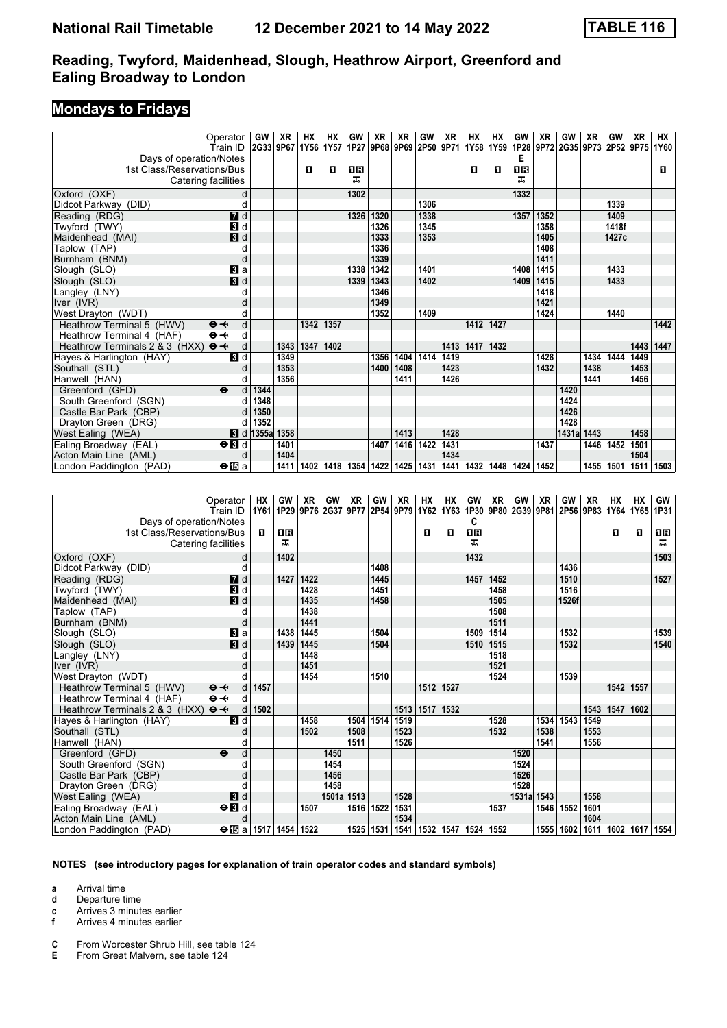## **Mondays to Fridays**

| Operator                                            |                           | <b>GW</b>                     | <b>XR</b> | НX   | HX   | GW       | XR                            | <b>XR</b> | GW   | <b>XR</b> | <b>HX</b> | HX   | GW                 | XR                  | GW    | <b>XR</b> | GW          | XR   | НX   |
|-----------------------------------------------------|---------------------------|-------------------------------|-----------|------|------|----------|-------------------------------|-----------|------|-----------|-----------|------|--------------------|---------------------|-------|-----------|-------------|------|------|
| Train ID                                            |                           | 2G33 9P67                     |           | 1Y56 | 1Y57 |          | 1P27 9P68 9P69 2P50 9P71 1Y58 |           |      |           |           | 1Y59 |                    | 1P28 9P72 2G35 9P73 |       |           | 2P52 9P75   |      | 1Y60 |
| Days of operation/Notes                             |                           |                               |           |      |      |          |                               |           |      |           |           |      | Е                  |                     |       |           |             |      |      |
| 1st Class/Reservations/Bus                          |                           |                               |           | п    | П    | 0 B<br>ᅚ |                               |           |      |           | п         | п    | <b>08</b><br>ᠼ     |                     |       |           |             |      | п    |
| Catering facilities                                 |                           |                               |           |      |      |          |                               |           |      |           |           |      |                    |                     |       |           |             |      |      |
| Oxford (OXF)                                        | d                         |                               |           |      |      | 1302     |                               |           |      |           |           |      | 1332               |                     |       |           |             |      |      |
| Didcot Parkway (DID)                                | d                         |                               |           |      |      |          |                               |           | 1306 |           |           |      |                    |                     |       |           | 1339        |      |      |
| Reading (RDG)                                       | 7d                        |                               |           |      |      | 1326     | 1320                          |           | 1338 |           |           |      | 1357               | 1352                |       |           | 1409        |      |      |
| Twyford (TWY)                                       | $\mathbf{B}$ d            |                               |           |      |      |          | 1326                          |           | 1345 |           |           |      |                    | 1358                |       |           | 1418f       |      |      |
| Maidenhead (MAI)                                    | 3d                        |                               |           |      |      |          | 1333                          |           | 1353 |           |           |      |                    | 1405                |       |           | 1427c       |      |      |
| Taplow (TAP)                                        | C                         |                               |           |      |      |          | 1336                          |           |      |           |           |      |                    | 1408                |       |           |             |      |      |
| Burnham (BNM)                                       | d                         |                               |           |      |      |          | 1339                          |           |      |           |           |      |                    | 1411                |       |           |             |      |      |
| Slough (SLO)                                        | Вl а                      |                               |           |      |      | 1338     | 1342                          |           | 1401 |           |           |      | 1408               | 1415                |       |           | 1433        |      |      |
| Slough (SLO)                                        | $\overline{\mathbf{3}}$ d |                               |           |      |      | 1339     | 1343                          |           | 1402 |           |           |      | 1409               | 1415                |       |           | 1433        |      |      |
| Langley (LNY)                                       |                           |                               |           |      |      |          | 1346                          |           |      |           |           |      |                    | 1418                |       |           |             |      |      |
| Iver (IVR)                                          |                           |                               |           |      |      |          | 1349                          |           |      |           |           |      |                    | 1421                |       |           |             |      |      |
| West Drayton (WDT)                                  | d                         |                               |           |      |      |          | 1352                          |           | 1409 |           |           |      |                    | 1424                |       |           | 1440        |      |      |
| Heathrow Terminal 5 (HWV)<br>$\Theta +$             | d                         |                               |           | 1342 | 1357 |          |                               |           |      |           | 1412      | 1427 |                    |                     |       |           |             |      | 1442 |
| $\Theta +$<br>Heathrow Terminal 4 (HAF)             | d                         |                               |           |      |      |          |                               |           |      |           |           |      |                    |                     |       |           |             |      |      |
| Heathrow Terminals 2 & 3 (HXX) $\Theta \rightarrow$ | d                         |                               | 1343      | 1347 | 1402 |          |                               |           |      | 1413      | 1417      | 1432 |                    |                     |       |           |             | 1443 | 1447 |
| Hayes & Harlington (HAY)                            | 3d                        |                               | 1349      |      |      |          | 1356                          | 1404      | 1414 | 1419      |           |      |                    | 1428                |       | 1434      | 1444        | 1449 |      |
| Southall (STL)                                      | d                         |                               | 1353      |      |      |          | 1400                          | 1408      |      | 1423      |           |      |                    | 1432                |       | 1438      |             | 1453 |      |
| Hanwell (HAN)                                       | d                         |                               | 1356      |      |      |          |                               | 1411      |      | 1426      |           |      |                    |                     |       | 1441      |             | 1456 |      |
| Greenford (GFD)<br>$\ddot{\mathbf{e}}$              | d                         | 1344                          |           |      |      |          |                               |           |      |           |           |      |                    |                     | 1420  |           |             |      |      |
| South Greenford (SGN)                               | C                         | 1348                          |           |      |      |          |                               |           |      |           |           |      |                    |                     | 1424  |           |             |      |      |
| Castle Bar Park (CBP)                               |                           | 1350                          |           |      |      |          |                               |           |      |           |           |      |                    |                     | 1426  |           |             |      |      |
| Drayton Green (DRG)                                 |                           | 1352                          |           |      |      |          |                               |           |      |           |           |      |                    |                     | 1428  |           |             |      |      |
| West Ealing (WEA)                                   |                           | $\vert\vert$ d   1355a   1358 |           |      |      |          |                               | 1413      |      | 1428      |           |      |                    |                     | 1431a | 1443      |             | 1458 |      |
| $\Theta$ $\blacksquare$<br>Ealing Broadway (EAL)    |                           |                               | 1401      |      |      |          | 1407                          | 1416      | 1422 | 1431      |           |      |                    | 1437                |       | 1446      | 1452        | 1501 |      |
| Acton Main Line (AML)                               | d                         |                               | 1404      |      |      |          |                               |           |      | 1434      |           |      |                    |                     |       |           |             | 1504 |      |
| $\bigoplus$ a<br>London Paddington (PAD)            |                           |                               | 1411      | 1402 | 1418 | 1354     | 1422                          | 1425      | 1431 | 1441      | 1432      |      | 1448   1424   1452 |                     |       |           | 1455   1501 | 1511 | 1503 |
|                                                     |                           |                               |           |      |      |          |                               |           |      |           |           |      |                    |                     |       |           |             |      |      |

| Operator                                               | HХ                                 | GW                                           | XR   | GW    | XR   | GW        | XR                                      | HХ        | НX   | GW        | XR   | GW                  | XR   | GW          | XR   | НX   | <b>HX</b>          | <b>GW</b> |
|--------------------------------------------------------|------------------------------------|----------------------------------------------|------|-------|------|-----------|-----------------------------------------|-----------|------|-----------|------|---------------------|------|-------------|------|------|--------------------|-----------|
| Train ID                                               |                                    | 1Y61 1P29 9P76 2G37 9P77 2P54 9P79 1Y62 1Y63 |      |       |      |           |                                         |           |      |           |      | 1P30 9P80 2G39 9P81 |      | 2P56 9P83   |      | 1Y64 | 1Y65               | 1P31      |
| Days of operation/Notes                                |                                    |                                              |      |       |      |           |                                         |           |      | C         |      |                     |      |             |      |      |                    |           |
| 1st Class/Reservations/Bus                             | п                                  | 0 B                                          |      |       |      |           |                                         | п         | п    | <b>08</b> |      |                     |      |             |      | п    | п                  | 1 R       |
| Catering facilities                                    |                                    | ᠼ                                            |      |       |      |           |                                         |           |      | ᅚ         |      |                     |      |             |      |      |                    | ᠼ         |
| Oxford (OXF)                                           | d                                  | 1402                                         |      |       |      |           |                                         |           |      | 1432      |      |                     |      |             |      |      |                    | 1503      |
| Didcot Parkway (DID)                                   | d                                  |                                              |      |       |      | 1408      |                                         |           |      |           |      |                     |      | 1436        |      |      |                    |           |
| 7d<br>Reading (RDG)                                    |                                    | 1427                                         | 1422 |       |      | 1445      |                                         |           |      | 1457      | 1452 |                     |      | 1510        |      |      |                    | 1527      |
| 3d<br>Twyford (TWY)                                    |                                    |                                              | 1428 |       |      | 1451      |                                         |           |      |           | 1458 |                     |      | 1516        |      |      |                    |           |
| 3d<br>Maidenhead (MAI)                                 |                                    |                                              | 1435 |       |      | 1458      |                                         |           |      |           | 1505 |                     |      | 1526f       |      |      |                    |           |
| Taplow (TAP)                                           |                                    |                                              | 1438 |       |      |           |                                         |           |      |           | 1508 |                     |      |             |      |      |                    |           |
| Burnham (BNM)                                          | d                                  |                                              | 1441 |       |      |           |                                         |           |      |           | 1511 |                     |      |             |      |      |                    |           |
| Вl a<br>Slough (SLO)                                   |                                    | 1438                                         | 1445 |       |      | 1504      |                                         |           |      | 1509      | 1514 |                     |      | 1532        |      |      |                    | 1539      |
| 3d<br>Slough (SLO)                                     |                                    | 1439                                         | 1445 |       |      | 1504      |                                         |           |      | 1510      | 1515 |                     |      | 1532        |      |      |                    | 1540      |
| Langley (LNY)                                          |                                    |                                              | 1448 |       |      |           |                                         |           |      |           | 1518 |                     |      |             |      |      |                    |           |
| Iver (IVR)                                             | C                                  |                                              | 1451 |       |      |           |                                         |           |      |           | 1521 |                     |      |             |      |      |                    |           |
| West Drayton (WDT)                                     | o                                  |                                              | 1454 |       |      | 1510      |                                         |           |      |           | 1524 |                     |      | 1539        |      |      |                    |           |
| Heathrow Terminal 5 (HWV)<br>$\Theta +$                | d<br>1457                          |                                              |      |       |      |           |                                         | 1512      | 1527 |           |      |                     |      |             |      | 1542 | 1557               |           |
| Heathrow Terminal 4 (HAF)<br>$\Theta +$                | d                                  |                                              |      |       |      |           |                                         |           |      |           |      |                     |      |             |      |      |                    |           |
| $\Theta \rightarrow$<br>Heathrow Terminals 2 & 3 (HXX) | 1502<br>d                          |                                              |      |       |      |           |                                         | 1513 1517 | 1532 |           |      |                     |      |             | 1543 | 1547 | 1602               |           |
| $\overline{\mathbf{3}}$ d<br>Hayes & Harlington (HAY)  |                                    |                                              | 1458 |       | 1504 | 1514      | 1519                                    |           |      |           | 1528 |                     | 1534 | 1543        | 1549 |      |                    |           |
| Southall (STL)                                         |                                    |                                              | 1502 |       | 1508 |           | 1523                                    |           |      |           | 1532 |                     | 1538 |             | 1553 |      |                    |           |
| Hanwell (HAN)                                          |                                    |                                              |      |       | 1511 |           | 1526                                    |           |      |           |      |                     | 1541 |             | 1556 |      |                    |           |
| Greenford (GFD)<br>$\ddot{\mathbf{e}}$                 | d                                  |                                              |      | 1450  |      |           |                                         |           |      |           |      | 1520                |      |             |      |      |                    |           |
| South Greenford (SGN)                                  |                                    |                                              |      | 1454  |      |           |                                         |           |      |           |      | 1524                |      |             |      |      |                    |           |
| Castle Bar Park (CBP)                                  |                                    |                                              |      | 1456  |      |           |                                         |           |      |           |      | 1526                |      |             |      |      |                    |           |
| Drayton Green (DRG)                                    |                                    |                                              |      | 1458  |      |           |                                         |           |      |           |      | 1528                |      |             |      |      |                    |           |
| West Ealing (WEA)<br>3d                                |                                    |                                              |      | 1501a | 1513 |           | 1528                                    |           |      |           |      | 1531a 1543          |      |             | 1558 |      |                    |           |
| Ealing Broadway (EAL)<br>$\Theta$ $\blacksquare$       |                                    |                                              | 1507 |       |      | 1516 1522 | 1531                                    |           |      |           | 1537 |                     | 1546 | 1552        | 1601 |      |                    |           |
| Acton Main Line (AML)                                  | d                                  |                                              |      |       |      |           | 1534                                    |           |      |           |      |                     |      |             | 1604 |      |                    |           |
| London Paddington (PAD)                                | $\Theta$ is a   1517   1454   1522 |                                              |      |       |      |           | 1525   1531   1541   1532   1547   1524 |           |      |           | 1552 |                     |      | 1555   1602 | 1611 |      | 1602   1617   1554 |           |

#### **NOTES (see introductory pages for explanation of train operator codes and standard symbols)**

**a** Arrival time

**d** Departure time

**c** Arrives 3 minutes earlier<br>**f** Arrives 4 minutes earlier

**f** Arrives 4 minutes earlier

**C** From Worcester Shrub Hill, see table 124<br>**E** From Great Malvern, see table 124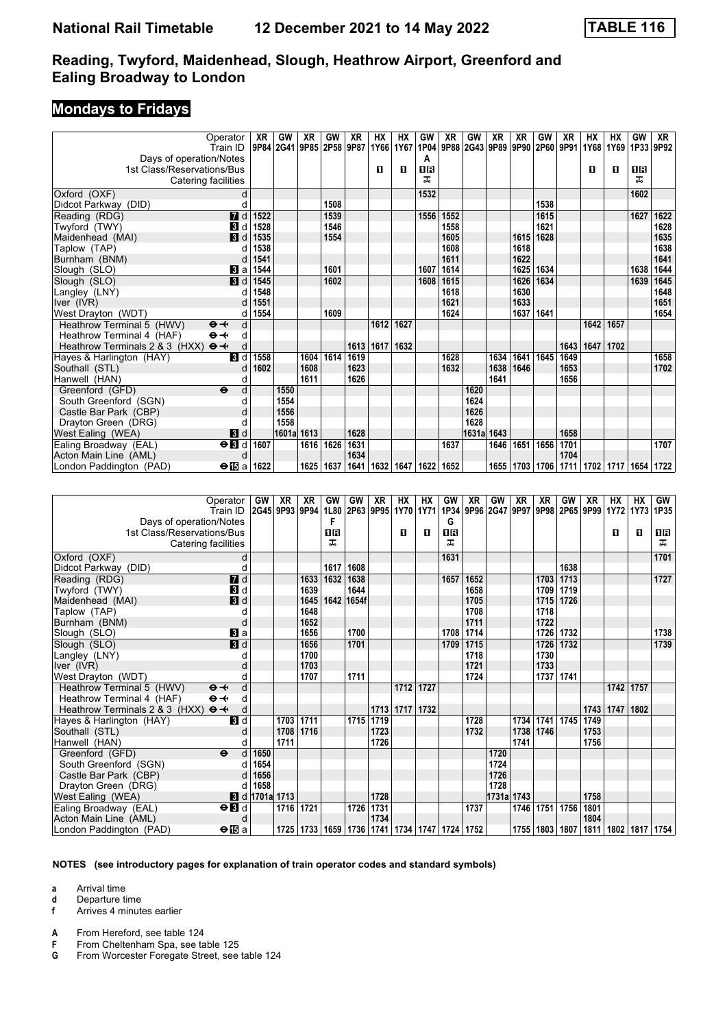## **Mondays to Fridays**

| Operator                                               | XR   | GW                                 | <b>XR</b> | GW   | XR        | <b>HX</b> | HX          | GW        | X <sub>R</sub>     | GW                       | <b>XR</b> | <b>XR</b> | GW                                         | <b>XR</b> | <b>HX</b>          | HX              | GW        | <b>XR</b>             |
|--------------------------------------------------------|------|------------------------------------|-----------|------|-----------|-----------|-------------|-----------|--------------------|--------------------------|-----------|-----------|--------------------------------------------|-----------|--------------------|-----------------|-----------|-----------------------|
| Train ID                                               |      | 9P84 2G41 9P85 2P58 9P87 1Y66 1Y67 |           |      |           |           |             | 1P04      | 9P88               | 2G43 9P89 9P90 2P60 9P91 |           |           |                                            |           | 1Y68               | 1Y69 1P33 9P92  |           |                       |
| Days of operation/Notes                                |      |                                    |           |      |           |           |             | А         |                    |                          |           |           |                                            |           |                    |                 |           |                       |
| 1st Class/Reservations/Bus                             |      |                                    |           |      |           | 0         | п           | 16        |                    |                          |           |           |                                            |           | п                  | п               | 0 B       |                       |
| Catering facilities                                    |      |                                    |           |      |           |           |             | ᅚ         |                    |                          |           |           |                                            |           |                    |                 | ᅚ         |                       |
| Oxford (OXF)<br>d                                      |      |                                    |           |      |           |           |             | 1532      |                    |                          |           |           |                                            |           |                    |                 | 1602      |                       |
| d<br>Didcot Parkway (DID)                              |      |                                    |           | 1508 |           |           |             |           |                    |                          |           |           | 1538                                       |           |                    |                 |           |                       |
| $\blacksquare$<br>Reading (RDG)                        | 1522 |                                    |           | 1539 |           |           |             | 1556      | 1552               |                          |           |           | 1615                                       |           |                    |                 | 1627      | 1622                  |
| Twyford (TWY)<br>$\blacksquare$                        | 1528 |                                    |           | 1546 |           |           |             |           | 1558               |                          |           |           | 1621                                       |           |                    |                 |           | 1628                  |
| $\blacksquare$<br>Maidenhead (MAI)                     | 1535 |                                    |           | 1554 |           |           |             |           | 1605               |                          |           | 1615      | 1628                                       |           |                    |                 |           | 1635                  |
| Taplow (TAP)                                           | 1538 |                                    |           |      |           |           |             |           | 1608               |                          |           | 1618      |                                            |           |                    |                 |           | 1638                  |
| Burnham (BNM)                                          | 1541 |                                    |           |      |           |           |             |           | 1611               |                          |           | 1622      |                                            |           |                    |                 |           | 1641                  |
| Slough (SLO)<br>$\blacksquare$ a                       | 1544 |                                    |           | 1601 |           |           |             | 1607      | 1614               |                          |           | 1625      | 1634                                       |           |                    |                 | 1638      | 1644                  |
| 3d<br>Slough (SLO)                                     | 1545 |                                    |           | 1602 |           |           |             | 1608      | 1615               |                          |           | 1626      | 1634                                       |           |                    |                 | 1639      | 1645                  |
| Langley (LNY)<br>d                                     | 1548 |                                    |           |      |           |           |             |           | 1618               |                          |           | 1630      |                                            |           |                    |                 |           | 1648                  |
| Iver (IVR)                                             | 1551 |                                    |           |      |           |           |             |           | 1621               |                          |           | 1633      |                                            |           |                    |                 |           | 1651                  |
| West Drayton (WDT)<br>d                                | 1554 |                                    |           | 1609 |           |           |             |           | 1624               |                          |           | 1637      | 1641                                       |           |                    |                 |           | 1654                  |
| Heathrow Terminal 5 (HWV)<br>d<br>$\Theta +$           |      |                                    |           |      |           | 1612      | 1627        |           |                    |                          |           |           |                                            |           | 1642               | 1657            |           |                       |
| Heathrow Terminal 4 (HAF)<br>$\Theta \rightarrow$<br>d |      |                                    |           |      |           |           |             |           |                    |                          |           |           |                                            |           |                    |                 |           |                       |
| d<br>Heathrow Terminals 2 & 3 (HXX)<br>$\Theta +$      |      |                                    |           |      |           | 1613 1617 | 1632        |           |                    |                          |           |           |                                            | 1643      | 1647               | 1702            |           |                       |
| Hayes & Harlington (HAY)<br><b>B</b> Id                | 1558 |                                    | 1604      | 1614 | 1619      |           |             |           | 1628               |                          | 1634      | 1641      | 1645                                       | 1649      |                    |                 |           | 1658                  |
| Southall (STL)<br>d                                    | 1602 |                                    | 1608      |      | 1623      |           |             |           | 1632               |                          | 1638      | 1646      |                                            | 1653      |                    |                 |           | 1702                  |
| Hanwell (HAN)                                          |      |                                    | 1611      |      | 1626      |           |             |           |                    |                          | 1641      |           |                                            | 1656      |                    |                 |           |                       |
| Greenford (GFD)<br>$\ddot{\mathbf{e}}$<br>d            |      | 1550                               |           |      |           |           |             |           |                    | 1620                     |           |           |                                            |           |                    |                 |           |                       |
| South Greenford (SGN)                                  |      | 1554                               |           |      |           |           |             |           |                    | 1624                     |           |           |                                            |           |                    |                 |           |                       |
| Castle Bar Park (CBP)                                  |      | 1556                               |           |      |           |           |             |           |                    | 1626                     |           |           |                                            |           |                    |                 |           |                       |
| Drayton Green (DRG)<br>d                               |      | 1558                               |           |      |           |           |             |           |                    | 1628                     |           |           |                                            |           |                    |                 |           |                       |
| $\blacksquare$<br>West Ealing (WEA)                    |      | 1601a 1613                         |           |      | 1628      |           |             |           |                    | 1631a                    | 1643      |           |                                            | 1658      |                    |                 |           |                       |
| $\Theta$ <b>B</b><br>Ealing Broadway (EAL)             | 1607 |                                    | 1616      | 1626 | 1631      |           |             |           | 1637               |                          | 1646      | 1651      | 1656                                       | 1701      |                    |                 |           | 1707                  |
| Acton Main Line (AML)<br>d                             |      |                                    |           |      | 1634      |           |             |           |                    |                          |           |           |                                            | 1704      |                    |                 |           |                       |
| $\bigoplus$ a<br>London Paddington (PAD)               | 1622 |                                    | 1625      | 1637 | 1641      |           | 1632   1647 | 1622 1652 |                    |                          |           |           | 1655 1703 1706                             | 1711      |                    | 1702 1717       |           | 1654 1722             |
|                                                        |      |                                    |           |      |           |           |             |           |                    |                          |           |           |                                            |           |                    |                 |           |                       |
| Operator                                               | GW   | XR                                 | <b>XR</b> | GW   | <b>GW</b> | <b>XR</b> | HX          | <b>HX</b> | GW<br>$127 - 1772$ | XR                       | GW        | XR        | XR<br>  anas   ag + =   anas   anas   anas | GW        | <b>XR</b><br>ممجما | НX<br>$117 - 0$ | <b>HX</b> | GW<br>$13778$ $17885$ |

| Operator $\mathsf{G}_\mathsf{W}$ $\mathsf{K}$ $\mathsf{K}$ $\mathsf{K}$ |                       |           |      |      | GW ∣GW I   | AR I                                                         | HA I      | HY   | υw        | AR I | ا ۷۷ف      | XK.  | <b>AK</b>                          | ⊍w⊓         | <b>XK</b> | HX I      | <b>HA</b> | υw                 |
|-------------------------------------------------------------------------|-----------------------|-----------|------|------|------------|--------------------------------------------------------------|-----------|------|-----------|------|------------|------|------------------------------------|-------------|-----------|-----------|-----------|--------------------|
| Train ID                                                                | 2G45 9P93 9P94        |           |      |      |            | 1L80 2P63 9P95 1Y70 1Y71                                     |           |      |           |      |            |      | 1P34 9P96 2G47 9P97 9P98 2P65 9P99 |             |           | 1Y72 1Y73 |           | 1P35               |
| Days of operation/Notes                                                 |                       |           |      | F    |            |                                                              |           |      | G         |      |            |      |                                    |             |           |           |           |                    |
| 1st Class/Reservations/Bus                                              |                       |           |      | 08   |            |                                                              | O         | п    | <b>08</b> |      |            |      |                                    |             |           | п         | O         | 1 R                |
| Catering facilities                                                     |                       |           |      | ᠼ    |            |                                                              |           |      | ᇁ         |      |            |      |                                    |             |           |           |           | ᇁ                  |
| Oxford (OXF)                                                            | d                     |           |      |      |            |                                                              |           |      | 1631      |      |            |      |                                    |             |           |           |           | 1701               |
| Didcot Parkway (DID)                                                    | d                     |           |      | 1617 | 1608       |                                                              |           |      |           |      |            |      |                                    | 1638        |           |           |           |                    |
| 7d<br>Reading (RDG)                                                     |                       |           | 1633 | 1632 | 1638       |                                                              |           |      | 1657      | 1652 |            |      |                                    | 1703 1713   |           |           |           | 1727               |
| 3d<br>Twyford (TWY)                                                     |                       |           | 1639 |      | 1644       |                                                              |           |      |           | 1658 |            |      | 1709                               | 1719        |           |           |           |                    |
| <b>3</b> d<br>Maidenhead (MAI)                                          |                       |           | 1645 |      | 1642 1654f |                                                              |           |      |           | 1705 |            |      | 1715                               | 1726        |           |           |           |                    |
| Taplow (TAP)                                                            |                       |           | 1648 |      |            |                                                              |           |      |           | 1708 |            |      | 1718                               |             |           |           |           |                    |
| Burnham (BNM)                                                           | d                     |           | 1652 |      |            |                                                              |           |      |           | 1711 |            |      | 1722                               |             |           |           |           |                    |
| <b>B</b> a<br>Slough (SLO)                                              |                       |           | 1656 |      | 1700       |                                                              |           |      | 1708      | 1714 |            |      |                                    | 1726 1732   |           |           |           | 1738               |
| 3d<br>Slough (SLO)                                                      |                       |           | 1656 |      | 1701       |                                                              |           |      | 1709      | 1715 |            |      | 1726                               | 1732        |           |           |           | 1739               |
| Langley (LNY)                                                           |                       |           | 1700 |      |            |                                                              |           |      |           | 1718 |            |      | 1730                               |             |           |           |           |                    |
| Iver (IVR)                                                              |                       |           | 1703 |      |            |                                                              |           |      |           | 1721 |            |      | 1733                               |             |           |           |           |                    |
| West Drayton (WDT)                                                      |                       |           | 1707 |      | 1711       |                                                              |           |      |           | 1724 |            |      |                                    | 1737 1741   |           |           |           |                    |
| $\Theta +$<br>Heathrow Terminal 5 (HWV)                                 | d                     |           |      |      |            |                                                              | 1712      | 1727 |           |      |            |      |                                    |             |           | 1742 1757 |           |                    |
| Heathrow Terminal 4 (HAF)<br>$\Theta +$                                 | d                     |           |      |      |            |                                                              |           |      |           |      |            |      |                                    |             |           |           |           |                    |
| Heathrow Terminals 2 & 3 (HXX)<br>$\Theta +$                            | d                     |           |      |      |            |                                                              | 1713 1717 | 1732 |           |      |            |      |                                    |             | 1743      | 1747      | 1802      |                    |
| 3d<br>Hayes & Harlington (HAY)                                          |                       | 1703      | 1711 |      |            | 1715 1719                                                    |           |      |           | 1728 |            | 1734 |                                    | 1741   1745 | 1749      |           |           |                    |
| Southall (STL)                                                          | d                     | 1708      | 1716 |      |            | 1723                                                         |           |      |           | 1732 |            | 1738 | 1746                               |             | 1753      |           |           |                    |
| Hanwell (HAN)                                                           |                       | 1711      |      |      |            | 1726                                                         |           |      |           |      |            | 1741 |                                    |             | 1756      |           |           |                    |
| Greenford (GFD)<br>$\ddot{\boldsymbol{\Theta}}$                         | 1650<br>d             |           |      |      |            |                                                              |           |      |           |      | 1720       |      |                                    |             |           |           |           |                    |
| South Greenford (SGN)                                                   | 1654<br>d             |           |      |      |            |                                                              |           |      |           |      | 1724       |      |                                    |             |           |           |           |                    |
| Castle Bar Park (CBP)                                                   | 1656                  |           |      |      |            |                                                              |           |      |           |      | 1726       |      |                                    |             |           |           |           |                    |
| Drayton Green (DRG)                                                     | 1658<br>d             |           |      |      |            |                                                              |           |      |           |      | 1728       |      |                                    |             |           |           |           |                    |
| West Ealing (WEA)                                                       | <b>8</b> d 1701a 1713 |           |      |      |            | 1728                                                         |           |      |           |      | 1731a 1743 |      |                                    |             | 1758      |           |           |                    |
| Ealing Broadway (EAL)<br>$\Theta$ <b>B</b> d                            |                       | 1716 1721 |      |      | 1726       | 1731                                                         |           |      |           | 1737 |            | 1746 | 1751                               | 1756        | 1801      |           |           |                    |
| Acton Main Line (AML)                                                   | d                     |           |      |      |            | 1734                                                         |           |      |           |      |            |      |                                    |             | 1804      |           |           |                    |
| $\Theta$ is a<br>London Paddington (PAD)                                |                       |           |      |      |            | 1725   1733   1659   1736   1741   1734   1747   1724   1752 |           |      |           |      |            |      | 1755   1803   1807                 |             | 1811      |           |           | 1802   1817   1754 |

#### **NOTES (see introductory pages for explanation of train operator codes and standard symbols)**

**a** Arrival time

- **d** Departure time<br>**f** Arrives 4 minut
- **f** Arrives 4 minutes earlier
- **A** From Hereford, see table 124

**F** From Cheltenham Spa, see table 125<br>**G** From Worcester Foregate Street, see

**G** From Worcester Foregate Street, see table 124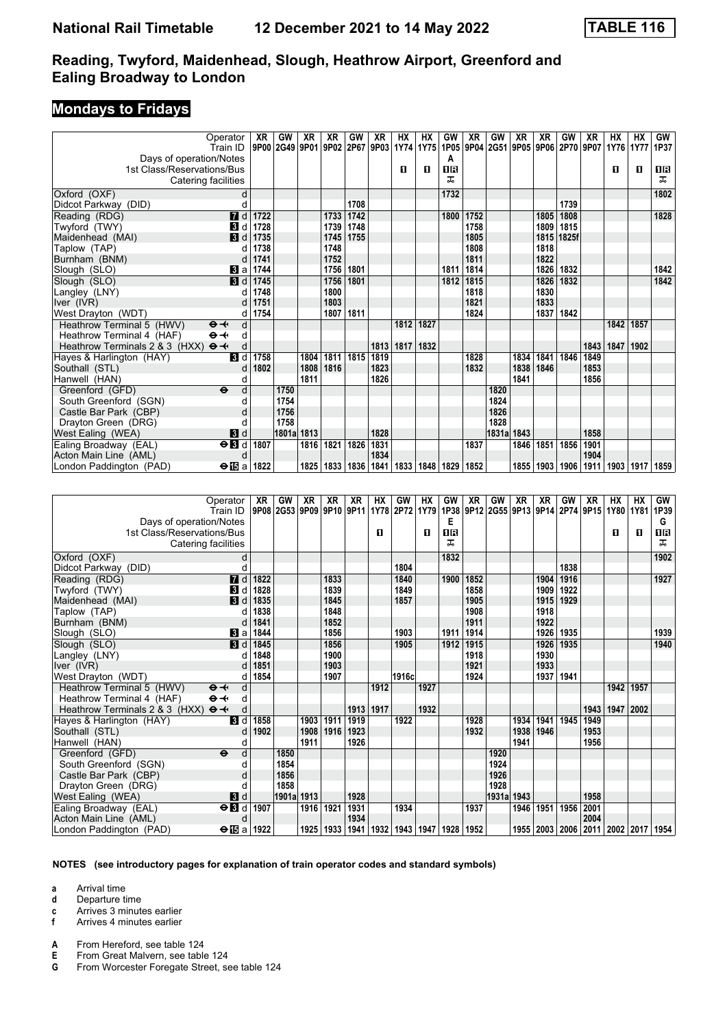### **Mondays to Fridays**

|                                              | Operator<br>Train ID     | XR<br>9P00 2G49 9P01 | GW         | XR   | XR<br> 9P02 | GW   | XR<br>  2P67   9P03   1Y74   1Y75   1P05   9P04   2G51   9P05   9P06   2P70   9P07 | HX        | HХ   | GW          | XR   | GW         | <b>XR</b> | XR        | GW    | XR   | HХ<br>1Y76 | <b>HX</b><br><b>1Y77</b> | GW<br>1P37 |
|----------------------------------------------|--------------------------|----------------------|------------|------|-------------|------|------------------------------------------------------------------------------------|-----------|------|-------------|------|------------|-----------|-----------|-------|------|------------|--------------------------|------------|
| Days of operation/Notes                      |                          |                      |            |      |             |      |                                                                                    |           |      | A           |      |            |           |           |       |      |            |                          |            |
| 1st Class/Reservations/Bus                   |                          |                      |            |      |             |      |                                                                                    | п         | П.   | <b>08</b>   |      |            |           |           |       |      | п          | п                        | 0 B        |
| Catering facilities                          |                          |                      |            |      |             |      |                                                                                    |           |      | ㅈ           |      |            |           |           |       |      |            |                          | ᠼ          |
|                                              |                          |                      |            |      |             |      |                                                                                    |           |      |             |      |            |           |           |       |      |            |                          |            |
| Oxford (OXF)                                 | d                        |                      |            |      |             |      |                                                                                    |           |      | 1732        |      |            |           |           |       |      |            |                          | 1802       |
| Didcot Parkway (DID)                         | d                        |                      |            |      |             | 1708 |                                                                                    |           |      |             |      |            |           |           | 1739  |      |            |                          |            |
| Reading (RDG)                                | $\overline{a}$ d         | 1722                 |            |      | 1733        | 1742 |                                                                                    |           |      | 1800        | 1752 |            |           | 1805      | 1808  |      |            |                          | 1828       |
| Twyford (TWY)                                | $\overline{3}$<br>d      | 1728                 |            |      | 1739        | 1748 |                                                                                    |           |      |             | 1758 |            |           | 1809      | 1815  |      |            |                          |            |
| Maidenhead (MAI)                             | $\vert$ 3 d              | 1735                 |            |      | 1745        | 1755 |                                                                                    |           |      |             | 1805 |            |           | 1815      | 1825f |      |            |                          |            |
| Taplow (TAP)                                 | C                        | 1738                 |            |      | 1748        |      |                                                                                    |           |      |             | 1808 |            |           | 1818      |       |      |            |                          |            |
| Burnham (BNM)                                | d                        | 1741                 |            |      | 1752        |      |                                                                                    |           |      |             | 1811 |            |           | 1822      |       |      |            |                          |            |
| Slough (SLO)                                 | $\bf{B}$ a               | 1744                 |            |      | 1756        | 1801 |                                                                                    |           |      | 1811        | 1814 |            |           | 1826      | 1832  |      |            |                          | 1842       |
| Slough (SLO)                                 | $\blacksquare$           | 1745                 |            |      | 1756        | 1801 |                                                                                    |           |      | 1812        | 1815 |            |           | 1826      | 1832  |      |            |                          | 1842       |
| Langley (LNY)                                | d                        | 1748                 |            |      | 1800        |      |                                                                                    |           |      |             | 1818 |            |           | 1830      |       |      |            |                          |            |
| Iver (IVR)                                   |                          | 1751                 |            |      | 1803        |      |                                                                                    |           |      |             | 1821 |            |           | 1833      |       |      |            |                          |            |
| West Drayton (WDT)                           | d                        | 1754                 |            |      | 1807        | 1811 |                                                                                    |           |      |             | 1824 |            |           | 1837      | 1842  |      |            |                          |            |
| Heathrow Terminal 5 (HWV)<br>$\Theta +$      | d                        |                      |            |      |             |      |                                                                                    | 1812      | 1827 |             |      |            |           |           |       |      | 1842       | 1857                     |            |
| $\Theta +$<br>Heathrow Terminal 4 (HAF)      | d                        |                      |            |      |             |      |                                                                                    |           |      |             |      |            |           |           |       |      |            |                          |            |
| Heathrow Terminals 2 & 3 (HXX)<br>$\Theta +$ | d                        |                      |            |      |             |      |                                                                                    | 1813 1817 | 1832 |             |      |            |           |           |       | 1843 | 1847       | 1902                     |            |
| Hayes & Harlington (HAY)                     | $\blacksquare$           | 1758                 |            | 1804 | 1811        | 1815 | 1819                                                                               |           |      |             | 1828 |            | 1834      | 1841      | 1846  | 1849 |            |                          |            |
| Southall (STL)                               | d                        | 1802                 |            | 1808 | 1816        |      | 1823                                                                               |           |      |             | 1832 |            | 1838      | 1846      |       | 1853 |            |                          |            |
| Hanwell (HAN)                                | d                        |                      |            | 1811 |             |      | 1826                                                                               |           |      |             |      |            | 1841      |           |       | 1856 |            |                          |            |
| Greenford (GFD)                              | d<br>$\ddot{\mathbf{e}}$ |                      | 1750       |      |             |      |                                                                                    |           |      |             |      | 1820       |           |           |       |      |            |                          |            |
| South Greenford (SGN)                        | d                        |                      | 1754       |      |             |      |                                                                                    |           |      |             |      | 1824       |           |           |       |      |            |                          |            |
| Castle Bar Park (CBP)                        | $\mathsf{C}$             |                      | 1756       |      |             |      |                                                                                    |           |      |             |      | 1826       |           |           |       |      |            |                          |            |
| Drayton Green (DRG)                          | C                        |                      | 1758       |      |             |      |                                                                                    |           |      |             |      | 1828       |           |           |       |      |            |                          |            |
| West Ealing (WEA)                            | 3d                       |                      | 1801a 1813 |      |             |      | 1828                                                                               |           |      |             |      | 1831a 1843 |           |           |       | 1858 |            |                          |            |
| Ealing Broadway (EAL)                        | $\Theta$ $\blacksquare$  | 1807                 |            | 1816 | 1821        | 1826 | 1831                                                                               |           |      |             | 1837 |            |           | 1846 1851 | 1856  | 1901 |            |                          |            |
| Acton Main Line (AML)                        | $\mathsf{C}$             |                      |            |      |             |      | 1834                                                                               |           |      |             |      |            |           |           |       | 1904 |            |                          |            |
| London Paddington (PAD)                      | $\Theta$ is a            | 1822                 |            | 1825 | 1833        | 1836 | 1841                                                                               | 1833      |      | 1848   1829 | 1852 |            | 1855      | 1903      | 1906  | 1911 | 1903       | 1917                     | 1859       |
|                                              |                          |                      |            |      |             |      |                                                                                    |           |      |             |      |            |           |           |       |      |            |                          |            |
|                                              |                          |                      |            |      |             |      |                                                                                    |           |      |             |      |            |           |           |       |      |            |                          |            |

| Operator<br>Train ID                                  | XR        | GW         | XR<br>9P08 2G53 9P09 9P10 9P11 | XR   | XR   | HХ   | GW<br>1Y78 2P72 1Y79 | НX   | GW<br>1P38 | XR   | GW<br>9P12 2G55 9P13 9P14 2P74 9P15 | XR   | XR        | GW   | XR   | <b>HX</b><br>1Y80                       | <b>HX</b><br><b>1Y81</b> | <b>GW</b><br>1P39 |
|-------------------------------------------------------|-----------|------------|--------------------------------|------|------|------|----------------------|------|------------|------|-------------------------------------|------|-----------|------|------|-----------------------------------------|--------------------------|-------------------|
|                                                       |           |            |                                |      |      |      |                      |      | Е          |      |                                     |      |           |      |      |                                         |                          | G                 |
| Days of operation/Notes<br>1st Class/Reservations/Bus |           |            |                                |      |      | п    |                      | п    | 0B         |      |                                     |      |           |      |      | п                                       | п                        | 16                |
| Catering facilities                                   |           |            |                                |      |      |      |                      |      | ᅚ          |      |                                     |      |           |      |      |                                         |                          | ᠼ                 |
|                                                       |           |            |                                |      |      |      |                      |      |            |      |                                     |      |           |      |      |                                         |                          |                   |
| Oxford (OXF)                                          | d         |            |                                |      |      |      |                      |      | 1832       |      |                                     |      |           |      |      |                                         |                          | 1902              |
| Didcot Parkway (DID)                                  |           |            |                                |      |      |      | 1804                 |      |            |      |                                     |      |           | 1838 |      |                                         |                          |                   |
| 7d<br>Reading (RDG)                                   | 1822      |            |                                | 1833 |      |      | 1840                 |      | 1900       | 1852 |                                     |      | 1904      | 1916 |      |                                         |                          | 1927              |
| Twyford (TWY)<br>$\bf{B}$                             | 1828<br>d |            |                                | 1839 |      |      | 1849                 |      |            | 1858 |                                     |      | 1909      | 1922 |      |                                         |                          |                   |
| $\blacksquare$<br>Maidenhead (MAI)                    | 1835      |            |                                | 1845 |      |      | 1857                 |      |            | 1905 |                                     |      | 1915      | 1929 |      |                                         |                          |                   |
| Taplow (TAP)                                          | 1838      |            |                                | 1848 |      |      |                      |      |            | 1908 |                                     |      | 1918      |      |      |                                         |                          |                   |
| Burnham (BNM)                                         | 1841      |            |                                | 1852 |      |      |                      |      |            | 1911 |                                     |      | 1922      |      |      |                                         |                          |                   |
| Slough (SLO)<br>Вl a                                  | 1844      |            |                                | 1856 |      |      | 1903                 |      | 1911       | 1914 |                                     |      | 1926      | 1935 |      |                                         |                          | 1939              |
| $\blacksquare$<br>Slough (SLO)                        | 1845      |            |                                | 1856 |      |      | 1905                 |      | 1912       | 1915 |                                     |      | 1926      | 1935 |      |                                         |                          | 1940              |
| Langley (LNY)                                         | 1848      |            |                                | 1900 |      |      |                      |      |            | 1918 |                                     |      | 1930      |      |      |                                         |                          |                   |
| Iver (IVR)                                            | 1851      |            |                                | 1903 |      |      |                      |      |            | 1921 |                                     |      | 1933      |      |      |                                         |                          |                   |
| West Drayton (WDT)                                    | 1854<br>d |            |                                | 1907 |      |      | 1916c                |      |            | 1924 |                                     |      | 1937 1941 |      |      |                                         |                          |                   |
| Heathrow Terminal 5 (HWV)<br>$\Theta +$               | d         |            |                                |      |      | 1912 |                      | 1927 |            |      |                                     |      |           |      |      | 1942                                    | 1957                     |                   |
| Heathrow Terminal 4 (HAF)<br>$\Theta +$               | d         |            |                                |      |      |      |                      |      |            |      |                                     |      |           |      |      |                                         |                          |                   |
| Heathrow Terminals 2 & 3 (HXX)<br>d<br>$\Theta +$     |           |            |                                |      | 1913 | 1917 |                      | 1932 |            |      |                                     |      |           |      | 1943 | 1947                                    | 2002                     |                   |
| $\mathbf{B}$ d<br>Hayes & Harlington (HAY)            | 1858      |            | 1903                           | 1911 | 1919 |      | 1922                 |      |            | 1928 |                                     | 1934 | 1941      | 1945 | 1949 |                                         |                          |                   |
| Southall (STL)                                        | 1902      |            | 1908                           | 1916 | 1923 |      |                      |      |            | 1932 |                                     | 1938 | 1946      |      | 1953 |                                         |                          |                   |
| Hanwell (HAN)<br>O                                    |           |            | 1911                           |      | 1926 |      |                      |      |            |      |                                     | 1941 |           |      | 1956 |                                         |                          |                   |
| Greenford (GFD)<br>$\ddot{\mathbf{e}}$                | d         | 1850       |                                |      |      |      |                      |      |            |      | 1920                                |      |           |      |      |                                         |                          |                   |
| South Greenford (SGN)                                 |           | 1854       |                                |      |      |      |                      |      |            |      | 1924                                |      |           |      |      |                                         |                          |                   |
| Castle Bar Park (CBP)                                 |           | 1856       |                                |      |      |      |                      |      |            |      | 1926                                |      |           |      |      |                                         |                          |                   |
| Drayton Green (DRG)                                   |           | 1858       |                                |      |      |      |                      |      |            |      | 1928                                |      |           |      |      |                                         |                          |                   |
| West Ealing (WEA)<br>3d                               |           | 1901a 1913 |                                |      | 1928 |      |                      |      |            |      | 1931a 1943                          |      |           |      | 1958 |                                         |                          |                   |
| Ealing Broadway (EAL)<br>$\Theta$ $\blacksquare$      | 1907      |            | 1916                           | 1921 | 1931 |      | 1934                 |      |            | 1937 |                                     | 1946 | 1951      | 1956 | 2001 |                                         |                          |                   |
| Acton Main Line (AML)<br>d                            |           |            |                                |      | 1934 |      |                      |      |            |      |                                     |      |           |      | 2004 |                                         |                          |                   |
| London Paddington (PAD)<br>$\Theta$ is a              | 1922      |            | 1925                           | 1933 | 1941 |      | 1932   1943   1947   |      | 1928 1952  |      |                                     |      |           |      |      | 1955   2003   2006   2011   2002   2017 |                          | 1954              |

#### **NOTES (see introductory pages for explanation of train operator codes and standard symbols)**

**a** Arrival time

**d** Departure time

**c** Arrives 3 minutes earlier<br>**f** Arrives 4 minutes earlier

**f** Arrives 4 minutes earlier

**A** From Hereford, see table 124<br>**E** From Great Malvern, see table

**E** From Great Malvern, see table 124<br>**G** From Worcester Foregate Street, se

**G** From Worcester Foregate Street, see table 124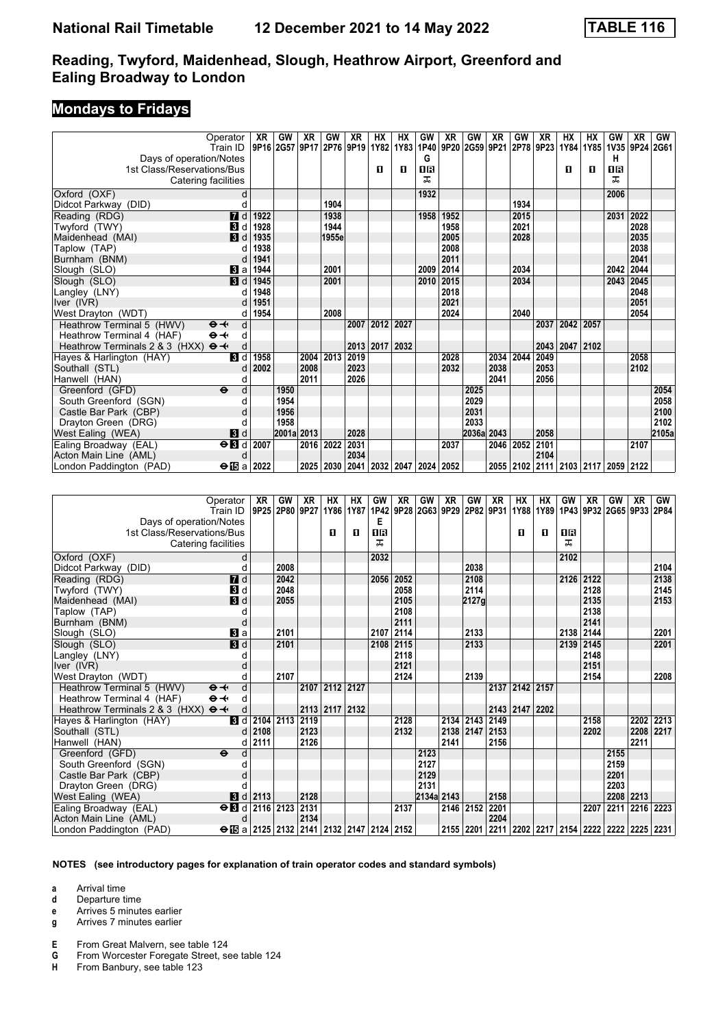### **Mondays to Fridays**

| Operator                                     | XR        | GW        | XR         | GW    | XR                        | HХ        | HX             | GW      | XR   | GW                  | XR        | GW   | XR   | НX        | НX   | GW             | <b>XR</b> | GW    |
|----------------------------------------------|-----------|-----------|------------|-------|---------------------------|-----------|----------------|---------|------|---------------------|-----------|------|------|-----------|------|----------------|-----------|-------|
| Train ID                                     |           | 9P16 2G57 | 9P17       |       | 2P76   9P19   1Y82   1Y83 |           |                |         |      | 1P40 9P20 2G59 9P21 |           | 2P78 | 9P23 | 1Y84      | 1Y85 | 1V35 9P24 2G61 |           |       |
| Days of operation/Notes                      |           |           |            |       |                           |           |                | G       |      |                     |           |      |      |           |      | н              |           |       |
| 1st Class/Reservations/Bus                   |           |           |            |       |                           | п         | O              | 16<br>ᅚ |      |                     |           |      |      | п         | п    | 0R<br>ᅚ        |           |       |
| Catering facilities                          |           |           |            |       |                           |           |                |         |      |                     |           |      |      |           |      |                |           |       |
| Oxford (OXF)                                 | d         |           |            |       |                           |           |                | 1932    |      |                     |           |      |      |           |      | 2006           |           |       |
| Didcot Parkway (DID)                         | d         |           |            | 1904  |                           |           |                |         |      |                     |           | 1934 |      |           |      |                |           |       |
| $\blacksquare$<br>Reading (RDG)              | 1922      |           |            | 1938  |                           |           |                | 1958    | 1952 |                     |           | 2015 |      |           |      | 2031           | 2022      |       |
| Twyford (TWY)<br>$\overline{3}$              | 1928<br>d |           |            | 1944  |                           |           |                |         | 1958 |                     |           | 2021 |      |           |      |                | 2028      |       |
| $\vert$ 3 d<br>Maidenhead (MAI)              | 1935      |           |            | 1955e |                           |           |                |         | 2005 |                     |           | 2028 |      |           |      |                | 2035      |       |
| Taplow (TAP)                                 | 1938      |           |            |       |                           |           |                |         | 2008 |                     |           |      |      |           |      |                | 2038      |       |
| Burnham (BNM)                                | 1941<br>d |           |            |       |                           |           |                |         | 2011 |                     |           |      |      |           |      |                | 2041      |       |
| Slough (SLO)<br><b>B</b> la                  | 1944      |           |            | 2001  |                           |           |                | 2009    | 2014 |                     |           | 2034 |      |           |      | 2042           | 2044      |       |
| $\blacksquare$<br>Slough (SLO)               | 1945      |           |            | 2001  |                           |           |                | 2010    | 2015 |                     |           | 2034 |      |           |      | 2043           | 2045      |       |
| Langley (LNY)                                | 1948<br>d |           |            |       |                           |           |                |         | 2018 |                     |           |      |      |           |      |                | 2048      |       |
| Iver (IVR)                                   | 1951      |           |            |       |                           |           |                |         | 2021 |                     |           |      |      |           |      |                | 2051      |       |
| West Drayton (WDT)                           | 1954<br>d |           |            | 2008  |                           |           |                |         | 2024 |                     |           | 2040 |      |           |      |                | 2054      |       |
| Heathrow Terminal 5 (HWV)<br>$\Theta +$      | d         |           |            |       | 2007                      | 2012      | 2027           |         |      |                     |           |      | 2037 | 2042      | 2057 |                |           |       |
| Heathrow Terminal 4 (HAF)<br>$\Theta +$      | d         |           |            |       |                           |           |                |         |      |                     |           |      |      |           |      |                |           |       |
| Heathrow Terminals 2 & 3 (HXX)<br>$\Theta +$ | d         |           |            |       |                           | 2013 2017 | $ 2032\rangle$ |         |      |                     |           |      | 2043 | 2047      | 2102 |                |           |       |
| Hayes & Harlington (HAY)<br><b>B</b> Id      | 1958      |           | 2004       | 2013  | 2019                      |           |                |         | 2028 |                     | 2034      | 2044 | 2049 |           |      |                | 2058      |       |
| Southall (STL)                               | 2002      |           | 2008       |       | 2023                      |           |                |         | 2032 |                     | 2038      |      | 2053 |           |      |                | 2102      |       |
| Hanwell (HAN)                                | O         |           | 2011       |       | 2026                      |           |                |         |      |                     | 2041      |      | 2056 |           |      |                |           |       |
| Greenford (GFD)<br>$\ddot{\mathbf{e}}$       | d         | 1950      |            |       |                           |           |                |         |      | 2025                |           |      |      |           |      |                |           | 2054  |
| South Greenford (SGN)                        | d         | 1954      |            |       |                           |           |                |         |      | 2029                |           |      |      |           |      |                |           | 2058  |
| Castle Bar Park (CBP)                        |           | 1956      |            |       |                           |           |                |         |      | 2031                |           |      |      |           |      |                |           | 2100  |
| Drayton Green (DRG)                          |           | 1958      |            |       |                           |           |                |         |      | 2033                |           |      |      |           |      |                |           | 2102  |
| $\blacksquare$<br>West Ealing (WEA)          |           |           | 2001a 2013 |       | 2028                      |           |                |         |      | 2036a               | 2043      |      | 2058 |           |      |                |           | 2105a |
| $\Theta$ <b>B</b> d<br>Ealing Broadway (EAL) | 2007      |           | 2016       | 2022  | 2031                      |           |                |         | 2037 |                     | 2046 2052 |      | 2101 |           |      |                | 2107      |       |
| Acton Main Line (AML)                        | d         |           |            |       | 2034                      |           |                |         |      |                     |           |      | 2104 |           |      |                |           |       |
| $\bigoplus$ a<br>London Paddington (PAD)     | 2022      |           | 2025       | 2030  | 2041                      | 2032      | 2047           | 2024    | 2052 |                     | 2055 2102 |      | 2111 | 2103 2117 |      | 2059 2122      |           |       |

| Operator                                          | XR                                               | GW             | XR   | HX             | НX             | GW        | XR        | GW         | XR                  | GW        | XR   | НX        | HХ   | GW        | XR        | GW                                                                  | XR        | GW   |
|---------------------------------------------------|--------------------------------------------------|----------------|------|----------------|----------------|-----------|-----------|------------|---------------------|-----------|------|-----------|------|-----------|-----------|---------------------------------------------------------------------|-----------|------|
| Train ID                                          |                                                  | 9P25 2P80 9P27 |      | 1Y86           | <b>1Y87</b>    |           |           |            | 1P42 9P28 2G63 9P29 | 2P82 9P31 |      | 1Y88      |      |           |           | 1Y89   1P43   9P32   2G65   9P33   2P84                             |           |      |
| Days of operation/Notes                           |                                                  |                |      |                |                | E         |           |            |                     |           |      |           |      |           |           |                                                                     |           |      |
| 1st Class/Reservations/Bus                        |                                                  |                |      | п              | п              | <b>08</b> |           |            |                     |           |      | п         | п    | <b>0B</b> |           |                                                                     |           |      |
| Catering facilities                               |                                                  |                |      |                |                | ᅚ         |           |            |                     |           |      |           |      | ᅚ         |           |                                                                     |           |      |
| Oxford (OXF)                                      | d                                                |                |      |                |                | 2032      |           |            |                     |           |      |           |      | 2102      |           |                                                                     |           |      |
| Didcot Parkway (DID)                              | d                                                | 2008           |      |                |                |           |           |            |                     | 2038      |      |           |      |           |           |                                                                     |           | 2104 |
| 7d<br>Reading (RDG)                               |                                                  | 2042           |      |                |                |           | 2056 2052 |            |                     | 2108      |      |           |      |           | 2126 2122 |                                                                     |           | 2138 |
| 3d<br>Twyford (TWY)                               |                                                  | 2048           |      |                |                |           | 2058      |            |                     | 2114      |      |           |      |           | 2128      |                                                                     |           | 2145 |
| 3d<br>Maidenhead (MAI)                            |                                                  | 2055           |      |                |                |           | 2105      |            |                     | 2127g     |      |           |      |           | 2135      |                                                                     |           | 2153 |
| Taplow (TAP)                                      |                                                  |                |      |                |                |           | 2108      |            |                     |           |      |           |      |           | 2138      |                                                                     |           |      |
| Burnham (BNM)                                     | $\mathsf{C}$                                     |                |      |                |                |           | 2111      |            |                     |           |      |           |      |           | 2141      |                                                                     |           |      |
| Вl a<br>Slough (SLO)                              |                                                  | 2101           |      |                |                | 2107      | 2114      |            |                     | 2133      |      |           |      |           | 2138 2144 |                                                                     |           | 2201 |
| 3d<br>Slough (SLO)                                |                                                  | 2101           |      |                |                |           | 2108 2115 |            |                     | 2133      |      |           |      |           | 2139 2145 |                                                                     |           | 2201 |
| Langley (LNY)                                     |                                                  |                |      |                |                |           | 2118      |            |                     |           |      |           |      |           | 2148      |                                                                     |           |      |
| Iver (IVR)                                        |                                                  |                |      |                |                |           | 2121      |            |                     |           |      |           |      |           | 2151      |                                                                     |           |      |
| West Drayton (WDT)                                |                                                  | 2107           |      |                |                |           | 2124      |            |                     | 2139      |      |           |      |           | 2154      |                                                                     |           | 2208 |
| Heathrow Terminal 5 (HWV)<br>$\Theta +$           | d                                                |                |      | 2107 2112 2127 |                |           |           |            |                     |           |      | 2137 2142 | 2157 |           |           |                                                                     |           |      |
| Heathrow Terminal 4 (HAF)<br>$\Theta \rightarrow$ | d                                                |                |      |                |                |           |           |            |                     |           |      |           |      |           |           |                                                                     |           |      |
| $\Theta +$<br>Heathrow Terminals 2 & 3 (HXX)      | d                                                |                |      |                | 2113 2117 2132 |           |           |            |                     |           |      | 2143 2147 | 2202 |           |           |                                                                     |           |      |
| 3d<br>Hayes & Harlington (HAY)                    | 2104                                             | 2113           | 2119 |                |                |           | 2128      |            | 2134                | 2143      | 2149 |           |      |           | 2158      |                                                                     | 2202      | 2213 |
| Southall (STL)                                    | 2108<br>d                                        |                | 2123 |                |                |           | 2132      |            | 2138                | 2147      | 2153 |           |      |           | 2202      |                                                                     | 2208      | 2217 |
| Hanwell (HAN)                                     | 2111<br>d                                        |                | 2126 |                |                |           |           |            | 2141                |           | 2156 |           |      |           |           |                                                                     | 2211      |      |
| Greenford (GFD)<br>$\ddot{\mathbf{e}}$            | d                                                |                |      |                |                |           |           | 2123       |                     |           |      |           |      |           |           | 2155                                                                |           |      |
| South Greenford (SGN)                             |                                                  |                |      |                |                |           |           | 2127       |                     |           |      |           |      |           |           | 2159                                                                |           |      |
| Castle Bar Park (CBP)                             |                                                  |                |      |                |                |           |           | 2129       |                     |           |      |           |      |           |           | 2201                                                                |           |      |
| Drayton Green (DRG)                               |                                                  |                |      |                |                |           |           | 2131       |                     |           |      |           |      |           |           | 2203                                                                |           |      |
| West Ealing (WEA)<br>3d                           | 2113                                             |                | 2128 |                |                |           |           | 2134a 2143 |                     |           | 2158 |           |      |           |           | 2208 2213                                                           |           |      |
| Ealing Broadway (EAL)<br>$\Theta$ $\blacksquare$  |                                                  | 2116 2123      | 2131 |                |                |           | 2137      |            | 2146                | 2152      | 2201 |           |      |           | 2207      | 2211                                                                | 2216 2223 |      |
| Acton Main Line (AML)                             | d                                                |                | 2134 |                |                |           |           |            |                     |           | 2204 |           |      |           |           |                                                                     |           |      |
| London Paddington (PAD)                           | $\Theta$ is a 2125 2132 2141 2132 2147 2124 2152 |                |      |                |                |           |           |            |                     |           |      |           |      |           |           | 2155   2201   2211   2202   2217   2154   2222   2222   2225   2231 |           |      |

#### **NOTES (see introductory pages for explanation of train operator codes and standard symbols)**

**a** Arrival time

**d** Departure time

**e** Arrives 5 minutes earlier

**g** Arrives 7 minutes earlier

**E** From Great Malvern, see table 124<br>**G** From Worcester Foregate Street, se

**G** From Worcester Foregate Street, see table 124

From Banbury, see table 123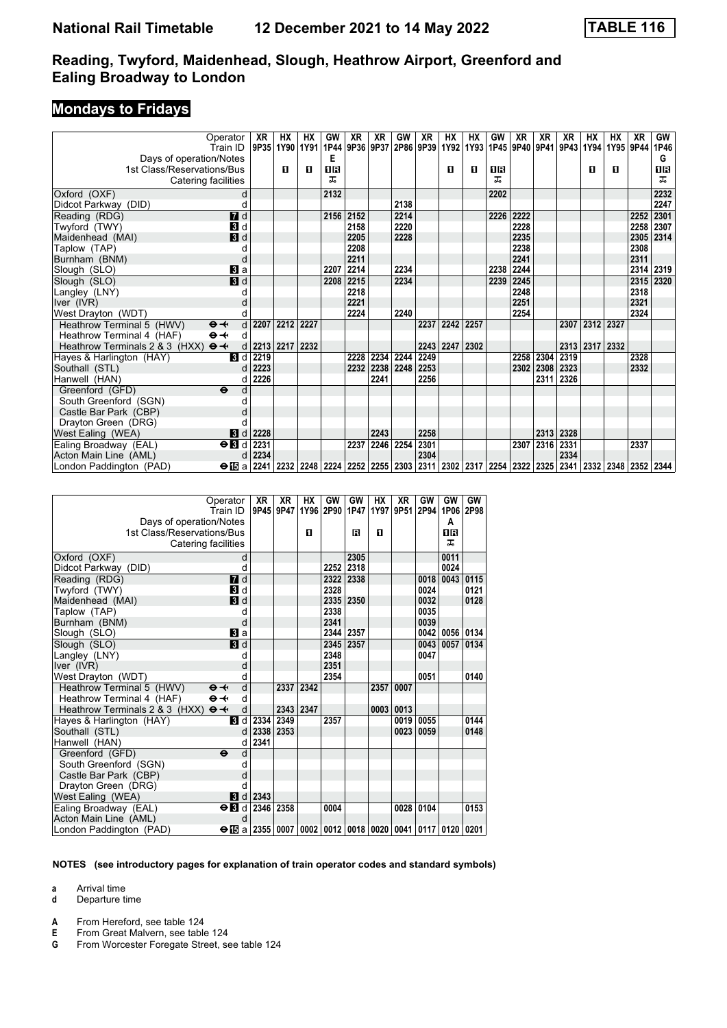### **Mondays to Fridays**

| Operator                                          | XR                   | HX             | HХ                                                                                   | GW   | XR        | XR                  | GW        | XR   | HX   | НX   | GW   | XR   | XR                  | XR   | НX        | HX   | XR        | GW        |
|---------------------------------------------------|----------------------|----------------|--------------------------------------------------------------------------------------|------|-----------|---------------------|-----------|------|------|------|------|------|---------------------|------|-----------|------|-----------|-----------|
| Train ID                                          |                      | 9P35 1Y90      | 1Y91                                                                                 | 1P44 |           | 9P36 9P37 2P86 9P39 |           |      | 1Y92 | 1Y93 |      |      | 1P45 9P40 9P41 9P43 |      | 1Y94      |      | 1Y95 9P44 | 1P46      |
| Days of operation/Notes                           |                      |                |                                                                                      | Е    |           |                     |           |      |      |      |      |      |                     |      |           |      |           | G         |
| 1st Class/Reservations/Bus                        |                      | п              | п                                                                                    | 1R   |           |                     |           |      | п    | п    | 1R   |      |                     |      | п         | п    |           | 0B        |
| Catering facilities                               |                      |                |                                                                                      | ᠼ    |           |                     |           |      |      |      | ᅚ    |      |                     |      |           |      |           | ㅈ         |
| Oxford (OXF)                                      | d                    |                |                                                                                      | 2132 |           |                     |           |      |      |      | 2202 |      |                     |      |           |      |           | 2232      |
| Didcot Parkway (DID)                              |                      |                |                                                                                      |      |           |                     | 2138      |      |      |      |      |      |                     |      |           |      |           | 2247      |
| $\overline{d}$ d<br>Reading (RDG)                 |                      |                |                                                                                      |      | 2156 2152 |                     | 2214      |      |      |      | 2226 | 2222 |                     |      |           |      | 2252      | 2301      |
| Twyford (TWY)<br>$\mathbf{B}$ d                   |                      |                |                                                                                      |      | 2158      |                     | 2220      |      |      |      |      | 2228 |                     |      |           |      |           | 2258 2307 |
| 3d<br>Maidenhead (MAI)                            |                      |                |                                                                                      |      | 2205      |                     | 2228      |      |      |      |      | 2235 |                     |      |           |      |           | 2305 2314 |
| Taplow (TAP)                                      |                      |                |                                                                                      |      | 2208      |                     |           |      |      |      |      | 2238 |                     |      |           |      | 2308      |           |
| Burnham (BNM)                                     | C                    |                |                                                                                      |      | 2211      |                     |           |      |      |      |      | 2241 |                     |      |           |      | 2311      |           |
| Slough (SLO)<br>Вl а                              |                      |                |                                                                                      | 2207 | 2214      |                     | 2234      |      |      |      | 2238 | 2244 |                     |      |           |      |           | 2314 2319 |
| $\overline{\mathbf{B}}$ d<br>Slough (SLO)         |                      |                |                                                                                      | 2208 | 2215      |                     | 2234      |      |      |      | 2239 | 2245 |                     |      |           |      |           | 2315 2320 |
| Langley (LNY)                                     |                      |                |                                                                                      |      | 2218      |                     |           |      |      |      |      | 2248 |                     |      |           |      | 2318      |           |
| Iver (IVR)                                        |                      |                |                                                                                      |      | 2221      |                     |           |      |      |      |      | 2251 |                     |      |           |      | 2321      |           |
| West Drayton (WDT)                                |                      |                |                                                                                      |      | 2224      |                     | 2240      |      |      |      |      | 2254 |                     |      |           |      | 2324      |           |
| Heathrow Terminal 5 (HWV)<br>$\Theta +$           | $\mathsf{d}$<br>2207 | 2212           | 2227                                                                                 |      |           |                     |           | 2237 | 2242 | 2257 |      |      |                     | 2307 | 2312      | 2327 |           |           |
| $\Theta \rightarrow$<br>Heathrow Terminal 4 (HAF) | d                    |                |                                                                                      |      |           |                     |           |      |      |      |      |      |                     |      |           |      |           |           |
| Heathrow Terminals 2 & 3 (HXX)<br>$\Theta +$      | d                    | 2213 2217 2232 |                                                                                      |      |           |                     |           | 2243 | 2247 | 2302 |      |      |                     |      | 2313 2317 | 2332 |           |           |
| <b>B</b> Id<br>Hayes & Harlington (HAY)           | 2219                 |                |                                                                                      |      | 2228      |                     | 2234 2244 | 2249 |      |      |      | 2258 | 2304                | 2319 |           |      | 2328      |           |
| Southall (STL)                                    | 2223                 |                |                                                                                      |      | 2232      | 2238                | 2248      | 2253 |      |      |      | 2302 | 2308                | 2323 |           |      | 2332      |           |
| Hanwell (HAN)                                     | 2226<br>d            |                |                                                                                      |      |           | 2241                |           | 2256 |      |      |      |      | 2311                | 2326 |           |      |           |           |
| Greenford (GFD)<br>$\ddot{\boldsymbol{\Theta}}$   |                      |                |                                                                                      |      |           |                     |           |      |      |      |      |      |                     |      |           |      |           |           |
| South Greenford (SGN)                             |                      |                |                                                                                      |      |           |                     |           |      |      |      |      |      |                     |      |           |      |           |           |
| Castle Bar Park (CBP)                             |                      |                |                                                                                      |      |           |                     |           |      |      |      |      |      |                     |      |           |      |           |           |
| Drayton Green (DRG)                               |                      |                |                                                                                      |      |           |                     |           |      |      |      |      |      |                     |      |           |      |           |           |
| 3d<br>West Ealing (WEA)                           | 2228                 |                |                                                                                      |      |           | 2243                |           | 2258 |      |      |      |      | 2313                | 2328 |           |      |           |           |
| $\Theta$ $\blacksquare$<br>Ealing Broadway (EAL)  | 2231                 |                |                                                                                      |      | 2237      |                     | 2246 2254 | 2301 |      |      |      | 2307 | 2316 2331           |      |           |      | 2337      |           |
| Acton Main Line (AML)                             | 2234<br>d            |                |                                                                                      |      |           |                     |           | 2304 |      |      |      |      |                     | 2334 |           |      |           |           |
| London Paddington (PAD)                           | $\Theta$ is a 2241   |                | 2232 2248 2224 2252 2255 2303 2311 2302 2317 2254 2322 2325 2341 2332 2348 2352 2344 |      |           |                     |           |      |      |      |      |      |                     |      |           |      |           |           |

|                                                       | Operator<br>Train ID      | XR<br>9P45 | XR<br>9P47                                                      | НX        | GW<br>1Y96 2P90 | GW<br>1P47 | HХ   | XR<br>1Y97 9P51 | GW   | GW<br>2P94 1P06 2P98 | GW        |
|-------------------------------------------------------|---------------------------|------------|-----------------------------------------------------------------|-----------|-----------------|------------|------|-----------------|------|----------------------|-----------|
| Days of operation/Notes<br>1st Class/Reservations/Bus |                           |            |                                                                 | П         |                 | R          | П    |                 |      | A<br>OR              |           |
|                                                       |                           |            |                                                                 |           |                 |            |      |                 |      | ᅚ                    |           |
| Catering facilities                                   |                           |            |                                                                 |           |                 |            |      |                 |      |                      |           |
| Oxford (OXF)                                          |                           | d          |                                                                 |           |                 | 2305       |      |                 |      | 0011                 |           |
| Didcot Parkway (DID)                                  |                           | d          |                                                                 |           | 2252            | 2318       |      |                 |      | 0024                 |           |
| Reading (RDG)                                         | 7d                        |            |                                                                 |           | 2322            | 2338       |      |                 | 0018 | 0043                 | 0115      |
| Twyford (TWY)                                         | 3d                        |            |                                                                 |           | 2328            |            |      |                 | 0024 |                      | 0121      |
| Maidenhead (MAI)                                      | $\mathbf{B}$ d            |            |                                                                 |           | 2335            | 2350       |      |                 | 0032 |                      | 0128      |
| Taplow (TAP)                                          | d                         |            |                                                                 |           | 2338            |            |      |                 | 0035 |                      |           |
| Burnham (BNM)                                         |                           | d          |                                                                 |           | 2341            |            |      |                 | 0039 |                      |           |
| Slough (SLO)                                          | a                         |            |                                                                 |           | 2344            | 2357       |      |                 | 0042 |                      | 0056 0134 |
| Slough (SLO)                                          | 3d                        |            |                                                                 |           | 2345            | 2357       |      |                 | 0043 | 0057                 | 0134      |
| Langley (LNY)                                         | d                         |            |                                                                 |           | 2348            |            |      |                 | 0047 |                      |           |
| Iver (IVR)                                            |                           | d          |                                                                 |           | 2351            |            |      |                 |      |                      |           |
| West Drayton (WDT)                                    |                           | d          |                                                                 |           | 2354            |            |      |                 | 0051 |                      | 0140      |
| Heathrow Terminal 5 (HWV)                             | $\Theta +$                | d          | 2337                                                            | 2342      |                 |            | 2357 | 0007            |      |                      |           |
| Heathrow Terminal 4 (HAF)                             | $\Theta \rightarrow$      | d          |                                                                 |           |                 |            |      |                 |      |                      |           |
| Heathrow Terminals 2 & 3 (HXX)                        | $\Theta +$                | d          |                                                                 | 2343 2347 |                 |            | 0003 | 0013            |      |                      |           |
| Hayes & Harlington (HAY)                              | $\mathbf{B}$ d            | 2334       | 2349                                                            |           | 2357            |            |      | 0019            | 0055 |                      | 0144      |
| Southall (STL)                                        |                           | 2338<br>d  | 2353                                                            |           |                 |            |      | 0023            | 0059 |                      | 0148      |
| Hanwell (HAN)                                         |                           | 2341<br>d  |                                                                 |           |                 |            |      |                 |      |                      |           |
| Greenford (GFD)                                       | $\ddot{\mathbf{e}}$       | d          |                                                                 |           |                 |            |      |                 |      |                      |           |
| South Greenford (SGN)                                 | d                         |            |                                                                 |           |                 |            |      |                 |      |                      |           |
| Castle Bar Park (CBP)                                 | d                         |            |                                                                 |           |                 |            |      |                 |      |                      |           |
| Drayton Green (DRG)                                   | d                         |            |                                                                 |           |                 |            |      |                 |      |                      |           |
| West Ealing (WEA)                                     | $\mathbf{B}$<br>d         | 2343       |                                                                 |           |                 |            |      |                 |      |                      |           |
| Ealing Broadway (EAL)                                 | $\Theta$ $\blacksquare$ d |            | 2346 2358                                                       |           | 0004            |            |      | 0028            | 0104 |                      | 0153      |
| Acton Main Line (AML)                                 |                           | d          |                                                                 |           |                 |            |      |                 |      |                      |           |
| London Paddington (PAD)                               |                           |            | $\Theta$ is a 2355 0007 0002 0012 0018 0020 0041 0117 0120 0201 |           |                 |            |      |                 |      |                      |           |

**NOTES (see introductory pages for explanation of train operator codes and standard symbols)**

**a** Arrival time

- **d** Departure time
- **A** From Hereford, see table 124<br>**E** From Great Malvern, see table

**E** From Great Malvern, see table 124

**G** From Worcester Foregate Street, see table 124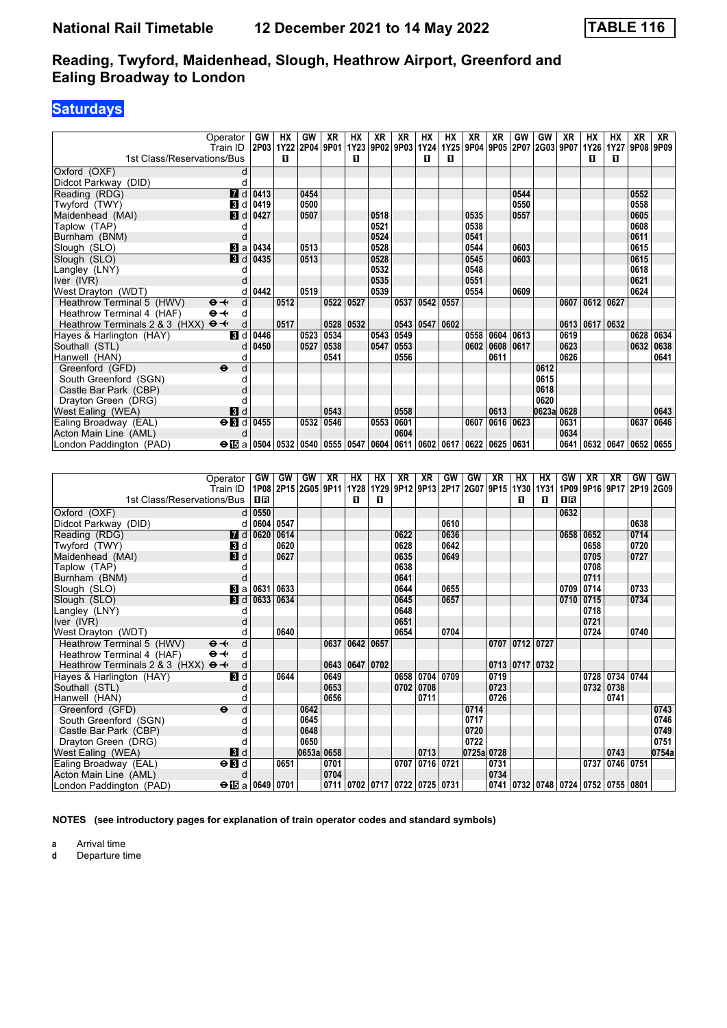## **Saturdays**

| Operator                                            |                         | GW                                     | HХ   | GW        | XR   | НX        | XR             | XR        | HХ                                             | НX             | ΧR   | ΧR        | GW   | GW                  | XR   | HХ   | HХ                        | XR   | XR   |
|-----------------------------------------------------|-------------------------|----------------------------------------|------|-----------|------|-----------|----------------|-----------|------------------------------------------------|----------------|------|-----------|------|---------------------|------|------|---------------------------|------|------|
| Train ID                                            |                         | 2P03 1Y22                              |      | 2P04 9P01 |      |           | 1Y23 9P02 9P03 |           |                                                | 1Y24 1Y25 9P04 |      |           |      | 9P05 2P07 2G03 9P07 |      | 1Y26 | 1Y27                      | 9P08 | 9P09 |
| 1st Class/Reservations/Bus                          |                         |                                        | п    |           |      | п         |                |           | П.                                             | п              |      |           |      |                     |      | п    | п                         |      |      |
| Oxford (OXF)                                        | d                       |                                        |      |           |      |           |                |           |                                                |                |      |           |      |                     |      |      |                           |      |      |
| Didcot Parkway (DID)                                |                         |                                        |      |           |      |           |                |           |                                                |                |      |           |      |                     |      |      |                           |      |      |
| Reading (RDG)                                       | <b>7</b> d              | 0413                                   |      | 0454      |      |           |                |           |                                                |                |      |           | 0544 |                     |      |      |                           | 0552 |      |
| Twyford (TWY)                                       | <b>3</b> d              | 0419                                   |      | 0500      |      |           |                |           |                                                |                |      |           | 0550 |                     |      |      |                           | 0558 |      |
| Maidenhead (MAI)                                    | <b>3</b> d              | 0427                                   |      | 0507      |      |           | 0518           |           |                                                |                | 0535 |           | 0557 |                     |      |      |                           | 0605 |      |
| Taplow (TAP)                                        |                         |                                        |      |           |      |           | 0521           |           |                                                |                | 0538 |           |      |                     |      |      |                           | 0608 |      |
| Burnham (BNM)                                       |                         |                                        |      |           |      |           | 0524           |           |                                                |                | 0541 |           |      |                     |      |      |                           | 0611 |      |
| Slough (SLO)                                        | Blai                    | 0434                                   |      | 0513      |      |           | 0528           |           |                                                |                | 0544 |           | 0603 |                     |      |      |                           | 0615 |      |
| Slough (SLO)                                        | $\blacksquare$          | 0435                                   |      | 0513      |      |           | 0528           |           |                                                |                | 0545 |           | 0603 |                     |      |      |                           | 0615 |      |
| Langley (LNY)                                       |                         |                                        |      |           |      |           | 0532           |           |                                                |                | 0548 |           |      |                     |      |      |                           | 0618 |      |
| Iver (IVR)                                          |                         |                                        |      |           |      |           | 0535           |           |                                                |                | 0551 |           |      |                     |      |      |                           | 0621 |      |
| West Drayton (WDT)                                  |                         | 0442                                   |      | 0519      |      |           | 0539           |           |                                                |                | 0554 |           | 0609 |                     |      |      |                           | 0624 |      |
| Heathrow Terminal 5 (HWV)<br>$\Theta +$             | d                       |                                        | 0512 |           | 0522 | 0527      |                | 0537      | 0542                                           | 0557           |      |           |      |                     | 0607 | 0612 | 0627                      |      |      |
| Heathrow Terminal 4 (HAF)<br>$\Theta - \leftarrow$  | d                       |                                        |      |           |      |           |                |           |                                                |                |      |           |      |                     |      |      |                           |      |      |
| Heathrow Terminals 2 & 3 (HXX) $\Theta \rightarrow$ | d                       |                                        | 0517 |           |      | 0528 0532 |                |           | 0543 0547                                      | 0602           |      |           |      |                     | 0613 | 0617 | 0632                      |      |      |
| Hayes & Harlington (HAY)                            | П<br>d                  | 0446                                   |      | 0523      | 0534 |           | 0543           | 0549      |                                                |                | 0558 | 0604      | 0613 |                     | 0619 |      |                           | 0628 | 0634 |
| Southall (STL)                                      |                         | 0450                                   |      | 0527      | 0538 |           | 0547           | 0553      |                                                |                | 0602 | 0608 0617 |      |                     | 0623 |      |                           | 0632 | 0638 |
| Hanwell (HAN)                                       |                         |                                        |      |           | 0541 |           |                | 0556      |                                                |                |      | 0611      |      |                     | 0626 |      |                           |      | 0641 |
| Greenford (GFD)<br>$\ddot{\mathbf{e}}$              | d                       |                                        |      |           |      |           |                |           |                                                |                |      |           |      | 0612                |      |      |                           |      |      |
| South Greenford (SGN)                               |                         |                                        |      |           |      |           |                |           |                                                |                |      |           |      | 0615                |      |      |                           |      |      |
| Castle Bar Park (CBP)                               |                         |                                        |      |           |      |           |                |           |                                                |                |      |           |      | 0618                |      |      |                           |      |      |
| Drayton Green (DRG)                                 |                         |                                        |      |           |      |           |                |           |                                                |                |      |           |      | 0620                |      |      |                           |      |      |
| West Ealing (WEA)                                   | 3d                      |                                        |      |           | 0543 |           |                | 0558      |                                                |                |      | 0613      |      | 0623a 0628          |      |      |                           |      | 0643 |
| Ealing Broadway (EAL)                               | $\Theta$ $\blacksquare$ | 0455                                   |      | 0532      | 0546 |           |                | 0553 0601 |                                                |                | 0607 | 0616 0623 |      |                     | 0631 |      |                           | 0637 | 0646 |
| Acton Main Line (AML)                               | d                       |                                        |      |           |      |           |                | 0604      |                                                |                |      |           |      |                     | 0634 |      |                           |      |      |
| London Paddington (PAD)                             |                         | $\Theta$ is a 0504 0532 0540 0555 0547 |      |           |      |           |                |           | 0604   0611   0602   0617   0622   0625   0631 |                |      |           |      |                     | 0641 |      | 0632   0647   0652   0655 |      |      |

| Operator<br>Train ID                                | GW                      | GW   | GW<br>1P08 2P15 2G05 9P11 | <b>XR</b>  | НX | НX<br>1Y28   1Y29   9P12   9P13   2P17   2G07   9P15   1Y30   1Y31 | XR   | XR        | GW   | GW         | XR   | HХ                 | HХ | GW   | XR        | XR                                 | GW<br>1P09 9P16 9P17 2P19 2G09 | <b>GW</b> |
|-----------------------------------------------------|-------------------------|------|---------------------------|------------|----|--------------------------------------------------------------------|------|-----------|------|------------|------|--------------------|----|------|-----------|------------------------------------|--------------------------------|-----------|
| 1st Class/Reservations/Bus                          | 0 B                     |      |                           |            | п  | п                                                                  |      |           |      |            |      | п                  | п  | 1R   |           |                                    |                                |           |
|                                                     |                         |      |                           |            |    |                                                                    |      |           |      |            |      |                    |    |      |           |                                    |                                |           |
| Oxford (OXF)                                        | $d$ 0550                |      |                           |            |    |                                                                    |      |           |      |            |      |                    |    | 0632 |           |                                    |                                |           |
| Didcot Parkway (DID)                                | 0604<br>d               | 0547 |                           |            |    |                                                                    |      |           | 0610 |            |      |                    |    |      |           |                                    | 0638                           |           |
| $\blacksquare$ d<br>Reading (RDG)                   | 0620                    | 0614 |                           |            |    |                                                                    | 0622 |           | 0636 |            |      |                    |    |      | 0658 0652 |                                    | 0714                           |           |
| Twyford (TWY)<br>3d                                 |                         | 0620 |                           |            |    |                                                                    | 0628 |           | 0642 |            |      |                    |    |      | 0658      |                                    | 0720                           |           |
| $\mathbf{3}$ d<br>Maidenhead (MAI)                  |                         | 0627 |                           |            |    |                                                                    | 0635 |           | 0649 |            |      |                    |    |      | 0705      |                                    | 0727                           |           |
| Taplow (TAP)                                        |                         |      |                           |            |    |                                                                    | 0638 |           |      |            |      |                    |    |      | 0708      |                                    |                                |           |
| Burnham (BNM)                                       |                         |      |                           |            |    |                                                                    | 0641 |           |      |            |      |                    |    |      | 0711      |                                    |                                |           |
| Slough (SLO)                                        | <b>B</b> a $0631$       | 0633 |                           |            |    |                                                                    | 0644 |           | 0655 |            |      |                    |    |      | 0709 0714 |                                    | 0733                           |           |
| Slough (SLO)                                        | $\blacksquare$ d 0633   | 0634 |                           |            |    |                                                                    | 0645 |           | 0657 |            |      |                    |    |      | 0710 0715 |                                    | 0734                           |           |
| Langley (LNY)                                       |                         |      |                           |            |    |                                                                    | 0648 |           |      |            |      |                    |    |      | 0718      |                                    |                                |           |
| Iver (IVR)                                          |                         |      |                           |            |    |                                                                    | 0651 |           |      |            |      |                    |    |      | 0721      |                                    |                                |           |
| West Drayton (WDT)                                  |                         | 0640 |                           |            |    |                                                                    | 0654 |           | 0704 |            |      |                    |    |      | 0724      |                                    | 0740                           |           |
| Heathrow Terminal 5 (HWV)<br>$\Theta +$             | d                       |      |                           | 0637       |    | 0642 0657                                                          |      |           |      |            |      | 0707 0712 0727     |    |      |           |                                    |                                |           |
| $\Theta \rightarrow$<br>Heathrow Terminal 4 (HAF)   | d                       |      |                           |            |    |                                                                    |      |           |      |            |      |                    |    |      |           |                                    |                                |           |
| Heathrow Terminals 2 & 3 (HXX) $\Theta \rightarrow$ | d                       |      |                           | 0643       |    | 0647 0702                                                          |      |           |      |            |      | 0713   0717   0732 |    |      |           |                                    |                                |           |
| Hayes & Harlington (HAY)<br>3d                      |                         | 0644 |                           | 0649       |    |                                                                    | 0658 | 0704      | 0709 |            | 0719 |                    |    |      |           | 0728 0734 0744                     |                                |           |
| Southall (STL)                                      |                         |      |                           | 0653       |    |                                                                    | 0702 | 0708      |      |            | 0723 |                    |    |      | 0732      | 0738                               |                                |           |
| Hanwell (HAN)                                       |                         |      |                           | 0656       |    |                                                                    |      | 0711      |      |            | 0726 |                    |    |      |           | 0741                               |                                |           |
| Greenford (GFD)<br>$\ddot{\mathbf{e}}$              | d                       |      | 0642                      |            |    |                                                                    |      |           |      | 0714       |      |                    |    |      |           |                                    |                                | 0743      |
| South Greenford (SGN)                               | n                       |      | 0645                      |            |    |                                                                    |      |           |      | 0717       |      |                    |    |      |           |                                    |                                | 0746      |
| Castle Bar Park (CBP)                               |                         |      | 0648                      |            |    |                                                                    |      |           |      | 0720       |      |                    |    |      |           |                                    |                                | 0749      |
| Drayton Green (DRG)                                 |                         |      | 0650                      |            |    |                                                                    |      |           |      | 0722       |      |                    |    |      |           |                                    |                                | 0751      |
| $\mathbf{3}$ d<br>West Ealing (WEA)                 |                         |      |                           | 0653a 0658 |    |                                                                    |      | 0713      |      | 0725a 0728 |      |                    |    |      |           | 0743                               |                                | 0754a     |
| $\Theta$ <b>B</b> d<br>Ealing Broadway (EAL)        |                         | 0651 |                           | 0701       |    |                                                                    | 0707 | 0716 0721 |      |            | 0731 |                    |    |      | 0737      | 0746 0751                          |                                |           |
| Acton Main Line (AML)                               | d                       |      |                           | 0704       |    |                                                                    |      |           |      |            | 0734 |                    |    |      |           |                                    |                                |           |
| London Paddington (PAD)                             | $\Theta$ is a 0649 0701 |      |                           |            |    | 0711 0702 0717 0722 0725 0731                                      |      |           |      |            |      |                    |    |      |           | 0741 0732 0748 0724 0752 0755 0801 |                                |           |

**NOTES (see introductory pages for explanation of train operator codes and standard symbols)**

**a** Arrival time<br>**d** Departure time

**d** Departure time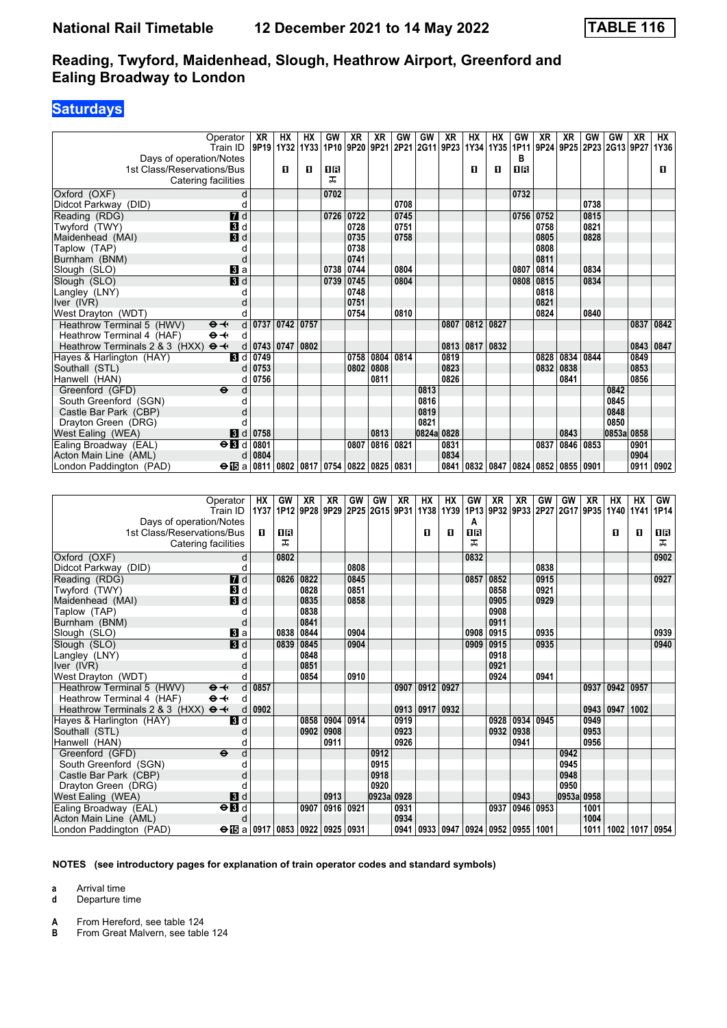### **Saturdays**

| Operator                                                                  | XR        | НX        | <b>HX</b>   | GW        | <b>XR</b> | ХR             | <b>GW</b> | GW                  | XR        | <b>HX</b> | HX                  | GW        | XR   | XR        | GW        | GW                  | X <sub>R</sub> | <b>HX</b>      |
|---------------------------------------------------------------------------|-----------|-----------|-------------|-----------|-----------|----------------|-----------|---------------------|-----------|-----------|---------------------|-----------|------|-----------|-----------|---------------------|----------------|----------------|
| Train ID                                                                  | 9P19 1Y32 |           | 1Y33        | 1P10      |           | 9P20 9P21      |           | 2P21 2G11 9P23 1Y34 |           |           | 1Y35                | 1P11      |      | 9P24 9P25 |           | 2P23 2G13 9P27 1Y36 |                |                |
| Days of operation/Notes                                                   |           |           |             |           |           |                |           |                     |           |           |                     | в         |      |           |           |                     |                |                |
| 1st Class/Reservations/Bus                                                |           | О         | O           | 1B        |           |                |           |                     |           | O         | О                   | ΠR        |      |           |           |                     |                | O.             |
| Catering facilities                                                       |           |           |             | ᠼ         |           |                |           |                     |           |           |                     |           |      |           |           |                     |                |                |
| Oxford (OXF)<br>d                                                         |           |           |             | 0702      |           |                |           |                     |           |           |                     | 0732      |      |           |           |                     |                |                |
| d<br>Didcot Parkway (DID)                                                 |           |           |             |           |           |                | 0708      |                     |           |           |                     |           |      |           | 0738      |                     |                |                |
| $\overline{a}$ d<br>Reading (RDG)                                         |           |           |             | 0726      | 0722      |                | 0745      |                     |           |           |                     | 0756      | 0752 |           | 0815      |                     |                |                |
| 3d<br>Twyford (TWY)                                                       |           |           |             |           | 0728      |                | 0751      |                     |           |           |                     |           | 0758 |           | 0821      |                     |                |                |
| $\blacksquare$<br>Maidenhead (MAI)                                        |           |           |             |           | 0735      |                | 0758      |                     |           |           |                     |           | 0805 |           | 0828      |                     |                |                |
| Taplow (TAP)<br>d                                                         |           |           |             |           | 0738      |                |           |                     |           |           |                     |           | 0808 |           |           |                     |                |                |
| d<br>Burnham (BNM)                                                        |           |           |             |           | 0741      |                |           |                     |           |           |                     |           | 0811 |           |           |                     |                |                |
| $\mathbf{B}$ a<br>Slough (SLO)                                            |           |           |             | 0738      | 0744      |                | 0804      |                     |           |           |                     | 0807      | 0814 |           | 0834      |                     |                |                |
| 3d<br>Slough (SLO)                                                        |           |           |             | 0739      | 0745      |                | 0804      |                     |           |           |                     | 0808      | 0815 |           | 0834      |                     |                |                |
| Langley (LNY)<br>d                                                        |           |           |             |           | 0748      |                |           |                     |           |           |                     |           | 0818 |           |           |                     |                |                |
| Iver (IVR)<br>d                                                           |           |           |             |           | 0751      |                |           |                     |           |           |                     |           | 0821 |           |           |                     |                |                |
| West Drayton (WDT)<br>d                                                   |           |           |             |           | 0754      |                | 0810      |                     |           |           |                     |           | 0824 |           | 0840      |                     |                |                |
| Heathrow Terminal 5 (HWV)<br>d<br>$\mathbf{\Theta}$ $\mathbf{\leftarrow}$ | 0737      | 0742      | 0757        |           |           |                |           |                     | 0807      | 0812      | 0827                |           |      |           |           |                     | 0837           | 0842           |
| $\Theta \rightarrow$<br>Heathrow Terminal 4 (HAF)<br>d                    |           |           |             |           |           |                |           |                     |           |           |                     |           |      |           |           |                     |                |                |
| $\Theta +$<br>Heathrow Terminals 2 & 3 (HXX)<br>d                         |           | 0743 0747 | 0802        |           |           |                |           |                     | 0813      | 0817      | 0832                |           |      |           |           |                     | 0843           | 0847           |
| Hayes & Harlington (HAY)<br>$\blacksquare$                                | 0749      |           |             |           | 0758      | 0804           | 0814      |                     | 0819      |           |                     |           | 0828 | 0834      | 0844      |                     | 0849           |                |
| Southall (STL)<br>d                                                       | 0753      |           |             |           | 0802      | 0808           |           |                     | 0823      |           |                     |           | 0832 | 0838      |           |                     | 0853           |                |
| Hanwell (HAN)<br>d                                                        | 0756      |           |             |           |           | 0811           |           |                     | 0826      |           |                     |           |      | 0841      |           |                     | 0856           |                |
| $\ddot{\mathbf{e}}$<br>Greenford (GFD)<br>d                               |           |           |             |           |           |                |           | 0813                |           |           |                     |           |      |           |           | 0842                |                |                |
| South Greenford (SGN)<br>d                                                |           |           |             |           |           |                |           | 0816                |           |           |                     |           |      |           |           | 0845                |                |                |
| Castle Bar Park (CBP)<br>d                                                |           |           |             |           |           |                |           | 0819                |           |           |                     |           |      |           |           | 0848                |                |                |
| Drayton Green (DRG)<br>d                                                  |           |           |             |           |           |                |           | 0821                |           |           |                     |           |      |           |           | 0850                |                |                |
| 3d<br>West Ealing (WEA)                                                   | 0758      |           |             |           |           | 0813           |           | 0824a 0828          |           |           |                     |           |      | 0843      |           | 0853a 0858          |                |                |
| $\Theta$ <b>B</b> d<br>Ealing Broadway (EAL)                              | 0801      |           |             |           | 0807      | 0816 0821      |           |                     | 0831      |           |                     |           | 0837 | 0846      | 0853      |                     | 0901           |                |
| Acton Main Line (AML)<br>d                                                | 0804      |           |             |           |           |                |           |                     | 0834      |           |                     |           |      |           |           |                     | 0904           |                |
| $\Theta$ is a<br>London Paddington (PAD)                                  | 0811      |           | 0802 0817   | 0754      | 0822      | 0825           | 0831      |                     | 0841      | 0832      | 0847                | 0824      | 0852 | 0855 0901 |           |                     | 0911           | 0902           |
|                                                                           |           |           |             |           |           |                |           |                     |           |           |                     |           |      |           |           |                     |                |                |
|                                                                           |           |           |             |           |           |                |           |                     |           |           |                     |           |      |           |           |                     |                |                |
| Operator                                                                  | <b>HX</b> | GW        | <b>XR</b>   | <b>XR</b> | GW        | GW             | <b>XR</b> | <b>HX</b>           | <b>HX</b> | GW        | <b>XR</b>           | <b>XR</b> | GW   | GW        | <b>XR</b> | <b>HX</b>           | <b>HX</b>      | GW             |
| Train ID                                                                  |           | 1Y37 1P12 | 9P28        | 9P29      |           | 2P25 2G15 9P31 |           | 1Y38                | 1Y39      |           | 1P13 9P32 9P33 2P27 |           |      | 2G17      | 9P35      |                     |                | 1Y40 1Y41 1P14 |
| Days of operation/Notes                                                   |           |           |             |           |           |                |           |                     |           | A         |                     |           |      |           |           |                     |                |                |
| 1st Class/Reservations/Bus                                                | п         | 1B        |             |           |           |                |           | О                   | п         | 1R        |                     |           |      |           |           | п                   | O.             | 18             |
| Catering facilities                                                       |           | ᠼ         |             |           |           |                |           |                     |           | ᠼ         |                     |           |      |           |           |                     |                | ᠼ              |
| Oxford (OXF)<br>d                                                         |           | 0802      |             |           |           |                |           |                     |           | 0832      |                     |           |      |           |           |                     |                | 0902           |
| Didcot Parkway (DID)<br>d                                                 |           |           |             |           | 0808      |                |           |                     |           |           |                     |           | 0838 |           |           |                     |                |                |
| $\overline{d}$<br>Reading (RDG)                                           |           | 0826      | 0822        |           | 0845      |                |           |                     |           | 0857      | 0852                |           | 0915 |           |           |                     |                | 0927           |
| $\blacksquare$<br>Twyford (TWY)                                           |           |           | 0828        |           | 0851      |                |           |                     |           |           | 0858                |           | 0921 |           |           |                     |                |                |
| 3d<br>Maidenhead (MAI)                                                    |           |           | 0835        |           | 0858      |                |           |                     |           |           | 0905                |           | 0929 |           |           |                     |                |                |
| Tanlow (TAP)<br>Ч                                                         |           |           | <b>0838</b> |           |           |                |           |                     |           |           | <b>NOUS</b>         |           |      |           |           |                     |                |                |

| Twyford (TWY)                                       | 3d                                               |          |      | 0828 |      | 0851 |            |      |           |                                    |      | 0858 |                | 0921 |            |      |                    |      |                    |
|-----------------------------------------------------|--------------------------------------------------|----------|------|------|------|------|------------|------|-----------|------------------------------------|------|------|----------------|------|------------|------|--------------------|------|--------------------|
| Maidenhead (MAI)                                    | <b>3</b> d                                       |          |      | 0835 |      | 0858 |            |      |           |                                    |      | 0905 |                | 0929 |            |      |                    |      |                    |
| Taplow (TAP)                                        |                                                  |          |      | 0838 |      |      |            |      |           |                                    |      | 0908 |                |      |            |      |                    |      |                    |
| Burnham (BNM)                                       |                                                  |          |      | 0841 |      |      |            |      |           |                                    |      | 0911 |                |      |            |      |                    |      |                    |
| Slough (SLO)                                        | $\mathbf{B}$ a                                   |          | 0838 | 0844 |      | 0904 |            |      |           |                                    | 0908 | 0915 |                | 0935 |            |      |                    |      | 0939               |
| Slough (SLO)                                        | 3d                                               |          | 0839 | 0845 |      | 0904 |            |      |           |                                    | 0909 | 0915 |                | 0935 |            |      |                    |      | 0940               |
| Langley (LNY)                                       |                                                  |          |      | 0848 |      |      |            |      |           |                                    |      | 0918 |                |      |            |      |                    |      |                    |
| Iver (IVR)                                          |                                                  |          |      | 0851 |      |      |            |      |           |                                    |      | 0921 |                |      |            |      |                    |      |                    |
| West Drayton (WDT)                                  |                                                  |          |      | 0854 |      | 0910 |            |      |           |                                    |      | 0924 |                | 0941 |            |      |                    |      |                    |
| Heathrow Terminal 5 (HWV)                           | $\Theta \rightarrow$                             | $d$ 0857 |      |      |      |      |            |      | 0907 0912 | 0927                               |      |      |                |      |            |      | 0937   0942   0957 |      |                    |
| Heathrow Terminal 4 (HAF)                           | $\Theta +$<br>d                                  |          |      |      |      |      |            |      |           |                                    |      |      |                |      |            |      |                    |      |                    |
| Heathrow Terminals 2 & 3 (HXX) $\Theta \rightarrow$ | d                                                | 0902     |      |      |      |      |            |      |           | 0913 0917 0932                     |      |      |                |      |            |      | 0943 0947          | 1002 |                    |
| Hayes & Harlington (HAY)                            | BI d                                             |          |      | 0858 | 0904 | 0914 |            | 0919 |           |                                    |      |      | 0928 0934 0945 |      |            | 0949 |                    |      |                    |
| Southall (STL)                                      |                                                  |          |      | 0902 | 0908 |      |            | 0923 |           |                                    |      |      | 0932 0938      |      |            | 0953 |                    |      |                    |
| Hanwell (HAN)                                       |                                                  |          |      |      | 0911 |      |            | 0926 |           |                                    |      |      | 0941           |      |            | 0956 |                    |      |                    |
| Greenford (GFD)                                     | $\ddot{\mathbf{e}}$                              |          |      |      |      |      | 0912       |      |           |                                    |      |      |                |      | 0942       |      |                    |      |                    |
| South Greenford (SGN)                               |                                                  |          |      |      |      |      | 0915       |      |           |                                    |      |      |                |      | 0945       |      |                    |      |                    |
| Castle Bar Park (CBP)                               |                                                  |          |      |      |      |      | 0918       |      |           |                                    |      |      |                |      | 0948       |      |                    |      |                    |
| Drayton Green (DRG)                                 |                                                  |          |      |      |      |      | 0920       |      |           |                                    |      |      |                |      | 0950       |      |                    |      |                    |
| West Ealing (WEA)                                   | 3d                                               |          |      |      | 0913 |      | 0923a 0928 |      |           |                                    |      |      | 0943           |      | 0953a 0958 |      |                    |      |                    |
| Ealing Broadway (EAL)                               | $\Theta$ $\blacksquare$                          |          |      | 0907 | 0916 | 0921 |            | 0931 |           |                                    |      | 0937 | 0946 0953      |      |            | 1001 |                    |      |                    |
| Acton Main Line (AML)                               |                                                  |          |      |      |      |      |            | 0934 |           |                                    |      |      |                |      |            | 1004 |                    |      |                    |
| London Paddington (PAD)                             | $\Theta$ is a   0917   0853   0922   0925   0931 |          |      |      |      |      |            |      |           | 0941 0933 0947 0924 0952 0955 1001 |      |      |                |      |            | 1011 |                    |      | 1002   1017   0954 |

#### **NOTES (see introductory pages for explanation of train operator codes and standard symbols)**

**a** Arrival time

**d** Departure time

**A** From Hereford, see table 124<br>**B** From Great Malvern see table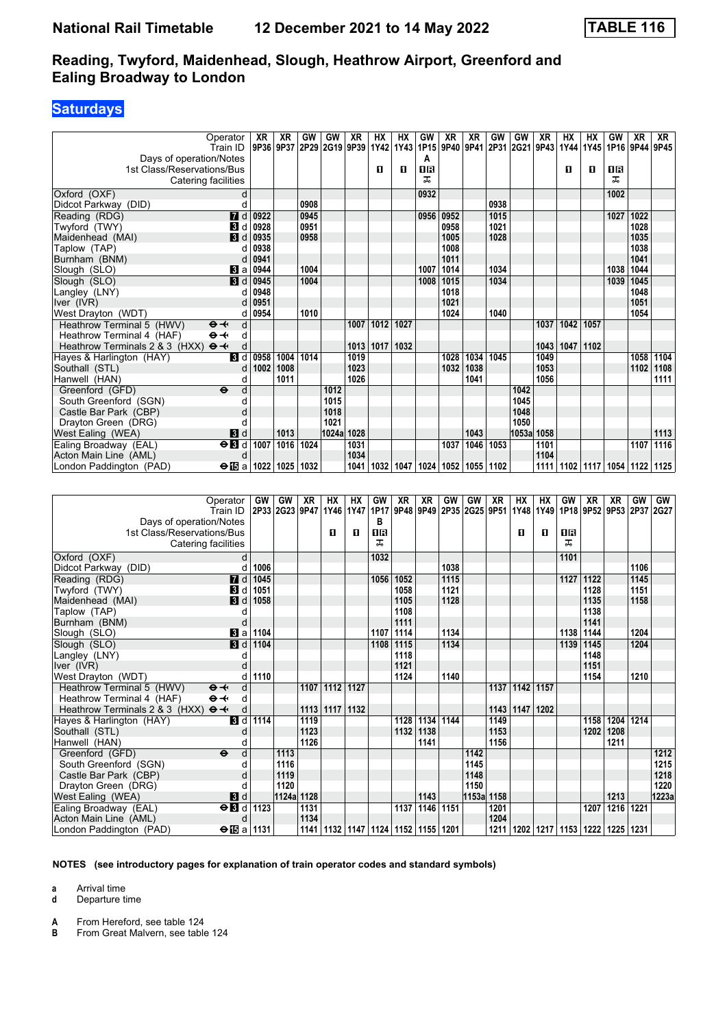### **Saturdays**

|                                                                              | Operator<br>Train ID     | XR<br>9P36 9P37 | <b>XR</b> | GW<br>2P29      | GW    | <b>XR</b>       | <b>HX</b><br> 2G19 9P39 1Y42 1Y43 | HX        | GW<br>1P15          | XR<br>9P40 | <b>XR</b> | GW        | GW         | <b>XR</b><br> 9P41   2P31   2G21   9P43   1Y44 | <b>HX</b> | <b>HX</b><br>1Y45 | GW<br>1P16 9P44 9P45 | <b>XR</b> | XR   |
|------------------------------------------------------------------------------|--------------------------|-----------------|-----------|-----------------|-------|-----------------|-----------------------------------|-----------|---------------------|------------|-----------|-----------|------------|------------------------------------------------|-----------|-------------------|----------------------|-----------|------|
| Days of operation/Notes<br>1st Class/Reservations/Bus<br>Catering facilities |                          |                 |           |                 |       |                 | п                                 | O         | А<br><b>08</b><br>ᅚ |            |           |           |            |                                                | п         | п                 | 0 B<br>ᅚ             |           |      |
| Oxford (OXF)                                                                 | d                        |                 |           |                 |       |                 |                                   |           | 0932                |            |           |           |            |                                                |           |                   | 1002                 |           |      |
| Didcot Parkway (DID)                                                         | d                        |                 |           | 0908            |       |                 |                                   |           |                     |            |           | 0938      |            |                                                |           |                   |                      |           |      |
| Reading (RDG)                                                                | $\overline{a}$ d         | 0922            |           | 0945            |       |                 |                                   |           | 0956                | 0952       |           | 1015      |            |                                                |           |                   | 1027                 | 1022      |      |
| Twyford (TWY)                                                                | В<br>d                   | 0928            |           | 0951            |       |                 |                                   |           |                     | 0958       |           | 1021      |            |                                                |           |                   |                      | 1028      |      |
| Maidenhead (MAI)                                                             | $\blacksquare$           | 0935            |           | 0958            |       |                 |                                   |           |                     | 1005       |           | 1028      |            |                                                |           |                   |                      | 1035      |      |
| Taplow (TAP)                                                                 | d                        | 0938            |           |                 |       |                 |                                   |           |                     | 1008       |           |           |            |                                                |           |                   |                      | 1038      |      |
| Burnham (BNM)                                                                | d                        | 0941            |           |                 |       |                 |                                   |           |                     | 1011       |           |           |            |                                                |           |                   |                      | 1041      |      |
| Slough (SLO)                                                                 | $\blacksquare$ a         | 0944            |           | 1004            |       |                 |                                   |           | 1007                | 1014       |           | 1034      |            |                                                |           |                   | 1038                 | 1044      |      |
| Slough (SLO)                                                                 | $\blacksquare$           | 0945            |           | 1004            |       |                 |                                   |           | 1008                | 1015       |           | 1034      |            |                                                |           |                   | 1039                 | 1045      |      |
| Langley (LNY)                                                                | d                        | 0948            |           |                 |       |                 |                                   |           |                     | 1018       |           |           |            |                                                |           |                   |                      | 1048      |      |
| Iver (IVR)                                                                   |                          | 0951            |           |                 |       |                 |                                   |           |                     | 1021       |           |           |            |                                                |           |                   |                      | 1051      |      |
| West Drayton (WDT)                                                           | C                        | 0954            |           | 1010            |       |                 |                                   |           |                     | 1024       |           | 1040      |            |                                                |           |                   |                      | 1054      |      |
| Heathrow Terminal 5 (HWV)                                                    | d<br>$\Theta +$          |                 |           |                 |       | 1007            | 1012                              | 1027      |                     |            |           |           |            | 1037                                           | 1042      | 1057              |                      |           |      |
| Heathrow Terminal 4 (HAF)                                                    | $\Theta +$<br>d          |                 |           |                 |       |                 |                                   |           |                     |            |           |           |            |                                                |           |                   |                      |           |      |
| Heathrow Terminals 2 & 3 (HXX)                                               | $\Theta +$<br>d          |                 |           |                 |       | 1013            | 1017                              | 1032      |                     |            |           |           |            | 1043                                           | 1047      | 1102              |                      |           |      |
| Hayes & Harlington (HAY)                                                     | <b>3</b> d               | 0958            | 1004      | 1014            |       | 1019            |                                   |           |                     | 1028       | 1034      | 1045      |            | 1049                                           |           |                   |                      | 1058      | 1104 |
| Southall (STL)                                                               | d                        | 1002            | 1008      |                 |       | 1023            |                                   |           |                     | 1032       | 1038      |           |            | 1053                                           |           |                   |                      | 1102      | 1108 |
| Hanwell (HAN)                                                                | d                        |                 | 1011      |                 |       | 1026            |                                   |           |                     |            | 1041      |           |            | 1056                                           |           |                   |                      |           | 1111 |
| Greenford (GFD)                                                              | $\ddot{\mathbf{e}}$<br>d |                 |           |                 | 1012  |                 |                                   |           |                     |            |           |           | 1042       |                                                |           |                   |                      |           |      |
| South Greenford (SGN)                                                        | d                        |                 |           |                 | 1015  |                 |                                   |           |                     |            |           |           | 1045       |                                                |           |                   |                      |           |      |
| Castle Bar Park (CBP)                                                        | d                        |                 |           |                 | 1018  |                 |                                   |           |                     |            |           |           | 1048       |                                                |           |                   |                      |           |      |
| Drayton Green (DRG)                                                          | d                        |                 |           |                 | 1021  |                 |                                   |           |                     |            |           |           | 1050       |                                                |           |                   |                      |           |      |
| West Ealing (WEA)                                                            | $\blacksquare$           |                 | 1013      |                 | 1024a | 1028            |                                   |           |                     |            | 1043      |           | 1053a 1058 |                                                |           |                   |                      |           | 1113 |
| Ealing Broadway (EAL)                                                        | $\Theta$ <b>B</b> d      | 1007            | 1016 1024 |                 |       | 1031            |                                   |           |                     | 1037       | 1046      | 1053      |            | 1101                                           |           |                   |                      | 1107      | 1116 |
| Acton Main Line (AML)                                                        | d                        |                 |           |                 |       | 1034            |                                   |           |                     |            |           |           |            | 1104                                           |           |                   |                      |           |      |
| London Paddington (PAD)                                                      | $\Theta$ ibal            | 1022            | 1025 1032 |                 |       | 1041            | 1032                              | 1047      |                     | 1024 1052  | 1055      | 1102      |            | 1111                                           |           | 1102 1117         | 1054 1122 1125       |           |      |
|                                                                              |                          |                 |           |                 |       |                 |                                   |           |                     |            |           |           |            |                                                |           |                   |                      |           |      |
|                                                                              | Operator                 | GW              | GW        | $X\overline{R}$ | HX    | $\overline{HX}$ | GW                                | <b>XR</b> | <b>XR</b>           | GW         | GW        | <b>XR</b> | <b>HX</b>  | <b>HX</b>                                      | GW        | $X\overline{R}$   | <b>XR</b>            | GW        | GW   |
|                                                                              | Train ID                 | 2P33 2G23       |           | 9P47            | 1Y46  | 1Y47            | 1P17                              | 9P48      | 9P49                | 2P35       | 2G25 9P51 |           |            | 1Y48 1Y49 1P18                                 |           | 9P52              | 9P53 2P37 2G27       |           |      |
| Days of operation/Notes                                                      |                          |                 |           |                 |       |                 | в                                 |           |                     |            |           |           |            |                                                |           |                   |                      |           |      |
| 1st Class/Reservations/Bus                                                   |                          |                 |           |                 | п     | п               | <b>08</b>                         |           |                     |            |           |           | п          | п                                              | <b>08</b> |                   |                      |           |      |
| Catering facilities                                                          |                          |                 |           |                 |       |                 | ᠼ                                 |           |                     |            |           |           |            |                                                | ᠼ         |                   |                      |           |      |
| $\Lambda$ rford $(\Lambda X)$                                                | $\mathsf{r}$             |                 |           |                 |       |                 | 1032                              |           |                     |            |           |           |            |                                                | 1101      |                   |                      |           |      |

| 1st Class/Reservations/Bus                   |                 |                    |            |      | н              | п    | шв                                             |                |      |      |            |      | н         | -11  | 11 B |      |                                                |      |       |
|----------------------------------------------|-----------------|--------------------|------------|------|----------------|------|------------------------------------------------|----------------|------|------|------------|------|-----------|------|------|------|------------------------------------------------|------|-------|
| Catering facilities                          |                 |                    |            |      |                |      | ᅚ                                              |                |      |      |            |      |           |      |      |      |                                                |      |       |
| Oxford (OXF)                                 | d               |                    |            |      |                |      | 1032                                           |                |      |      |            |      |           |      | 1101 |      |                                                |      |       |
| Didcot Parkway (DID)                         |                 | 1006               |            |      |                |      |                                                |                |      | 1038 |            |      |           |      |      |      |                                                | 1106 |       |
| Reading (RDG)                                | 7d              | 1045               |            |      |                |      | 1056                                           | $ 1052\rangle$ |      | 1115 |            |      |           |      | 1127 | 1122 |                                                | 1145 |       |
| Twyford (TWY)                                | $\mathbf{3}$ d  | 1051               |            |      |                |      |                                                | 1058           |      | 1121 |            |      |           |      |      | 1128 |                                                | 1151 |       |
| Maidenhead (MAI)                             | $\mathbf{B}$ d  | 1058               |            |      |                |      |                                                | 1105           |      | 1128 |            |      |           |      |      | 1135 |                                                | 1158 |       |
| Taplow (TAP)                                 |                 |                    |            |      |                |      |                                                | 1108           |      |      |            |      |           |      |      | 1138 |                                                |      |       |
| Burnham (BNM)                                |                 |                    |            |      |                |      |                                                | 1111           |      |      |            |      |           |      |      | 1141 |                                                |      |       |
| Slough (SLO)                                 | $ 3 $ a         | 1104               |            |      |                |      | 1107                                           | 1114           |      | 1134 |            |      |           |      | 1138 | 1144 |                                                | 1204 |       |
| Slough (SLO)                                 | 3d              | 1104               |            |      |                |      | 1108                                           | 1115           |      | 1134 |            |      |           |      | 1139 | 1145 |                                                | 1204 |       |
| Langley (LNY)                                |                 |                    |            |      |                |      |                                                | 1118           |      |      |            |      |           |      |      | 1148 |                                                |      |       |
| lver (IVR)                                   |                 |                    |            |      |                |      |                                                | 1121           |      |      |            |      |           |      |      | 1151 |                                                |      |       |
| West Drayton (WDT)                           |                 | 1110               |            |      |                |      |                                                | 1124           |      | 1140 |            |      |           |      |      | 1154 |                                                | 1210 |       |
| $\Theta +$<br>Heathrow Terminal 5 (HWV)      | d               |                    |            | 1107 | 1112           | 1127 |                                                |                |      |      |            | 1137 | 1142      | 1157 |      |      |                                                |      |       |
| Heathrow Terminal 4 (HAF)<br>$\Theta +$      | d               |                    |            |      |                |      |                                                |                |      |      |            |      |           |      |      |      |                                                |      |       |
| $\Theta +$<br>Heathrow Terminals 2 & 3 (HXX) |                 |                    |            |      | 1113 1117 1132 |      |                                                |                |      |      |            |      | 1143 1147 | 1202 |      |      |                                                |      |       |
| Hayes & Harlington (HAY)                     | <b>3</b> d      | 1114               |            | 1119 |                |      |                                                | 1128 1134      |      | 1144 |            | 1149 |           |      |      | 1158 | 1204                                           | 1214 |       |
| Southall (STL)                               |                 |                    |            | 1123 |                |      |                                                | 1132           | 1138 |      |            | 1153 |           |      |      | 1202 | 1208                                           |      |       |
| Hanwell (HAN)                                |                 |                    |            | 1126 |                |      |                                                |                | 1141 |      |            | 1156 |           |      |      |      | 1211                                           |      |       |
| Greenford (GFD)<br>$\ddot{\mathbf{e}}$       | d               |                    | 1113       |      |                |      |                                                |                |      |      | 1142       |      |           |      |      |      |                                                |      | 1212  |
| South Greenford (SGN)                        |                 |                    | 1116       |      |                |      |                                                |                |      |      | 1145       |      |           |      |      |      |                                                |      | 1215  |
| Castle Bar Park (CBP)                        |                 |                    | 1119       |      |                |      |                                                |                |      |      | 1148       |      |           |      |      |      |                                                |      | 1218  |
| Drayton Green (DRG)                          |                 |                    | 1120       |      |                |      |                                                |                |      |      | 1150       |      |           |      |      |      |                                                |      | 1220  |
| West Ealing (WEA)                            | $\mathbf{3}$ d  |                    | 1124a 1128 |      |                |      |                                                |                | 1143 |      | 1153a 1158 |      |           |      |      |      | 1213                                           |      | 1223a |
| Ealing Broadway (EAL)                        | $\overline{AB}$ | 1123               |            | 1131 |                |      |                                                | 1137           | 1146 | 1151 |            | 1201 |           |      |      | 1207 | 1216                                           | 1221 |       |
| Acton Main Line (AML)                        |                 |                    |            | 1134 |                |      |                                                |                |      |      |            | 1204 |           |      |      |      |                                                |      |       |
| London Paddington (PAD)                      |                 | $\Theta$ is a 1131 |            |      |                |      | 1141   1132   1147   1124   1152   1155   1201 |                |      |      |            |      |           |      |      |      | 1211   1202   1217   1153   1222   1225   1231 |      |       |

#### **NOTES (see introductory pages for explanation of train operator codes and standard symbols)**

**a** Arrival time

**d** Departure time

**A** From Hereford, see table 124<br>**B** From Great Malvern see table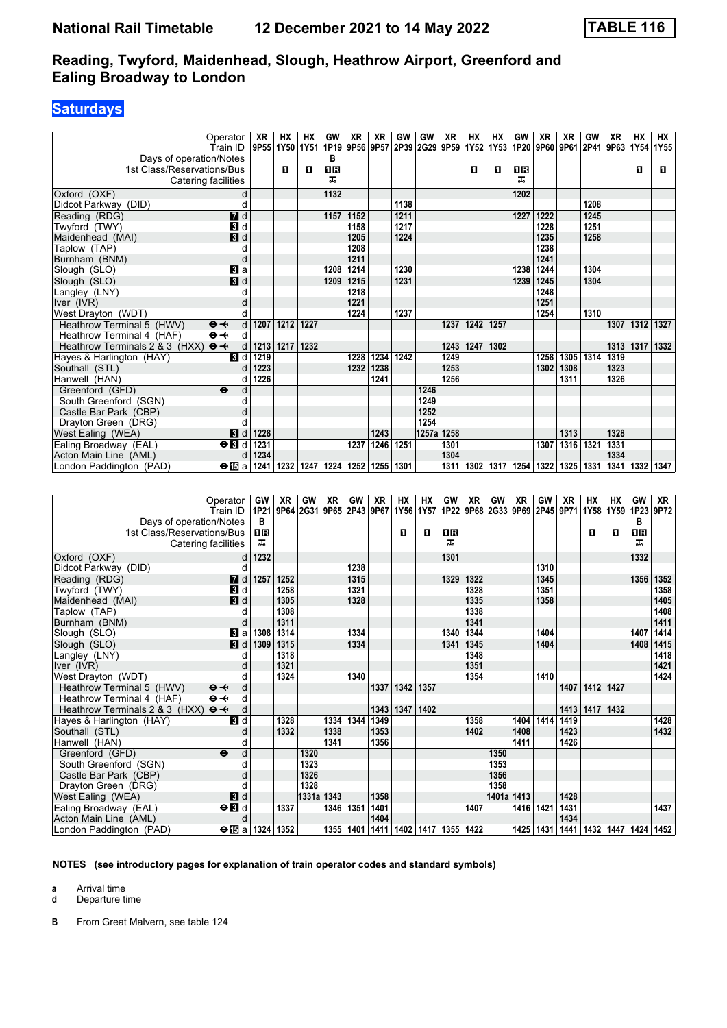## **Saturdays**

| Operator                                     | XR        | HX        | <b>HX</b> | GW        | <b>XR</b>   | <b>XR</b>                     | GW        | GW         | <b>XR</b>   | <b>HX</b> | HX             | GW        | <b>XR</b>                     | <b>XR</b> | GW        | <b>XR</b>           | <b>HX</b>   | НX        |
|----------------------------------------------|-----------|-----------|-----------|-----------|-------------|-------------------------------|-----------|------------|-------------|-----------|----------------|-----------|-------------------------------|-----------|-----------|---------------------|-------------|-----------|
| Train ID                                     |           | 9P55 1Y50 | 1Y51      | 1P19      |             | 9P56 9P57                     | 2P39      | 2G29 9P59  |             |           | 1Y52 1Y53 1P20 |           | 9P60 9P61                     |           | 2P41      | 9P63                |             | 1Y54 1Y55 |
| Days of operation/Notes                      |           |           |           | в<br>0B   |             |                               |           |            |             | п         |                | 0R        |                               |           |           |                     |             |           |
| 1st Class/Reservations/Bus                   |           | O         | п         | ᠼ         |             |                               |           |            |             |           | O              | ᠼ         |                               |           |           |                     | 0           | o         |
| Catering facilities                          |           |           |           |           |             |                               |           |            |             |           |                |           |                               |           |           |                     |             |           |
| Oxford (OXF)                                 | d         |           |           | 1132      |             |                               |           |            |             |           |                | 1202      |                               |           |           |                     |             |           |
| Didcot Parkway (DID)                         | d         |           |           |           |             |                               | 1138      |            |             |           |                |           |                               |           | 1208      |                     |             |           |
| $\overline{a}$ d<br>Reading (RDG)            |           |           |           |           | 1157   1152 |                               | 1211      |            |             |           |                | 1227      | 1222                          |           | 1245      |                     |             |           |
| $\blacksquare$<br>Twyford (TWY)              |           |           |           |           | 1158        |                               | 1217      |            |             |           |                |           | 1228                          |           | 1251      |                     |             |           |
| $\blacksquare$<br>Maidenhead (MAI)           |           |           |           |           | 1205        |                               | 1224      |            |             |           |                |           | 1235                          |           | 1258      |                     |             |           |
| Taplow (TAP)                                 | d         |           |           |           | 1208        |                               |           |            |             |           |                |           | 1238                          |           |           |                     |             |           |
| Burnham (BNM)                                | d         |           |           |           | 1211        |                               |           |            |             |           |                |           | 1241                          |           |           |                     |             |           |
| Slough (SLO)<br>$\bf{B}$ a                   |           |           |           | 1208      | 1214        |                               | 1230      |            |             |           |                | 1238      | 1244                          |           | 1304      |                     |             |           |
| $\overline{\mathbf{3}}$ d<br>Slough (SLO)    |           |           |           | 1209      | 1215        |                               | 1231      |            |             |           |                | 1239      | 1245                          |           | 1304      |                     |             |           |
| Langley (LNY)                                | d         |           |           |           | 1218        |                               |           |            |             |           |                |           | 1248                          |           |           |                     |             |           |
| Iver (IVR)                                   |           |           |           |           | 1221        |                               |           |            |             |           |                |           | 1251                          |           |           |                     |             |           |
| West Drayton (WDT)                           |           |           |           |           | 1224        |                               | 1237      |            |             |           |                |           | 1254                          |           | 1310      |                     |             |           |
| Heathrow Terminal 5 (HWV)<br>$\Theta +$      | 1207<br>d | 1212      | 1227      |           |             |                               |           |            | 1237        | 1242      | 1257           |           |                               |           |           | 1307                | 1312 1327   |           |
| $\Theta +$<br>Heathrow Terminal 4 (HAF)      | d         |           |           |           |             |                               |           |            |             |           |                |           |                               |           |           |                     |             |           |
| $\Theta +$<br>Heathrow Terminals 2 & 3 (HXX) | 1213<br>d | 1217      | 1232      |           |             |                               |           |            | 1243        | 1247      | 1302           |           |                               |           |           | 1313                | 1317        | 1332      |
| Hayes & Harlington (HAY)<br><b>B</b> Id      | 1219      |           |           |           | 1228        | 1234                          | 1242      |            | 1249        |           |                |           | 1258                          | 1305      | 1314      | 1319                |             |           |
| Southall (STL)                               | 1223<br>d |           |           |           | 1232        | 1238                          |           |            | 1253        |           |                |           | 1302                          | 1308      |           | 1323                |             |           |
| Hanwell (HAN)                                | 1226<br>d |           |           |           |             | 1241                          |           |            | 1256        |           |                |           |                               | 1311      |           | 1326                |             |           |
| $\ddot{\mathbf{e}}$<br>Greenford (GFD)       | d         |           |           |           |             |                               |           | 1246       |             |           |                |           |                               |           |           |                     |             |           |
| South Greenford (SGN)                        | d         |           |           |           |             |                               |           | 1249       |             |           |                |           |                               |           |           |                     |             |           |
| Castle Bar Park (CBP)                        |           |           |           |           |             |                               |           | 1252       |             |           |                |           |                               |           |           |                     |             |           |
| Drayton Green (DRG)                          |           |           |           |           |             |                               |           | 1254       |             |           |                |           |                               |           |           |                     |             |           |
| $\mathbf{B}$ d<br>West Ealing (WEA)          | 1228      |           |           |           |             | 1243                          |           | 1257a 1258 |             |           |                |           |                               | 1313      |           | 1328                |             |           |
| $\Theta$ <b>B</b> d<br>Ealing Broadway (EAL) | 1231      |           |           |           | 1237        | 1246 1251                     |           |            | 1301        |           |                |           |                               | 1307 1316 | 1321      | 1331                |             |           |
| Acton Main Line (AML)                        | 1234<br>d |           |           |           |             |                               |           |            | 1304        |           |                |           |                               |           |           | 1334                |             |           |
| London Paddington (PAD)<br>$\bigoplus$ a     | 1241      |           | 1232 1247 | 1224      |             | 1252   1255   1301            |           |            | 1311        | 1302      |                | 1317 1254 | 1322                          | 1325      | 1331      | 1341                |             | 1332 1347 |
|                                              |           |           |           |           |             |                               |           |            |             |           |                |           |                               |           |           |                     |             |           |
|                                              |           |           |           |           |             |                               |           |            |             |           |                |           |                               |           |           |                     |             |           |
| Operator                                     | GW        | XR        | GW        | <b>XR</b> | GW          | <b>XR</b>                     | <b>HX</b> | <b>HX</b>  | GW          | <b>XR</b> | GW             | <b>XR</b> | GW                            | <b>XR</b> | <b>HX</b> | <b>HX</b>           | GW          | <b>XR</b> |
| Train ID                                     | 1P21      |           |           |           |             | 9P64 2G31 9P65 2P43 9P67 1Y56 |           | 1Y57       |             |           |                |           | 1P22 9P68 2G33 9P69 2P45 9P71 |           |           | 1Y58 1Y59 1P23 9P72 |             |           |
| Days of operation/Notes                      | в         |           |           |           |             |                               |           |            |             |           |                |           |                               |           |           |                     | в           |           |
| 1 of Close (Decemptions (Due)                | ពត        |           |           |           |             |                               | m.        | n.         | <b>CURL</b> |           |                |           |                               |           | m.        | m.                  | <b>CURL</b> |           |

| Days of operation/Notes<br>1st Class/Reservations/Bus<br>Catering facilities | Train id.                 | в<br>1R<br>ᠼ            |      |       |      |             | 121   1243   1253   1263   12743   1281   1391   1372   1282   1293   1294   1295   1296   1397   1397   1397 | $\blacksquare$ | п    | 1B<br>ㅈ                          |      |            |           |      |      | п    | п                                              | в<br>18<br>ᅚ |      |
|------------------------------------------------------------------------------|---------------------------|-------------------------|------|-------|------|-------------|---------------------------------------------------------------------------------------------------------------|----------------|------|----------------------------------|------|------------|-----------|------|------|------|------------------------------------------------|--------------|------|
| Oxford (OXF)                                                                 |                           | 1232                    |      |       |      |             |                                                                                                               |                |      | 1301                             |      |            |           |      |      |      |                                                | 1332         |      |
| Didcot Parkway (DID)                                                         |                           |                         |      |       |      | 1238        |                                                                                                               |                |      |                                  |      |            |           | 1310 |      |      |                                                |              |      |
| Reading (RDG)                                                                | <b>7</b> d                | 1257                    | 1252 |       |      | 1315        |                                                                                                               |                |      | 1329                             | 1322 |            |           | 1345 |      |      |                                                | 1356         | 1352 |
| Twyford (TWY)                                                                | 3d                        |                         | 1258 |       |      | 1321        |                                                                                                               |                |      |                                  | 1328 |            |           | 1351 |      |      |                                                |              | 1358 |
| Maidenhead (MAI)                                                             | $\blacksquare$            |                         | 1305 |       |      | 1328        |                                                                                                               |                |      |                                  | 1335 |            |           | 1358 |      |      |                                                |              | 1405 |
| Taplow (TAP)                                                                 |                           |                         | 1308 |       |      |             |                                                                                                               |                |      |                                  | 1338 |            |           |      |      |      |                                                |              | 1408 |
| Burnham (BNM)                                                                | $\mathsf{C}$              |                         | 1311 |       |      |             |                                                                                                               |                |      |                                  | 1341 |            |           |      |      |      |                                                |              | 1411 |
| Slough (SLO)                                                                 | $\mathbf{B}$ a            | 1308                    | 1314 |       |      | 1334        |                                                                                                               |                |      | 1340                             | 1344 |            |           | 1404 |      |      |                                                | 1407         | 1414 |
| Slough (SLO)                                                                 | $\blacksquare$            | 1309                    | 1315 |       |      | 1334        |                                                                                                               |                |      | 1341                             | 1345 |            |           | 1404 |      |      |                                                | 1408         | 1415 |
| Langley (LNY)                                                                |                           |                         | 1318 |       |      |             |                                                                                                               |                |      |                                  | 1348 |            |           |      |      |      |                                                |              | 1418 |
| Iver $(IVR)$                                                                 |                           |                         | 1321 |       |      |             |                                                                                                               |                |      |                                  | 1351 |            |           |      |      |      |                                                |              | 1421 |
| West Drayton (WDT)                                                           |                           |                         | 1324 |       |      | 1340        |                                                                                                               |                |      |                                  | 1354 |            |           | 1410 |      |      |                                                |              | 1424 |
| $\Theta +$<br>Heathrow Terminal 5 (HWV)                                      | d                         |                         |      |       |      |             | 1337                                                                                                          | 1342           | 1357 |                                  |      |            |           |      | 1407 | 1412 | 1427                                           |              |      |
| Heathrow Terminal 4 (HAF)<br>$\Theta +$                                      | d                         |                         |      |       |      |             |                                                                                                               |                |      |                                  |      |            |           |      |      |      |                                                |              |      |
| Heathrow Terminals 2 & 3 (HXX) $\Theta \rightarrow$                          | d                         |                         |      |       |      |             |                                                                                                               | 1343   1347    | 1402 |                                  |      |            |           |      | 1413 | 1417 | 1432                                           |              |      |
| Hayes & Harlington (HAY)                                                     | $\overline{\mathbf{3}}$ d |                         | 1328 |       | 1334 | 1344        | 1349                                                                                                          |                |      |                                  | 1358 |            | 1404      | 1414 | 1419 |      |                                                |              | 1428 |
| Southall (STL)                                                               |                           |                         | 1332 |       | 1338 |             | 1353                                                                                                          |                |      |                                  | 1402 |            | 1408      |      | 1423 |      |                                                |              | 1432 |
| Hanwell (HAN)                                                                |                           |                         |      |       | 1341 |             | 1356                                                                                                          |                |      |                                  |      |            | 1411      |      | 1426 |      |                                                |              |      |
| Greenford (GFD)<br>$\ddot{\boldsymbol{\Theta}}$                              | d                         |                         |      | 1320  |      |             |                                                                                                               |                |      |                                  |      | 1350       |           |      |      |      |                                                |              |      |
| South Greenford (SGN)                                                        |                           |                         |      | 1323  |      |             |                                                                                                               |                |      |                                  |      | 1353       |           |      |      |      |                                                |              |      |
| Castle Bar Park (CBP)                                                        |                           |                         |      | 1326  |      |             |                                                                                                               |                |      |                                  |      | 1356       |           |      |      |      |                                                |              |      |
| Drayton Green (DRG)                                                          |                           |                         |      | 1328  |      |             |                                                                                                               |                |      |                                  |      | 1358       |           |      |      |      |                                                |              |      |
| West Ealing (WEA)                                                            | 3d                        |                         |      | 1331a | 1343 |             | 1358                                                                                                          |                |      |                                  |      | 1401a 1413 |           |      | 1428 |      |                                                |              |      |
| Ealing Broadway (EAL)                                                        | $\overline{H}$            |                         | 1337 |       | 1346 | 1351        | 1401                                                                                                          |                |      |                                  | 1407 |            | 1416 1421 |      | 1431 |      |                                                |              | 1437 |
| Acton Main Line (AML)                                                        | d                         |                         |      |       |      |             | 1404                                                                                                          |                |      |                                  |      |            |           |      | 1434 |      |                                                |              |      |
| London Paddington (PAD)                                                      |                           | $\Theta$ is a 1324 1352 |      |       |      | 1355   1401 |                                                                                                               |                |      | 1411   1402   1417   1355   1422 |      |            |           |      |      |      | 1425   1431   1441   1432   1447   1424   1452 |              |      |

**NOTES (see introductory pages for explanation of train operator codes and standard symbols)**

**a** Arrival time

**d** Departure time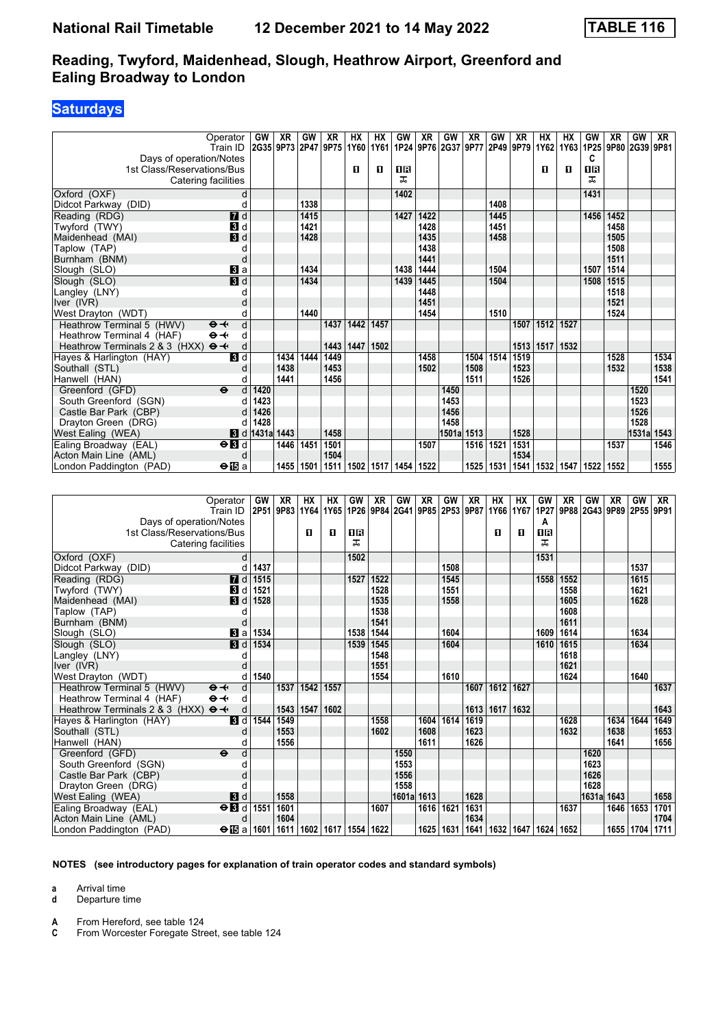### **Saturdays**

|                                              | Operator                  | <b>GW</b>             | XR   | GW   | XR   | <b>HX</b> | ΗХ          | GW   | XR   | GW                                                           | XR   | GW   | XR   | HХ          | НX   | GW   | XR             | GW    | XR   |
|----------------------------------------------|---------------------------|-----------------------|------|------|------|-----------|-------------|------|------|--------------------------------------------------------------|------|------|------|-------------|------|------|----------------|-------|------|
|                                              | Train ID                  | 2G35 9P73 2P47        |      |      | 9P75 | 1Y60      |             |      |      | 1Y61   1P24   9P76   2G37   9P77   2P49   9P79   1Y62   1Y63 |      |      |      |             |      | 1P25 | 9P80 2G39 9P81 |       |      |
| Days of operation/Notes                      |                           |                       |      |      |      |           |             |      |      |                                                              |      |      |      |             |      | c    |                |       |      |
| 1st Class/Reservations/Bus                   |                           |                       |      |      |      | п         | п           | 1R   |      |                                                              |      |      |      | п           | п    | 1R   |                |       |      |
| Catering facilities                          |                           |                       |      |      |      |           |             | ㅈ    |      |                                                              |      |      |      |             |      | ㅈ    |                |       |      |
| Oxford (OXF)                                 | d                         |                       |      |      |      |           |             | 1402 |      |                                                              |      |      |      |             |      | 1431 |                |       |      |
| Didcot Parkway (DID)                         | C                         |                       |      | 1338 |      |           |             |      |      |                                                              |      | 1408 |      |             |      |      |                |       |      |
| Reading (RDG)                                | $\overline{d}$            |                       |      | 1415 |      |           |             | 1427 | 1422 |                                                              |      | 1445 |      |             |      | 1456 | 1452           |       |      |
| Twyford (TWY)                                | $\mathbf{B}$ d            |                       |      | 1421 |      |           |             |      | 1428 |                                                              |      | 1451 |      |             |      |      | 1458           |       |      |
| Maidenhead (MAI)                             | $\mathbf{B}$ d            |                       |      | 1428 |      |           |             |      | 1435 |                                                              |      | 1458 |      |             |      |      | 1505           |       |      |
| Taplow (TAP)                                 |                           |                       |      |      |      |           |             |      | 1438 |                                                              |      |      |      |             |      |      | 1508           |       |      |
| Burnham (BNM)                                | $\mathsf{C}$              |                       |      |      |      |           |             |      | 1441 |                                                              |      |      |      |             |      |      | 1511           |       |      |
| Slough (SLO)                                 | Вl а                      |                       |      | 1434 |      |           |             | 1438 | 1444 |                                                              |      | 1504 |      |             |      | 1507 | 1514           |       |      |
| Slough (SLO)                                 | $\overline{\mathbf{3}}$ d |                       |      | 1434 |      |           |             | 1439 | 1445 |                                                              |      | 1504 |      |             |      | 1508 | 1515           |       |      |
| Langley (LNY)                                | C                         |                       |      |      |      |           |             |      | 1448 |                                                              |      |      |      |             |      |      | 1518           |       |      |
| Iver (IVR)                                   |                           |                       |      |      |      |           |             |      | 1451 |                                                              |      |      |      |             |      |      | 1521           |       |      |
| West Drayton (WDT)                           | d                         |                       |      | 1440 |      |           |             |      | 1454 |                                                              |      | 1510 |      |             |      |      | 1524           |       |      |
| Heathrow Terminal 5 (HWV)<br>$\Theta +$      | d                         |                       |      |      | 1437 | 1442      | 1457        |      |      |                                                              |      |      | 1507 | 1512 1527   |      |      |                |       |      |
| $\Theta +$<br>Heathrow Terminal 4 (HAF)      | d                         |                       |      |      |      |           |             |      |      |                                                              |      |      |      |             |      |      |                |       |      |
| Heathrow Terminals 2 & 3 (HXX)<br>$\Theta +$ | d                         |                       |      |      | 1443 | 1447      | 1502        |      |      |                                                              |      |      |      | 1513   1517 | 1532 |      |                |       |      |
| Hayes & Harlington (HAY)                     | $\mathbf{B}$ d            |                       | 1434 | 1444 | 1449 |           |             |      | 1458 |                                                              | 1504 | 1514 | 1519 |             |      |      | 1528           |       | 1534 |
| Southall (STL)                               | $\mathbf C$               |                       | 1438 |      | 1453 |           |             |      | 1502 |                                                              | 1508 |      | 1523 |             |      |      | 1532           |       | 1538 |
| Hanwell (HAN)                                |                           |                       | 1441 |      | 1456 |           |             |      |      |                                                              | 1511 |      | 1526 |             |      |      |                |       | 1541 |
| Greenford (GFD)                              | $\ddot{\mathbf{e}}$<br>d  | 1420                  |      |      |      |           |             |      |      | 1450                                                         |      |      |      |             |      |      |                | 1520  |      |
| South Greenford (SGN)                        | d                         | 1423                  |      |      |      |           |             |      |      | 1453                                                         |      |      |      |             |      |      |                | 1523  |      |
| Castle Bar Park (CBP)                        |                           | 1426                  |      |      |      |           |             |      |      | 1456                                                         |      |      |      |             |      |      |                | 1526  |      |
| Drayton Green (DRG)                          |                           | 1428                  |      |      |      |           |             |      |      | 1458                                                         |      |      |      |             |      |      |                | 1528  |      |
| West Ealing (WEA)                            |                           | <b>8</b> d 1431a 1443 |      |      | 1458 |           |             |      |      | 1501a                                                        | 1513 |      | 1528 |             |      |      |                | 1531a | 1543 |
| Ealing Broadway (EAL)                        | $\Theta$ $\blacksquare$   |                       | 1446 | 1451 | 1501 |           |             |      | 1507 |                                                              | 1516 | 1521 | 1531 |             |      |      | 1537           |       | 1546 |
| Acton Main Line (AML)                        | $\mathsf{C}$              |                       |      |      | 1504 |           |             |      |      |                                                              |      |      | 1534 |             |      |      |                |       |      |
| London Paddington (PAD)                      | $\bigoplus$ a             |                       | 1455 | 1501 | 1511 |           | 1502   1517 | 1454 | 1522 |                                                              | 1525 | 1531 | 1541 | 1532        | 1547 | 1522 | 1552           |       | 1555 |

| Operator                                            |                | <b>GW</b> | XR        | HX                               | <b>HX</b> | GW   | XR                                                    | GW         | XR          | GW   | <b>XR</b> | HX   | HX                        | GW      | <b>XR</b> | GW    | XR                  | GW                 | XR   |
|-----------------------------------------------------|----------------|-----------|-----------|----------------------------------|-----------|------|-------------------------------------------------------|------------|-------------|------|-----------|------|---------------------------|---------|-----------|-------|---------------------|--------------------|------|
| Train ID                                            |                |           | 2P51 9P83 |                                  |           |      | 1Y64   1Y65   1P26   9P84   2G41   9P85   2P53   9P87 |            |             |      |           | 1Y66 | 1Y67                      | 1P27    | 9P88      |       | 2G43 9P89 2P55 9P91 |                    |      |
| Days of operation/Notes                             |                |           |           | п                                |           | 08   |                                                       |            |             |      |           |      | п                         | A<br>08 |           |       |                     |                    |      |
| 1st Class/Reservations/Bus                          |                |           |           |                                  | П         | ᇁ    |                                                       |            |             |      |           | п    |                           | ᠼ       |           |       |                     |                    |      |
| Catering facilities                                 |                |           |           |                                  |           |      |                                                       |            |             |      |           |      |                           |         |           |       |                     |                    |      |
| Oxford (OXF)                                        | d              |           |           |                                  |           | 1502 |                                                       |            |             |      |           |      |                           | 1531    |           |       |                     |                    |      |
| Didcot Parkway (DID)                                |                | 1437      |           |                                  |           |      |                                                       |            |             | 1508 |           |      |                           |         |           |       |                     | 1537               |      |
| Reading (RDG)                                       | 7d             | 1515      |           |                                  |           | 1527 | 1522                                                  |            |             | 1545 |           |      |                           | 1558    | 1552      |       |                     | 1615               |      |
| Twyford (TWY)<br>В                                  | d              | 1521      |           |                                  |           |      | 1528                                                  |            |             | 1551 |           |      |                           |         | 1558      |       |                     | 1621               |      |
| Maidenhead (MAI)                                    | $\blacksquare$ | 1528      |           |                                  |           |      | 1535                                                  |            |             | 1558 |           |      |                           |         | 1605      |       |                     | 1628               |      |
| Taplow (TAP)                                        |                |           |           |                                  |           |      | 1538                                                  |            |             |      |           |      |                           |         | 1608      |       |                     |                    |      |
| Burnham (BNM)                                       |                |           |           |                                  |           |      | 1541                                                  |            |             |      |           |      |                           |         | 1611      |       |                     |                    |      |
| Slough (SLO)                                        | Вl a           | 1534      |           |                                  |           | 1538 | 1544                                                  |            |             | 1604 |           |      |                           | 1609    | 1614      |       |                     | 1634               |      |
| Slough (SLO)                                        | $\blacksquare$ | 1534      |           |                                  |           | 1539 | 1545                                                  |            |             | 1604 |           |      |                           | 1610    | 1615      |       |                     | 1634               |      |
| Langley (LNY)                                       |                |           |           |                                  |           |      | 1548                                                  |            |             |      |           |      |                           |         | 1618      |       |                     |                    |      |
| Iver (IVR)                                          |                |           |           |                                  |           |      | 1551                                                  |            |             |      |           |      |                           |         | 1621      |       |                     |                    |      |
| West Drayton (WDT)                                  | d              | 1540      |           |                                  |           |      | 1554                                                  |            |             | 1610 |           |      |                           |         | 1624      |       |                     | 1640               |      |
| Heathrow Terminal 5 (HWV)<br>$\Theta +$             | d              |           | 1537      | 1542                             | 1557      |      |                                                       |            |             |      | 1607      | 1612 | 1627                      |         |           |       |                     |                    | 1637 |
| Heathrow Terminal 4 (HAF)<br>$\Theta +$             | d              |           |           |                                  |           |      |                                                       |            |             |      |           |      |                           |         |           |       |                     |                    |      |
| Heathrow Terminals 2 & 3 (HXX) $\Theta \rightarrow$ | d              |           | 1543      | 1547                             | 1602      |      |                                                       |            |             |      | 1613      | 1617 | 1632                      |         |           |       |                     |                    | 1643 |
| Hayes & Harlington (HAY)                            | 3d             | 1544      | 1549      |                                  |           |      | 1558                                                  |            | 1604        | 1614 | 1619      |      |                           |         | 1628      |       | 1634                | 1644               | 1649 |
| Southall (STL)                                      |                |           | 1553      |                                  |           |      | 1602                                                  |            | 1608        |      | 1623      |      |                           |         | 1632      |       | 1638                |                    | 1653 |
| Hanwell (HAN)                                       | d              |           | 1556      |                                  |           |      |                                                       |            | 1611        |      | 1626      |      |                           |         |           |       | 1641                |                    | 1656 |
| Greenford (GFD)<br>$\ddot{\mathbf{e}}$              | d              |           |           |                                  |           |      |                                                       | 1550       |             |      |           |      |                           |         |           | 1620  |                     |                    |      |
| South Greenford (SGN)                               |                |           |           |                                  |           |      |                                                       | 1553       |             |      |           |      |                           |         |           | 1623  |                     |                    |      |
| Castle Bar Park (CBP)                               |                |           |           |                                  |           |      |                                                       | 1556       |             |      |           |      |                           |         |           | 1626  |                     |                    |      |
| Drayton Green (DRG)                                 |                |           |           |                                  |           |      |                                                       | 1558       |             |      |           |      |                           |         |           | 1628  |                     |                    |      |
| West Ealing (WEA)                                   | $\blacksquare$ |           | 1558      |                                  |           |      |                                                       | 1601a 1613 |             |      | 1628      |      |                           |         |           | 1631a | 1643                |                    | 1658 |
| $\overline{AB}$<br>Ealing Broadway (EAL)            |                | 1551      | 1601      |                                  |           |      | 1607                                                  |            | 1616        | 1621 | 1631      |      |                           |         | 1637      |       | 1646                | 1653               | 1701 |
| Acton Main Line (AML)                               | d              |           | 1604      |                                  |           |      |                                                       |            |             |      | 1634      |      |                           |         |           |       |                     |                    | 1704 |
| $\Theta$ $\mathbb{E}$ a<br>London Paddington (PAD)  |                | 1601      |           | 1611   1602   1617   1554   1622 |           |      |                                                       |            | 1625   1631 |      | 1641      |      | 1632   1647   1624   1652 |         |           |       |                     | 1655   1704   1711 |      |

#### **NOTES (see introductory pages for explanation of train operator codes and standard symbols)**

**a** Arrival time

**d** Departure time

**A** From Hereford, see table 124<br>**C** From Worcester Foregate Stre

**C** From Worcester Foregate Street, see table 124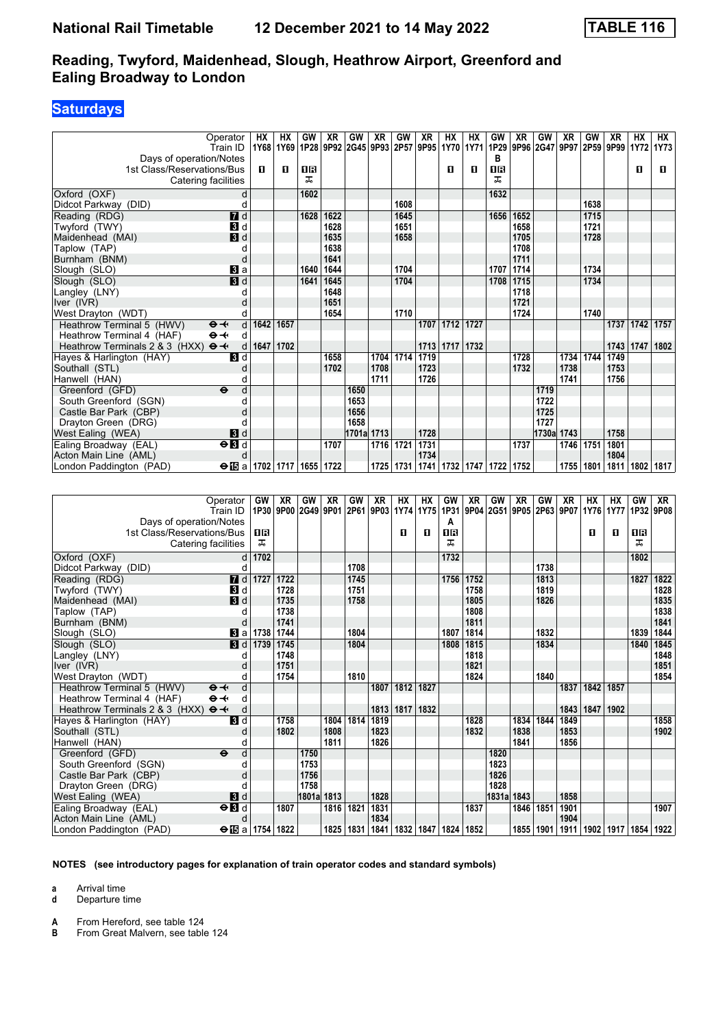### **Saturdays**

| Operator<br>Train ID                                                      | HХ                                 | HХ   | GW   | XR   | GW           | XR   | <b>GW</b> | XR   | HХ<br>1Y68 1Y69 1P28 9P92 2G45 9P93 2P57 9P95 1Y70 1Y71 | <b>HX</b> | GW   | XR           | GW<br>1P29 9P96 2G47 9P97 | XR   | GW   | XR<br>2P59 9P99 | <b>HX</b>      | НX<br>1Y72 1Y73 |
|---------------------------------------------------------------------------|------------------------------------|------|------|------|--------------|------|-----------|------|---------------------------------------------------------|-----------|------|--------------|---------------------------|------|------|-----------------|----------------|-----------------|
| Days of operation/Notes                                                   |                                    |      |      |      |              |      |           |      |                                                         |           | в    |              |                           |      |      |                 |                |                 |
| 1st Class/Reservations/Bus                                                | п                                  | п    | 18   |      |              |      |           |      | п                                                       | п         | 0B   |              |                           |      |      |                 | п              | п               |
| Catering facilities                                                       |                                    |      | ㅈ    |      |              |      |           |      |                                                         |           | ᠼ    |              |                           |      |      |                 |                |                 |
| Oxford (OXF)                                                              |                                    |      | 1602 |      |              |      |           |      |                                                         |           | 1632 |              |                           |      |      |                 |                |                 |
| Didcot Parkway (DID)                                                      | d<br>d                             |      |      |      |              |      | 1608      |      |                                                         |           |      |              |                           |      | 1638 |                 |                |                 |
|                                                                           | $\overline{d}$ d                   |      | 1628 | 1622 |              |      | 1645      |      |                                                         |           |      |              |                           |      | 1715 |                 |                |                 |
| Reading (RDG)                                                             |                                    |      |      | 1628 |              |      | 1651      |      |                                                         |           |      | 1656 1652    |                           |      | 1721 |                 |                |                 |
| Twyford (TWY)                                                             | 3d                                 |      |      | 1635 |              |      |           |      |                                                         |           |      | 1658         |                           |      |      |                 |                |                 |
| $\blacksquare$<br>Maidenhead (MAI)                                        | C                                  |      |      | 1638 |              |      | 1658      |      |                                                         |           |      | 1705<br>1708 |                           |      | 1728 |                 |                |                 |
| Taplow (TAP)<br>Burnham (BNM)                                             |                                    |      |      | 1641 |              |      |           |      |                                                         |           |      | 1711         |                           |      |      |                 |                |                 |
| Slough (SLO)                                                              | d<br>$\bf{3}$ a                    |      | 1640 | 1644 |              |      | 1704      |      |                                                         |           |      | 1707 1714    |                           |      | 1734 |                 |                |                 |
| Slough (SLO)                                                              | 3d                                 |      | 1641 | 1645 |              |      | 1704      |      |                                                         |           | 1708 | 1715         |                           |      | 1734 |                 |                |                 |
| Langley (LNY)                                                             | C                                  |      |      | 1648 |              |      |           |      |                                                         |           |      | 1718         |                           |      |      |                 |                |                 |
| Iver (IVR)                                                                | $\mathsf{C}$                       |      |      | 1651 |              |      |           |      |                                                         |           |      | 1721         |                           |      |      |                 |                |                 |
| West Drayton (WDT)                                                        | $\mathfrak{c}$                     |      |      | 1654 |              |      | 1710      |      |                                                         |           |      | 1724         |                           |      | 1740 |                 |                |                 |
| Heathrow Terminal 5 (HWV)<br>$\Theta +$                                   | 1642<br>d                          | 1657 |      |      |              |      |           | 1707 | $\boxed{1712}$                                          | 1727      |      |              |                           |      |      |                 | 1737 1742 1757 |                 |
| $\Theta +$                                                                | d                                  |      |      |      |              |      |           |      |                                                         |           |      |              |                           |      |      |                 |                |                 |
| Heathrow Terminal 4 (HAF)<br>Heathrow Terminals 2 & 3 (HXX)<br>$\Theta +$ | 1647<br>d                          | 1702 |      |      |              |      |           | 1713 | 1717                                                    | 1732      |      |              |                           |      |      |                 | 1743 1747      | 1802            |
|                                                                           |                                    |      |      | 1658 |              |      | 1704 1714 | 1719 |                                                         |           |      | 1728         |                           | 1734 | 1744 | 1749            |                |                 |
| Hayes & Harlington (HAY)                                                  | 3d                                 |      |      | 1702 |              | 1708 |           | 1723 |                                                         |           |      | 1732         |                           | 1738 |      | 1753            |                |                 |
| Southall (STL)<br>Hanwell (HAN)                                           | $\mathbf C$<br>C                   |      |      |      |              | 1711 |           | 1726 |                                                         |           |      |              |                           | 1741 |      | 1756            |                |                 |
| $\ddot{\mathbf{e}}$                                                       |                                    |      |      |      |              |      |           |      |                                                         |           |      |              |                           |      |      |                 |                |                 |
| Greenford (GFD)                                                           | d                                  |      |      |      | 1650<br>1653 |      |           |      |                                                         |           |      |              | 1719<br>1722              |      |      |                 |                |                 |
| South Greenford (SGN)                                                     | d                                  |      |      |      |              |      |           |      |                                                         |           |      |              |                           |      |      |                 |                |                 |
| Castle Bar Park (CBP)                                                     |                                    |      |      |      | 1656<br>1658 |      |           |      |                                                         |           |      |              | 1725<br>1727              |      |      |                 |                |                 |
| Drayton Green (DRG)<br>West Ealing (WEA)                                  | C                                  |      |      |      | 1701a 1713   |      |           | 1728 |                                                         |           |      |              | 1730a 1743                |      |      | 1758            |                |                 |
|                                                                           | $\blacksquare$                     |      |      | 1707 |              |      |           | 1731 |                                                         |           |      |              |                           |      | 1751 | 1801            |                |                 |
| $\Theta$ <b>B</b><br>Ealing Broadway (EAL)                                |                                    |      |      |      |              |      | 1716 1721 | 1734 |                                                         |           |      | 1737         |                           | 1746 |      | 1804            |                |                 |
| Acton Main Line (AML)                                                     | d                                  |      |      | 1722 |              |      | 1725 1731 |      | 1741   1732   1747   1722                               |           |      | 1752         |                           | 1755 | 1801 | 1811            | 1802           | 1817            |
| London Paddington (PAD)                                                   | $\Theta$ is a   1702   1717   1655 |      |      |      |              |      |           |      |                                                         |           |      |              |                           |      |      |                 |                |                 |
|                                                                           |                                    |      |      |      |              |      |           |      |                                                         |           |      |              |                           |      |      |                 |                |                 |
| Operator                                                                  | GW                                 | XR   | GW   | XR   | GW           | XR   | НX        | НX   | GW                                                      | XR        | GW   | XR           | GW                        | XR   | НX   | НX              | GW             | XR              |

| Operator                                          |                     |                         | GW   XR | GW             | XR.  | GW          | XR.  | <b>HX</b> | <b>HX</b>                 | GW   | XR.  | GW                                                | XR   | GW          | XR   | HX.  | HX.         | GW             | XR.  |
|---------------------------------------------------|---------------------|-------------------------|---------|----------------|------|-------------|------|-----------|---------------------------|------|------|---------------------------------------------------|------|-------------|------|------|-------------|----------------|------|
| Train ID                                          |                     |                         |         | 1P30 9P00 2G49 | 9P01 |             |      |           |                           |      |      | 2P61 9P03 1Y74 1Y75 1P31 9P04 2G51 9P05 2P63 9P07 |      |             |      | 1Y76 |             | 1Y77 1P32 9P08 |      |
| Days of operation/Notes                           |                     |                         |         |                |      |             |      |           |                           | A    |      |                                                   |      |             |      |      |             |                |      |
| 1st Class/Reservations/Bus                        |                     | 0 B                     |         |                |      |             |      | п         | п                         | 18   |      |                                                   |      |             |      | п    | п           | 0 B            |      |
| Catering facilities                               |                     | ᅚ                       |         |                |      |             |      |           |                           | ᅚ    |      |                                                   |      |             |      |      |             | ᅚ              |      |
| Oxford (OXF)                                      | d                   | 1702                    |         |                |      |             |      |           |                           | 1732 |      |                                                   |      |             |      |      |             | 1802           |      |
| Didcot Parkway (DID)                              |                     |                         |         |                |      | 1708        |      |           |                           |      |      |                                                   |      | 1738        |      |      |             |                |      |
| Reading (RDG)                                     |                     | $\blacksquare$ d 1727   | 1722    |                |      | 1745        |      |           |                           | 1756 | 1752 |                                                   |      | 1813        |      |      |             | 1827           | 1822 |
| Twyford (TWY)                                     | 3d                  |                         | 1728    |                |      | 1751        |      |           |                           |      | 1758 |                                                   |      | 1819        |      |      |             |                | 1828 |
| Maidenhead (MAI)                                  | 3d                  |                         | 1735    |                |      | 1758        |      |           |                           |      | 1805 |                                                   |      | 1826        |      |      |             |                | 1835 |
| Taplow (TAP)                                      |                     |                         | 1738    |                |      |             |      |           |                           |      | 1808 |                                                   |      |             |      |      |             |                | 1838 |
| Burnham (BNM)                                     | d                   |                         | 1741    |                |      |             |      |           |                           |      | 1811 |                                                   |      |             |      |      |             |                | 1841 |
| Slough (SLO)                                      | Bl al               | 1738                    | 1744    |                |      | 1804        |      |           |                           | 1807 | 1814 |                                                   |      | 1832        |      |      |             | 1839           | 1844 |
| Slough (SLO)                                      | 3 d                 | 1739                    | 1745    |                |      | 1804        |      |           |                           | 1808 | 1815 |                                                   |      | 1834        |      |      |             | 1840           | 1845 |
| Langley (LNY)                                     |                     |                         | 1748    |                |      |             |      |           |                           |      | 1818 |                                                   |      |             |      |      |             |                | 1848 |
| Iver (IVR)                                        |                     |                         | 1751    |                |      |             |      |           |                           |      | 1821 |                                                   |      |             |      |      |             |                | 1851 |
| West Drayton (WDT)                                |                     |                         | 1754    |                |      | 1810        |      |           |                           |      | 1824 |                                                   |      | 1840        |      |      |             |                | 1854 |
| $\Theta +$<br>Heathrow Terminal 5 (HWV)           | d                   |                         |         |                |      |             | 1807 | 1812      | 1827                      |      |      |                                                   |      |             | 1837 | 1842 | 1857        |                |      |
| $\Theta \rightarrow$<br>Heathrow Terminal 4 (HAF) | d                   |                         |         |                |      |             |      |           |                           |      |      |                                                   |      |             |      |      |             |                |      |
| Heathrow Terminals 2 & 3 (HXX)<br>$\Theta +$      | d                   |                         |         |                |      |             | 1813 | 1817      | 1832                      |      |      |                                                   |      |             | 1843 | 1847 | 1902        |                |      |
| Hayes & Harlington (HAY)                          | $\mathbf{B}$ d      |                         | 1758    |                | 1804 | 1814        | 1819 |           |                           |      | 1828 |                                                   | 1834 | 1844        | 1849 |      |             |                | 1858 |
| Southall (STL)                                    |                     |                         | 1802    |                | 1808 |             | 1823 |           |                           |      | 1832 |                                                   | 1838 |             | 1853 |      |             |                | 1902 |
| Hanwell (HAN)                                     |                     |                         |         |                | 1811 |             | 1826 |           |                           |      |      |                                                   | 1841 |             | 1856 |      |             |                |      |
| Greenford (GFD)<br>$\ddot{\mathbf{e}}$            | d                   |                         |         | 1750           |      |             |      |           |                           |      |      | 1820                                              |      |             |      |      |             |                |      |
| South Greenford (SGN)                             |                     |                         |         | 1753           |      |             |      |           |                           |      |      | 1823                                              |      |             |      |      |             |                |      |
| Castle Bar Park (CBP)                             |                     |                         |         | 1756           |      |             |      |           |                           |      |      | 1826                                              |      |             |      |      |             |                |      |
| Drayton Green (DRG)                               |                     |                         |         | 1758           |      |             |      |           |                           |      |      | 1828                                              |      |             |      |      |             |                |      |
| West Ealing (WEA)                                 | $\mathbf{3}$ d      |                         |         | 1801al         | 1813 |             | 1828 |           |                           |      |      | 1831a                                             | 1843 |             | 1858 |      |             |                |      |
| Ealing Broadway (EAL)                             | $\Theta$ <b>B</b> d |                         | 1807    |                | 1816 | 1821        | 1831 |           |                           |      | 1837 |                                                   | 1846 | 1851        | 1901 |      |             |                | 1907 |
| Acton Main Line (AML)                             |                     |                         |         |                |      |             | 1834 |           |                           |      |      |                                                   |      |             | 1904 |      |             |                |      |
| London Paddington (PAD)                           |                     | $\Theta$ is a 1754 1822 |         |                |      | 1825   1831 | 1841 |           | 1832   1847   1824   1852 |      |      |                                                   |      | 1855   1901 | 1911 |      | 1902   1917 | 1854 1922      |      |

**NOTES (see introductory pages for explanation of train operator codes and standard symbols)**

**a** Arrival time

**d** Departure time

**A** From Hereford, see table 124<br>**B** From Great Malvern see table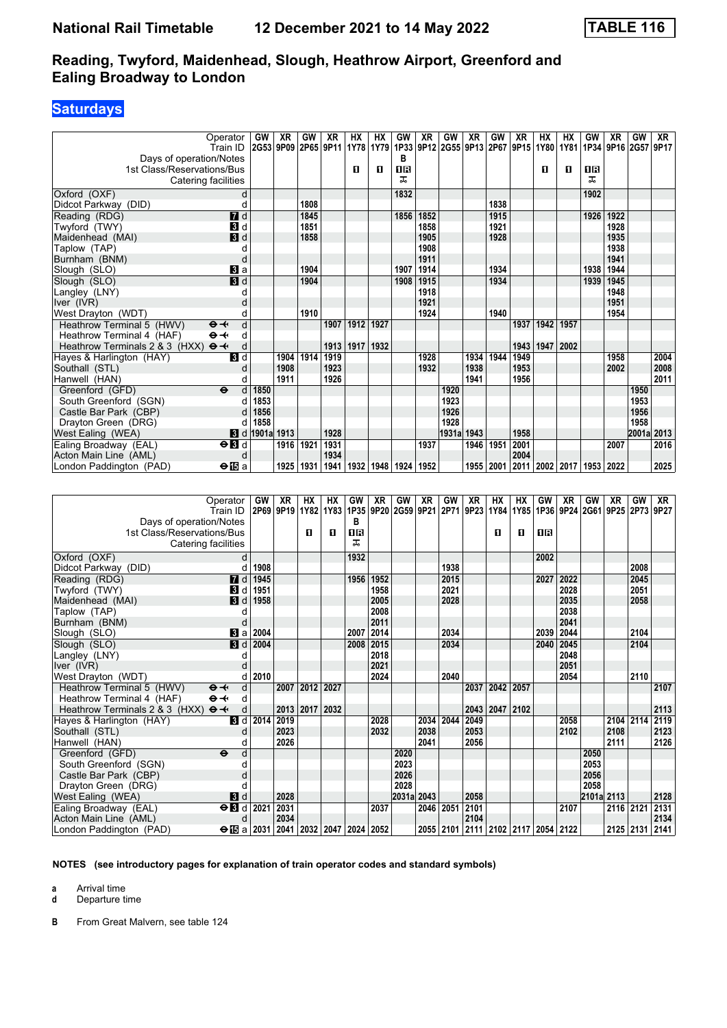## **Saturdays**

|                                                     | Operator                | GW                    | XR   | GW        | XR   | НX   | HХ                                                | GW   | XR   | GW    | XR   | GW   | XR   | HХ          | HХ        | GW   | XR                  | GW    | XR   |
|-----------------------------------------------------|-------------------------|-----------------------|------|-----------|------|------|---------------------------------------------------|------|------|-------|------|------|------|-------------|-----------|------|---------------------|-------|------|
|                                                     | Train ID                | 2G53 9P09             |      | 2P65 9P11 |      |      | 1Y78 1Y79 1P33 9P12 2G55 9P13 2P67 9P15 1Y80 1Y81 |      |      |       |      |      |      |             |           |      | 1P34 9P16 2G57 9P17 |       |      |
| Days of operation/Notes                             |                         |                       |      |           |      |      |                                                   | в    |      |       |      |      |      |             |           |      |                     |       |      |
| 1st Class/Reservations/Bus                          |                         |                       |      |           |      | п    | п                                                 | 1R   |      |       |      |      |      | п           | п         | 1R   |                     |       |      |
| Catering facilities                                 |                         |                       |      |           |      |      |                                                   | ㅈ    |      |       |      |      |      |             |           | ᇁ    |                     |       |      |
| Oxford (OXF)                                        | d                       |                       |      |           |      |      |                                                   | 1832 |      |       |      |      |      |             |           | 1902 |                     |       |      |
| Didcot Parkway (DID)                                |                         |                       |      | 1808      |      |      |                                                   |      |      |       |      | 1838 |      |             |           |      |                     |       |      |
| Reading (RDG)                                       | 7d                      |                       |      | 1845      |      |      |                                                   | 1856 | 1852 |       |      | 1915 |      |             |           | 1926 | 1922                |       |      |
| Twyford (TWY)                                       | <b>B</b> d              |                       |      | 1851      |      |      |                                                   |      | 1858 |       |      | 1921 |      |             |           |      | 1928                |       |      |
| Maidenhead (MAI)                                    | $\mathbf{B}$ d          |                       |      | 1858      |      |      |                                                   |      | 1905 |       |      | 1928 |      |             |           |      | 1935                |       |      |
| Taplow (TAP)                                        |                         |                       |      |           |      |      |                                                   |      | 1908 |       |      |      |      |             |           |      | 1938                |       |      |
| Burnham (BNM)                                       |                         |                       |      |           |      |      |                                                   |      | 1911 |       |      |      |      |             |           |      | 1941                |       |      |
| Slough (SLO)                                        | Вl а                    |                       |      | 1904      |      |      |                                                   | 1907 | 1914 |       |      | 1934 |      |             |           | 1938 | 1944                |       |      |
| Slough (SLO)                                        | 3d                      |                       |      | 1904      |      |      |                                                   | 1908 | 1915 |       |      | 1934 |      |             |           | 1939 | 1945                |       |      |
| Langley (LNY)                                       |                         |                       |      |           |      |      |                                                   |      | 1918 |       |      |      |      |             |           |      | 1948                |       |      |
| Iver (IVR)                                          |                         |                       |      |           |      |      |                                                   |      | 1921 |       |      |      |      |             |           |      | 1951                |       |      |
| West Drayton (WDT)                                  | C                       |                       |      | 1910      |      |      |                                                   |      | 1924 |       |      | 1940 |      |             |           |      | 1954                |       |      |
| Heathrow Terminal 5 (HWV)<br>$\Theta +$             | d                       |                       |      |           | 1907 | 1912 | 1927                                              |      |      |       |      |      | 1937 | 1942        | 1957      |      |                     |       |      |
| Heathrow Terminal 4 (HAF)<br>$\Theta +$             | d                       |                       |      |           |      |      |                                                   |      |      |       |      |      |      |             |           |      |                     |       |      |
| Heathrow Terminals 2 & 3 (HXX) $\Theta \rightarrow$ | d                       |                       |      |           | 1913 | 1917 | 1932                                              |      |      |       |      |      | 1943 |             | 1947 2002 |      |                     |       |      |
| Hayes & Harlington (HAY)                            | 3d                      |                       | 1904 | 1914      | 1919 |      |                                                   |      | 1928 |       | 1934 | 1944 | 1949 |             |           |      | 1958                |       | 2004 |
| Southall (STL)                                      | $\mathsf{C}$            |                       | 1908 |           | 1923 |      |                                                   |      | 1932 |       | 1938 |      | 1953 |             |           |      | 2002                |       | 2008 |
| Hanwell (HAN)                                       | C                       |                       | 1911 |           | 1926 |      |                                                   |      |      |       | 1941 |      | 1956 |             |           |      |                     |       | 2011 |
| Greenford (GFD)<br>$\ddot{\boldsymbol{\Theta}}$     | d                       | 1850                  |      |           |      |      |                                                   |      |      | 1920  |      |      |      |             |           |      |                     | 1950  |      |
| South Greenford (SGN)                               |                         | 1853                  |      |           |      |      |                                                   |      |      | 1923  |      |      |      |             |           |      |                     | 1953  |      |
| Castle Bar Park (CBP)                               |                         | 1856                  |      |           |      |      |                                                   |      |      | 1926  |      |      |      |             |           |      |                     | 1956  |      |
| Drayton Green (DRG)                                 |                         | 1858                  |      |           |      |      |                                                   |      |      | 1928  |      |      |      |             |           |      |                     | 1958  |      |
| West Ealing (WEA)                                   |                         | <b>8</b> d 1901a 1913 |      |           | 1928 |      |                                                   |      |      | 1931a | 1943 |      | 1958 |             |           |      |                     | 2001a | 2013 |
| Ealing Broadway (EAL)                               | $\Theta$ $\blacksquare$ |                       | 1916 | 1921      | 1931 |      |                                                   |      | 1937 |       | 1946 | 1951 | 2001 |             |           |      | 2007                |       | 2016 |
| Acton Main Line (AML)                               | d                       |                       |      |           | 1934 |      |                                                   |      |      |       |      |      | 2004 |             |           |      |                     |       |      |
| London Paddington (PAD)                             | $\Theta$ is a           |                       | 1925 | 1931      | 1941 | 1932 | 1948                                              | 1924 | 1952 |       | 1955 | 2001 | 2011 | 2002   2017 |           | 1953 | 2022                |       | 2025 |

| Operator                                              | <b>GW</b>          | XR        | HХ                        | <b>HX</b> | GW      | XR                  | GW         | XR        | GW   | <b>XR</b> | HХ   | НX                               | GW   | XR   | GW         | XR                                             | GW        | XR   |
|-------------------------------------------------------|--------------------|-----------|---------------------------|-----------|---------|---------------------|------------|-----------|------|-----------|------|----------------------------------|------|------|------------|------------------------------------------------|-----------|------|
| Train ID                                              |                    | 2P69 9P19 | 1Y82                      | 1Y83      |         | 1P35 9P20 2G59 9P21 |            |           | 2P71 | 9P23      | 1Y84 |                                  |      |      |            | 1Y85   1P36   9P24   2G61   9P25   2P73   9P27 |           |      |
| Days of operation/Notes                               |                    |           |                           |           | в       |                     |            |           |      |           |      |                                  |      |      |            |                                                |           |      |
| 1st Class/Reservations/Bus                            |                    |           | п                         | п         | 0R<br>ᅚ |                     |            |           |      |           | п    | п                                | 0 B  |      |            |                                                |           |      |
| Catering facilities                                   |                    |           |                           |           |         |                     |            |           |      |           |      |                                  |      |      |            |                                                |           |      |
| Oxford (OXF)                                          | d                  |           |                           |           | 1932    |                     |            |           |      |           |      |                                  | 2002 |      |            |                                                |           |      |
| Didcot Parkway (DID)                                  | 1908               |           |                           |           |         |                     |            |           | 1938 |           |      |                                  |      |      |            |                                                | 2008      |      |
| $\blacksquare$<br>Reading (RDG)                       | 1945               |           |                           |           | 1956    | 1952                |            |           | 2015 |           |      |                                  | 2027 | 2022 |            |                                                | 2045      |      |
| Twyford (TWY)<br>В                                    | 1951<br>d          |           |                           |           |         | 1958                |            |           | 2021 |           |      |                                  |      | 2028 |            |                                                | 2051      |      |
| 3d<br>Maidenhead (MAI)                                | 1958               |           |                           |           |         | 2005                |            |           | 2028 |           |      |                                  |      | 2035 |            |                                                | 2058      |      |
| Taplow (TAP)                                          |                    |           |                           |           |         | 2008                |            |           |      |           |      |                                  |      | 2038 |            |                                                |           |      |
| Burnham (BNM)                                         | $\mathsf{C}$       |           |                           |           |         | 2011                |            |           |      |           |      |                                  |      | 2041 |            |                                                |           |      |
| <b>B</b> la<br>Slough (SLO)                           | 2004               |           |                           |           | 2007    | 2014                |            |           | 2034 |           |      |                                  | 2039 | 2044 |            |                                                | 2104      |      |
| $\blacksquare$<br>Slough (SLO)                        | 2004               |           |                           |           | 2008    | 2015                |            |           | 2034 |           |      |                                  | 2040 | 2045 |            |                                                | 2104      |      |
| Langley (LNY)                                         |                    |           |                           |           |         | 2018                |            |           |      |           |      |                                  |      | 2048 |            |                                                |           |      |
| Iver (IVR)                                            |                    |           |                           |           |         | 2021                |            |           |      |           |      |                                  |      | 2051 |            |                                                |           |      |
| West Drayton (WDT)                                    | 2010               |           |                           |           |         | 2024                |            |           | 2040 |           |      |                                  |      | 2054 |            |                                                | 2110      |      |
| Heathrow Terminal 5 (HWV)<br>$\Theta +$               | d                  | 2007      | 2012                      | 2027      |         |                     |            |           |      | 2037      | 2042 | 2057                             |      |      |            |                                                |           | 2107 |
| Heathrow Terminal 4 (HAF)<br>$\Theta \rightarrow$     | d                  |           |                           |           |         |                     |            |           |      |           |      |                                  |      |      |            |                                                |           |      |
| Heathrow Terminals 2 & 3 (HXX) $\Theta \rightarrow$   | d                  |           | 2013 2017 2032            |           |         |                     |            |           |      | 2043      | 2047 | 2102                             |      |      |            |                                                |           | 2113 |
| $\overline{\mathbf{3}}$ d<br>Hayes & Harlington (HAY) | 2014               | 2019      |                           |           |         | 2028                |            | 2034      | 2044 | 2049      |      |                                  |      | 2058 |            | 2104 2114                                      |           | 2119 |
| Southall (STL)                                        |                    | 2023      |                           |           |         | 2032                |            | 2038      |      | 2053      |      |                                  |      | 2102 |            | 2108                                           |           | 2123 |
| Hanwell (HAN)                                         | C                  | 2026      |                           |           |         |                     |            | 2041      |      | 2056      |      |                                  |      |      |            | 2111                                           |           | 2126 |
| Greenford (GFD)<br>$\ddot{\mathbf{e}}$                | d                  |           |                           |           |         |                     | 2020       |           |      |           |      |                                  |      |      | 2050       |                                                |           |      |
| South Greenford (SGN)                                 |                    |           |                           |           |         |                     | 2023       |           |      |           |      |                                  |      |      | 2053       |                                                |           |      |
| Castle Bar Park (CBP)                                 |                    |           |                           |           |         |                     | 2026       |           |      |           |      |                                  |      |      | 2056       |                                                |           |      |
| Drayton Green (DRG)                                   |                    |           |                           |           |         |                     | 2028       |           |      |           |      |                                  |      |      | 2058       |                                                |           |      |
| West Ealing (WEA)<br>3d                               |                    | 2028      |                           |           |         |                     | 2031a 2043 |           |      | 2058      |      |                                  |      |      | 2101a 2113 |                                                |           | 2128 |
| Ealing Broadway (EAL)<br>$\Theta$ <b>B</b> d          | 2021               | 2031      |                           |           |         | 2037                |            | 2046      | 2051 | 2101      |      |                                  |      | 2107 |            | 2116 2121                                      |           | 2131 |
| Acton Main Line (AML)                                 | d                  | 2034      |                           |           |         |                     |            |           |      | 2104      |      |                                  |      |      |            |                                                |           | 2134 |
| London Paddington (PAD)                               | $\Theta$ is a 2031 |           | 2041   2032   2047   2024 |           |         | 2052                |            | 2055 2101 |      |           |      | 2111   2102   2117   2054   2122 |      |      |            |                                                | 2125 2131 | 2141 |

**NOTES (see introductory pages for explanation of train operator codes and standard symbols)**

**a** Arrival time

**d** Departure time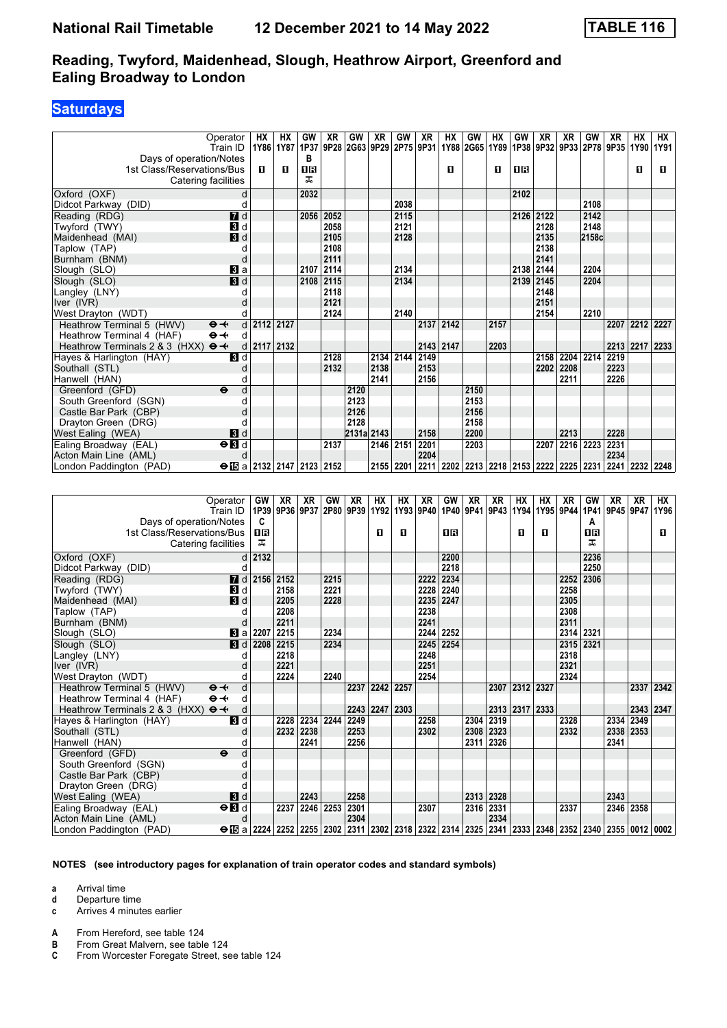### **Saturdays**

| Operator<br>Train ID                                | <b>HX</b>   | HX<br>1Y86 1Y87 | GW<br>1P37     | <b>XR</b> | GW         | XR<br>9P28 2G63 9P29 2P75 | GW        | XR        | HX   | GW<br>1Y88 2G65 1Y89 1P38 9P32 9P33 | <b>HX</b> | GW        | XR                 | XR        | GW    | XR<br>2P78 9P35 | <b>HX</b>      | <b>HX</b><br>1Y90 1Y91 |
|-----------------------------------------------------|-------------|-----------------|----------------|-----------|------------|---------------------------|-----------|-----------|------|-------------------------------------|-----------|-----------|--------------------|-----------|-------|-----------------|----------------|------------------------|
| Days of operation/Notes                             |             |                 | B              |           |            |                           |           | 9P31      |      |                                     |           |           |                    |           |       |                 |                |                        |
| 1st Class/Reservations/Bus                          | п           | O               | <b>OB</b>      |           |            |                           |           |           | п    |                                     | п         | 0R        |                    |           |       |                 | п              | п                      |
| Catering facilities                                 |             |                 | ᠼ              |           |            |                           |           |           |      |                                     |           |           |                    |           |       |                 |                |                        |
| Oxford (OXF)                                        | d           |                 | 2032           |           |            |                           |           |           |      |                                     |           | 2102      |                    |           |       |                 |                |                        |
| Didcot Parkway (DID)                                | d           |                 |                |           |            |                           | 2038      |           |      |                                     |           |           |                    |           | 2108  |                 |                |                        |
| $\overline{H}$ d<br>Reading (RDG)                   |             |                 | 2056           | 2052      |            |                           | 2115      |           |      |                                     |           | 2126 2122 |                    |           | 2142  |                 |                |                        |
| 3d<br>Twyford (TWY)                                 |             |                 |                | 2058      |            |                           | 2121      |           |      |                                     |           |           | 2128               |           | 2148  |                 |                |                        |
| $\blacksquare$<br>Maidenhead (MAI)                  |             |                 |                | 2105      |            |                           | 2128      |           |      |                                     |           |           | 2135               |           | 2158c |                 |                |                        |
| Taplow (TAP)<br>d                                   |             |                 |                | 2108      |            |                           |           |           |      |                                     |           |           | 2138               |           |       |                 |                |                        |
| Burnham (BNM)<br>d                                  |             |                 |                | 2111      |            |                           |           |           |      |                                     |           |           | 2141               |           |       |                 |                |                        |
| Slough (SLO)<br>$\mathbf{B}$ a                      |             |                 | 2107           | 2114      |            |                           | 2134      |           |      |                                     |           | 2138      | 2144               |           | 2204  |                 |                |                        |
| H d<br>Slough (SLO)                                 |             |                 |                | 2108 2115 |            |                           | 2134      |           |      |                                     |           | 2139      | 2145               |           | 2204  |                 |                |                        |
| Langley (LNY)                                       | d           |                 |                | 2118      |            |                           |           |           |      |                                     |           |           | 2148               |           |       |                 |                |                        |
| Iver (IVR)                                          |             |                 |                | 2121      |            |                           |           |           |      |                                     |           |           | 2151               |           |       |                 |                |                        |
| West Drayton (WDT)<br>d                             |             |                 |                | 2124      |            |                           | 2140      |           |      |                                     |           |           | 2154               |           | 2210  |                 |                |                        |
| Heathrow Terminal 5 (HWV)<br>$\Theta +$             | d 2112 2127 |                 |                |           |            |                           |           | 2137      | 2142 |                                     | 2157      |           |                    |           |       |                 | 2207 2212 2227 |                        |
| $\Theta +$<br>Heathrow Terminal 4 (HAF)             | d           |                 |                |           |            |                           |           |           |      |                                     |           |           |                    |           |       |                 |                |                        |
| Heathrow Terminals 2 & 3 (HXX) $\Theta \rightarrow$ | d           | 2117 2132       |                |           |            |                           |           | 2143 2147 |      |                                     | 2203      |           |                    |           |       | 2213 2217       |                | 2233                   |
| Hayes & Harlington (HAY)<br>$\blacksquare$          |             |                 |                | 2128      |            |                           | 2134 2144 | 2149      |      |                                     |           |           | 2158               | 2204      | 2214  | 2219            |                |                        |
| Southall (STL)<br>d                                 |             |                 |                | 2132      |            | 2138                      |           | 2153      |      |                                     |           |           | 2202               | 2208      |       | 2223            |                |                        |
| Hanwell (HAN)<br>d                                  |             |                 |                |           |            | 2141                      |           | 2156      |      |                                     |           |           |                    | 2211      |       | 2226            |                |                        |
| Greenford (GFD)<br>$\ddot{\mathbf{e}}$              | d           |                 |                |           | 2120       |                           |           |           |      | 2150                                |           |           |                    |           |       |                 |                |                        |
| South Greenford (SGN)<br>d                          |             |                 |                |           | 2123       |                           |           |           |      | 2153                                |           |           |                    |           |       |                 |                |                        |
| Castle Bar Park (CBP)<br>d                          |             |                 |                |           | 2126       |                           |           |           |      | 2156                                |           |           |                    |           |       |                 |                |                        |
| Drayton Green (DRG)<br>d                            |             |                 |                |           | 2128       |                           |           |           |      | 2158                                |           |           |                    |           |       |                 |                |                        |
| West Ealing (WEA)<br>$\blacksquare$                 |             |                 |                |           | 2131a 2143 |                           |           | 2158      |      | 2200                                |           |           |                    | 2213      |       | 2228            |                |                        |
| $\Theta$ <b>B</b> d<br>Ealing Broadway (EAL)        |             |                 |                | 2137      |            |                           | 2146 2151 | 2201      |      | 2203                                |           |           | 2207               | 2216      | 2223  | 2231            |                |                        |
| Acton Main Line (AML)                               | d           |                 |                |           |            |                           |           | 2204      |      |                                     |           |           |                    |           |       | 2234            |                |                        |
| $\Theta$ is a<br>London Paddington (PAD)            | 2132        |                 | 2147 2123 2152 |           |            | 2155 2201                 |           | 2211      | 2202 | 2213                                | 2218 2153 |           |                    | 2222 2225 | 2231  | 2241            |                | 2232 2248              |
|                                                     |             |                 |                |           |            |                           |           |           |      |                                     |           |           |                    |           |       |                 |                |                        |
| Operator                                            | GW          | XR              | <b>XR</b>      | GW        | <b>XR</b>  | <b>HX</b>                 | HX        | <b>XR</b> | GW   | <b>XR</b>                           | <b>XR</b> | <b>HX</b> | HX                 | <b>XR</b> | GW    | <b>XR</b>       | <b>XR</b>      | НX                     |
| Train ID                                            | 1P39        | 9P36            | 9P37           | 2P80 9P39 |            |                           | 1Y92 1Y93 | 9P40      | 1P40 | 9P41                                | 9P43      |           | 1Y94   1Y95   9P44 |           | 1P41  | 9P45 9P47       |                | 1Y96                   |
| Days of operation/Notes                             | C           |                 |                |           |            |                           |           |           |      |                                     |           |           |                    |           | A     |                 |                |                        |
| 1st Class/Reservations/Bus                          | ПR          |                 |                |           |            | 0                         | 0         |           | 1R   |                                     |           | 0         | 0                  |           | 18    |                 |                | п                      |
| Catering facilities                                 | ᅚ           |                 |                |           |            |                           |           |           |      |                                     |           |           |                    |           | ᅚ     |                 |                |                        |

| 1st Class/Reservations/Bus                          |                                                                                                          | 18                    |      |           |      |      | п         | п    |      | 16   |      |           | п              | п |           | 11B  |      |           | п         |
|-----------------------------------------------------|----------------------------------------------------------------------------------------------------------|-----------------------|------|-----------|------|------|-----------|------|------|------|------|-----------|----------------|---|-----------|------|------|-----------|-----------|
| Catering facilities                                 |                                                                                                          | ᠼ                     |      |           |      |      |           |      |      |      |      |           |                |   |           | ㅈ    |      |           |           |
| Oxford (OXF)                                        |                                                                                                          | $d$ 2132              |      |           |      |      |           |      |      | 2200 |      |           |                |   |           | 2236 |      |           |           |
| Didcot Parkway (DID)                                |                                                                                                          |                       |      |           |      |      |           |      |      | 2218 |      |           |                |   |           | 2250 |      |           |           |
| Reading (RDG)                                       |                                                                                                          | $\blacksquare$ d 2156 | 2152 |           | 2215 |      |           |      | 2222 | 2234 |      |           |                |   | 2252      | 2306 |      |           |           |
| Twyford (TWY)                                       | 3d                                                                                                       |                       | 2158 |           | 2221 |      |           |      | 2228 | 2240 |      |           |                |   | 2258      |      |      |           |           |
| Maidenhead (MAI)                                    | $\mathbf{B}$ d                                                                                           |                       | 2205 |           | 2228 |      |           |      | 2235 | 2247 |      |           |                |   | 2305      |      |      |           |           |
| Taplow (TAP)                                        |                                                                                                          |                       | 2208 |           |      |      |           |      | 2238 |      |      |           |                |   | 2308      |      |      |           |           |
| Burnham (BNM)                                       | d                                                                                                        |                       | 2211 |           |      |      |           |      | 2241 |      |      |           |                |   | 2311      |      |      |           |           |
| Slough (SLO)                                        |                                                                                                          | <b>B</b> a 2207       | 2215 |           | 2234 |      |           |      | 2244 | 2252 |      |           |                |   | 2314 2321 |      |      |           |           |
| Slough (SLO)                                        |                                                                                                          | $d$ d 2208            | 2215 |           | 2234 |      |           |      | 2245 | 2254 |      |           |                |   | 2315 2321 |      |      |           |           |
| Langley (LNY)                                       |                                                                                                          |                       | 2218 |           |      |      |           |      | 2248 |      |      |           |                |   | 2318      |      |      |           |           |
| Iver (IVR)                                          |                                                                                                          |                       | 2221 |           |      |      |           |      | 2251 |      |      |           |                |   | 2321      |      |      |           |           |
| West Drayton (WDT)                                  |                                                                                                          |                       | 2224 |           | 2240 |      |           |      | 2254 |      |      |           |                |   | 2324      |      |      |           |           |
| Heathrow Terminal 5 (HWV)                           | $\Theta +$<br>d                                                                                          |                       |      |           |      | 2237 | 2242 2257 |      |      |      |      |           | 2307 2312 2327 |   |           |      |      | 2337      | 2342      |
| Heathrow Terminal 4 (HAF)                           | $\Theta +$<br>d                                                                                          |                       |      |           |      |      |           |      |      |      |      |           |                |   |           |      |      |           |           |
| Heathrow Terminals 2 & 3 (HXX) $\Theta \rightarrow$ | d                                                                                                        |                       |      |           |      |      | 2243 2247 | 2303 |      |      |      |           | 2313 2317 2333 |   |           |      |      |           | 2343 2347 |
| Hayes & Harlington (HAY)                            | 3d                                                                                                       |                       | 2228 | 2234      | 2244 | 2249 |           |      | 2258 |      | 2304 | 2319      |                |   | 2328      |      | 2334 | 2349      |           |
| Southall (STL)                                      |                                                                                                          |                       | 2232 | 2238      |      | 2253 |           |      | 2302 |      | 2308 | 2323      |                |   | 2332      |      | 2338 | 2353      |           |
| Hanwell (HAN)                                       |                                                                                                          |                       |      | 2241      |      | 2256 |           |      |      |      |      | 2311 2326 |                |   |           |      | 2341 |           |           |
| Greenford (GFD)                                     | $\ddot{\mathbf{e}}$<br>d                                                                                 |                       |      |           |      |      |           |      |      |      |      |           |                |   |           |      |      |           |           |
| South Greenford (SGN)                               |                                                                                                          |                       |      |           |      |      |           |      |      |      |      |           |                |   |           |      |      |           |           |
| Castle Bar Park (CBP)                               |                                                                                                          |                       |      |           |      |      |           |      |      |      |      |           |                |   |           |      |      |           |           |
| Drayton Green (DRG)                                 |                                                                                                          |                       |      |           |      |      |           |      |      |      |      |           |                |   |           |      |      |           |           |
| West Ealing (WEA)                                   | $\mathbf{3}$ d                                                                                           |                       |      | 2243      |      | 2258 |           |      |      |      |      | 2313 2328 |                |   |           |      | 2343 |           |           |
| Ealing Broadway (EAL)                               | $\overline{H}$                                                                                           |                       | 2237 | 2246 2253 |      | 2301 |           |      | 2307 |      |      | 2316 2331 |                |   | 2337      |      |      | 2346 2358 |           |
| Acton Main Line (AML)                               | d                                                                                                        |                       |      |           |      | 2304 |           |      |      |      |      | 2334      |                |   |           |      |      |           |           |
| London Paddington (PAD)                             | $\Theta$ [5] a 2224 2252 2255 2302 2311 2302 2318 2322 2314 2325 2341 2333 2348 2352 2340 2355 0012 0002 |                       |      |           |      |      |           |      |      |      |      |           |                |   |           |      |      |           |           |

#### **NOTES (see introductory pages for explanation of train operator codes and standard symbols)**

**a** Arrival time

**d** Departure time<br>**c** Arrives 4 minut

**c** Arrives 4 minutes earlier

**A** From Hereford, see table 124

**B** From Great Malvern, see table 124<br>**C** From Worcester Foregate Street, se

**C** From Worcester Foregate Street, see table 124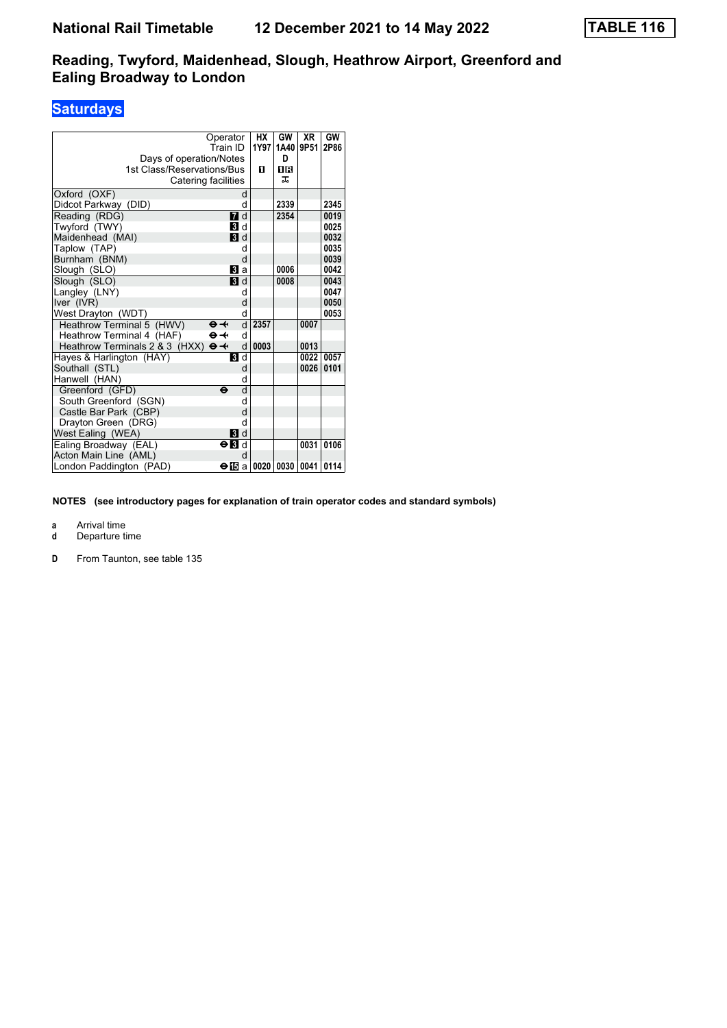## **Saturdays**

| Days of operation/Notes<br>1st Class/Reservations/Bus<br>Catering facilities | Operator<br>Train ID                    |   | НX<br>1Y97<br>п | GW<br>1A40<br>D<br>18<br>ᅚ | <b>XR</b><br>9P51 | GW<br>2P86 |
|------------------------------------------------------------------------------|-----------------------------------------|---|-----------------|----------------------------|-------------------|------------|
| Oxford (OXF)                                                                 |                                         | d |                 |                            |                   |            |
| Didcot Parkway (DID)                                                         |                                         | d |                 | 2339                       |                   | 2345       |
| Reading (RDG)                                                                | <b>7</b> d                              |   |                 | 2354                       |                   | 0019       |
| Twyford (TWY)                                                                | <b>B</b> Id                             |   |                 |                            |                   | 0025       |
| Maidenhead (MAI)                                                             | <b>B</b> d                              |   |                 |                            |                   | 0032       |
| Taplow (TAP)                                                                 |                                         | d |                 |                            |                   | 0035       |
| Burnham (BNM)                                                                |                                         | d |                 |                            |                   | 0039       |
| Slough (SLO)                                                                 | <b>B</b> la                             |   |                 | 0006                       |                   | 0042       |
| Slough (SLO)                                                                 | <b>3</b> d                              |   |                 | 0008                       |                   | 0043       |
| Langley (LNY)                                                                |                                         | d |                 |                            |                   | 0047       |
| Iver (IVR)                                                                   |                                         | d |                 |                            |                   | 0050       |
| West Drayton (WDT)                                                           |                                         | d |                 |                            |                   | 0053       |
| Heathrow Terminal 5 (HWV)                                                    | $\mathbf{\Theta}$ $\mathbf{\leftarrow}$ | d | 2357            |                            | 0007              |            |
| Heathrow Terminal 4 (HAF)                                                    | $\Theta \rightarrow$                    | d |                 |                            |                   |            |
| Heathrow Terminals 2 & 3 (HXX)                                               | $\Theta +$                              | d | 0003            |                            | 0013              |            |
| Hayes & Harlington (HAY)                                                     | <b>8</b> d                              |   |                 |                            | 0022              | 0057       |
| Southall (STL)                                                               |                                         | d |                 |                            | 0026              | 0101       |
| Hanwell (HAN)                                                                |                                         | d |                 |                            |                   |            |
| Greenford (GFD)                                                              | $\ddot{\mathbf{e}}$                     | d |                 |                            |                   |            |
| South Greenford (SGN)                                                        |                                         | d |                 |                            |                   |            |
| Castle Bar Park (CBP)                                                        |                                         | d |                 |                            |                   |            |
| Drayton Green (DRG)                                                          |                                         | d |                 |                            |                   |            |
| West Ealing (WEA)                                                            | BI d                                    |   |                 |                            |                   |            |
| Ealing Broadway (EAL)                                                        | $\Theta$ $\blacksquare$ d               |   |                 |                            | 0031              | 0106       |
| Acton Main Line (AML)                                                        |                                         | d |                 |                            |                   |            |
| London Paddington (PAD)                                                      | ⊖lTBa                                   |   |                 | 0020   0030                | 0041              | 0114       |

**NOTES (see introductory pages for explanation of train operator codes and standard symbols)**

**a** Arrival time<br>**d** Departure t

**d** Departure time

**D** From Taunton, see table 135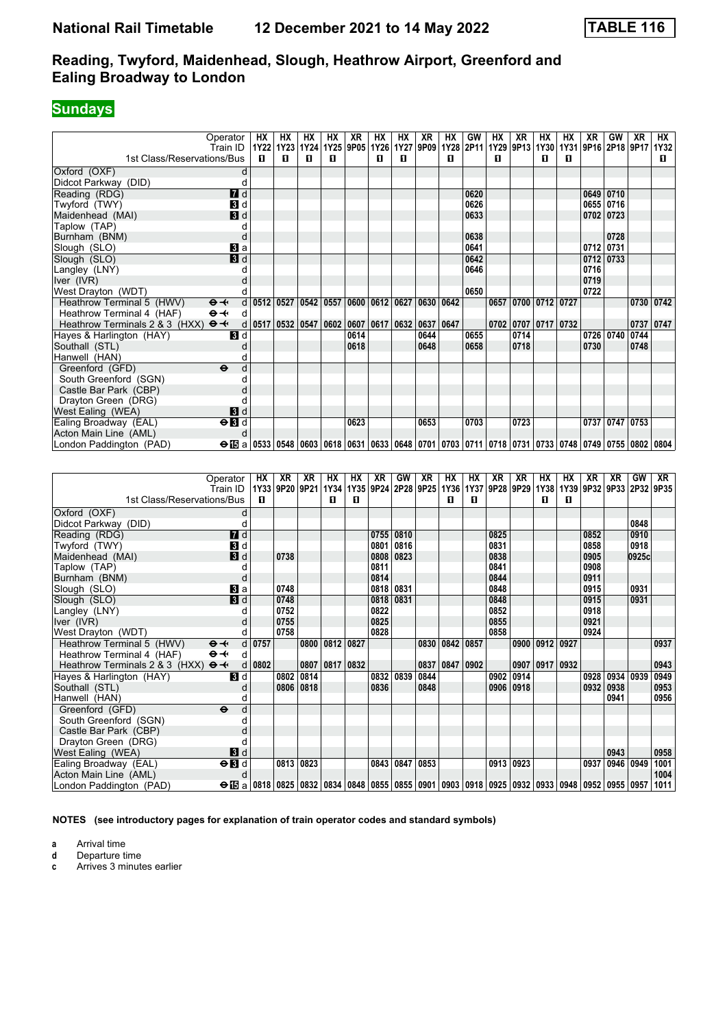## **Sundays**

|                                                     | Operator                                                                                                                                                                                 | НX                               | HХ | НX | HХ   | XR   | HХ                                        | HХ        | XR   | НX             | GW   | HХ | XR   | HХ                          | НX | XR                                             | GW             | XR   | <b>HX</b> |
|-----------------------------------------------------|------------------------------------------------------------------------------------------------------------------------------------------------------------------------------------------|----------------------------------|----|----|------|------|-------------------------------------------|-----------|------|----------------|------|----|------|-----------------------------|----|------------------------------------------------|----------------|------|-----------|
|                                                     | Train ID                                                                                                                                                                                 | 1Y22   1Y23   1Y24   1Y25   9P05 |    |    |      |      |                                           | 1Y26 1Y27 |      | 9P09 1Y28 2P11 |      |    |      |                             |    | 1Y29   9P13   1Y30   1Y31   9P16   2P18   9P17 |                |      | 1Y32      |
| 1st Class/Reservations/Bus                          |                                                                                                                                                                                          | п                                | п  | п  | П.   |      | п                                         | п         |      | п              |      | п  |      | п                           | п  |                                                |                |      | п.        |
| Oxford (OXF)                                        |                                                                                                                                                                                          |                                  |    |    |      |      |                                           |           |      |                |      |    |      |                             |    |                                                |                |      |           |
| Didcot Parkway (DID)                                |                                                                                                                                                                                          |                                  |    |    |      |      |                                           |           |      |                |      |    |      |                             |    |                                                |                |      |           |
| Reading (RDG)                                       | $\blacksquare$                                                                                                                                                                           |                                  |    |    |      |      |                                           |           |      |                | 0620 |    |      |                             |    |                                                | 0649 0710      |      |           |
| Twyford (TWY)                                       | <b>3</b> d                                                                                                                                                                               |                                  |    |    |      |      |                                           |           |      |                | 0626 |    |      |                             |    |                                                | 0655 0716      |      |           |
| Maidenhead (MAI)                                    | 3d                                                                                                                                                                                       |                                  |    |    |      |      |                                           |           |      |                | 0633 |    |      |                             |    |                                                | 0702   0723    |      |           |
| Taplow (TAP)                                        |                                                                                                                                                                                          |                                  |    |    |      |      |                                           |           |      |                |      |    |      |                             |    |                                                |                |      |           |
| Burnham (BNM)                                       |                                                                                                                                                                                          |                                  |    |    |      |      |                                           |           |      |                | 0638 |    |      |                             |    |                                                | 0728           |      |           |
| Slough (SLO)                                        | $\mathbf{B}$ a                                                                                                                                                                           |                                  |    |    |      |      |                                           |           |      |                | 0641 |    |      |                             |    | 0712                                           | 0731           |      |           |
| Slough (SLO)                                        | 3d                                                                                                                                                                                       |                                  |    |    |      |      |                                           |           |      |                | 0642 |    |      |                             |    | 0712                                           | 0733           |      |           |
| Langley (LNY)                                       |                                                                                                                                                                                          |                                  |    |    |      |      |                                           |           |      |                | 0646 |    |      |                             |    | 0716                                           |                |      |           |
| Iver (IVR)                                          |                                                                                                                                                                                          |                                  |    |    |      |      |                                           |           |      |                |      |    |      |                             |    | 0719                                           |                |      |           |
| West Drayton (WDT)                                  |                                                                                                                                                                                          |                                  |    |    |      |      |                                           |           |      |                | 0650 |    |      |                             |    | 0722                                           |                |      |           |
| Heathrow Terminal 5 (HWV)                           | $\Theta +$                                                                                                                                                                               | d   0512   0527   0542           |    |    | 0557 |      | 0600   0612   0627   0630   0642          |           |      |                |      |    |      | 0657 0700 0712 0727         |    |                                                |                |      | 0730 0742 |
| Heathrow Terminal 4 (HAF)                           | $\Theta - \leftarrow$<br>d                                                                                                                                                               |                                  |    |    |      |      |                                           |           |      |                |      |    |      |                             |    |                                                |                |      |           |
| Heathrow Terminals 2 & 3 (HXX) $\Theta \rightarrow$ |                                                                                                                                                                                          | d   0517   0532   0547           |    |    |      |      | $0602   0607   0617   0632   0637   0647$ |           |      |                |      |    |      | $0702$   0707   0717   0732 |    |                                                |                |      | 0737 0747 |
| Hayes & Harlington (HAY)                            | $\blacksquare$                                                                                                                                                                           |                                  |    |    |      | 0614 |                                           |           | 0644 |                | 0655 |    | 0714 |                             |    | 0726                                           | 0740           | 0744 |           |
| Southall (STL)                                      |                                                                                                                                                                                          |                                  |    |    |      | 0618 |                                           |           | 0648 |                | 0658 |    | 0718 |                             |    | 0730                                           |                | 0748 |           |
| Hanwell (HAN)                                       |                                                                                                                                                                                          |                                  |    |    |      |      |                                           |           |      |                |      |    |      |                             |    |                                                |                |      |           |
| Greenford (GFD)                                     | $\ddot{\mathbf{e}}$                                                                                                                                                                      |                                  |    |    |      |      |                                           |           |      |                |      |    |      |                             |    |                                                |                |      |           |
| South Greenford (SGN)                               |                                                                                                                                                                                          |                                  |    |    |      |      |                                           |           |      |                |      |    |      |                             |    |                                                |                |      |           |
| Castle Bar Park (CBP)                               |                                                                                                                                                                                          |                                  |    |    |      |      |                                           |           |      |                |      |    |      |                             |    |                                                |                |      |           |
| Drayton Green (DRG)                                 |                                                                                                                                                                                          |                                  |    |    |      |      |                                           |           |      |                |      |    |      |                             |    |                                                |                |      |           |
| West Ealing (WEA)                                   | <b>3</b> d                                                                                                                                                                               |                                  |    |    |      |      |                                           |           |      |                |      |    |      |                             |    |                                                |                |      |           |
| Ealing Broadway (EAL)                               | $\Theta$ <b>B</b> d                                                                                                                                                                      |                                  |    |    |      | 0623 |                                           |           | 0653 |                | 0703 |    | 0723 |                             |    |                                                | 0737 0747 0753 |      |           |
| Acton Main Line (AML)                               |                                                                                                                                                                                          |                                  |    |    |      |      |                                           |           |      |                |      |    |      |                             |    |                                                |                |      |           |
| London Paddington (PAD)                             | $\Theta$ $\boxtimes$ a $ $ 0533 $ $ 0548 $ $ 0603 $ $ 0618 $ $ 0631 $ $ 0633 $ $ 0648 $ $ 0701 $ $ 0703 $ $ 0711 $ $ 0718 $ $ 0731 $ $ 0733 $ $ 0748 $ $ 0749 $ $ 0755 $ $ 0802 $ $ 0804 |                                  |    |    |      |      |                                           |           |      |                |      |    |      |                             |    |                                                |                |      |           |

| 1st Class/Reservations/Bus                          | Operator<br>Train ID                                                                                                                          | HХ<br>п  | XR<br>1Y33 9P20 9P21 | XR   | НX<br>1Y34<br>п | НX<br>п | XR<br>1Y35 9P24 2P28 9P25 | GW          | XR   | НX<br>1Y36<br>п | HХ<br>п | XR   | XR<br>1Y37 9P28 9P29 1Y38 | HХ<br>п   | HХ<br>1Y39<br>п | XR   | XR        | GW<br>9P32 9P33 2P32 9P35 | XR   |
|-----------------------------------------------------|-----------------------------------------------------------------------------------------------------------------------------------------------|----------|----------------------|------|-----------------|---------|---------------------------|-------------|------|-----------------|---------|------|---------------------------|-----------|-----------------|------|-----------|---------------------------|------|
| Oxford (OXF)                                        | d                                                                                                                                             |          |                      |      |                 |         |                           |             |      |                 |         |      |                           |           |                 |      |           |                           |      |
| Didcot Parkway (DID)                                | C                                                                                                                                             |          |                      |      |                 |         |                           |             |      |                 |         |      |                           |           |                 |      |           | 0848                      |      |
| Reading (RDG)                                       | $I$ d                                                                                                                                         |          |                      |      |                 |         |                           | 0755   0810 |      |                 |         | 0825 |                           |           |                 | 0852 |           | 0910                      |      |
| Twyford (TWY)                                       | 3d                                                                                                                                            |          |                      |      |                 |         |                           | 0801 0816   |      |                 |         | 0831 |                           |           |                 | 0858 |           | 0918                      |      |
| Maidenhead (MAI)                                    | 3d                                                                                                                                            |          | 0738                 |      |                 |         |                           | 0808 0823   |      |                 |         | 0838 |                           |           |                 | 0905 |           | 0925c                     |      |
| Taplow (TAP)                                        |                                                                                                                                               |          |                      |      |                 |         | 0811                      |             |      |                 |         | 0841 |                           |           |                 | 0908 |           |                           |      |
| Burnham (BNM)                                       | C                                                                                                                                             |          |                      |      |                 |         | 0814                      |             |      |                 |         | 0844 |                           |           |                 | 0911 |           |                           |      |
| Slough (SLO)                                        | $\bf{B}$ a                                                                                                                                    |          | 0748                 |      |                 |         |                           | 0818 0831   |      |                 |         | 0848 |                           |           |                 | 0915 |           | 0931                      |      |
| Slough (SLO)                                        | 3d                                                                                                                                            |          | 0748                 |      |                 |         |                           | 0818 0831   |      |                 |         | 0848 |                           |           |                 | 0915 |           | 0931                      |      |
| Langley (LNY)                                       |                                                                                                                                               |          | 0752                 |      |                 |         | 0822                      |             |      |                 |         | 0852 |                           |           |                 | 0918 |           |                           |      |
| Iver (IVR)                                          |                                                                                                                                               |          | 0755                 |      |                 |         | 0825                      |             |      |                 |         | 0855 |                           |           |                 | 0921 |           |                           |      |
| West Drayton (WDT)                                  |                                                                                                                                               |          | 0758                 |      |                 |         | 0828                      |             |      |                 |         | 0858 |                           |           |                 | 0924 |           |                           |      |
| Heathrow Terminal 5 (HWV)                           | $\Theta +$                                                                                                                                    | $d$ 0757 |                      | 0800 | 0812 0827       |         |                           |             | 0830 | 0842            | 0857    |      | 0900                      | 0912 0927 |                 |      |           |                           | 0937 |
| Heathrow Terminal 4 (HAF)                           | $\Theta \rightarrow$<br>d                                                                                                                     |          |                      |      |                 |         |                           |             |      |                 |         |      |                           |           |                 |      |           |                           |      |
| Heathrow Terminals 2 & 3 (HXX) $\Theta \rightarrow$ | d                                                                                                                                             | 0802     |                      | 0807 | 0817            | 0832    |                           |             | 0837 | 0847            | 0902    |      | 0907                      | 0917      | 0932            |      |           |                           | 0943 |
| Hayes & Harlington (HAY)                            | 3d                                                                                                                                            |          | 0802                 | 0814 |                 |         | 0832 0839                 |             | 0844 |                 |         | 0902 | 0914                      |           |                 | 0928 | 0934      | 0939                      | 0949 |
| Southall (STL)                                      | C                                                                                                                                             |          | 0806                 | 0818 |                 |         | 0836                      |             | 0848 |                 |         |      | 0906 0918                 |           |                 | 0932 | 0938      |                           | 0953 |
| Hanwell (HAN)                                       |                                                                                                                                               |          |                      |      |                 |         |                           |             |      |                 |         |      |                           |           |                 |      | 0941      |                           | 0956 |
| Greenford (GFD)                                     | $\ddot{\mathbf{e}}$<br>d                                                                                                                      |          |                      |      |                 |         |                           |             |      |                 |         |      |                           |           |                 |      |           |                           |      |
| South Greenford (SGN)                               |                                                                                                                                               |          |                      |      |                 |         |                           |             |      |                 |         |      |                           |           |                 |      |           |                           |      |
| Castle Bar Park (CBP)                               |                                                                                                                                               |          |                      |      |                 |         |                           |             |      |                 |         |      |                           |           |                 |      |           |                           |      |
| Drayton Green (DRG)                                 |                                                                                                                                               |          |                      |      |                 |         |                           |             |      |                 |         |      |                           |           |                 |      |           |                           |      |
| West Ealing (WEA)                                   | $\mathbf{3}$ d                                                                                                                                |          |                      |      |                 |         |                           |             |      |                 |         |      |                           |           |                 |      | 0943      |                           | 0958 |
| Ealing Broadway (EAL)                               | $\Theta$ <b>B</b> d                                                                                                                           |          | 0813                 | 0823 |                 |         |                           | 0843 0847   | 0853 |                 |         |      | 0913 0923                 |           |                 | 0937 | 0946 0949 |                           | 1001 |
| Acton Main Line (AML)                               | d                                                                                                                                             |          |                      |      |                 |         |                           |             |      |                 |         |      |                           |           |                 |      |           |                           | 1004 |
| London Paddington (PAD)                             | $\Theta$ $\boxtimes$ a   0818   0825   0832   0834   0848   0855   0855   0901   0903   0918   0925   0932   0933   0948   0952   0955   0957 |          |                      |      |                 |         |                           |             |      |                 |         |      |                           |           |                 |      |           |                           | 1011 |

**NOTES (see introductory pages for explanation of train operator codes and standard symbols)**

**a** Arrival time<br>**d** Departure time

**d** Departure time

**c** Arrives 3 minutes earlier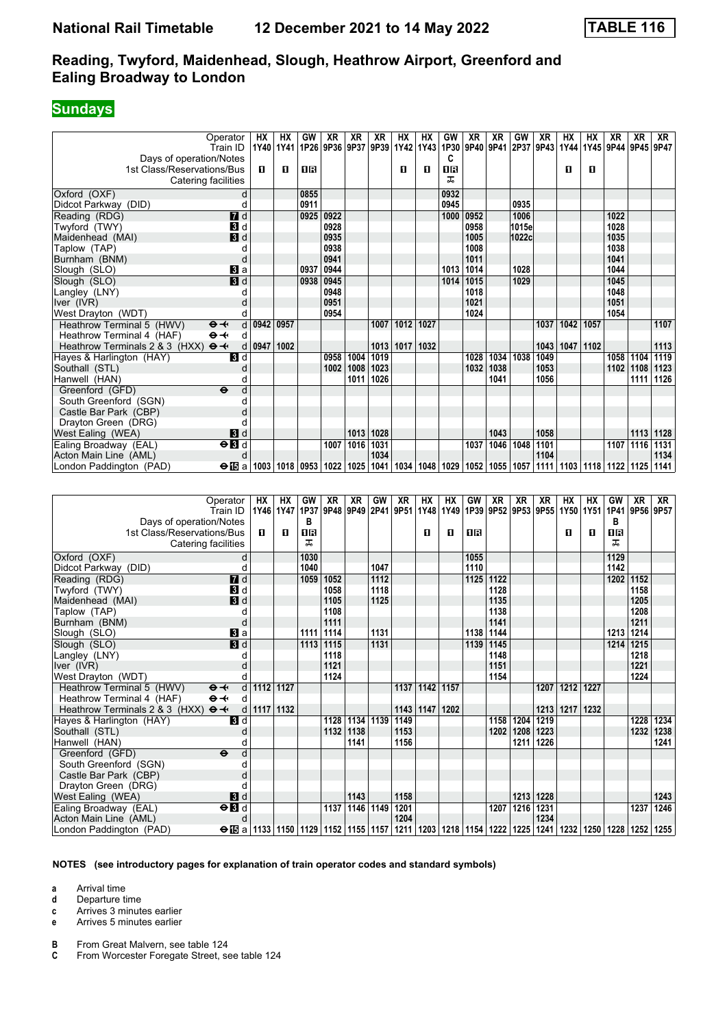#### **Sundays**

|                                                     | Operator                  | НX          | HХ        | GW        | XR        | XR        | XR   | HХ                                             | НX             | GW                               | ΧR        | XR        | GW                       | XR        | HХ             | НΧ        | ХR        | XR                                      | XR          |
|-----------------------------------------------------|---------------------------|-------------|-----------|-----------|-----------|-----------|------|------------------------------------------------|----------------|----------------------------------|-----------|-----------|--------------------------|-----------|----------------|-----------|-----------|-----------------------------------------|-------------|
|                                                     | Train ID                  | 1Y40        | 1Y41      | 1P26      | 9P36      |           |      | 9P37 9P39 1Y42                                 | 1Y43           | 1P30                             | 9P40      |           | 9P41 2P37 9P43           |           | 1Y44           | 1Y45      |           | 9P44 9P45 9P47                          |             |
| Days of operation/Notes                             |                           |             |           |           |           |           |      |                                                |                | C                                |           |           |                          |           |                |           |           |                                         |             |
| 1st Class/Reservations/Bus                          |                           | П.          | п         | OR        |           |           |      | п                                              | П.             | 0B                               |           |           |                          |           | п              | п         |           |                                         |             |
| Catering facilities                                 |                           |             |           |           |           |           |      |                                                |                | ᠼ                                |           |           |                          |           |                |           |           |                                         |             |
| Oxford (OXF)                                        | d                         |             |           | 0855      |           |           |      |                                                |                | 0932                             |           |           |                          |           |                |           |           |                                         |             |
| Didcot Parkway (DID)                                | d                         |             |           | 0911      |           |           |      |                                                |                | 0945                             |           |           | 0935                     |           |                |           |           |                                         |             |
| Reading (RDG)                                       | $\overline{d}$ d          |             |           | 0925      | 0922      |           |      |                                                |                | 1000                             | 0952      |           | 1006                     |           |                |           | 1022      |                                         |             |
| Twyford (TWY)                                       | 3d                        |             |           |           | 0928      |           |      |                                                |                |                                  | 0958      |           | 1015e                    |           |                |           | 1028      |                                         |             |
| Maidenhead (MAI)                                    | $\blacksquare$            |             |           |           | 0935      |           |      |                                                |                |                                  | 1005      |           | 1022c                    |           |                |           | 1035      |                                         |             |
| Taplow (TAP)                                        | d                         |             |           |           | 0938      |           |      |                                                |                |                                  | 1008      |           |                          |           |                |           | 1038      |                                         |             |
| Burnham (BNM)                                       | d                         |             |           |           | 0941      |           |      |                                                |                |                                  | 1011      |           |                          |           |                |           | 1041      |                                         |             |
| Slough (SLO)                                        | BI a                      |             |           | 0937      | 0944      |           |      |                                                |                | 1013                             | 1014      |           | 1028                     |           |                |           | 1044      |                                         |             |
| Slough (SLO)                                        | <b>3</b> d                |             |           | 0938      | 0945      |           |      |                                                |                | 1014                             | 1015      |           | 1029                     |           |                |           | 1045      |                                         |             |
| Langley (LNY)                                       | d                         |             |           |           | 0948      |           |      |                                                |                |                                  | 1018      |           |                          |           |                |           | 1048      |                                         |             |
| Iver (IVR)                                          | d                         |             |           |           | 0951      |           |      |                                                |                |                                  | 1021      |           |                          |           |                |           | 1051      |                                         |             |
| West Drayton (WDT)                                  | d                         |             |           |           | 0954      |           |      |                                                |                |                                  | 1024      |           |                          |           |                |           | 1054      |                                         |             |
| Heathrow Terminal 5 (HWV)                           | d<br>$\Theta +$           | 0942 0957   |           |           |           |           | 1007 | 1012                                           | 1027           |                                  |           |           |                          | 1037      | 1042           | 1057      |           |                                         | 1107        |
| Heathrow Terminal 4 (HAF)                           | $\Theta +$<br>d           |             |           |           |           |           |      |                                                |                |                                  |           |           |                          |           |                |           |           |                                         |             |
| Heathrow Terminals 2 & 3 (HXX) $\Theta \rightarrow$ | d                         | 0947        | 1002      |           |           |           |      | 1013 1017                                      | 1032           |                                  |           |           |                          | 1043      | 1047           | 1102      |           |                                         | 1113        |
| Hayes & Harlington (HAY)                            | <b>3</b> d                |             |           |           | 0958      | 1004      | 1019 |                                                |                |                                  | 1028      | 1034      | 1038                     | 1049      |                |           | 1058      | 1104                                    | 1119        |
| Southall (STL)                                      | d                         |             |           |           | 1002      | 1008      | 1023 |                                                |                |                                  | 1032      | 1038      |                          | 1053      |                |           |           | 1102 1108 1123                          |             |
| Hanwell (HAN)                                       | d                         |             |           |           |           | 1011      | 1026 |                                                |                |                                  |           | 1041      |                          | 1056      |                |           |           |                                         | 1111   1126 |
| Greenford (GFD)                                     | d<br>$\ddot{\mathbf{e}}$  |             |           |           |           |           |      |                                                |                |                                  |           |           |                          |           |                |           |           |                                         |             |
| South Greenford (SGN)                               | d                         |             |           |           |           |           |      |                                                |                |                                  |           |           |                          |           |                |           |           |                                         |             |
| Castle Bar Park (CBP)                               | d                         |             |           |           |           |           |      |                                                |                |                                  |           |           |                          |           |                |           |           |                                         |             |
| Drayton Green (DRG)                                 | d                         |             |           |           |           |           |      |                                                |                |                                  |           |           |                          |           |                |           |           |                                         |             |
| West Ealing (WEA)                                   | BI d                      |             |           |           |           | 1013      | 1028 |                                                |                |                                  |           | 1043      |                          | 1058      |                |           |           | 1113 1128                               |             |
| Ealing Broadway (EAL)                               | $\Theta$ <b>B</b> d       |             |           |           |           | 1007 1016 | 1031 |                                                |                |                                  | 1037      | 1046 1048 |                          | 1101      |                |           | 1107 1116 |                                         | 1131        |
| Acton Main Line (AML)                               | d                         |             |           |           |           |           | 1034 |                                                |                |                                  |           |           |                          | 1104      |                |           |           |                                         | 1134        |
| London Paddington (PAD)                             | <b>⊖ ⊞</b> al             |             |           |           |           |           |      | 1003   1018   0953   1022   1025   1041   1034 |                | 1048   1029   1052   1055   1057 |           |           |                          |           |                |           |           | 1111   1103   1118   1122   1125   1141 |             |
|                                                     |                           |             |           |           |           |           |      |                                                |                |                                  |           |           |                          |           |                |           |           |                                         |             |
|                                                     |                           |             |           |           |           |           |      |                                                |                |                                  |           |           |                          |           |                |           |           |                                         |             |
|                                                     | Operator                  | НX          | HХ        | GW        | <b>XR</b> | <b>XR</b> | GW   | XR                                             | НX             | HX                               | GW        | <b>XR</b> | <b>XR</b>                | <b>XR</b> | HX             | <b>HX</b> | GW        | <b>XR</b>                               | XR          |
|                                                     | Train ID                  |             | 1Y46 1Y47 | 1P37      |           |           |      | 9P48 9P49 2P41 9P51                            | 1Y48           | 1Y49                             |           |           | 1P39 9P52 9P53 9P55 1Y50 |           |                | 1Y51      |           | 1P41 9P56 9P57                          |             |
| Days of operation/Notes                             |                           |             |           | В         |           |           |      |                                                |                |                                  |           |           |                          |           |                |           | в         |                                         |             |
| 1st Class/Reservations/Bus                          |                           | П.          | п         | <b>0B</b> |           |           |      |                                                | O              | п                                | <b>08</b> |           |                          |           | п              | O         | 1B        |                                         |             |
| Catering facilities                                 |                           |             |           | ᠼ         |           |           |      |                                                |                |                                  |           |           |                          |           |                |           | ᠼ         |                                         |             |
| Oxford (OXF)                                        | d                         |             |           | 1030      |           |           |      |                                                |                |                                  | 1055      |           |                          |           |                |           | 1129      |                                         |             |
| Didcot Parkway (DID)                                | d                         |             |           | 1040      |           |           | 1047 |                                                |                |                                  | 1110      |           |                          |           |                |           | 1142      |                                         |             |
| Reading (RDG)                                       | $I$ d                     |             |           | 1059      | 1052      |           | 1112 |                                                |                |                                  | 1125      | 1122      |                          |           |                |           | 1202      | 1152                                    |             |
| Twyford (TWY)                                       | 3 d                       |             |           |           | 1058      |           | 1118 |                                                |                |                                  |           | 1128      |                          |           |                |           |           | 1158                                    |             |
| Maidenhead (MAI)                                    | 3d                        |             |           |           | 1105      |           | 1125 |                                                |                |                                  |           | 1135      |                          |           |                |           |           | 1205                                    |             |
| Taplow (TAP)                                        | d                         |             |           |           | 1108      |           |      |                                                |                |                                  |           | 1138      |                          |           |                |           |           | 1208                                    |             |
| Burnham (BNM)                                       | d                         |             |           |           | 1111      |           |      |                                                |                |                                  |           | 1141      |                          |           |                |           |           | 1211                                    |             |
| Slough (SLO)                                        | <b>B</b> a                |             |           | 1111      | 1114      |           | 1131 |                                                |                |                                  | 1138      | 1144      |                          |           |                |           | 1213 1214 |                                         |             |
| Slough (SLO)                                        | $\blacksquare$            |             |           | 1113      | 1115      |           | 1131 |                                                |                |                                  | 1139      | 1145      |                          |           |                |           | 1214      | 1215                                    |             |
| Langley (LNY)                                       | d                         |             |           |           | 1118      |           |      |                                                |                |                                  |           | 1148      |                          |           |                |           |           | 1218                                    |             |
| Iver (IVR)                                          | d                         |             |           |           | 1121      |           |      |                                                |                |                                  |           | 1151      |                          |           |                |           |           | 1221                                    |             |
| West Drayton (WDT)                                  | d                         |             |           |           | 1124      |           |      |                                                |                |                                  |           | 1154      |                          |           |                |           |           | 1224                                    |             |
| Heathrow Terminal 5 (HWV)                           | d<br>$\Theta +$           | 1112 1127   |           |           |           |           |      | 1137                                           | 1142 1157      |                                  |           |           |                          |           | 1207 1212 1227 |           |           |                                         |             |
| Heathrow Terminal 4 (HAF)                           | $\Theta \rightarrow$<br>d |             |           |           |           |           |      |                                                |                |                                  |           |           |                          |           |                |           |           |                                         |             |
| Heathrow Terminals 2 & 3 (HXX) $\Theta \rightarrow$ |                           | d 1117 1132 |           |           |           |           |      |                                                | 1143 1147 1202 |                                  |           |           |                          |           | 1213 1217 1232 |           |           |                                         |             |

| $\overline{1}$ igatilow refilmate (Five $\overline{V}$ )<br>$\vee$ $\vee$ $\vee$ $\vee$ $\vee$ $\vee$ $\vee$ $\vee$                                             |                           | 1171 1174 1171 |      |                    |      |           | 1491   1414   1441 |  |      |      |
|-----------------------------------------------------------------------------------------------------------------------------------------------------------------|---------------------------|----------------|------|--------------------|------|-----------|--------------------|--|------|------|
| Heathrow Terminal 4 (HAF)<br>$\Theta \rightarrow$<br>d                                                                                                          |                           |                |      |                    |      |           |                    |  |      |      |
| Heathrow Terminals 2 & 3 (HXX) $\Theta \rightarrow$<br>d   1117   1132                                                                                          |                           | $1143$   1147  | 1202 |                    |      |           | 1213 1217 1232     |  |      |      |
| <b>3</b> d<br>Hayes & Harlington (HAY)                                                                                                                          | 1128 1134 1139 1149       |                |      | 1158               | 1204 | 1219      |                    |  | 1228 | 1234 |
| Southall (STL)                                                                                                                                                  | 1132   1138               | 1153           |      | 1202   1208   1223 |      |           |                    |  | 1232 | 1238 |
| Hanwell (HAN)                                                                                                                                                   | 1141                      | 1156           |      |                    | 1211 | 1226      |                    |  |      | 1241 |
| Greenford (GFD)<br><sub>d</sub><br>$\ddot{\mathbf{e}}$                                                                                                          |                           |                |      |                    |      |           |                    |  |      |      |
| South Greenford (SGN)                                                                                                                                           |                           |                |      |                    |      |           |                    |  |      |      |
| Castle Bar Park (CBP)                                                                                                                                           |                           |                |      |                    |      |           |                    |  |      |      |
| Drayton Green (DRG)                                                                                                                                             |                           |                |      |                    |      |           |                    |  |      |      |
| <b>3</b> d<br>West Ealing (WEA)                                                                                                                                 | 1143                      | 1158           |      |                    |      | 1213 1228 |                    |  |      | 1243 |
| $\Theta$ <b>B</b> d<br>Ealing Broadway (EAL)                                                                                                                    | 1137   1146   1149   1201 |                |      | 1207               | 1216 | 1231      |                    |  | 1237 | 1246 |
| Acton Main Line (AML)                                                                                                                                           |                           | 1204           |      |                    |      | 1234      |                    |  |      |      |
| ⊖ Fa   1133   1150   1129   1152   1155   1157   1211   1203   1218   1154   1222   1225   1241   1232   1250   1228   1252   1255  <br>London Paddington (PAD) |                           |                |      |                    |      |           |                    |  |      |      |

#### **NOTES (see introductory pages for explanation of train operator codes and standard symbols)**

**a** Arrival time

**d** Departure time

**c** Arrives 3 minutes earlier

**e** Arrives 5 minutes earlier

**B** From Great Malvern, see table 124<br>**C** From Worcester Foregate Street, se

**C** From Worcester Foregate Street, see table 124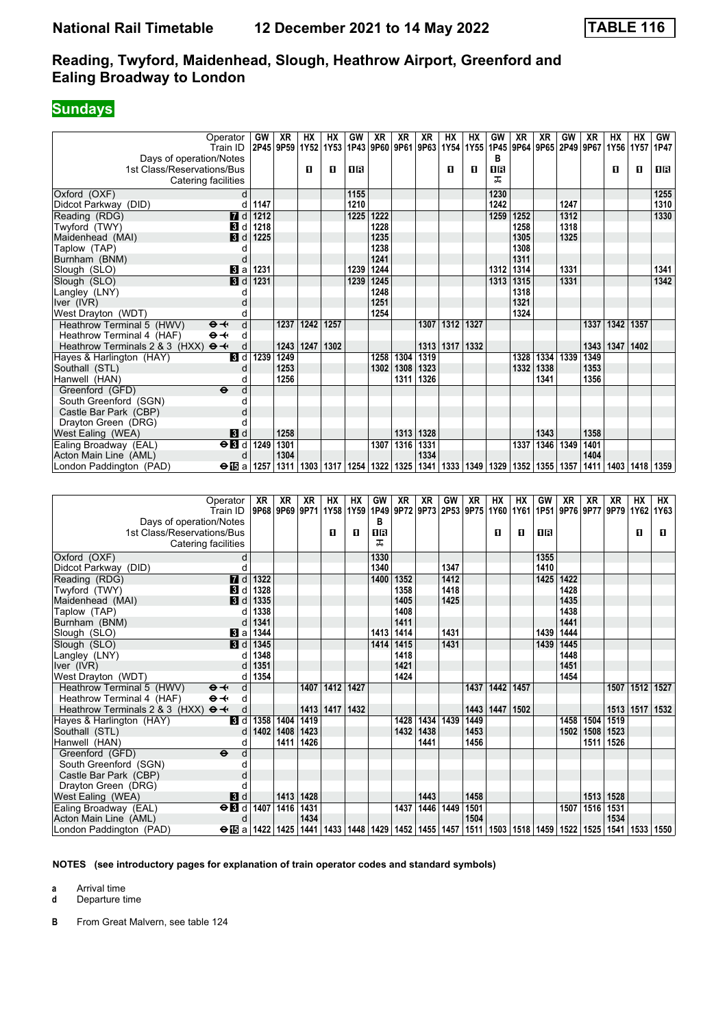## **Sundays**

| Operator<br>Train ID<br>Days of operation/Notes                                                                           | GW                 | XR<br>2P45 9P59 | HХ<br>1Y52 | HХ<br>1Y53     | GW<br>1P43        | XR                 | XR<br>9P60 9P61 9P63 | XR        | HХ<br>1Y54          | HХ<br>1Y55 | GW<br>в                   | XR   | XR          | GW<br>1P45 9P64 9P65 2P49 9P67 | XR             | НΧ<br>1Y56     | НX<br>1Y57     | GW<br>1P47 |
|---------------------------------------------------------------------------------------------------------------------------|--------------------|-----------------|------------|----------------|-------------------|--------------------|----------------------|-----------|---------------------|------------|---------------------------|------|-------------|--------------------------------|----------------|----------------|----------------|------------|
| 1st Class/Reservations/Bus<br>Catering facilities                                                                         |                    |                 | O          | О              | 0 B               |                    |                      |           | O                   | O          | 1R<br>ᠼ                   |      |             |                                |                | O              | О              | 1R         |
| Oxford (OXF)                                                                                                              | d                  |                 |            |                | 1155              |                    |                      |           |                     |            | 1230                      |      |             |                                |                |                |                | 1255       |
| Didcot Parkway (DID)                                                                                                      | d<br>1147          |                 |            |                | 1210              |                    |                      |           |                     |            | 1242                      |      |             | 1247                           |                |                |                | 1310       |
| Reading (RDG)<br><b>7</b> d                                                                                               | 1212               |                 |            |                | $\overline{1225}$ | 1222               |                      |           |                     |            | 1259                      | 1252 |             | 1312                           |                |                |                | 1330       |
| Twyford (TWY)<br><b>3</b> d                                                                                               | 1218               |                 |            |                |                   | 1228               |                      |           |                     |            |                           | 1258 |             | 1318                           |                |                |                |            |
| Maidenhead (MAI)<br>3 d                                                                                                   | 1225               |                 |            |                |                   | 1235               |                      |           |                     |            |                           | 1305 |             | 1325                           |                |                |                |            |
| Taplow (TAP)                                                                                                              | d                  |                 |            |                |                   | 1238               |                      |           |                     |            |                           | 1308 |             |                                |                |                |                |            |
| Burnham (BNM)                                                                                                             | d                  |                 |            |                |                   | 1241               |                      |           |                     |            |                           | 1311 |             |                                |                |                |                |            |
| Slough (SLO)<br>Bl a                                                                                                      | 1231               |                 |            |                | 1239              | 1244               |                      |           |                     |            | 1312 1314                 |      |             | 1331                           |                |                |                | 1341       |
| 3d<br>Slough (SLO)                                                                                                        | 1231               |                 |            |                | 1239              | 1245               |                      |           |                     |            | 1313                      | 1315 |             | 1331                           |                |                |                | 1342       |
| Langley (LNY)                                                                                                             | d                  |                 |            |                |                   | 1248               |                      |           |                     |            |                           | 1318 |             |                                |                |                |                |            |
| Iver (IVR)                                                                                                                | d                  |                 |            |                |                   | 1251               |                      |           |                     |            |                           | 1321 |             |                                |                |                |                |            |
| West Drayton (WDT)                                                                                                        | d                  |                 |            |                |                   | 1254               |                      |           |                     |            |                           | 1324 |             |                                |                |                |                |            |
| Heathrow Terminal 5 (HWV)<br>$\mathbf{\Theta}$ $\mathbf{\leftarrow}$<br>$\Theta \rightarrow$<br>Heathrow Terminal 4 (HAF) | d<br>d             | 1237            | 1242       | 1257           |                   |                    |                      | 1307      | 1312 1327           |            |                           |      |             |                                | 1337           | 1342           | 1357           |            |
| Heathrow Terminals 2 & 3 (HXX) $\Theta \rightarrow$                                                                       | d                  | 1243            | 1247       | 1302           |                   |                    |                      | 1313      | 1317                | 1332       |                           |      |             |                                | 1343           | 1347           | 1402           |            |
| Hayes & Harlington (HAY)<br><b>3</b> d                                                                                    | 1239               | 1249            |            |                |                   | 1258               | 1304                 | 1319      |                     |            |                           | 1328 | 1334        | 1339                           | 1349           |                |                |            |
| Southall (STL)                                                                                                            | d                  | 1253            |            |                |                   |                    | 1302   1308          | 1323      |                     |            |                           |      | 1332   1338 |                                | 1353           |                |                |            |
| Hanwell (HAN)                                                                                                             | d                  | 1256            |            |                |                   |                    | 1311                 | 1326      |                     |            |                           |      | 1341        |                                | 1356           |                |                |            |
| $\ddot{\mathbf{e}}$<br>Greenford (GFD)                                                                                    | d                  |                 |            |                |                   |                    |                      |           |                     |            |                           |      |             |                                |                |                |                |            |
| South Greenford (SGN)                                                                                                     | d                  |                 |            |                |                   |                    |                      |           |                     |            |                           |      |             |                                |                |                |                |            |
| Castle Bar Park (CBP)                                                                                                     | d                  |                 |            |                |                   |                    |                      |           |                     |            |                           |      |             |                                |                |                |                |            |
| Drayton Green (DRG)                                                                                                       | d                  |                 |            |                |                   |                    |                      |           |                     |            |                           |      |             |                                |                |                |                |            |
| $\mathbf{B}$ d<br>West Ealing (WEA)                                                                                       |                    | 1258            |            |                |                   |                    | 1313                 | 1328      |                     |            |                           |      | 1343        |                                | 1358           |                |                |            |
| Ealing Broadway (EAL)<br>$\Theta$ <b>B</b> d                                                                              | 1249               | 1301            |            |                |                   | 1307               | 1316                 | 1331      |                     |            |                           | 1337 | $1346$      | 1349                           | 1401           |                |                |            |
| Acton Main Line (AML)                                                                                                     | d                  | 1304            |            |                |                   |                    |                      | 1334      |                     |            |                           |      |             |                                | 1404           |                |                |            |
| $\Theta$ is a<br>London Paddington (PAD)                                                                                  | 1257               | 1311            |            | 1303 1317      | 1254              | 1322   1325   1341 |                      |           |                     | 1333 1349  | 1329   1352   1355   1357 |      |             |                                | 1411           | 1403           |                |            |
|                                                                                                                           |                    |                 |            |                |                   |                    |                      |           |                     |            |                           |      |             |                                |                |                |                | 1418 1359  |
|                                                                                                                           |                    |                 |            |                |                   |                    |                      |           |                     |            |                           |      |             |                                |                |                |                |            |
|                                                                                                                           |                    |                 |            |                |                   |                    |                      |           |                     |            |                           |      |             |                                |                |                |                |            |
| Operator                                                                                                                  | XR                 | XR              | <b>XR</b>  | HХ             | HX                | GW                 | XR                   | XR        | GW                  | <b>XR</b>  | HX                        | HХ   | GW          | XR                             | <b>XR</b>      | XR             | HX             | НX         |
| Train ID                                                                                                                  |                    | 9P68 9P69       | 9P71       | 1Y58           | 1Y59              | 1P49               |                      |           | 9P72 9P73 2P53 9P75 |            | 1Y60                      |      |             | 1Y61   1P51   9P76   9P77      |                | 9P79           |                | 1Y62 1Y63  |
| Days of operation/Notes                                                                                                   |                    |                 |            |                |                   | в                  |                      |           |                     |            |                           |      |             |                                |                |                |                |            |
| 1st Class/Reservations/Bus                                                                                                |                    |                 |            | О              | O                 | 1R                 |                      |           |                     |            | О                         | п    | 1R          |                                |                |                | П              | O          |
| Catering facilities                                                                                                       |                    |                 |            |                |                   | ᠼ                  |                      |           |                     |            |                           |      |             |                                |                |                |                |            |
| Oxford (OXF)                                                                                                              | d                  |                 |            |                |                   | 1330               |                      |           |                     |            |                           |      | 1355        |                                |                |                |                |            |
| Didcot Parkway (DID)                                                                                                      | d                  |                 |            |                |                   | 1340               |                      |           | 1347                |            |                           |      | 1410        |                                |                |                |                |            |
| Reading (RDG)                                                                                                             | <b>7</b> d<br>1322 |                 |            |                |                   |                    | 1400   1352          |           | 1412                |            |                           |      |             | 1425 1422                      |                |                |                |            |
| Twyford (TWY)<br>BI d                                                                                                     | 1328               |                 |            |                |                   |                    | 1358                 |           | 1418                |            |                           |      |             | 1428                           |                |                |                |            |
| Maidenhead (MAI)                                                                                                          | 1335<br><b>3</b> d |                 |            |                |                   |                    | 1405                 |           | 1425                |            |                           |      |             | 1435                           |                |                |                |            |
| Taplow (TAP)                                                                                                              | 1338<br>d          |                 |            |                |                   |                    | 1408                 |           |                     |            |                           |      |             | 1438                           |                |                |                |            |
| Burnham (BNM)                                                                                                             | 1341<br>d          |                 |            |                |                   |                    | 1411                 |           |                     |            |                           |      |             | 1441                           |                |                |                |            |
| Slough (SLO)<br><b>B</b> la                                                                                               | 1344               |                 |            |                |                   | 1413               | 1414                 |           | 1431                |            |                           |      | 1439        | 1444                           |                |                |                |            |
| Slough (SLO)                                                                                                              | 1345<br>3 d<br>d   |                 |            |                |                   | 1414               | 1415                 |           | 1431                |            |                           |      | 1439        | 1445                           |                |                |                |            |
| Langley (LNY)                                                                                                             | 1348<br>1351<br>d  |                 |            |                |                   |                    | 1418<br>1421         |           |                     |            |                           |      |             | 1448<br>1451                   |                |                |                |            |
| Iver (IVR)<br>West Drayton (WDT)                                                                                          | d 1354             |                 |            |                |                   |                    | 1424                 |           |                     |            |                           |      |             | 1454                           |                |                |                |            |
| Heathrow Terminal 5 (HWV)<br>$\mathbf{\Theta}$ $\mathbf{\leftarrow}$                                                      | d                  |                 | 1407       |                | 1412 1427         |                    |                      |           |                     |            | 1437   1442   1457        |      |             |                                |                |                | 1507 1512 1527 |            |
| Heathrow Terminal 4 (HAF)<br>$\Theta \not\prec$                                                                           | d                  |                 |            |                |                   |                    |                      |           |                     |            |                           |      |             |                                |                |                |                |            |
| Heathrow Terminals 2 & 3 (HXX) $\Theta \rightarrow$                                                                       | d                  |                 |            | 1413 1417 1432 |                   |                    |                      |           |                     |            | 1443   1447   1502        |      |             |                                |                |                | 1513 1517 1532 |            |
| 3d<br>Hayes & Harlington (HAY)                                                                                            |                    | 1358 1404       | 1419       |                |                   |                    |                      | 1428 1434 | 1439                | 1449       |                           |      |             |                                | 1458 1504 1519 |                |                |            |
| Southall (STL)                                                                                                            | d                  | 1402 1408       | 1423       |                |                   |                    |                      | 1432 1438 |                     | 1453       |                           |      |             |                                |                | 1502 1508 1523 |                |            |
| Hanwell (HAN)                                                                                                             | d                  | 1411            | 1426       |                |                   |                    |                      | 1441      |                     | 1456       |                           |      |             |                                |                | 1511   1526    |                |            |
| Greenford (GFD)<br>$\bullet$<br>South Greenford (SGN)                                                                     | d                  |                 |            |                |                   |                    |                      |           |                     |            |                           |      |             |                                |                |                |                |            |

| Castle Bar Park (CBP)   |                                                                                                                                      |               |  |      |      |                    |  |  |                |  |
|-------------------------|--------------------------------------------------------------------------------------------------------------------------------------|---------------|--|------|------|--------------------|--|--|----------------|--|
| Drayton Green (DRG)     |                                                                                                                                      |               |  |      |      |                    |  |  |                |  |
| West Ealing (WEA)       | <b>3</b> d                                                                                                                           | $1413$   1428 |  |      | 1443 | 1458               |  |  | 1513   1528    |  |
| Ealing Broadway (EAL)   | $\Theta$ 3 d 1407 1416 1431                                                                                                          |               |  | 1437 |      | 1446   1449   1501 |  |  | 1507 1516 1531 |  |
| Acton Main Line (AML)   |                                                                                                                                      | 1434          |  |      |      | 1504               |  |  | 1534           |  |
| London Paddington (PAD) | ⊖ i5 a   1422   1425   1441   1433   1448   1429   1452   1455   1457   1511   1503   1518   1459   1522   1525   1541   1533   1550 |               |  |      |      |                    |  |  |                |  |
|                         |                                                                                                                                      |               |  |      |      |                    |  |  |                |  |

**NOTES (see introductory pages for explanation of train operator codes and standard symbols)**

**a** Arrival time

**d** Departure time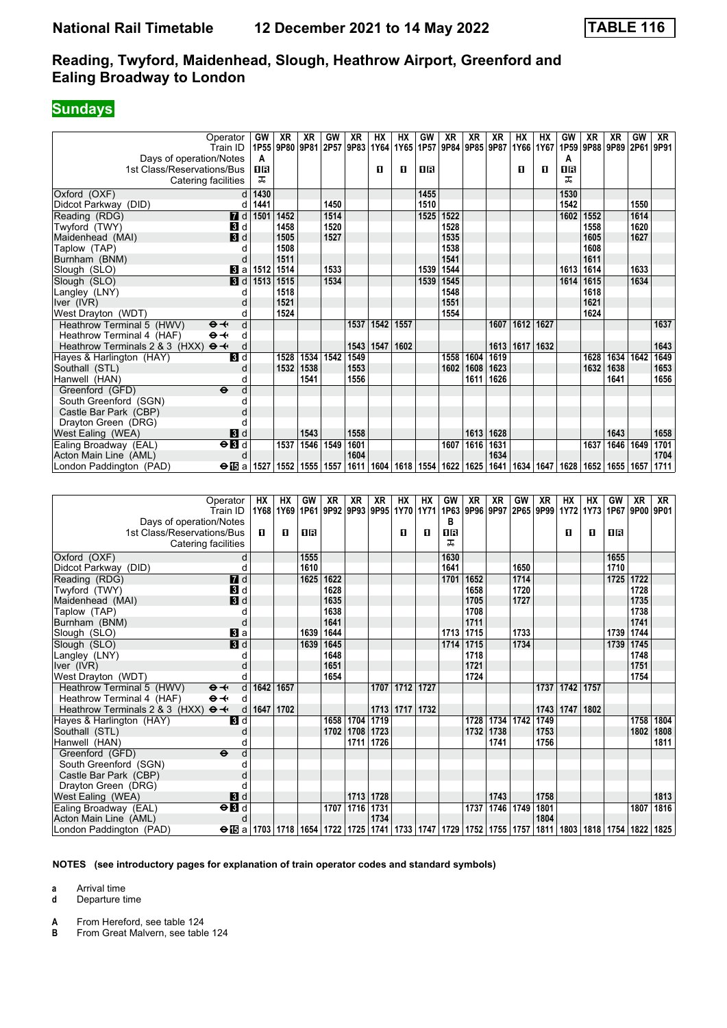### **Sundays**

|                                                     | Operator                          | GW        | XR        | <b>XR</b>      | GW        | XR                  | <b>HX</b> | HX   | GW          | <b>XR</b>                               | <b>XR</b> | <b>XR</b> | HX   | <b>HX</b>           | GW               | <b>XR</b>       | XR             | GW        | XR   |
|-----------------------------------------------------|-----------------------------------|-----------|-----------|----------------|-----------|---------------------|-----------|------|-------------|-----------------------------------------|-----------|-----------|------|---------------------|------------------|-----------------|----------------|-----------|------|
|                                                     | Train ID                          | 1P55      | 9P80      | 9P81           |           | 2P57 9P83 1Y64 1Y65 |           |      | 1P57        | 9P84                                    | 9P85 9P87 |           |      | 1Y66 1Y67           | 1P <sub>59</sub> | 9P88            | 9P89 2P61 9P91 |           |      |
| Days of operation/Notes                             |                                   | A         |           |                |           |                     |           |      | <b>08</b>   |                                         |           |           |      | $\mathbf{u}$        | A<br><b>08</b>   |                 |                |           |      |
| 1st Class/Reservations/Bus                          |                                   | 18        |           |                |           |                     | 0         | п    |             |                                         |           |           | 0    |                     | ᠼ                |                 |                |           |      |
|                                                     | Catering facilities               | ᠼ         |           |                |           |                     |           |      |             |                                         |           |           |      |                     |                  |                 |                |           |      |
| Oxford (OXF)                                        | d                                 | 1430      |           |                |           |                     |           |      | 1455        |                                         |           |           |      |                     | 1530             |                 |                |           |      |
| Didcot Parkway (DID)                                | d                                 | 1441      |           |                | 1450      |                     |           |      | 1510        |                                         |           |           |      |                     | 1542             |                 |                | 1550      |      |
| Reading (RDG)                                       | $\blacksquare$                    | 1501      | 1452      |                | 1514      |                     |           |      | 1525        | 1522                                    |           |           |      |                     | 1602             | 1552            |                | 1614      |      |
| Twyford (TWY)                                       | $\blacksquare$                    |           | 1458      |                | 1520      |                     |           |      |             | 1528                                    |           |           |      |                     |                  | 1558            |                | 1620      |      |
| Maidenhead (MAI)                                    | $\blacksquare$                    |           | 1505      |                | 1527      |                     |           |      |             | 1535                                    |           |           |      |                     |                  | 1605            |                | 1627      |      |
| Taplow (TAP)                                        | d                                 |           | 1508      |                |           |                     |           |      |             | 1538                                    |           |           |      |                     |                  | 1608            |                |           |      |
| Burnham (BNM)                                       | d                                 |           | 1511      |                |           |                     |           |      |             | 1541                                    |           |           |      |                     |                  | 1611            |                |           |      |
| Slough (SLO)                                        | 3a                                | 1512      | 1514      |                | 1533      |                     |           |      | 1539        | 1544                                    |           |           |      |                     | 1613             | 1614            |                | 1633      |      |
| Slough (SLO)                                        | $\blacksquare$                    | 1513      | 1515      |                | 1534      |                     |           |      | 1539        | 1545                                    |           |           |      |                     | 1614             | 1615            |                | 1634      |      |
| Langley (LNY)                                       | d                                 |           | 1518      |                |           |                     |           |      |             | 1548                                    |           |           |      |                     |                  | 1618            |                |           |      |
| Iver (IVR)                                          | d                                 |           | 1521      |                |           |                     |           |      |             | 1551                                    |           |           |      |                     |                  | 1621            |                |           |      |
| West Drayton (WDT)                                  | d                                 |           | 1524      |                |           |                     |           |      |             | 1554                                    |           |           |      |                     |                  | 1624            |                |           |      |
| Heathrow Terminal 5 (HWV)                           | d<br>$\Theta +$                   |           |           |                |           | 1537                | 1542      | 1557 |             |                                         |           | 1607      | 1612 | 1627                |                  |                 |                |           | 1637 |
| Heathrow Terminal 4 (HAF)                           | $\Theta +$<br>d                   |           |           |                |           |                     |           |      |             |                                         |           |           |      |                     |                  |                 |                |           |      |
| Heathrow Terminals 2 & 3 (HXX) $\Theta \rightarrow$ | d                                 |           |           |                |           | 1543 1547           |           | 1602 |             |                                         |           | 1613      | 1617 | 1632                |                  |                 |                |           | 1643 |
| Hayes & Harlington (HAY)                            | $\overline{\mathbf{B}}$ d         |           | 1528      | 1534           | 1542      | 1549                |           |      |             | 1558                                    | 1604      | 1619      |      |                     |                  | 1628            | 1634           | 1642      | 1649 |
| Southall (STL)                                      | d                                 |           | 1532      | 1538           |           | 1553                |           |      |             | 1602                                    | 1608      | 1623      |      |                     |                  | 1632            | 1638           |           | 1653 |
| Hanwell (HAN)                                       | d                                 |           |           | 1541           |           | 1556                |           |      |             |                                         | 1611      | 1626      |      |                     |                  |                 | 1641           |           | 1656 |
| Greenford (GFD)                                     | d<br>$\ddot{\boldsymbol{\Theta}}$ |           |           |                |           |                     |           |      |             |                                         |           |           |      |                     |                  |                 |                |           |      |
| South Greenford (SGN)                               | d                                 |           |           |                |           |                     |           |      |             |                                         |           |           |      |                     |                  |                 |                |           |      |
| Castle Bar Park (CBP)                               | d                                 |           |           |                |           |                     |           |      |             |                                         |           |           |      |                     |                  |                 |                |           |      |
| Drayton Green (DRG)                                 |                                   |           |           |                |           |                     |           |      |             |                                         |           |           |      |                     |                  |                 |                |           |      |
| West Ealing (WEA)                                   | $\blacksquare$                    |           |           | 1543           |           | 1558                |           |      |             |                                         | 1613      | 1628      |      |                     |                  |                 | 1643           |           | 1658 |
| Ealing Broadway (EAL)                               | $\Theta$ <b>B</b>                 |           | 1537      | 1546           | 1549      | 1601                |           |      |             | 1607                                    | 1616      | 1631      |      |                     |                  | 1637            | 1646           | 1649      | 1701 |
| Acton Main Line (AML)                               | d                                 |           |           |                |           | 1604                |           |      |             |                                         |           | 1634      |      |                     |                  |                 |                |           | 1704 |
| London Paddington (PAD)                             | $\Theta$ is a                     | 1527      |           | 1552 1555 1557 |           |                     |           |      |             | 1611   1604   1618   1554   1622   1625 |           | 1641      | 1634 |                     | 1647   1628      | 1652            | 1655 1657      |           | 1711 |
|                                                     |                                   |           |           |                |           |                     |           |      |             |                                         |           |           |      |                     |                  |                 |                |           |      |
|                                                     |                                   |           |           |                |           |                     |           |      |             |                                         |           |           |      |                     |                  |                 |                |           |      |
|                                                     | Operator                          | <b>HX</b> | <b>HX</b> | GW             | <b>XR</b> | <b>XR</b>           | <b>XR</b> | HX   | <b>HX</b>   | GW                                      | <b>XR</b> | <b>XR</b> | GW   | <b>XR</b>           | <b>HX</b>        | $\overline{HX}$ | GW             | <b>XR</b> | XR   |
|                                                     | Train ID                          |           | 1Y68 1Y69 | 1P61           |           | 9P92 9P93 9P95 1Y70 |           |      | <b>1Y71</b> | 1P63                                    |           |           |      | 9P96 9P97 2P65 9P99 | <b>1Y72</b>      | <b>1Y73</b>     | 1P67 9P00 9P01 |           |      |
| Days of operation/Notes                             |                                   |           |           |                |           |                     |           |      |             | в                                       |           |           |      |                     |                  |                 |                |           |      |
| 1st Class/Reservations/Bus                          |                                   | п         | п         | <b>OB</b>      |           |                     |           | п    | п           | 08                                      |           |           |      |                     | п                | п               | <b>08</b>      |           |      |
|                                                     | Catering facilities               |           |           |                |           |                     |           |      |             | ᠼ                                       |           |           |      |                     |                  |                 |                |           |      |
|                                                     |                                   |           |           |                |           |                     |           |      |             |                                         |           |           |      |                     |                  |                 |                |           |      |
| Oxford (OXF)                                        | d                                 |           |           | 1555           |           |                     |           |      |             | 1630                                    |           |           |      |                     |                  |                 | 1655           |           |      |
| Didcot Parkway (DID)                                | d                                 |           |           | 1610           |           |                     |           |      |             | 1641                                    |           |           | 1650 |                     |                  |                 | 1710           |           |      |

| Catering radiities                                  |                                                                                                   |      |      |      |      |      |      |                | oчо  |      |                    |      |      |      |      |                                         |      |      |
|-----------------------------------------------------|---------------------------------------------------------------------------------------------------|------|------|------|------|------|------|----------------|------|------|--------------------|------|------|------|------|-----------------------------------------|------|------|
| Oxford (OXF)                                        |                                                                                                   |      |      | 1555 |      |      |      |                | 1630 |      |                    |      |      |      |      | 1655                                    |      |      |
| Didcot Parkway (DID)                                |                                                                                                   |      |      | 1610 |      |      |      |                | 1641 |      |                    | 1650 |      |      |      | 1710                                    |      |      |
| Reading (RDG)                                       | 7d                                                                                                |      |      | 1625 | 1622 |      |      |                | 1701 | 1652 |                    | 1714 |      |      |      | 1725 1722                               |      |      |
| Twyford (TWY)                                       | 3d                                                                                                |      |      |      | 1628 |      |      |                |      | 1658 |                    | 1720 |      |      |      |                                         | 1728 |      |
| Maidenhead (MAI)                                    | $\blacksquare$                                                                                    |      |      |      | 1635 |      |      |                |      | 1705 |                    | 1727 |      |      |      |                                         | 1735 |      |
| Taplow (TAP)                                        |                                                                                                   |      |      |      | 1638 |      |      |                |      | 1708 |                    |      |      |      |      |                                         | 1738 |      |
| Burnham (BNM)                                       | O                                                                                                 |      |      |      | 1641 |      |      |                |      | 1711 |                    |      |      |      |      |                                         | 1741 |      |
| Slough (SLO)                                        | $\mathbf{B}$ a                                                                                    |      |      | 1639 | 1644 |      |      |                | 1713 | 1715 |                    | 1733 |      |      |      | 1739                                    | 1744 |      |
| Slough (SLO)                                        | $\overline{\mathbf{B}}$ d                                                                         |      |      | 1639 | 1645 |      |      |                | 1714 | 1715 |                    | 1734 |      |      |      | 1739 1745                               |      |      |
| Langley (LNY)                                       |                                                                                                   |      |      |      | 1648 |      |      |                |      | 1718 |                    |      |      |      |      |                                         | 1748 |      |
| lver (IVR)                                          |                                                                                                   |      |      |      | 1651 |      |      |                |      | 1721 |                    |      |      |      |      |                                         | 1751 |      |
| West Drayton (WDT)                                  |                                                                                                   |      |      |      | 1654 |      |      |                |      | 1724 |                    |      |      |      |      |                                         | 1754 |      |
| Heathrow Terminal 5 (HWV)                           | $\Theta - \leftarrow$<br>d                                                                        | 1642 | 1657 |      |      |      | 1707 | 1712 1727      |      |      |                    |      | 1737 | 1742 | 1757 |                                         |      |      |
| Heathrow Terminal 4 (HAF)                           | $\Theta - \leftarrow$<br>d                                                                        |      |      |      |      |      |      |                |      |      |                    |      |      |      |      |                                         |      |      |
| Heathrow Terminals 2 & 3 (HXX) $\Theta \rightarrow$ | d                                                                                                 | 1647 | 1702 |      |      |      |      | 1713 1717 1732 |      |      |                    |      | 1743 | 1747 | 1802 |                                         |      |      |
| Hayes & Harlington (HAY)                            | $\mathbf{B}$ d                                                                                    |      |      |      | 1658 | 1704 | 1719 |                |      | 1728 | 1734 1742          |      | 1749 |      |      |                                         | 1758 | 1804 |
| Southall (STL)                                      |                                                                                                   |      |      |      | 1702 | 1708 | 1723 |                |      | 1732 | 1738               |      | 1753 |      |      |                                         | 1802 | 1808 |
| Hanwell (HAN)                                       |                                                                                                   |      |      |      |      | 1711 | 1726 |                |      |      | 1741               |      | 1756 |      |      |                                         |      | 1811 |
| Greenford (GFD)                                     | d<br>$\ddot{\mathbf{e}}$                                                                          |      |      |      |      |      |      |                |      |      |                    |      |      |      |      |                                         |      |      |
| South Greenford (SGN)                               |                                                                                                   |      |      |      |      |      |      |                |      |      |                    |      |      |      |      |                                         |      |      |
| Castle Bar Park (CBP)                               |                                                                                                   |      |      |      |      |      |      |                |      |      |                    |      |      |      |      |                                         |      |      |
| Drayton Green (DRG)                                 |                                                                                                   |      |      |      |      |      |      |                |      |      |                    |      |      |      |      |                                         |      |      |
| West Ealing (WEA)                                   | $\mathbf{3}$ d                                                                                    |      |      |      |      | 1713 | 1728 |                |      |      | 1743               |      | 1758 |      |      |                                         |      | 1813 |
| Ealing Broadway (EAL)                               | $\overline{H}$                                                                                    |      |      |      | 1707 | 1716 | 1731 |                |      |      | 1737   1746   1749 |      | 1801 |      |      |                                         | 1807 | 1816 |
| Acton Main Line (AML)                               | d                                                                                                 |      |      |      |      |      | 1734 |                |      |      |                    |      | 1804 |      |      |                                         |      |      |
| London Paddington (PAD)                             | $\Theta$ is a   1703   1718   1654   1722   1725   1741   1733   1747   1729   1752   1755   1757 |      |      |      |      |      |      |                |      |      |                    |      |      |      |      | 1811   1803   1818   1754   1822   1825 |      |      |

#### **NOTES (see introductory pages for explanation of train operator codes and standard symbols)**

**a** Arrival time

**d** Departure time

**A** From Hereford, see table 124<br>**B** From Great Malvern see table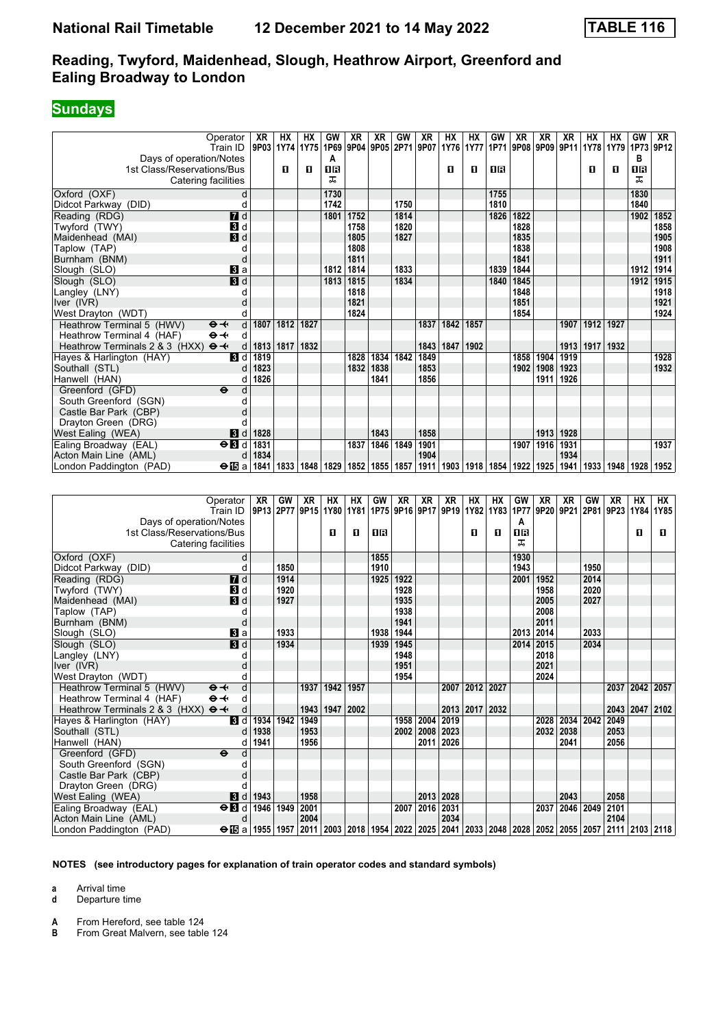#### **Sundays**

|                                                     | Operator                          | XR                   | HХ   | НX          | GW                 | XR                 | XR             | GW                  | XR             | НΧ        | HХ                 | GW        | XR           | ΧR             | ХR        | нх   | НΧ        | GW             | XR             |
|-----------------------------------------------------|-----------------------------------|----------------------|------|-------------|--------------------|--------------------|----------------|---------------------|----------------|-----------|--------------------|-----------|--------------|----------------|-----------|------|-----------|----------------|----------------|
|                                                     | Train ID                          | 9P03                 | 1Y74 | 1Y75        | 1P69               |                    | 9P04 9P05 2P71 |                     | 9P07           | 1Y76      | <b>1Y77</b>        | 1P71      |              | 9P08 9P09 9P11 |           | 1Y78 | 1Y79      | 1P73           | 9P12           |
| Days of operation/Notes                             |                                   |                      |      |             | A                  |                    |                |                     |                |           |                    |           |              |                |           |      |           | в              |                |
| 1st Class/Reservations/Bus                          |                                   |                      | O    | O           | 1R                 |                    |                |                     |                | О         | п                  | 0B        |              |                |           | 0    | О         | 1R             |                |
|                                                     | Catering facilities               |                      |      |             | ᠼ                  |                    |                |                     |                |           |                    |           |              |                |           |      |           | ᠼ              |                |
| Oxford (OXF)                                        | d                                 |                      |      |             | 1730               |                    |                |                     |                |           |                    | 1755      |              |                |           |      |           | 1830           |                |
| Didcot Parkway (DID)                                | d                                 |                      |      |             | 1742               |                    |                | 1750                |                |           |                    | 1810      |              |                |           |      |           | 1840           |                |
| Reading (RDG)                                       | $\overline{d}$ d                  |                      |      |             | 1801               | 1752               |                | 1814                |                |           |                    | 1826      | 1822         |                |           |      |           |                | 1902   1852    |
| Twyford (TWY)                                       | 3d                                |                      |      |             |                    | 1758               |                | 1820                |                |           |                    |           | 1828         |                |           |      |           |                | 1858           |
| Maidenhead (MAI)                                    | $\blacksquare$                    |                      |      |             |                    | 1805               |                | 1827                |                |           |                    |           | 1835         |                |           |      |           |                | 1905           |
| Taplow (TAP)                                        | d                                 |                      |      |             |                    | 1808               |                |                     |                |           |                    |           | 1838         |                |           |      |           |                | 1908           |
| Burnham (BNM)                                       | d                                 |                      |      |             | 1812               | 1811<br>1814       |                | 1833                |                |           |                    | 1839      | 1841<br>1844 |                |           |      |           | 1912           | 1911<br>1914   |
| Slough (SLO)<br>Slough (SLO)                        | BI a<br><b>B</b> d                |                      |      |             | 1813               | 1815               |                | 1834                |                |           |                    | 1840      | 1845         |                |           |      |           | 1912           | 1915           |
| Langley (LNY)                                       | d                                 |                      |      |             |                    | 1818               |                |                     |                |           |                    |           | 1848         |                |           |      |           |                | 1918           |
| Iver (IVR)                                          | d                                 |                      |      |             |                    | 1821               |                |                     |                |           |                    |           | 1851         |                |           |      |           |                | 1921           |
| West Drayton (WDT)                                  | d                                 |                      |      |             |                    | 1824               |                |                     |                |           |                    |           | 1854         |                |           |      |           |                | 1924           |
| Heathrow Terminal 5 (HWV)                           | $\overline{d}$<br>$\Theta +$      | 1807                 | 1812 | 1827        |                    |                    |                |                     | 1837           | 1842      | 1857               |           |              |                | 1907      | 1912 | 1927      |                |                |
| Heathrow Terminal 4 (HAF)                           | $\Theta +$<br>d                   |                      |      |             |                    |                    |                |                     |                |           |                    |           |              |                |           |      |           |                |                |
| Heathrow Terminals 2 & 3 (HXX) $\Theta \rightarrow$ | d                                 | 1813 1817            |      | 1832        |                    |                    |                |                     | 1843           | 1847      | 1902               |           |              |                | 1913      | 1917 | 1932      |                |                |
| Hayes & Harlington (HAY)                            | 3d                                | 1819                 |      |             |                    | 1828               | 1834           | 1842                | 1849           |           |                    |           | 1858         | 1904           | 1919      |      |           |                | 1928           |
| Southall (STL)                                      | d                                 | 1823                 |      |             |                    | 1832               | 1838           |                     | 1853           |           |                    |           | 1902         | 1908           | 1923      |      |           |                | 1932           |
| Hanwell (HAN)                                       | d                                 | 1826                 |      |             |                    |                    | 1841           |                     | 1856           |           |                    |           |              | 1911           | 1926      |      |           |                |                |
| Greenford (GFD)                                     | $\ddot{\mathbf{e}}$<br>d          |                      |      |             |                    |                    |                |                     |                |           |                    |           |              |                |           |      |           |                |                |
| South Greenford (SGN)                               | d                                 |                      |      |             |                    |                    |                |                     |                |           |                    |           |              |                |           |      |           |                |                |
| Castle Bar Park (CBP)                               | d                                 |                      |      |             |                    |                    |                |                     |                |           |                    |           |              |                |           |      |           |                |                |
| Drayton Green (DRG)                                 | d                                 |                      |      |             |                    |                    |                |                     |                |           |                    |           |              |                |           |      |           |                |                |
| West Ealing (WEA)                                   | BI d                              | 1828                 |      |             |                    |                    | 1843           |                     | 1858           |           |                    |           |              | 1913           | 1928      |      |           |                |                |
| Ealing Broadway (EAL)                               | $\overline{\Theta}$ d             | 1831                 |      |             |                    | 1837               | 1846 1849      |                     | 1901           |           |                    |           | 1907         | 1916           | 1931      |      |           |                | 1937           |
|                                                     |                                   |                      |      |             |                    |                    |                |                     |                |           |                    |           |              |                |           |      |           |                |                |
| Acton Main Line (AML)                               | d                                 | 1834                 |      |             |                    |                    |                |                     | 1904           |           |                    |           |              |                | 1934      |      |           |                |                |
| London Paddington (PAD)                             | $\Theta$ <b>i</b> B a             | 1841                 |      | 1833   1848 | 1829               | 1852               | 1855   1857    |                     | 1911           |           | 1903   1918   1854 |           | 1922         | 1925           | 1941      | 1933 | 1948 1928 |                | 1952           |
|                                                     |                                   |                      |      |             |                    |                    |                |                     |                |           |                    |           |              |                |           |      |           |                |                |
|                                                     |                                   |                      |      |             |                    |                    |                |                     |                |           |                    |           |              |                |           |      |           |                |                |
|                                                     | Operator                          | <b>XR</b>            | GW   | <b>XR</b>   | HX                 | HX                 | GW             | XR                  | <b>XR</b>      | <b>XR</b> | HХ                 | HX        | GW           | <b>XR</b>      | <b>XR</b> | GW   | <b>XR</b> | <b>HX</b>      | НX             |
|                                                     | Train ID                          | 9P13 2P77            |      | 9P15        | 1Y80               | 1Y81               |                | 1P75 9P16           | 9P17           | 9P19      | 1Y82               | 1Y83 1P77 |              | 9P20           | 9P21      | 2P81 | 9P23      |                | 1Y84 1Y85      |
| Days of operation/Notes                             |                                   |                      |      |             |                    |                    |                |                     |                |           |                    |           | A            |                |           |      |           |                |                |
| 1st Class/Reservations/Bus                          |                                   |                      |      |             | O                  | п                  | 18             |                     |                |           | п                  | П         | 1R           |                |           |      |           | О              | П              |
|                                                     | Catering facilities               |                      |      |             |                    |                    |                |                     |                |           |                    |           | ᠼ            |                |           |      |           |                |                |
| Oxford (OXF)                                        | d                                 |                      |      |             |                    |                    | 1855           |                     |                |           |                    |           | 1930         |                |           |      |           |                |                |
| Didcot Parkway (DID)                                | d                                 |                      | 1850 |             |                    |                    | 1910           |                     |                |           |                    |           | 1943         |                |           | 1950 |           |                |                |
| Reading (RDG)                                       | $\overline{d}$                    |                      | 1914 |             |                    |                    | 1925 1922      |                     |                |           |                    |           | 2001         | 1952           |           | 2014 |           |                |                |
| Twyford (TWY)                                       | $\mathbf{B}$ d                    |                      | 1920 |             |                    |                    |                | 1928                |                |           |                    |           |              | 1958           |           | 2020 |           |                |                |
| Maidenhead (MAI)                                    | 3d                                |                      | 1927 |             |                    |                    |                | 1935                |                |           |                    |           |              | 2005           |           | 2027 |           |                |                |
| Taplow (TAP)                                        | d                                 |                      |      |             |                    |                    |                | 1938                |                |           |                    |           |              | 2008           |           |      |           |                |                |
| Burnham (BNM)                                       | d<br><b>B</b> a                   |                      | 1933 |             |                    |                    |                | 1941<br>1938   1944 |                |           |                    |           | 2013         | 2011<br>2014   |           | 2033 |           |                |                |
| Slough (SLO)<br>Slough (SLO)                        |                                   |                      | 1934 |             |                    |                    |                | 1939 1945           |                |           |                    |           | 2014         | 2015           |           | 2034 |           |                |                |
| Langley (LNY)                                       | $\blacksquare$<br>d               |                      |      |             |                    |                    |                | 1948                |                |           |                    |           |              | 2018           |           |      |           |                |                |
| Iver (IVR)                                          | d                                 |                      |      |             |                    |                    |                | 1951                |                |           |                    |           |              | 2021           |           |      |           |                |                |
| West Drayton (WDT)                                  | d                                 |                      |      |             |                    |                    |                | 1954                |                |           |                    |           |              | 2024           |           |      |           |                |                |
| Heathrow Terminal 5 (HWV)                           | d<br>$\Theta \rightarrow$         |                      |      |             | 1937   1942   1957 |                    |                |                     |                |           | 2007 2012 2027     |           |              |                |           |      |           | 2037 2042 2057 |                |
| Heathrow Terminal 4 (HAF)                           | $\Theta \rightarrow$<br>d         |                      |      |             |                    |                    |                |                     |                |           |                    |           |              |                |           |      |           |                |                |
| Heathrow Terminals 2 & 3 (HXX) $\Theta \rightarrow$ | d                                 |                      |      |             |                    | 1943   1947   2002 |                |                     |                |           | 2013 2017 2032     |           |              |                |           |      |           |                | 2043 2047 2102 |
| Hayes & Harlington (HAY)                            |                                   | <b>8</b> d 1934 1942 |      | 1949        |                    |                    |                | 1958                | 2004           | 2019      |                    |           |              |                | 2028 2034 |      | 2042 2049 |                |                |
| Southall (STL)                                      | d                                 | 1938                 |      | 1953        |                    |                    |                |                     | 2002 2008 2023 |           |                    |           |              |                | 2032 2038 |      | 2053      |                |                |
| Hanwell (HAN)                                       | d                                 | 1941                 |      | 1956        |                    |                    |                |                     | 2011 2026      |           |                    |           |              |                | 2041      |      | 2056      |                |                |
| Greenford (GFD)                                     | d<br>$\ddot{\boldsymbol{\Theta}}$ |                      |      |             |                    |                    |                |                     |                |           |                    |           |              |                |           |      |           |                |                |
| South Greenford (SGN)<br>Castle Bar Park (CBP)      | d<br>d                            |                      |      |             |                    |                    |                |                     |                |           |                    |           |              |                |           |      |           |                |                |

**NOTES (see introductory pages for explanation of train operator codes and standard symbols)**

 Ealing Broadway (EAL) 6y d **1946 1949 2001 2007 2016 2031 2037 2046 2049 2101**

<u>West Ealing (WEA)</u><br>
Ealing Broadway (EAL) → ■ ● ■ d 1946 1949 2001<br>
Acton Main Line (AML) → ● ■ d 1946 1949 2001<br>
2004 2007 2016 2031<br>
2007 2016 2031<br>
2004 2007 2016 2031

Acton Main Line (AML) d a 1955 1957 2004 2004 2005 2018 2022 2023 2041 2033 2048 2028 2052 2055 2057 2111 2103 2118<br>London Paddington (PAD) → G IB a 1955 1957 2011 2003 2018 1954 2022 2025 2041 2033 2048 2028 2052 2055 2

2041 2033 2048 2028 2052 2055 2057

**a** Arrival time

**d** Departure time

**A** From Hereford, see table 124<br>**B** From Great Malvern see table

**B** From Great Malvern, see table 124

Drayton Green (DRG) d